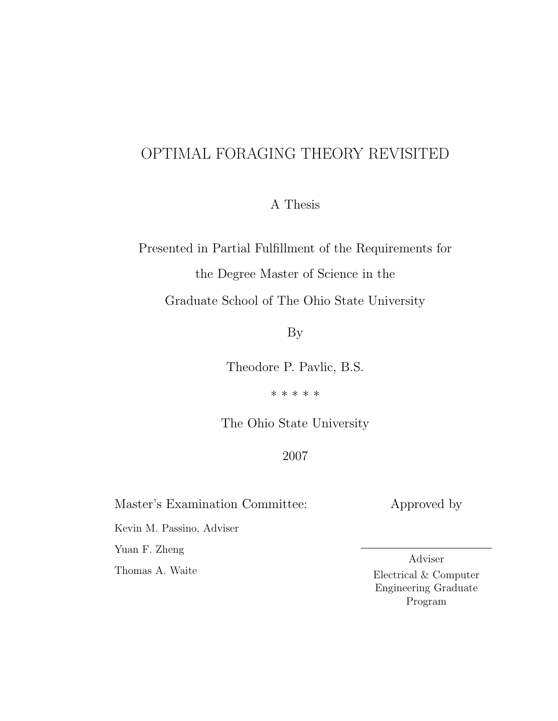# OPTIMAL FORAGING THEORY REVISITED

A Thesis

Presented in Partial Fulfillment of the Requirements for the Degree Master of Science in the

Graduate School of The Ohio State University

By

Theodore P. Pavlic, B.S.

\* \* \* \* \*

The Ohio State University

# 2007

Master's Examination Committee:

Kevin M. Passino, Adviser

Yuan F. Zheng

Thomas A. Waite

Approved by

Adviser Electrical & Computer Engineering Graduate Program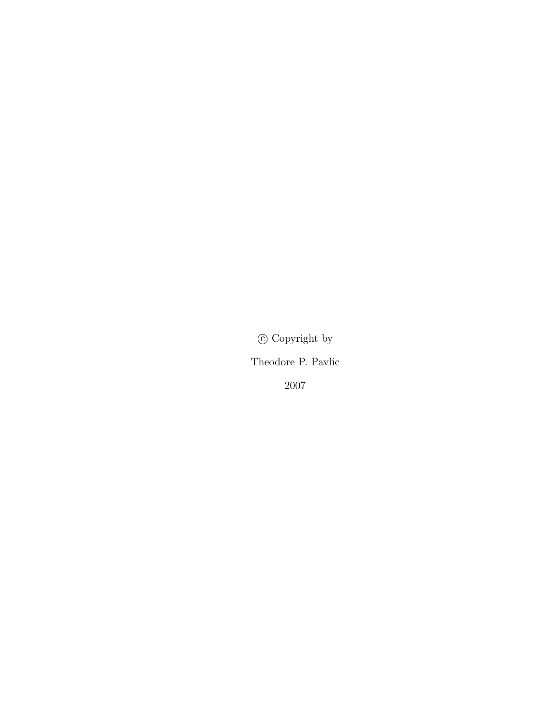$\copyright$  Copyright by

Theodore P. Pavlic

2007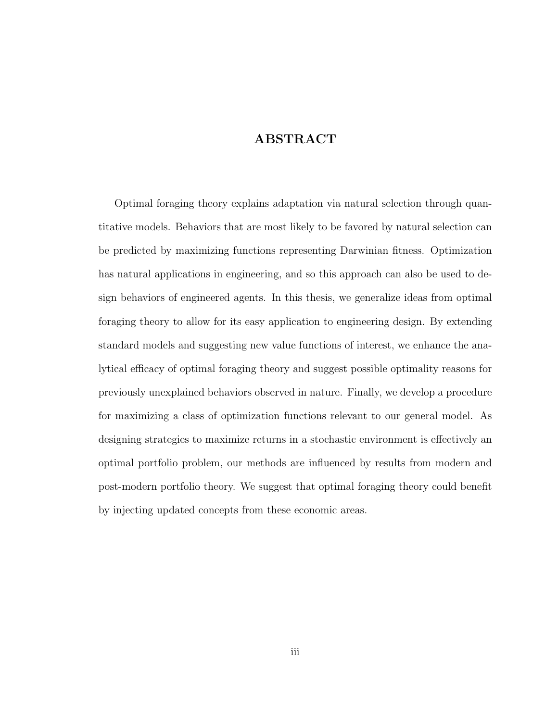# ABSTRACT

<span id="page-2-0"></span>Optimal foraging theory explains adaptation via natural selection through quantitative models. Behaviors that are most likely to be favored by natural selection can be predicted by maximizing functions representing Darwinian fitness. Optimization has natural applications in engineering, and so this approach can also be used to design behaviors of engineered agents. In this thesis, we generalize ideas from optimal foraging theory to allow for its easy application to engineering design. By extending standard models and suggesting new value functions of interest, we enhance the analytical efficacy of optimal foraging theory and suggest possible optimality reasons for previously unexplained behaviors observed in nature. Finally, we develop a procedure for maximizing a class of optimization functions relevant to our general model. As designing strategies to maximize returns in a stochastic environment is effectively an optimal portfolio problem, our methods are influenced by results from modern and post-modern portfolio theory. We suggest that optimal foraging theory could benefit by injecting updated concepts from these economic areas.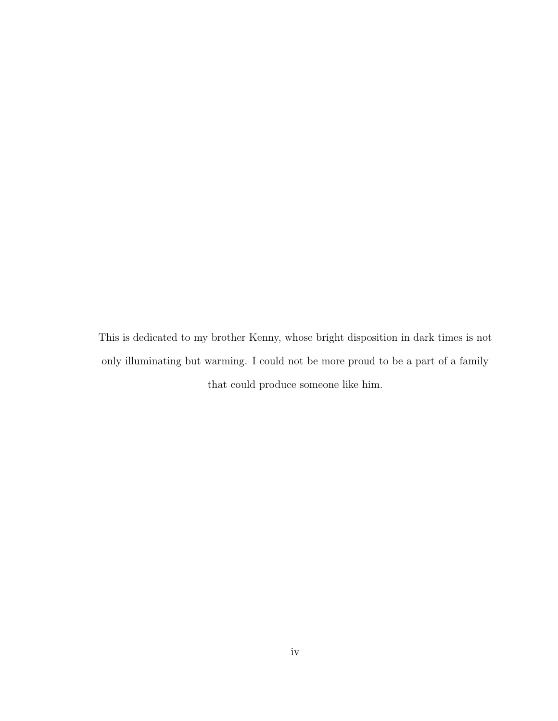<span id="page-3-0"></span>This is dedicated to my brother Kenny, whose bright disposition in dark times is not only illuminating but warming. I could not be more proud to be a part of a family that could produce someone like him.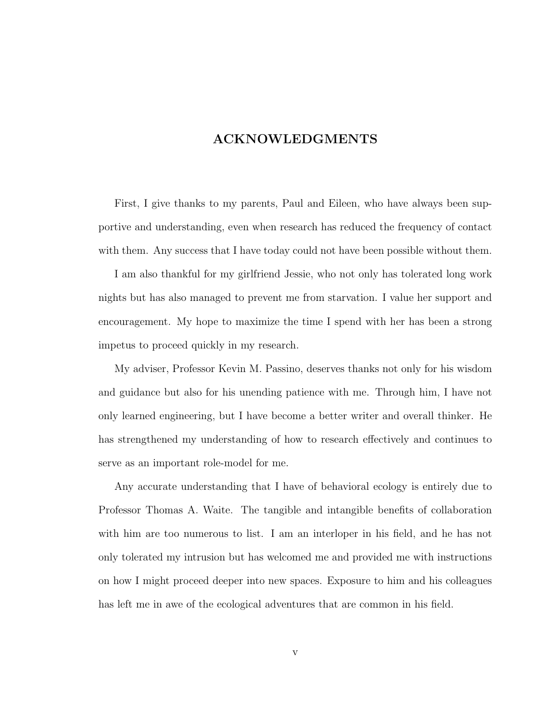# ACKNOWLEDGMENTS

<span id="page-4-0"></span>First, I give thanks to my parents, Paul and Eileen, who have always been supportive and understanding, even when research has reduced the frequency of contact with them. Any success that I have today could not have been possible without them.

I am also thankful for my girlfriend Jessie, who not only has tolerated long work nights but has also managed to prevent me from starvation. I value her support and encouragement. My hope to maximize the time I spend with her has been a strong impetus to proceed quickly in my research.

My adviser, Professor Kevin M. Passino, deserves thanks not only for his wisdom and guidance but also for his unending patience with me. Through him, I have not only learned engineering, but I have become a better writer and overall thinker. He has strengthened my understanding of how to research effectively and continues to serve as an important role-model for me.

Any accurate understanding that I have of behavioral ecology is entirely due to Professor Thomas A. Waite. The tangible and intangible benefits of collaboration with him are too numerous to list. I am an interloper in his field, and he has not only tolerated my intrusion but has welcomed me and provided me with instructions on how I might proceed deeper into new spaces. Exposure to him and his colleagues has left me in awe of the ecological adventures that are common in his field.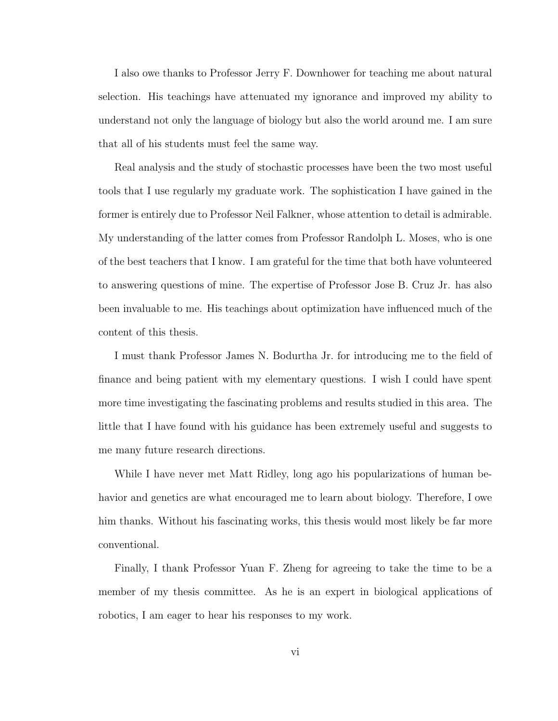I also owe thanks to Professor Jerry F. Downhower for teaching me about natural selection. His teachings have attenuated my ignorance and improved my ability to understand not only the language of biology but also the world around me. I am sure that all of his students must feel the same way.

Real analysis and the study of stochastic processes have been the two most useful tools that I use regularly my graduate work. The sophistication I have gained in the former is entirely due to Professor Neil Falkner, whose attention to detail is admirable. My understanding of the latter comes from Professor Randolph L. Moses, who is one of the best teachers that I know. I am grateful for the time that both have volunteered to answering questions of mine. The expertise of Professor Jose B. Cruz Jr. has also been invaluable to me. His teachings about optimization have influenced much of the content of this thesis.

I must thank Professor James N. Bodurtha Jr. for introducing me to the field of finance and being patient with my elementary questions. I wish I could have spent more time investigating the fascinating problems and results studied in this area. The little that I have found with his guidance has been extremely useful and suggests to me many future research directions.

While I have never met Matt Ridley, long ago his popularizations of human behavior and genetics are what encouraged me to learn about biology. Therefore, I owe him thanks. Without his fascinating works, this thesis would most likely be far more conventional.

Finally, I thank Professor Yuan F. Zheng for agreeing to take the time to be a member of my thesis committee. As he is an expert in biological applications of robotics, I am eager to hear his responses to my work.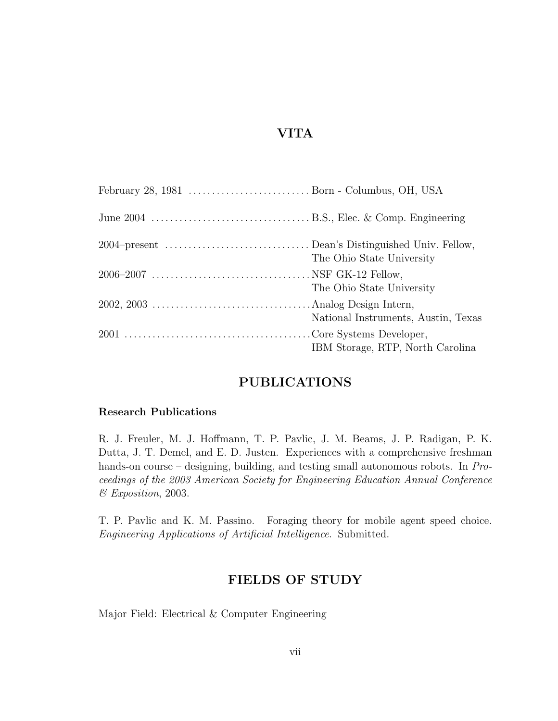# VITA

<span id="page-6-0"></span>

| The Ohio State University           |
|-------------------------------------|
| The Ohio State University           |
| National Instruments, Austin, Texas |
| IBM Storage, RTP, North Carolina    |

## PUBLICATIONS

### Research Publications

R. J. Freuler, M. J. Hoffmann, T. P. Pavlic, J. M. Beams, J. P. Radigan, P. K. Dutta, J. T. Demel, and E. D. Justen. Experiences with a comprehensive freshman hands-on course – designing, building, and testing small autonomous robots. In Proceedings of the 2003 American Society for Engineering Education Annual Conference & Exposition, 2003.

T. P. Pavlic and K. M. Passino. Foraging theory for mobile agent speed choice. Engineering Applications of Artificial Intelligence. Submitted.

# FIELDS OF STUDY

Major Field: Electrical & Computer Engineering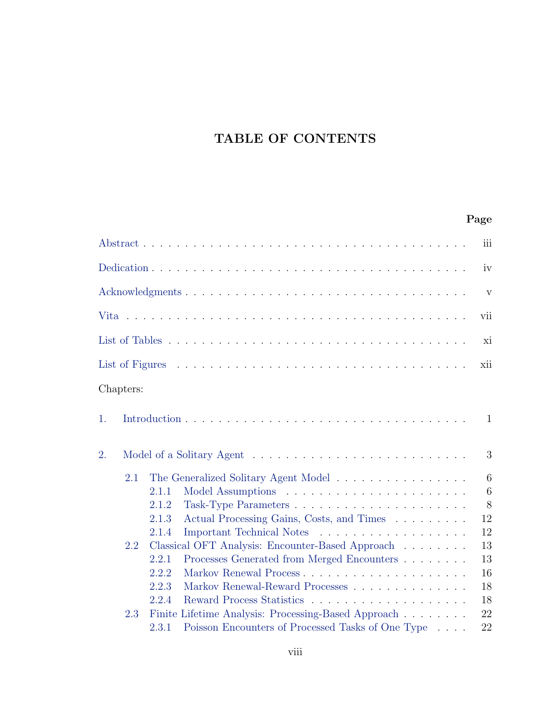# TABLE OF CONTENTS

# Page

|           |       |                                                     | iii             |
|-----------|-------|-----------------------------------------------------|-----------------|
|           |       |                                                     | iv              |
|           |       |                                                     | V               |
|           |       |                                                     | vii             |
|           |       |                                                     | xi              |
|           |       |                                                     | xii             |
| Chapters: |       |                                                     |                 |
| 1.        |       |                                                     | 1               |
| 2.        |       |                                                     | 3               |
| 2.1       |       | The Generalized Solitary Agent Model                | 6               |
|           | 2.1.1 |                                                     | $6\phantom{.}6$ |
|           | 2.1.2 |                                                     | 8               |
|           | 2.1.3 | Actual Processing Gains, Costs, and Times           | 12              |
|           | 2.1.4 | Important Technical Notes                           | 12              |
| 2.2       |       | Classical OFT Analysis: Encounter-Based Approach    | 13              |
|           | 2.2.1 | Processes Generated from Merged Encounters          | 13              |
|           | 2.2.2 |                                                     | 16              |
|           | 2.2.3 | Markov Renewal-Reward Processes                     | 18              |
|           | 2.2.4 |                                                     | 18              |
| 2.3       |       | Finite Lifetime Analysis: Processing-Based Approach | 22              |
|           | 2.3.1 | Poisson Encounters of Processed Tasks of One Type   | 22              |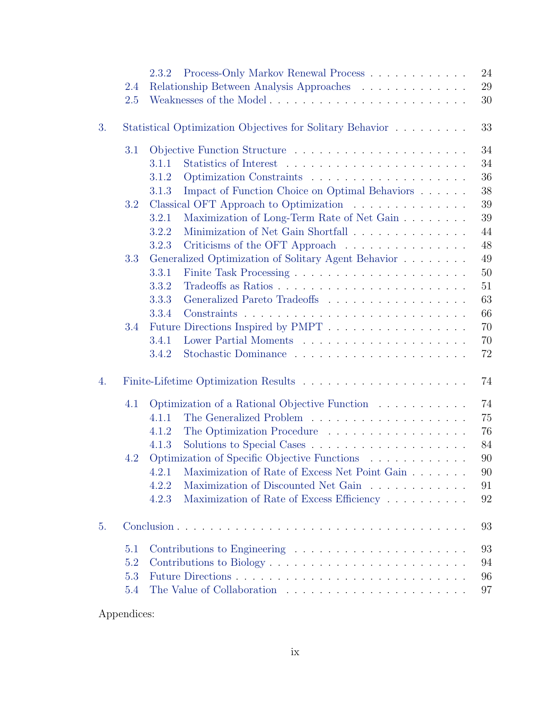|    |     | 2.3.2                                                                        | 24 |
|----|-----|------------------------------------------------------------------------------|----|
|    | 2.4 | Relationship Between Analysis Approaches                                     | 29 |
|    | 2.5 | Weaknesses of the Model                                                      | 30 |
| 3. |     | Statistical Optimization Objectives for Solitary Behavior                    | 33 |
|    | 3.1 |                                                                              | 34 |
|    |     | 3.1.1                                                                        | 34 |
|    |     | 3.1.2                                                                        | 36 |
|    |     | Impact of Function Choice on Optimal Behaviors<br>3.1.3                      | 38 |
|    | 3.2 | Classical OFT Approach to Optimization                                       | 39 |
|    |     | Maximization of Long-Term Rate of Net Gain<br>3.2.1                          | 39 |
|    |     | Minimization of Net Gain Shortfall<br>3.2.2                                  | 44 |
|    |     | Criticisms of the OFT Approach $\ldots \ldots \ldots \ldots \ldots$<br>3.2.3 | 48 |
|    | 3.3 | Generalized Optimization of Solitary Agent Behavior                          | 49 |
|    |     | 3.3.1                                                                        | 50 |
|    |     | 3.3.2                                                                        | 51 |
|    |     | 3.3.3<br>Generalized Pareto Tradeoffs                                        | 63 |
|    |     | 3.3.4                                                                        | 66 |
|    | 3.4 | Future Directions Inspired by PMPT                                           | 70 |
|    |     | 3.4.1                                                                        | 70 |
|    |     | 3.4.2                                                                        | 72 |
| 4. |     |                                                                              | 74 |
|    | 4.1 | Optimization of a Rational Objective Function                                | 74 |
|    |     | 4.1.1                                                                        | 75 |
|    |     | The Optimization Procedure<br>4.1.2                                          | 76 |
|    |     | 4.1.3                                                                        | 84 |
|    | 4.2 | Optimization of Specific Objective Functions $\ldots \ldots \ldots \ldots$   | 90 |
|    |     | 4.2.1 Maximization of Rate of Excess Net Point Gain                          | 90 |
|    |     | Maximization of Discounted Net Gain<br>4.2.2                                 | 91 |
|    |     | 4.2.3<br>Maximization of Rate of Excess Efficiency                           | 92 |
|    |     |                                                                              |    |
| 5. |     |                                                                              | 93 |
|    | 5.1 |                                                                              | 93 |
|    | 5.2 | Contributions to Biology                                                     | 94 |
|    | 5.3 |                                                                              | 96 |
|    | 5.4 |                                                                              | 97 |

Appendices: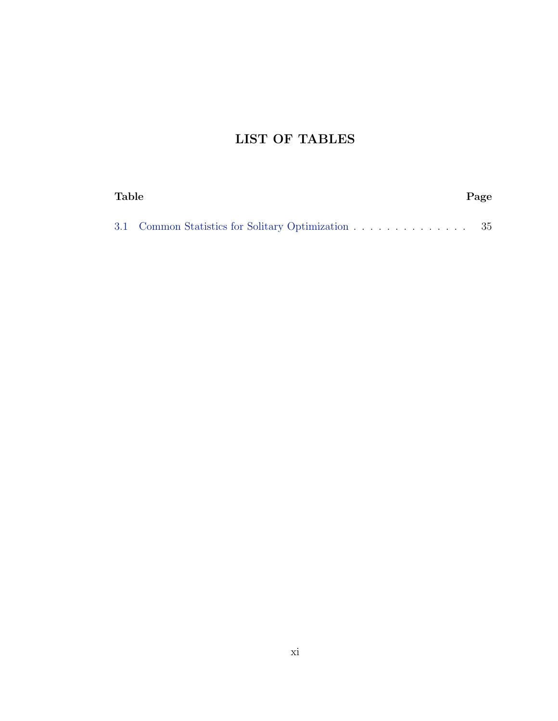# LIST OF TABLES

<span id="page-10-0"></span>

| <b>Table</b> |                                                    | Page |
|--------------|----------------------------------------------------|------|
|              | 3.1 Common Statistics for Solitary Optimization 35 |      |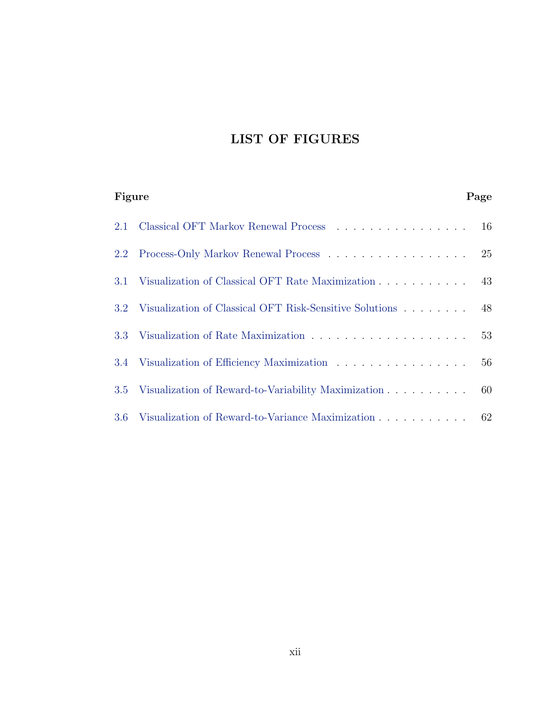# LIST OF FIGURES

<span id="page-11-0"></span>

| Figure        |                                                                | Page |
|---------------|----------------------------------------------------------------|------|
| 2.1           | Classical OFT Markov Renewal Process 16                        |      |
| $2.2^{\circ}$ |                                                                |      |
|               | 3.1 Visualization of Classical OFT Rate Maximization 43        |      |
|               | 3.2 Visualization of Classical OFT Risk-Sensitive Solutions 48 |      |
|               |                                                                | 53   |
|               | 3.4 Visualization of Efficiency Maximization                   | 56   |
| 3.5           | Visualization of Reward-to-Variability Maximization 60         |      |
|               | 3.6 Visualization of Reward-to-Variance Maximization           | 62   |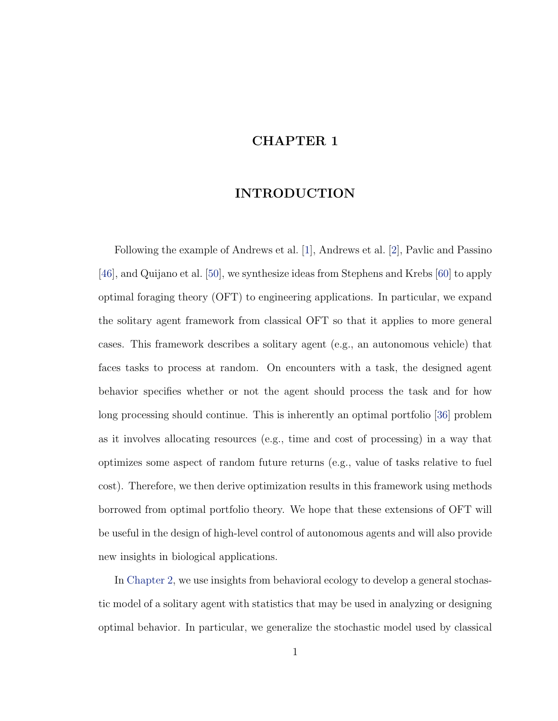# <span id="page-12-0"></span>CHAPTER 1

## INTRODUCTION

Following the example of Andrews et al. [\[1\]](#page-111-1), Andrews et al. [\[2\]](#page-111-2), Pavlic and Passino [\[46\]](#page-114-0), and Quijano et al. [\[50\]](#page-114-1), we synthesize ideas from Stephens and Krebs [\[60\]](#page-115-0) to apply optimal foraging theory (OFT) to engineering applications. In particular, we expand the solitary agent framework from classical OFT so that it applies to more general cases. This framework describes a solitary agent (e.g., an autonomous vehicle) that faces tasks to process at random. On encounters with a task, the designed agent behavior specifies whether or not the agent should process the task and for how long processing should continue. This is inherently an optimal portfolio [\[36\]](#page-113-0) problem as it involves allocating resources (e.g., time and cost of processing) in a way that optimizes some aspect of random future returns (e.g., value of tasks relative to fuel cost). Therefore, we then derive optimization results in this framework using methods borrowed from optimal portfolio theory. We hope that these extensions of OFT will be useful in the design of high-level control of autonomous agents and will also provide new insights in biological applications.

In [Chapter 2,](#page-14-0) we use insights from behavioral ecology to develop a general stochastic model of a solitary agent with statistics that may be used in analyzing or designing optimal behavior. In particular, we generalize the stochastic model used by classical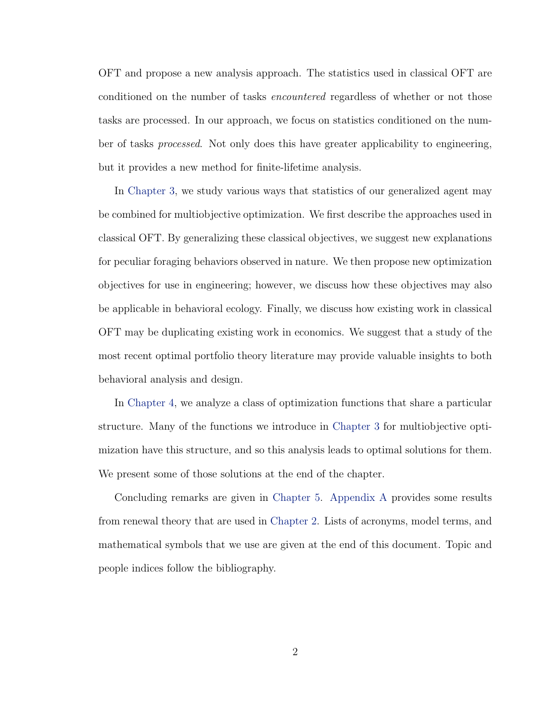OFT and propose a new analysis approach. The statistics used in classical OFT are conditioned on the number of tasks *encountered* regardless of whether or not those tasks are processed. In our approach, we focus on statistics conditioned on the number of tasks processed. Not only does this have greater applicability to engineering, but it provides a new method for finite-lifetime analysis.

In [Chapter 3,](#page-44-0) we study various ways that statistics of our generalized agent may be combined for multiobjective optimization. We first describe the approaches used in classical OFT. By generalizing these classical objectives, we suggest new explanations for peculiar foraging behaviors observed in nature. We then propose new optimization objectives for use in engineering; however, we discuss how these objectives may also be applicable in behavioral ecology. Finally, we discuss how existing work in classical OFT may be duplicating existing work in economics. We suggest that a study of the most recent optimal portfolio theory literature may provide valuable insights to both behavioral analysis and design.

In [Chapter 4,](#page-85-0) we analyze a class of optimization functions that share a particular structure. Many of the functions we introduce in [Chapter 3](#page-44-0) for multiobjective optimization have this structure, and so this analysis leads to optimal solutions for them. We present some of those solutions at the end of the chapter.

Concluding remarks are given in [Chapter 5.](#page-104-0) [Appendix A](#page-109-0) provides some results from renewal theory that are used in [Chapter 2.](#page-14-0) Lists of acronyms, model terms, and mathematical symbols that we use are given at the end of this document. Topic and people indices follow the bibliography.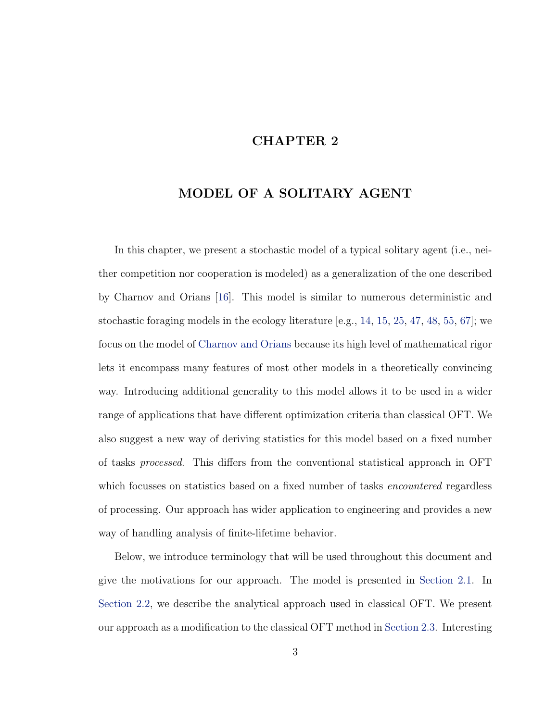# CHAPTER 2

# <span id="page-14-0"></span>MODEL OF A SOLITARY AGENT

In this chapter, we present a stochastic model of a typical solitary agent (i.e., neither competition nor cooperation is modeled) as a generalization of the one described by Charnov and Orians [\[16\]](#page-112-0). This model is similar to numerous deterministic and stochastic foraging models in the ecology literature  $[e.g., 14, 15, 25, 47, 48, 55, 67]$  $[e.g., 14, 15, 25, 47, 48, 55, 67]$  $[e.g., 14, 15, 25, 47, 48, 55, 67]$  $[e.g., 14, 15, 25, 47, 48, 55, 67]$  $[e.g., 14, 15, 25, 47, 48, 55, 67]$  $[e.g., 14, 15, 25, 47, 48, 55, 67]$  $[e.g., 14, 15, 25, 47, 48, 55, 67]$  $[e.g., 14, 15, 25, 47, 48, 55, 67]$  $[e.g., 14, 15, 25, 47, 48, 55, 67]$  $[e.g., 14, 15, 25, 47, 48, 55, 67]$  $[e.g., 14, 15, 25, 47, 48, 55, 67]$  $[e.g., 14, 15, 25, 47, 48, 55, 67]$  $[e.g., 14, 15, 25, 47, 48, 55, 67]$  $[e.g., 14, 15, 25, 47, 48, 55, 67]$ ; we focus on the model of [Charnov and Orians](#page-112-0) because its high level of mathematical rigor lets it encompass many features of most other models in a theoretically convincing way. Introducing additional generality to this model allows it to be used in a wider range of applications that have different optimization criteria than classical OFT. We also suggest a new way of deriving statistics for this model based on a fixed number of tasks processed. This differs from the conventional statistical approach in OFT which focusses on statistics based on a fixed number of tasks *encountered* regardless of processing. Our approach has wider application to engineering and provides a new way of handling analysis of finite-lifetime behavior.

Below, we introduce terminology that will be used throughout this document and give the motivations for our approach. The model is presented in [Section 2.1.](#page-17-0) In [Section 2.2,](#page-24-0) we describe the analytical approach used in classical OFT. We present our approach as a modification to the classical OFT method in [Section 2.3.](#page-33-0) Interesting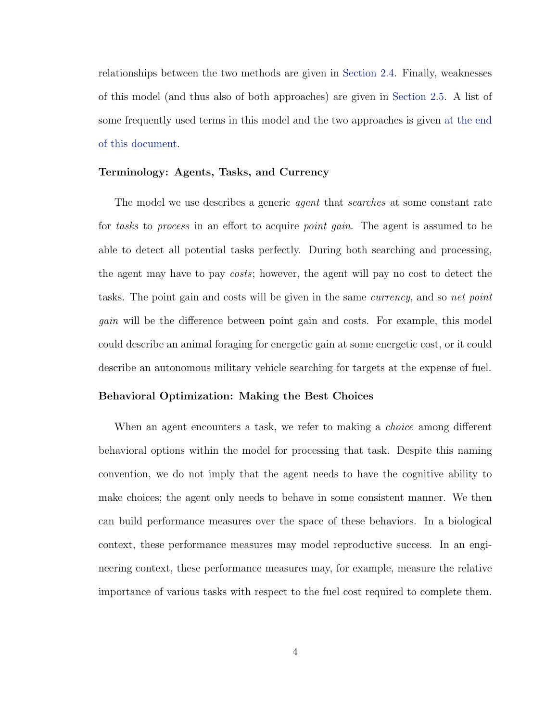relationships between the two methods are given in [Section 2.4.](#page-40-0) Finally, weaknesses of this model (and thus also of both approaches) are given in [Section 2.5.](#page-41-0) A list of some frequently used terms in this model and the two approaches is given [at the end](#page-118-0) [of this document.](#page-118-0)

#### Terminology: Agents, Tasks, and Currency

The model we use describes a generic agent that searches at some constant rate for tasks to process in an effort to acquire point gain. The agent is assumed to be able to detect all potential tasks perfectly. During both searching and processing, the agent may have to pay costs; however, the agent will pay no cost to detect the tasks. The point gain and costs will be given in the same *currency*, and so net point gain will be the difference between point gain and costs. For example, this model could describe an animal foraging for energetic gain at some energetic cost, or it could describe an autonomous military vehicle searching for targets at the expense of fuel.

#### Behavioral Optimization: Making the Best Choices

When an agent encounters a task, we refer to making a *choice* among different behavioral options within the model for processing that task. Despite this naming convention, we do not imply that the agent needs to have the cognitive ability to make choices; the agent only needs to behave in some consistent manner. We then can build performance measures over the space of these behaviors. In a biological context, these performance measures may model reproductive success. In an engineering context, these performance measures may, for example, measure the relative importance of various tasks with respect to the fuel cost required to complete them.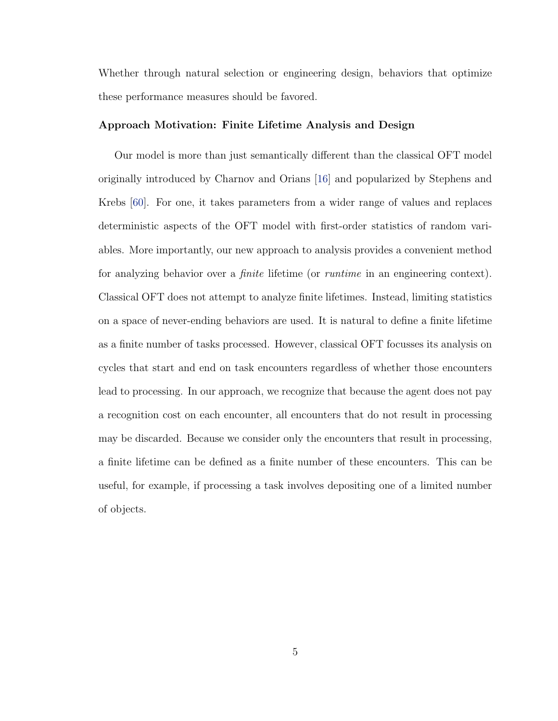Whether through natural selection or engineering design, behaviors that optimize these performance measures should be favored.

#### Approach Motivation: Finite Lifetime Analysis and Design

Our model is more than just semantically different than the classical OFT model originally introduced by Charnov and Orians [\[16\]](#page-112-0) and popularized by Stephens and Krebs [\[60\]](#page-115-0). For one, it takes parameters from a wider range of values and replaces deterministic aspects of the OFT model with first-order statistics of random variables. More importantly, our new approach to analysis provides a convenient method for analyzing behavior over a finite lifetime (or runtime in an engineering context). Classical OFT does not attempt to analyze finite lifetimes. Instead, limiting statistics on a space of never-ending behaviors are used. It is natural to define a finite lifetime as a finite number of tasks processed. However, classical OFT focusses its analysis on cycles that start and end on task encounters regardless of whether those encounters lead to processing. In our approach, we recognize that because the agent does not pay a recognition cost on each encounter, all encounters that do not result in processing may be discarded. Because we consider only the encounters that result in processing, a finite lifetime can be defined as a finite number of these encounters. This can be useful, for example, if processing a task involves depositing one of a limited number of objects.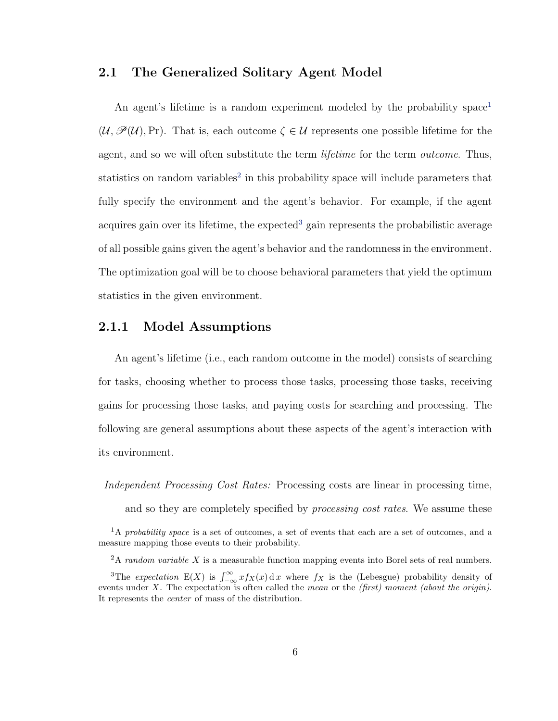## <span id="page-17-0"></span>2.1 The Generalized Solitary Agent Model

An agent's lifetime is a random experiment modeled by the probability space<sup>[1](#page-17-2)</sup>  $(\mathcal{U}, \mathcal{P}(\mathcal{U}), Pr)$ . That is, each outcome  $\zeta \in \mathcal{U}$  represents one possible lifetime for the agent, and so we will often substitute the term *lifetime* for the term *outcome*. Thus, statistics on random variables<sup>[2](#page-17-3)</sup> in this probability space will include parameters that fully specify the environment and the agent's behavior. For example, if the agent acquires gain over its lifetime, the expected<sup>[3](#page-17-4)</sup> gain represents the probabilistic average of all possible gains given the agent's behavior and the randomness in the environment. The optimization goal will be to choose behavioral parameters that yield the optimum statistics in the given environment.

## <span id="page-17-1"></span>2.1.1 Model Assumptions

An agent's lifetime (i.e., each random outcome in the model) consists of searching for tasks, choosing whether to process those tasks, processing those tasks, receiving gains for processing those tasks, and paying costs for searching and processing. The following are general assumptions about these aspects of the agent's interaction with its environment.

Independent Processing Cost Rates: Processing costs are linear in processing time,

and so they are completely specified by processing cost rates. We assume these

<span id="page-17-2"></span><sup>&</sup>lt;sup>1</sup>A probability space is a set of outcomes, a set of events that each are a set of outcomes, and a measure mapping those events to their probability.

<span id="page-17-4"></span><span id="page-17-3"></span> $2A$  random variable X is a measurable function mapping events into Borel sets of real numbers.

<sup>&</sup>lt;sup>3</sup>The *expectation* E(X) is  $\int_{-\infty}^{\infty} x f_X(x) dx$  where  $f_X$  is the (Lebesgue) probability density of events under X. The expectation is often called the mean or the  $(first)$  moment (about the origin). It represents the center of mass of the distribution.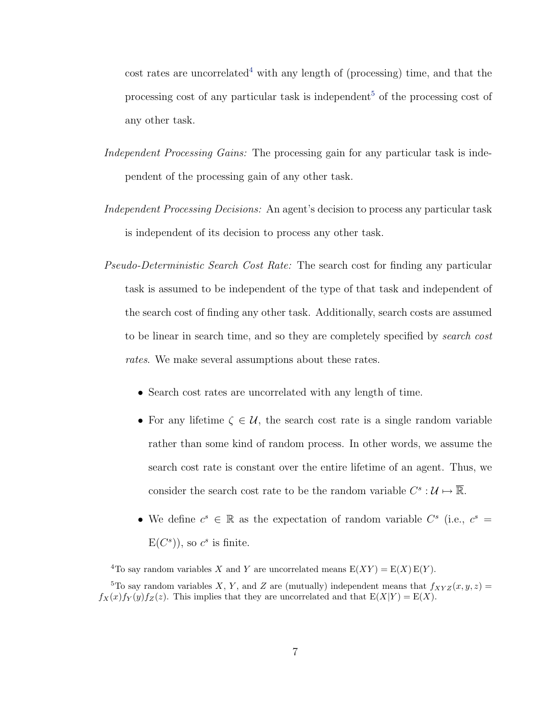cost rates are uncorrelated<sup>[4](#page-18-0)</sup> with any length of (processing) time, and that the processing cost of any particular task is independent<sup>[5](#page-18-1)</sup> of the processing cost of any other task.

- Independent Processing Gains: The processing gain for any particular task is independent of the processing gain of any other task.
- Independent Processing Decisions: An agent's decision to process any particular task is independent of its decision to process any other task.
- Pseudo-Deterministic Search Cost Rate: The search cost for finding any particular task is assumed to be independent of the type of that task and independent of the search cost of finding any other task. Additionally, search costs are assumed to be linear in search time, and so they are completely specified by search cost rates. We make several assumptions about these rates.
	- Search cost rates are uncorrelated with any length of time.
	- For any lifetime  $\zeta \in \mathcal{U}$ , the search cost rate is a single random variable rather than some kind of random process. In other words, we assume the search cost rate is constant over the entire lifetime of an agent. Thus, we consider the search cost rate to be the random variable  $C^s: \mathcal{U} \mapsto \overline{\mathbb{R}}$ .
	- We define  $c^s \in \mathbb{R}$  as the expectation of random variable  $C^s$  (i.e.,  $c^s =$  $E(C<sup>s</sup>)$ , so  $c<sup>s</sup>$  is finite.

<span id="page-18-1"></span><span id="page-18-0"></span><sup>4</sup>To say random variables X and Y are uncorrelated means  $E(XY) = E(X) E(Y)$ .

<sup>5</sup>To say random variables X, Y, and Z are (mutually) independent means that  $f_{XYZ}(x, y, z) =$  $f_X(x)f_Y(y)f_Z(z)$ . This implies that they are uncorrelated and that  $E(X|Y) = E(X)$ .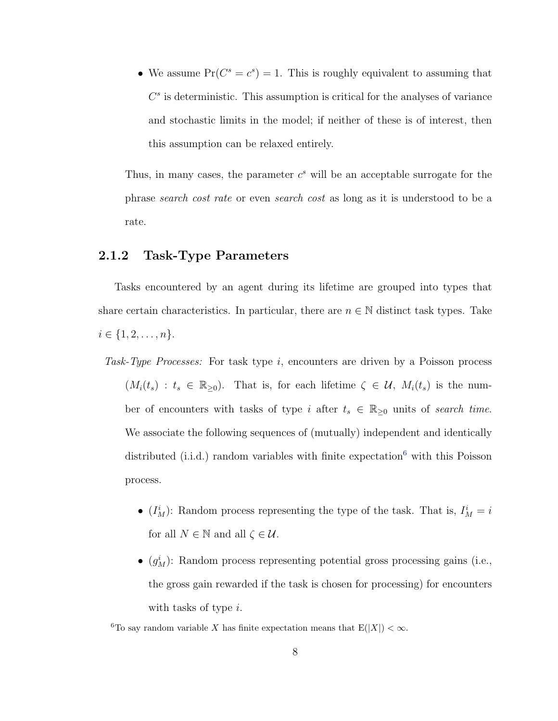• We assume  $Pr(C^s = c^s) = 1$ . This is roughly equivalent to assuming that  $C<sup>s</sup>$  is deterministic. This assumption is critical for the analyses of variance and stochastic limits in the model; if neither of these is of interest, then this assumption can be relaxed entirely.

Thus, in many cases, the parameter  $c^s$  will be an acceptable surrogate for the phrase search cost rate or even search cost as long as it is understood to be a rate.

## <span id="page-19-0"></span>2.1.2 Task-Type Parameters

Tasks encountered by an agent during its lifetime are grouped into types that share certain characteristics. In particular, there are  $n \in \mathbb{N}$  distinct task types. Take  $i \in \{1, 2, \ldots, n\}.$ 

- Task-Type Processes: For task type  $i$ , encounters are driven by a Poisson process  $(M_i(t_s) : t_s \in \mathbb{R}_{\geq 0})$ . That is, for each lifetime  $\zeta \in \mathcal{U}$ ,  $M_i(t_s)$  is the number of encounters with tasks of type i after  $t_s \in \mathbb{R}_{\geq 0}$  units of search time. We associate the following sequences of (mutually) independent and identically distributed (i.i.d.) random variables with finite  $expectation<sup>6</sup>$  $expectation<sup>6</sup>$  $expectation<sup>6</sup>$  with this Poisson process.
	- $(I_M^i)$ : Random process representing the type of the task. That is,  $I_M^i = i$ for all  $N \in \mathbb{N}$  and all  $\zeta \in \mathcal{U}$ .
	- $(g_M^i)$ : Random process representing potential gross processing gains (i.e., the gross gain rewarded if the task is chosen for processing) for encounters with tasks of type *i*.

<span id="page-19-1"></span><sup>&</sup>lt;sup>6</sup>To say random variable X has finite expectation means that  $E(|X|) < \infty$ .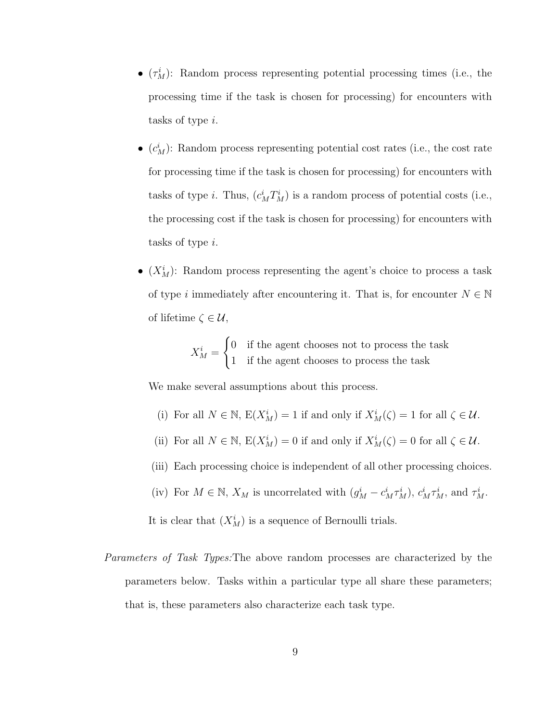- $(\tau_M^i)$ : Random process representing potential processing times (i.e., the processing time if the task is chosen for processing) for encounters with tasks of type i.
- $(c_M^i)$ : Random process representing potential cost rates (i.e., the cost rate for processing time if the task is chosen for processing) for encounters with tasks of type *i*. Thus,  $(c_M^i T_M^i)$  is a random process of potential costs (i.e., the processing cost if the task is chosen for processing) for encounters with tasks of type i.
- $(X_M^i)$ : Random process representing the agent's choice to process a task of type *i* immediately after encountering it. That is, for encounter  $N \in \mathbb{N}$ of lifetime  $\zeta \in \mathcal{U}$ ,

$$
X_M^i = \begin{cases} 0 & \text{if the agent chooses not to process the task} \\ 1 & \text{if the agent chooses to process the task} \end{cases}
$$

We make several assumptions about this process.

- (i) For all  $N \in \mathbb{N}$ ,  $E(X_M^i) = 1$  if and only if  $X_M^i(\zeta) = 1$  for all  $\zeta \in \mathcal{U}$ .
- (ii) For all  $N \in \mathbb{N}$ ,  $E(X_M^i) = 0$  if and only if  $X_M^i(\zeta) = 0$  for all  $\zeta \in \mathcal{U}$ .
- (iii) Each processing choice is independent of all other processing choices.
- (iv) For  $M \in \mathbb{N}$ ,  $X_M$  is uncorrelated with  $(g_M^i c_M^i \tau_M^i)$ ,  $c_M^i \tau_M^i$ , and  $\tau_M^i$ .

It is clear that  $(X_M^i)$  is a sequence of Bernoulli trials.

Parameters of Task Types:The above random processes are characterized by the parameters below. Tasks within a particular type all share these parameters; that is, these parameters also characterize each task type.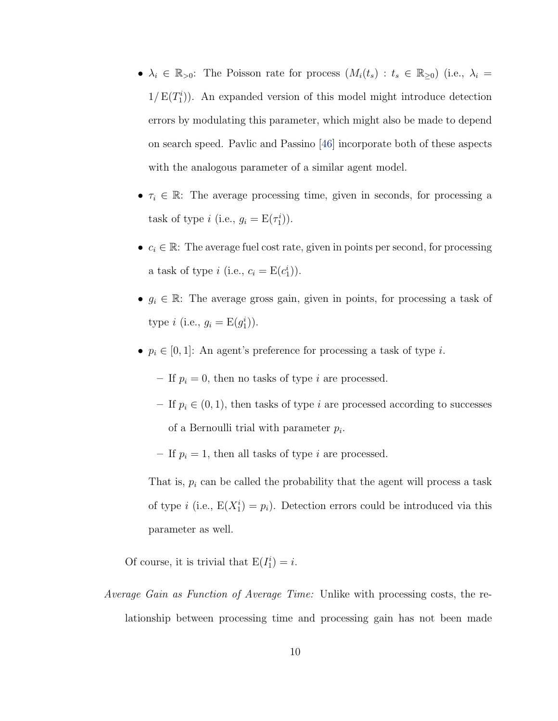- $\lambda_i \in \mathbb{R}_{>0}$ : The Poisson rate for process  $(M_i(t_s) : t_s \in \mathbb{R}_{\geq 0})$  (i.e.,  $\lambda_i =$  $1/E(T_1^i)$ . An expanded version of this model might introduce detection errors by modulating this parameter, which might also be made to depend on search speed. Pavlic and Passino [\[46\]](#page-114-0) incorporate both of these aspects with the analogous parameter of a similar agent model.
- $\tau_i \in \mathbb{R}$ : The average processing time, given in seconds, for processing a task of type *i* (i.e.,  $g_i = E(\tau_1^i)$ ).
- $c_i \in \mathbb{R}$ : The average fuel cost rate, given in points per second, for processing a task of type *i* (i.e.,  $c_i = E(c_1^i)$ ).
- $g_i \in \mathbb{R}$ : The average gross gain, given in points, for processing a task of type *i* (i.e.,  $g_i = E(g_1^i)$ ).
- $p_i \in [0, 1]$ : An agent's preference for processing a task of type *i*.

– If  $p_i = 0$ , then no tasks of type *i* are processed.

– If  $p_i \in (0, 1)$ , then tasks of type i are processed according to successes of a Bernoulli trial with parameter  $p_i$ .

– If  $p_i = 1$ , then all tasks of type i are processed.

That is,  $p_i$  can be called the probability that the agent will process a task of type *i* (i.e.,  $E(X_1^i) = p_i$ ). Detection errors could be introduced via this parameter as well.

Of course, it is trivial that  $E(I_1^i) = i$ .

Average Gain as Function of Average Time: Unlike with processing costs, the relationship between processing time and processing gain has not been made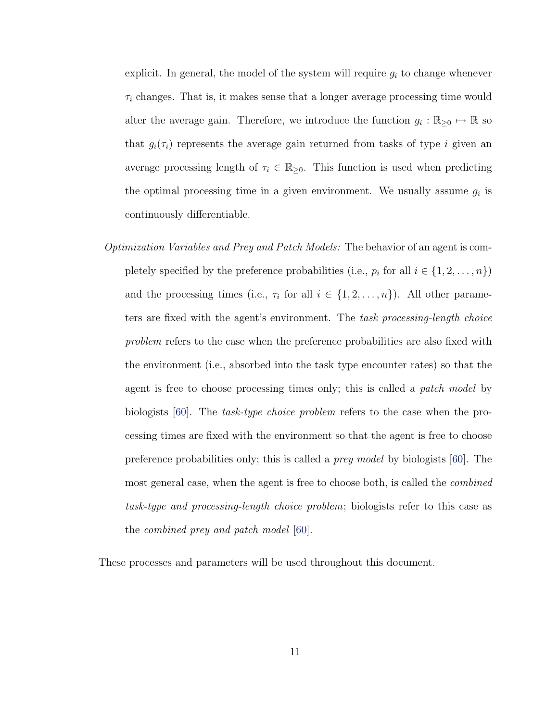explicit. In general, the model of the system will require  $g_i$  to change whenever  $\tau_i$  changes. That is, it makes sense that a longer average processing time would alter the average gain. Therefore, we introduce the function  $g_i : \mathbb{R}_{\geq 0} \mapsto \mathbb{R}$  so that  $g_i(\tau_i)$  represents the average gain returned from tasks of type i given an average processing length of  $\tau_i \in \mathbb{R}_{\geq 0}$ . This function is used when predicting the optimal processing time in a given environment. We usually assume  $g_i$  is continuously differentiable.

Optimization Variables and Prey and Patch Models: The behavior of an agent is completely specified by the preference probabilities (i.e.,  $p_i$  for all  $i \in \{1, 2, ..., n\}$ ) and the processing times (i.e.,  $\tau_i$  for all  $i \in \{1, 2, ..., n\}$ ). All other parameters are fixed with the agent's environment. The task processing-length choice problem refers to the case when the preference probabilities are also fixed with the environment (i.e., absorbed into the task type encounter rates) so that the agent is free to choose processing times only; this is called a *patch model* by biologists [\[60\]](#page-115-0). The task-type choice problem refers to the case when the processing times are fixed with the environment so that the agent is free to choose preference probabilities only; this is called a prey model by biologists [\[60\]](#page-115-0). The most general case, when the agent is free to choose both, is called the combined task-type and processing-length choice problem; biologists refer to this case as the combined prey and patch model [\[60\]](#page-115-0).

These processes and parameters will be used throughout this document.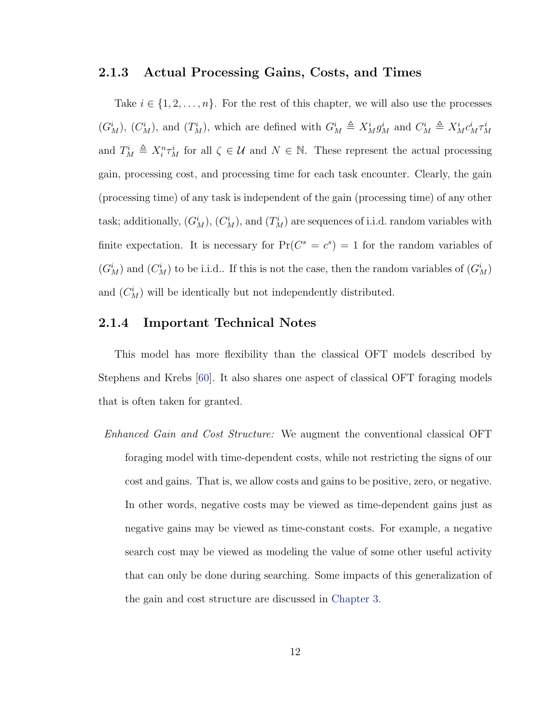## <span id="page-23-0"></span>2.1.3 Actual Processing Gains, Costs, and Times

Take  $i \in \{1, 2, ..., n\}$ . For the rest of this chapter, we will also use the processes  $(G_M^i)$ ,  $(G_M^i)$ , and  $(T_M^i)$ , which are defined with  $G_M^i \triangleq X_M^i g_M^i$  and  $C_M^i \triangleq X_M^i c_M^i \tau_M^i$ and  $T_M^i \triangleq X_i^n \tau_M^i$  for all  $\zeta \in \mathcal{U}$  and  $N \in \mathbb{N}$ . These represent the actual processing gain, processing cost, and processing time for each task encounter. Clearly, the gain (processing time) of any task is independent of the gain (processing time) of any other task; additionally,  $(G_M^i)$ ,  $(C_M^i)$ , and  $(T_M^i)$  are sequences of i.i.d. random variables with finite expectation. It is necessary for  $Pr(C^s = c^s) = 1$  for the random variables of  $(G_M^i)$  and  $(G_M^i)$  to be i.i.d.. If this is not the case, then the random variables of  $(G_M^i)$ and  $(C_M^i)$  will be identically but not independently distributed.

## <span id="page-23-1"></span>2.1.4 Important Technical Notes

This model has more flexibility than the classical OFT models described by Stephens and Krebs [\[60\]](#page-115-0). It also shares one aspect of classical OFT foraging models that is often taken for granted.

Enhanced Gain and Cost Structure: We augment the conventional classical OFT foraging model with time-dependent costs, while not restricting the signs of our cost and gains. That is, we allow costs and gains to be positive, zero, or negative. In other words, negative costs may be viewed as time-dependent gains just as negative gains may be viewed as time-constant costs. For example, a negative search cost may be viewed as modeling the value of some other useful activity that can only be done during searching. Some impacts of this generalization of the gain and cost structure are discussed in [Chapter 3.](#page-44-0)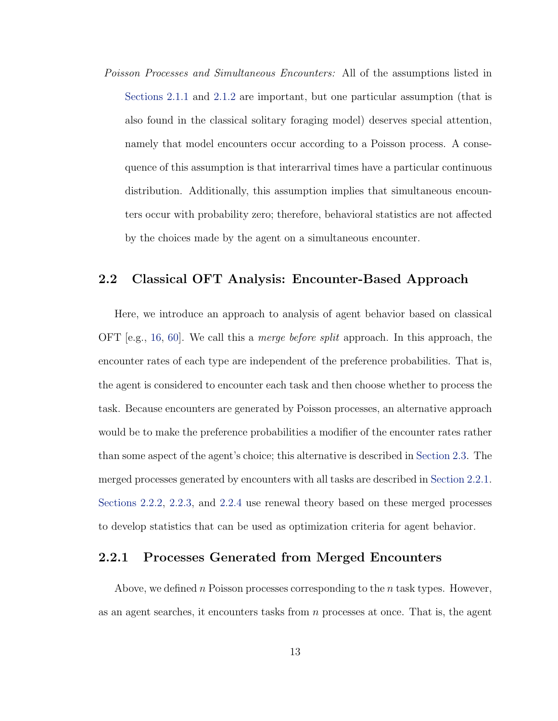Poisson Processes and Simultaneous Encounters: All of the assumptions listed in [Sections 2.1.1](#page-17-1) and [2.1.2](#page-19-0) are important, but one particular assumption (that is also found in the classical solitary foraging model) deserves special attention, namely that model encounters occur according to a Poisson process. A consequence of this assumption is that interarrival times have a particular continuous distribution. Additionally, this assumption implies that simultaneous encounters occur with probability zero; therefore, behavioral statistics are not affected by the choices made by the agent on a simultaneous encounter.

## <span id="page-24-0"></span>2.2 Classical OFT Analysis: Encounter-Based Approach

Here, we introduce an approach to analysis of agent behavior based on classical OFT  $[e.g., 16, 60]$  $[e.g., 16, 60]$  $[e.g., 16, 60]$  $[e.g., 16, 60]$ . We call this a *merge before split* approach. In this approach, the encounter rates of each type are independent of the preference probabilities. That is, the agent is considered to encounter each task and then choose whether to process the task. Because encounters are generated by Poisson processes, an alternative approach would be to make the preference probabilities a modifier of the encounter rates rather than some aspect of the agent's choice; this alternative is described in [Section 2.3.](#page-33-0) The merged processes generated by encounters with all tasks are described in [Section 2.2.1.](#page-24-1) [Sections 2.2.2,](#page-27-0) [2.2.3,](#page-29-0) and [2.2.4](#page-29-1) use renewal theory based on these merged processes to develop statistics that can be used as optimization criteria for agent behavior.

## <span id="page-24-1"></span>2.2.1 Processes Generated from Merged Encounters

Above, we defined n Poisson processes corresponding to the n task types. However, as an agent searches, it encounters tasks from n processes at once. That is, the agent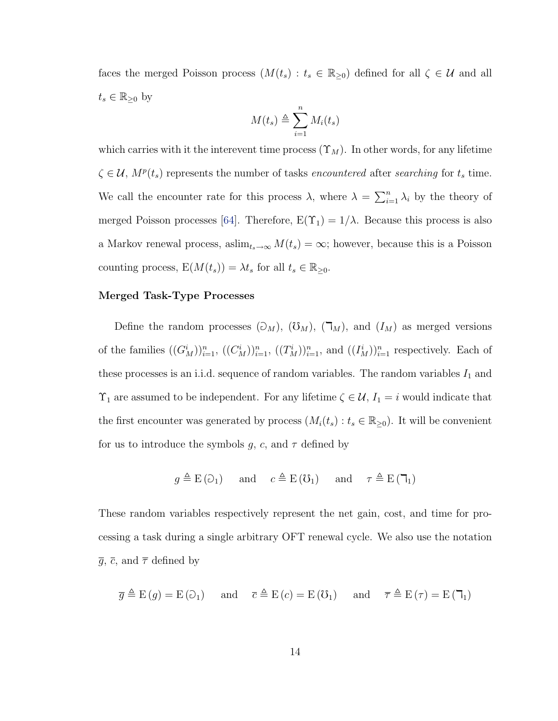faces the merged Poisson process  $(M(t_s) : t_s \in \mathbb{R}_{\geq 0})$  defined for all  $\zeta \in \mathcal{U}$  and all  $t_s \in \mathbb{R}_{\geq 0}$  by

$$
M(t_s) \triangleq \sum_{i=1}^{n} M_i(t_s)
$$

which carries with it the interevent time process  $(\Upsilon_M)$ . In other words, for any lifetime  $\zeta \in \mathcal{U}, M^p(t_s)$  represents the number of tasks encountered after searching for  $t_s$  time. We call the encounter rate for this process  $\lambda$ , where  $\lambda = \sum_{i=1}^n \lambda_i$  by the theory of merged Poisson processes [\[64\]](#page-115-2). Therefore,  $E(\Upsilon_1) = 1/\lambda$ . Because this process is also a Markov renewal process, as $\lim_{t_s \to \infty} M(t_s) = \infty$ ; however, because this is a Poisson counting process,  $E(M(t_s)) = \lambda t_s$  for all  $t_s \in \mathbb{R}_{\geq 0}$ .

#### Merged Task-Type Processes

Define the random processes  $(\partial_M)$ ,  $(\mathcal{V}_M)$ ,  $(\mathcal{T}_M)$ , and  $(I_M)$  as merged versions of the families  $((G_M^i))_{i=1}^n$ ,  $((C_M^i))_{i=1}^n$ ,  $((T_M^i))_{i=1}^n$ , and  $((I_M^i))_{i=1}^n$  respectively. Each of these processes is an i.i.d. sequence of random variables. The random variables  $I_1$  and  $\Upsilon_1$  are assumed to be independent. For any lifetime  $\zeta \in \mathcal{U}$ ,  $I_1 = i$  would indicate that the first encounter was generated by process  $(M_i(t_s): t_s \in \mathbb{R}_{\geq 0})$ . It will be convenient for us to introduce the symbols g, c, and  $\tau$  defined by

$$
g \triangleq E(\partial_1)
$$
 and  $c \triangleq E(\partial_1)$  and  $\tau \triangleq E(\mathbf{T}_1)$ 

These random variables respectively represent the net gain, cost, and time for processing a task during a single arbitrary OFT renewal cycle. We also use the notation  $\overline{g}$ ,  $\overline{c}$ , and  $\overline{\tau}$  defined by

$$
\overline{g} \triangleq E(g) = E(\overline{c})
$$
 and  $\overline{c} \triangleq E(c) = E(\overline{c})$  and  $\overline{\tau} \triangleq E(\tau) = E(\overline{c})$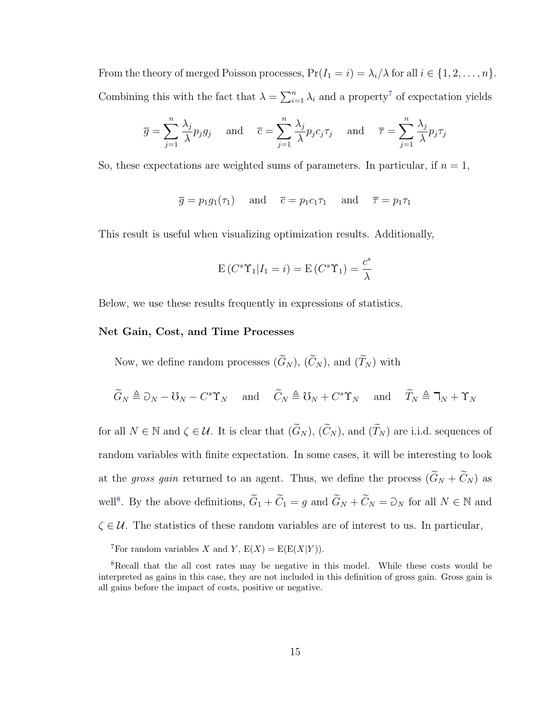From the theory of merged Poisson processes,  $Pr(I_1 = i) = \lambda_i/\lambda$  for all  $i \in \{1, 2, ..., n\}$ . Combining this with the fact that  $\lambda = \sum_{i=1}^{n} \lambda_i$  and a property<sup>[7](#page-26-0)</sup> of expectation yields

$$
\overline{g} = \sum_{j=1}^{n} \frac{\lambda_j}{\lambda} p_j g_j \quad \text{and} \quad \overline{c} = \sum_{j=1}^{n} \frac{\lambda_j}{\lambda} p_j c_j \tau_j \quad \text{and} \quad \overline{\tau} = \sum_{j=1}^{n} \frac{\lambda_j}{\lambda} p_j \tau_j
$$

So, these expectations are weighted sums of parameters. In particular, if  $n = 1$ ,

$$
\overline{g} = p_1 g_1(\tau_1)
$$
 and  $\overline{c} = p_1 c_1 \tau_1$  and  $\overline{\tau} = p_1 \tau_1$ 

This result is useful when visualizing optimization results. Additionally,

$$
E(C^{s}\Upsilon_{1}|I_{1}=i) = E(C^{s}\Upsilon_{1}) = \frac{c^{s}}{\lambda}
$$

Below, we use these results frequently in expressions of statistics.

#### Net Gain, Cost, and Time Processes

Now, we define random processes  $(\widetilde{G}_N)$ ,  $(\widetilde{C}_N)$ , and  $(\widetilde{T}_N)$  with

$$
\widetilde{G}_N \triangleq \partial_N - \mathcal{U}_N - C^s \Upsilon_N
$$
 and  $\widetilde{C}_N \triangleq \mathcal{U}_N + C^s \Upsilon_N$  and  $\widetilde{T}_N \triangleq \Upsilon_N + \Upsilon_N$ 

for all  $N \in \mathbb{N}$  and  $\zeta \in \mathcal{U}$ . It is clear that  $(\widetilde{G}_N)$ ,  $(\widetilde{C}_N)$ , and  $(\widetilde{T}_N)$  are i.i.d. sequences of random variables with finite expectation. In some cases, it will be interesting to look at the gross gain returned to an agent. Thus, we define the process  $(\widetilde{G}_N + \widetilde{C}_N)$  as well<sup>[8](#page-26-1)</sup>. By the above definitions,  $\tilde{G}_1 + \tilde{C}_1 = g$  and  $\tilde{G}_N + \tilde{C}_N = \tilde{O}_N$  for all  $N \in \mathbb{N}$  and  $\zeta \in \mathcal{U}$ . The statistics of these random variables are of interest to us. In particular,

<span id="page-26-1"></span><span id="page-26-0"></span><sup>7</sup>For random variables X and Y,  $E(X) = E(E(X|Y))$ .

<sup>8</sup>Recall that the all cost rates may be negative in this model. While these costs would be interpreted as gains in this case, they are not included in this definition of gross gain. Gross gain is all gains before the impact of costs, positive or negative.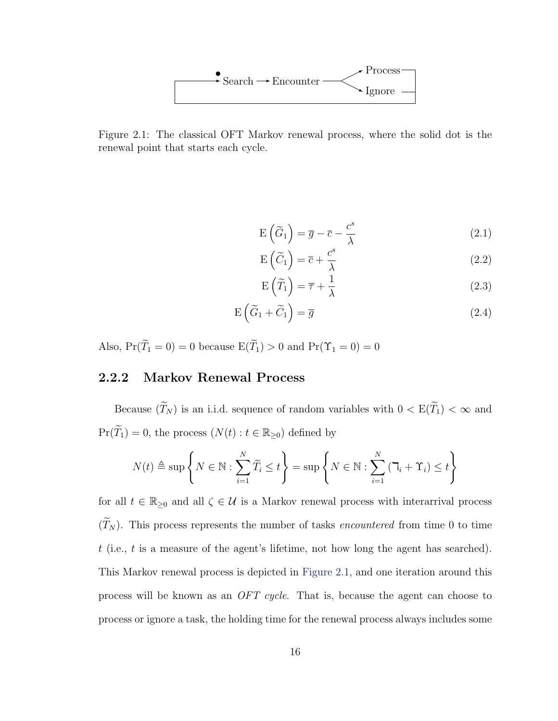

<span id="page-27-1"></span>Figure 2.1: The classical OFT Markov renewal process, where the solid dot is the renewal point that starts each cycle.

$$
E\left(\widetilde{G}_1\right) = \overline{g} - \overline{c} - \frac{c^s}{\lambda} \tag{2.1}
$$

$$
E\left(\widetilde{C}_1\right) = \overline{c} + \frac{c^s}{\lambda} \tag{2.2}
$$

$$
E\left(\widetilde{T}_1\right) = \overline{\tau} + \frac{1}{\lambda} \tag{2.3}
$$

$$
E\left(\widetilde{G}_1 + \widetilde{C}_1\right) = \overline{g} \tag{2.4}
$$

Also,  $Pr(\widetilde{T}_1 = 0) = 0$  because  $E(\widetilde{T}_1) > 0$  and  $Pr(\Upsilon_1 = 0) = 0$ 

# <span id="page-27-0"></span>2.2.2 Markov Renewal Process

Because  $(\widetilde{T}_N)$  is an i.i.d. sequence of random variables with  $0 < \mathrm{E}(\widetilde{T}_1) < \infty$  and  $Pr(\widetilde{T}_1) = 0$ , the process  $(N(t) : t \in \mathbb{R}_{\geq 0})$  defined by

$$
N(t) \triangleq \sup \left\{ N \in \mathbb{N} : \sum_{i=1}^{N} \widetilde{T}_i \leq t \right\} = \sup \left\{ N \in \mathbb{N} : \sum_{i=1}^{N} \left( \mathbb{I}_i + \Upsilon_i \right) \leq t \right\}
$$

for all  $t \in \mathbb{R}_{\geq 0}$  and all  $\zeta \in \mathcal{U}$  is a Markov renewal process with interarrival process  $(\widetilde{T}_N)$ . This process represents the number of tasks *encountered* from time 0 to time t (i.e., t is a measure of the agent's lifetime, not how long the agent has searched). This Markov renewal process is depicted in [Figure 2.1,](#page-27-1) and one iteration around this process will be known as an OFT cycle. That is, because the agent can choose to process or ignore a task, the holding time for the renewal process always includes some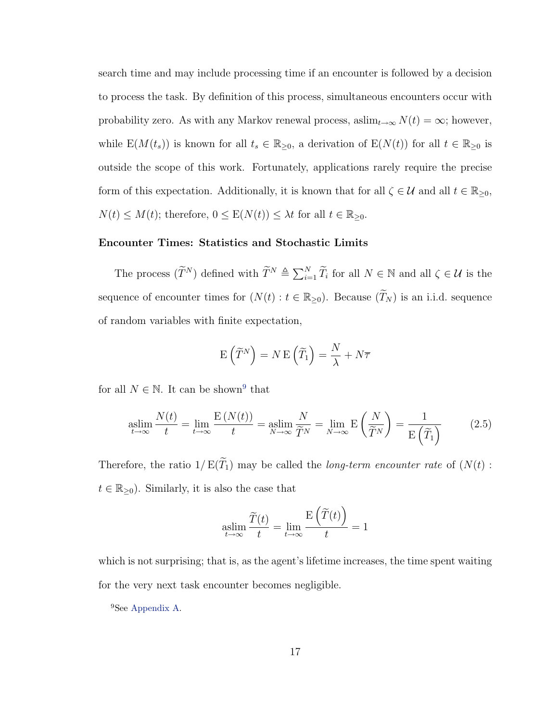search time and may include processing time if an encounter is followed by a decision to process the task. By definition of this process, simultaneous encounters occur with probability zero. As with any Markov renewal process, as $\lim_{t\to\infty} N(t) = \infty$ ; however, while  $E(M(t_s))$  is known for all  $t_s \in \mathbb{R}_{\geq 0}$ , a derivation of  $E(N(t))$  for all  $t \in \mathbb{R}_{\geq 0}$  is outside the scope of this work. Fortunately, applications rarely require the precise form of this expectation. Additionally, it is known that for all  $\zeta \in \mathcal{U}$  and all  $t \in \mathbb{R}_{\geq 0}$ ,  $N(t) \leq M(t)$ ; therefore,  $0 \leq E(N(t)) \leq \lambda t$  for all  $t \in \mathbb{R}_{\geq 0}$ .

#### Encounter Times: Statistics and Stochastic Limits

The process  $(\widetilde{T}^N)$  defined with  $\widetilde{T}^N \triangleq \sum_{i=1}^N \widetilde{T}_i$  for all  $N \in \mathbb{N}$  and all  $\zeta \in \mathcal{U}$  is the sequence of encounter times for  $(N(t) : t \in \mathbb{R}_{\geq 0})$ . Because  $(\widetilde{T}_N)$  is an i.i.d. sequence of random variables with finite expectation,

$$
E(\widetilde{T}^{N}) = N E(\widetilde{T}_{1}) = \frac{N}{\lambda} + N\overline{\tau}
$$

for all  $N \in \mathbb{N}$ . It can be shown<sup>[9](#page-28-0)</sup> that

$$
\operatorname*{aslim}_{t \to \infty} \frac{N(t)}{t} = \lim_{t \to \infty} \frac{E\left(N(t)\right)}{t} = \operatorname*{aslim}_{N \to \infty} \frac{N}{\widetilde{T}^N} = \lim_{N \to \infty} E\left(\frac{N}{\widetilde{T}^N}\right) = \frac{1}{E\left(\widetilde{T}_1\right)}\tag{2.5}
$$

Therefore, the ratio  $1/E(\widetilde{T}_1)$  may be called the *long-term encounter rate* of  $(N(t))$ :  $t \in \mathbb{R}_{\geq 0}$ . Similarly, it is also the case that

$$
\operatornamewithlimits{aslim}_{t\to\infty}\frac{\widetilde T(t)}t=\lim_{t\to\infty}\frac{\operatorname E\left(\widetilde T(t)\right)}t=1
$$

which is not surprising; that is, as the agent's lifetime increases, the time spent waiting for the very next task encounter becomes negligible.

<span id="page-28-0"></span><sup>9</sup>See [Appendix A.](#page-109-0)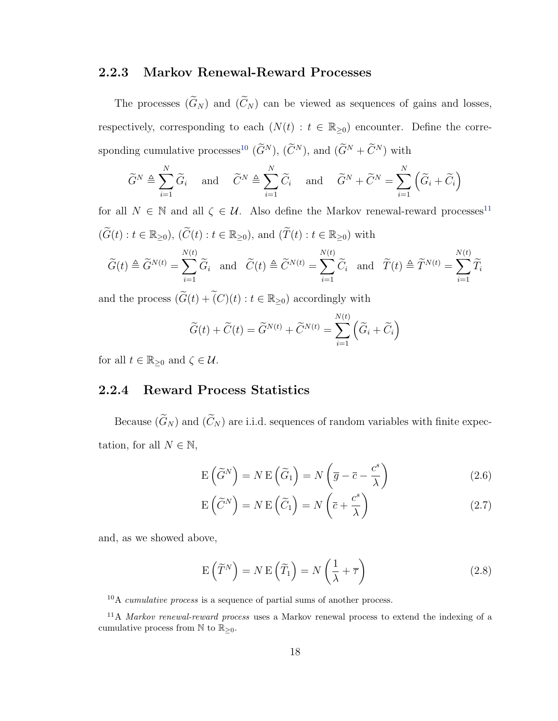### <span id="page-29-0"></span>2.2.3 Markov Renewal-Reward Processes

The processes  $(\widetilde{G}_N)$  and  $(\widetilde{C}_N)$  can be viewed as sequences of gains and losses, respectively, corresponding to each  $(N(t) : t \in \mathbb{R}_{\geq 0})$  encounter. Define the corre-sponding cumulative processes<sup>[10](#page-29-2)</sup>  $(\widetilde{G}^N)$ ,  $(\widetilde{C}^N)$ , and  $(\widetilde{G}^N + \widetilde{C}^N)$  with

$$
\widetilde{G}^N \triangleq \sum_{i=1}^N \widetilde{G}_i
$$
 and  $\widetilde{C}^N \triangleq \sum_{i=1}^N \widetilde{C}_i$  and  $\widetilde{G}^N + \widetilde{C}^N = \sum_{i=1}^N (\widetilde{G}_i + \widetilde{C}_i)$ 

for all  $N \in \mathbb{N}$  and all  $\zeta \in \mathcal{U}$ . Also define the Markov renewal-reward processes<sup>[11](#page-29-3)</sup>  $(\widetilde{G}(t): t \in \mathbb{R}_{\geq 0}), (\widetilde{C}(t): t \in \mathbb{R}_{\geq 0}),$  and  $(\widetilde{T}(t): t \in \mathbb{R}_{\geq 0})$  with  $\widetilde{G}(t) \triangleq \widetilde{G}^{N(t)} = \sum$  $N(t)$  $\sum_{i=1} \widetilde{G}_i$  and  $\widetilde{C}(t) \triangleq \widetilde{C}^{N(t)} = \sum_{i=1}$  $N(t)$  $\sum_{i=1} \widetilde{C}_i$  and  $\widetilde{T}(t) \triangleq \widetilde{T}^{N(t)} = \sum_{i=1}$  $N(t)$  $\sum_{i=1} T_i$ 

and the process  $(\widetilde{G}(t) + \widetilde(C)(t) : t \in \mathbb{R}_{\geq 0})$  accordingly with

$$
\widetilde{G}(t) + \widetilde{C}(t) = \widetilde{G}^{N(t)} + \widetilde{C}^{N(t)} = \sum_{i=1}^{N(t)} (\widetilde{G}_i + \widetilde{C}_i)
$$

for all  $t \in \mathbb{R}_{\geq 0}$  and  $\zeta \in \mathcal{U}$ .

## <span id="page-29-1"></span>2.2.4 Reward Process Statistics

Because  $(\widetilde{G}_N)$  and  $(\widetilde{C}_N)$  are i.i.d. sequences of random variables with finite expectation, for all  $N \in \mathbb{N}$ ,

<span id="page-29-4"></span>
$$
E\left(\widetilde{G}^{N}\right) = N E\left(\widetilde{G}_{1}\right) = N\left(\overline{g} - \overline{c} - \frac{c^{s}}{\lambda}\right)
$$
\n(2.6)

<span id="page-29-5"></span>
$$
E(\widetilde{C}^{N}) = N E(\widetilde{C}_{1}) = N(\overline{c} + \frac{c^{s}}{\lambda})
$$
\n(2.7)

and, as we showed above,

<span id="page-29-6"></span>
$$
E\left(\widetilde{T}^{N}\right) = N E\left(\widetilde{T}_{1}\right) = N\left(\frac{1}{\lambda} + \overline{\tau}\right)
$$
\n(2.8)

<span id="page-29-3"></span><span id="page-29-2"></span> $10$ A *cumulative process* is a sequence of partial sums of another process.

<sup>&</sup>lt;sup>11</sup>A *Markov renewal-reward process* uses a Markov renewal process to extend the indexing of a cumulative process from  $\mathbb N$  to  $\mathbb{R}_{\geq 0}$ .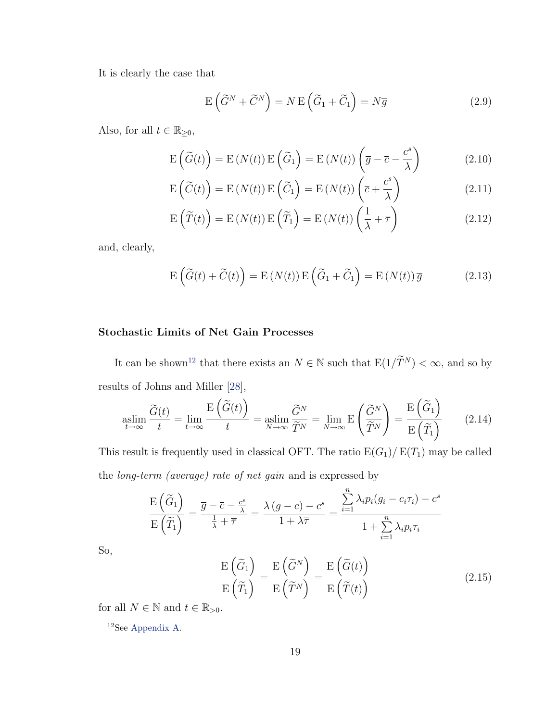It is clearly the case that

<span id="page-30-1"></span>
$$
E\left(\widetilde{G}^{N} + \widetilde{C}^{N}\right) = N E\left(\widetilde{G}_{1} + \widetilde{C}_{1}\right) = N\overline{g}
$$
\n(2.9)

Also, for all  $t \in \mathbb{R}_{\geq 0}$ ,

$$
E(\widetilde{G}(t)) = E(N(t)) E(\widetilde{G}_1) = E(N(t)) (\overline{g} - \overline{c} - \frac{c^s}{\lambda})
$$
\n(2.10)

$$
E(\widetilde{C}(t)) = E(N(t)) E(\widetilde{C}_1) = E(N(t)) (\overline{c} + \frac{c^s}{\lambda})
$$
\n(2.11)

$$
E\left(\widetilde{T}(t)\right) = E\left(N(t)\right)E\left(\widetilde{T}_1\right) = E\left(N(t)\right)\left(\frac{1}{\lambda} + \overline{\tau}\right)
$$
\n(2.12)

and, clearly,

$$
E(\widetilde{G}(t) + \widetilde{C}(t)) = E(N(t))E(\widetilde{G}_1 + \widetilde{C}_1) = E(N(t))\overline{g}
$$
\n(2.13)

### Stochastic Limits of Net Gain Processes

It can be shown $^{12}$  $^{12}$  $^{12}$  that there exists an  $N\in\mathbb{N}$  such that  $\mathrm{E}(1/\widetilde{T}^{N})<\infty,$  and so by results of Johns and Miller [\[28\]](#page-113-2),

$$
\operatorname*{aslim}_{t \to \infty} \frac{\widetilde{G}(t)}{t} = \lim_{t \to \infty} \frac{\operatorname{E}\left(\widetilde{G}(t)\right)}{t} = \operatorname*{aslim}_{N \to \infty} \frac{\widetilde{G}^N}{\widetilde{T}^N} = \lim_{N \to \infty} \operatorname{E}\left(\frac{\widetilde{G}^N}{\widetilde{T}^N}\right) = \frac{\operatorname{E}\left(\widetilde{G}_1\right)}{\operatorname{E}\left(\widetilde{T}_1\right)}\tag{2.14}
$$

This result is frequently used in classical OFT. The ratio  $E(G_1)/E(T_1)$  may be called the long-term (average) rate of net gain and is expressed by

$$
\frac{\mathrm{E}\left(\widetilde{G}_{1}\right)}{\mathrm{E}\left(\widetilde{T}_{1}\right)} = \frac{\overline{g} - \overline{c} - \frac{c^{s}}{\lambda}}{\frac{1}{\lambda} + \overline{\tau}} = \frac{\lambda\left(\overline{g} - \overline{c}\right) - c^{s}}{1 + \lambda\overline{\tau}} = \frac{\sum_{i=1}^{n} \lambda_{i} p_{i} (g_{i} - c_{i}\tau_{i}) - c^{s}}{1 + \sum_{i=1}^{n} \lambda_{i} p_{i}\tau_{i}}
$$

So,

$$
\frac{\mathrm{E}\left(\widetilde{G}_{1}\right)}{\mathrm{E}\left(\widetilde{T}_{1}\right)} = \frac{\mathrm{E}\left(\widetilde{G}^{N}\right)}{\mathrm{E}\left(\widetilde{T}^{N}\right)} = \frac{\mathrm{E}\left(\widetilde{G}(t)\right)}{\mathrm{E}\left(\widetilde{T}(t)\right)}\tag{2.15}
$$

for all  $N\in\mathbb{N}$  and  $t\in\mathbb{R}_{>0}.$ 

<span id="page-30-0"></span><sup>12</sup>See [Appendix A.](#page-109-0)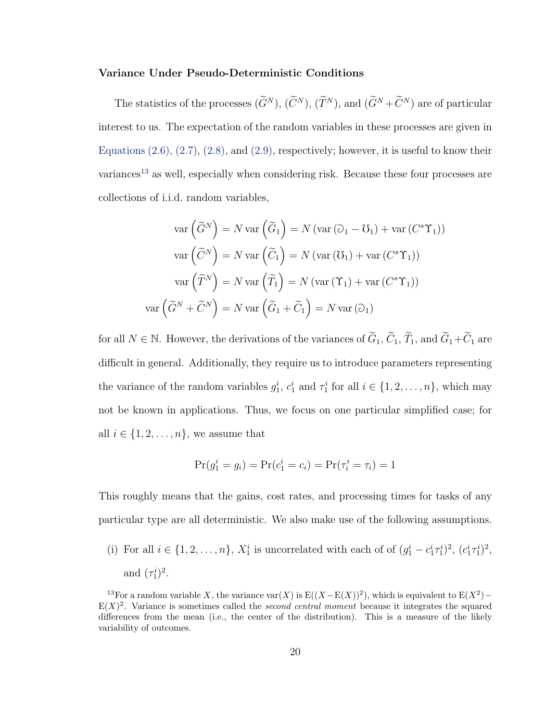#### Variance Under Pseudo-Deterministic Conditions

The statistics of the processes  $(\widetilde{G}^N)$ ,  $(\widetilde{C}^N)$ ,  $(\widetilde{T}^N)$ , and  $(\widetilde{G}^N + \widetilde{C}^N)$  are of particular interest to us. The expectation of the random variables in these processes are given in Equations  $(2.6), (2.7), (2.8),$  $(2.6), (2.7), (2.8),$  $(2.6), (2.7), (2.8),$  $(2.6), (2.7), (2.8),$  and  $(2.9),$  respectively; however, it is useful to know their variances<sup>[13](#page-31-0)</sup> as well, especially when considering risk. Because these four processes are collections of i.i.d. random variables,

$$
\operatorname{var}\left(\widetilde{G}^N\right) = N \operatorname{var}\left(\widetilde{G}_1\right) = N \left(\operatorname{var}\left(\mathfrak{O}_1 - \mathfrak{O}_1\right) + \operatorname{var}\left(C^s\Upsilon_1\right)\right)
$$

$$
\operatorname{var}\left(\widetilde{C}^N\right) = N \operatorname{var}\left(\widetilde{C}_1\right) = N \left(\operatorname{var}\left(\mathfrak{O}_1\right) + \operatorname{var}\left(C^s\Upsilon_1\right)\right)
$$

$$
\operatorname{var}\left(\widetilde{T}^N\right) = N \operatorname{var}\left(\widetilde{T}_1\right) = N \left(\operatorname{var}\left(\Upsilon_1\right) + \operatorname{var}\left(C^s\Upsilon_1\right)\right)
$$

$$
\operatorname{var}\left(\widetilde{G}^N + \widetilde{C}^N\right) = N \operatorname{var}\left(\widetilde{G}_1 + \widetilde{C}_1\right) = N \operatorname{var}\left(\mathfrak{O}_1\right)
$$

for all  $N \in \mathbb{N}$ . However, the derivations of the variances of  $\tilde{G}_1$ ,  $\tilde{C}_1$ ,  $\tilde{T}_1$ , and  $\tilde{G}_1 + \tilde{C}_1$  are difficult in general. Additionally, they require us to introduce parameters representing the variance of the random variables  $g_1^i$ ,  $c_1^i$  and  $\tau_1^i$  for all  $i \in \{1, 2, ..., n\}$ , which may not be known in applications. Thus, we focus on one particular simplified case; for all  $i \in \{1, 2, \ldots, n\}$ , we assume that

$$
Pr(g_1^i = g_i) = Pr(c_1^i = c_i) = Pr(\tau_i^i = \tau_i) = 1
$$

This roughly means that the gains, cost rates, and processing times for tasks of any particular type are all deterministic. We also make use of the following assumptions.

(i) For all  $i \in \{1, 2, \ldots, n\}$ ,  $X_1^i$  is uncorrelated with each of  $(g_1^i - c_1^i \tau_1^i)^2$ ,  $(c_1^i \tau_1^i)^2$ , and  $(\tau_1^i)^2$ .

<span id="page-31-0"></span><sup>&</sup>lt;sup>13</sup>For a random variable X, the variance var $(X)$  is  $E((X-E(X))^2)$ , which is equivalent to  $E(X^2)$  –  $E(X)^2$ . Variance is sometimes called the *second central moment* because it integrates the squared differences from the mean (i.e., the center of the distribution). This is a measure of the likely variability of outcomes.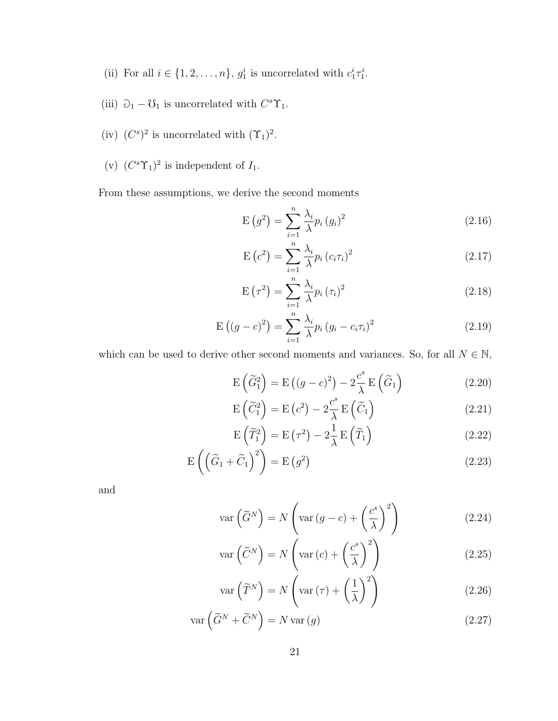- (ii) For all  $i \in \{1, 2, \ldots, n\}$ ,  $g_1^i$  is uncorrelated with  $c_1^i \tau_1^i$ .
- (iii)  $\mathcal{D}_1 \mathcal{U}_1$  is uncorrelated with  $C^s \Upsilon_1$ .
- (iv)  $(C^s)^2$  is uncorrelated with  $(\Upsilon_1)^2$ .
- (v)  $(C^s\Upsilon_1)^2$  is independent of  $I_1$ .

From these assumptions, we derive the second moments

$$
E(g2) = \sum_{i=1}^{n} \frac{\lambda_i}{\lambda} p_i(g_i)^2
$$
 (2.16)

$$
E\left(c^2\right) = \sum_{i=1}^n \frac{\lambda_i}{\lambda} p_i \left(c_i \tau_i\right)^2 \tag{2.17}
$$

$$
E\left(\tau^2\right) = \sum_{i=1}^n \frac{\lambda_i}{\lambda} p_i \left(\tau_i\right)^2 \tag{2.18}
$$

$$
E((g-c)^{2}) = \sum_{i=1}^{n} \frac{\lambda_{i}}{\lambda} p_{i} (g_{i} - c_{i} \tau_{i})^{2}
$$
 (2.19)

which can be used to derive other second moments and variances. So, for all  $N \in \mathbb{N}$ ,

$$
E\left(\widetilde{G}_1^2\right) = E\left((g-c)^2\right) - 2\frac{c^s}{\lambda} E\left(\widetilde{G}_1\right)
$$
\n(2.20)

$$
E\left(\widetilde{C}_1^2\right) = E\left(c^2\right) - 2\frac{c^s}{\lambda} E\left(\widetilde{C}_1\right) \tag{2.21}
$$

$$
E\left(\widetilde{T}_1^2\right) = E\left(\tau^2\right) - 2\frac{1}{\lambda}E\left(\widetilde{T}_1\right) \tag{2.22}
$$

$$
E\left(\left(\tilde{G}_1 + \tilde{C}_1\right)^2\right) = E\left(g^2\right) \tag{2.23}
$$

and

$$
\operatorname{var}\left(\widetilde{G}^{N}\right) = N\left(\operatorname{var}\left(g-c\right) + \left(\frac{c^{s}}{\lambda}\right)^{2}\right)
$$
\n(2.24)

$$
\operatorname{var}\left(\widetilde{C}^N\right) = N\left(\operatorname{var}\left(c\right) + \left(\frac{c^s}{\lambda}\right)^2\right) \tag{2.25}
$$

$$
\operatorname{var}\left(\widetilde{T}^{N}\right) = N\left(\operatorname{var}\left(\tau\right) + \left(\frac{1}{\lambda}\right)^{2}\right)
$$
\n(2.26)

$$
\operatorname{var}\left(\widetilde{G}^N + \widetilde{C}^N\right) = N \operatorname{var}\left(g\right) \tag{2.27}
$$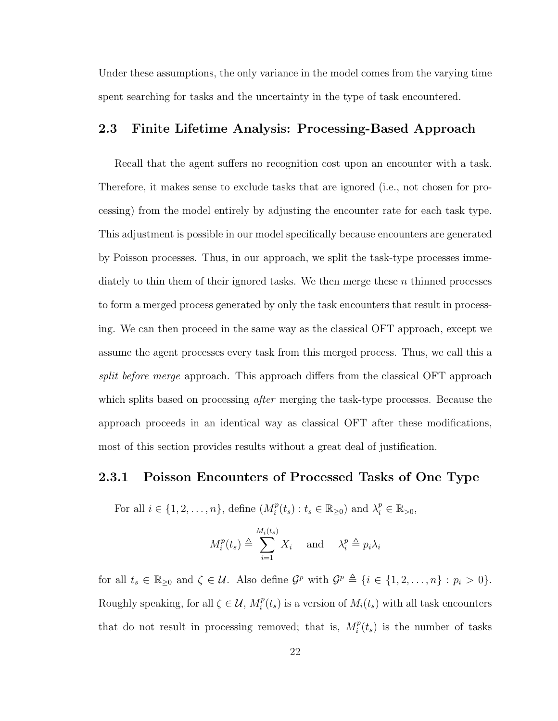Under these assumptions, the only variance in the model comes from the varying time spent searching for tasks and the uncertainty in the type of task encountered.

## <span id="page-33-0"></span>2.3 Finite Lifetime Analysis: Processing-Based Approach

Recall that the agent suffers no recognition cost upon an encounter with a task. Therefore, it makes sense to exclude tasks that are ignored (i.e., not chosen for processing) from the model entirely by adjusting the encounter rate for each task type. This adjustment is possible in our model specifically because encounters are generated by Poisson processes. Thus, in our approach, we split the task-type processes immediately to thin them of their ignored tasks. We then merge these  $n$  thinned processes to form a merged process generated by only the task encounters that result in processing. We can then proceed in the same way as the classical OFT approach, except we assume the agent processes every task from this merged process. Thus, we call this a split before merge approach. This approach differs from the classical OFT approach which splits based on processing *after* merging the task-type processes. Because the approach proceeds in an identical way as classical OFT after these modifications, most of this section provides results without a great deal of justification.

## <span id="page-33-1"></span>2.3.1 Poisson Encounters of Processed Tasks of One Type

For all  $i \in \{1, 2, \ldots, n\}$ , define  $(M_i^p)$  $i_t^p(t_s) : t_s \in \mathbb{R}_{\geq 0}$  and  $\lambda_i^p \in \mathbb{R}_{> 0}$ ,

$$
M_i^p(t_s) \triangleq \sum_{i=1}^{M_i(t_s)} X_i \quad \text{and} \quad \lambda_i^p \triangleq p_i \lambda_i
$$

for all  $t_s \in \mathbb{R}_{\geq 0}$  and  $\zeta \in \mathcal{U}$ . Also define  $\mathcal{G}^p$  with  $\mathcal{G}^p \triangleq \{i \in \{1, 2, ..., n\} : p_i > 0\}$ . Roughly speaking, for all  $\zeta \in \mathcal{U}, M_i^p$  $i<sup>p</sup>(t<sub>s</sub>)$  is a version of  $M_i(t<sub>s</sub>)$  with all task encounters that do not result in processing removed; that is,  $M_i^p$  $i<sup>p</sup>(t<sub>s</sub>)$  is the number of tasks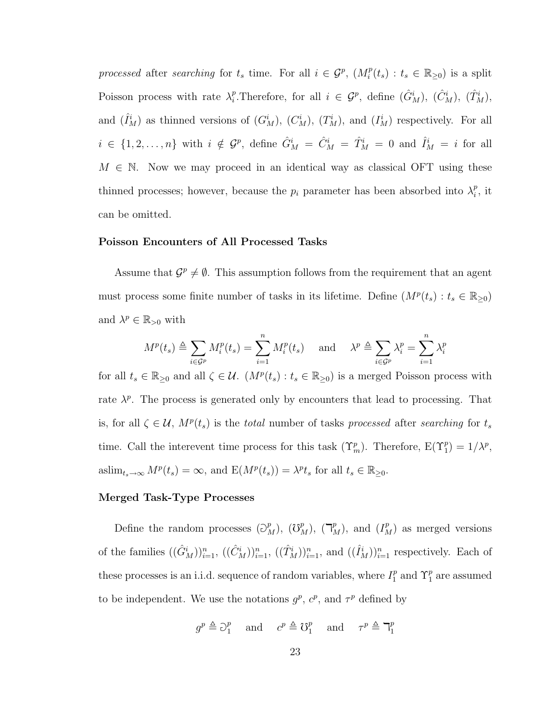processed after searching for  $t_s$  time. For all  $i \in \mathcal{G}^p$ ,  $(M_i^p)$  $t_i^p(t_s) : t_s \in \mathbb{R}_{\geq 0}$ ) is a split Poisson process with rate  $\lambda_i^p$ <sup>p</sup>. Therefore, for all  $i \in \mathcal{G}^p$ , define  $(\hat{G}_M^i)$ ,  $(\hat{C}_M^i)$ ,  $(\hat{T}_M^i)$ , and  $(\hat{I}_M^i)$  as thinned versions of  $(G_M^i)$ ,  $(C_M^i)$ ,  $(T_M^i)$ , and  $(I_M^i)$  respectively. For all  $i \in \{1, 2, \ldots, n\}$  with  $i \notin \mathcal{G}^p$ , define  $\hat{G}^i_M = \hat{C}^i_M = \hat{T}^i_M = 0$  and  $\hat{I}^i_M = i$  for all  $M \in \mathbb{N}$ . Now we may proceed in an identical way as classical OFT using these thinned processes; however, because the  $p_i$  parameter has been absorbed into  $\lambda_i^p$  $i^p$ , it can be omitted.

#### Poisson Encounters of All Processed Tasks

Assume that  $\mathcal{G}^p \neq \emptyset$ . This assumption follows from the requirement that an agent must process some finite number of tasks in its lifetime. Define  $(M^p(t_s): t_s \in \mathbb{R}_{\geq 0})$ and  $\lambda^p \in \mathbb{R}_{>0}$  with

$$
M^{p}(t_{s}) \triangleq \sum_{i \in \mathcal{G}^{p}} M_{i}^{p}(t_{s}) = \sum_{i=1}^{n} M_{i}^{p}(t_{s}) \quad \text{and} \quad \lambda^{p} \triangleq \sum_{i \in \mathcal{G}^{p}} \lambda_{i}^{p} = \sum_{i=1}^{n} \lambda_{i}^{p}
$$

for all  $t_s \in \mathbb{R}_{\geq 0}$  and all  $\zeta \in \mathcal{U}$ .  $(M^p(t_s): t_s \in \mathbb{R}_{\geq 0})$  is a merged Poisson process with rate  $\lambda^p$ . The process is generated only by encounters that lead to processing. That is, for all  $\zeta \in \mathcal{U}$ ,  $M^p(t_s)$  is the *total* number of tasks processed after searching for  $t_s$ time. Call the interevent time process for this task  $(\Upsilon_m^p)$ . Therefore,  $E(\Upsilon_1^p) = 1/\lambda^p$ , as $\lim_{t_s \to \infty} M^p(t_s) = \infty$ , and  $E(M^p(t_s)) = \lambda^p t_s$  for all  $t_s \in \mathbb{R}_{\geq 0}$ .

#### Merged Task-Type Processes

Define the random processes  $(\mathcal{O}_{M}^{p}), (\mathcal{O}_{M}^{p}), (\mathcal{P}_{M}^{p}),$  and  $(I_{M}^{p})$  as merged versions of the families  $((\hat{G}_M^i))_{i=1}^n$ ,  $((\hat{C}_M^i))_{i=1}^n$ ,  $((\hat{T}_M^i))_{i=1}^n$ , and  $((\hat{I}_M^i))_{i=1}^n$  respectively. Each of these processes is an i.i.d. sequence of random variables, where  $I_1^p$  $\int_{1}^{p}$  and  $\Upsilon_{1}^{p}$  are assumed to be independent. We use the notations  $g^p$ ,  $c^p$ , and  $\tau^p$  defined by

> $g^p \triangleq \supseteq_q^p$  $\begin{array}{cc} p \\ 1 \end{array}$  and  $c^p \triangleq \mathcal{O}_1^p$  $\tau^p \triangleq \mathbb{k}_1^p$  and  $\tau^p \triangleq \mathbb{k}_1^p$ 1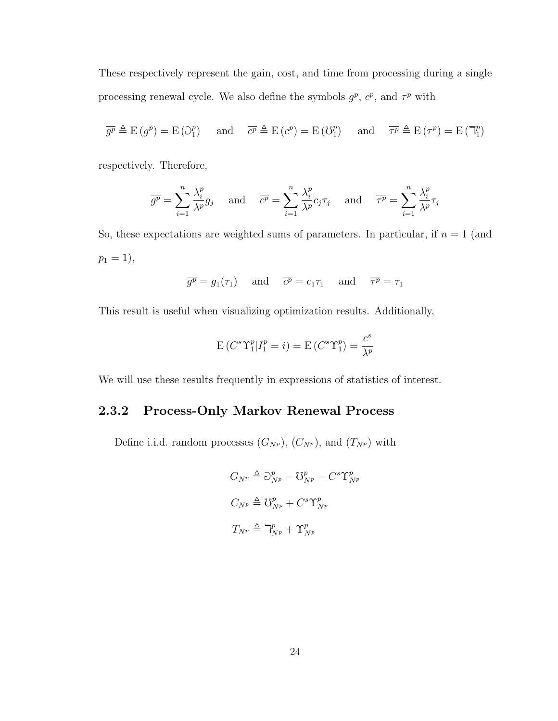These respectively represent the gain, cost, and time from processing during a single processing renewal cycle. We also define the symbols  $\overline{g^p}$ ,  $\overline{c^p}$ , and  $\overline{\tau^p}$  with

$$
\overline{g^p} \triangleq E(g^p) = E(\partial_1^p)
$$
 and  $\overline{c^p} \triangleq E(c^p) = E(\partial_1^p)$  and  $\overline{\tau^p} \triangleq E(\tau^p) = E(\mathbb{T}_1^p)$ 

respectively. Therefore,

$$
\overline{g^p} = \sum_{i=1}^n \frac{\lambda_i^p}{\lambda^p} g_j \quad \text{and} \quad \overline{c^p} = \sum_{i=1}^n \frac{\lambda_i^p}{\lambda^p} c_j \tau_j \quad \text{and} \quad \overline{\tau^p} = \sum_{i=1}^n \frac{\lambda_i^p}{\lambda^p} \tau_j
$$

So, these expectations are weighted sums of parameters. In particular, if  $n = 1$  (and  $p_1 = 1$ ,

$$
\overline{g^p} = g_1(\tau_1)
$$
 and  $\overline{c^p} = c_1 \tau_1$  and  $\overline{\tau^p} = \tau_1$ 

This result is useful when visualizing optimization results. Additionally,

$$
E(C^{s}\Upsilon_{1}^{p}|I_{1}^{p} = i) = E(C^{s}\Upsilon_{1}^{p}) = \frac{c^{s}}{\lambda^{p}}
$$

We will use these results frequently in expressions of statistics of interest.

# <span id="page-35-0"></span>2.3.2 Process-Only Markov Renewal Process

Define i.i.d. random processes  $(G_{N_P})$ ,  $(C_{N_P})$ , and  $(T_{N_P})$  with

$$
G_{N^{p}} \triangleq \partial_{N^{p}}^{p} - \mathcal{U}_{N^{p}}^{p} - C^{s} \Upsilon_{N^{p}}^{p}
$$

$$
C_{N^{p}} \triangleq \mathcal{U}_{N^{p}}^{p} + C^{s} \Upsilon_{N^{p}}^{p}
$$

$$
T_{N^{p}} \triangleq \mathbf{T}_{N^{p}}^{p} + \Upsilon_{N^{p}}^{p}
$$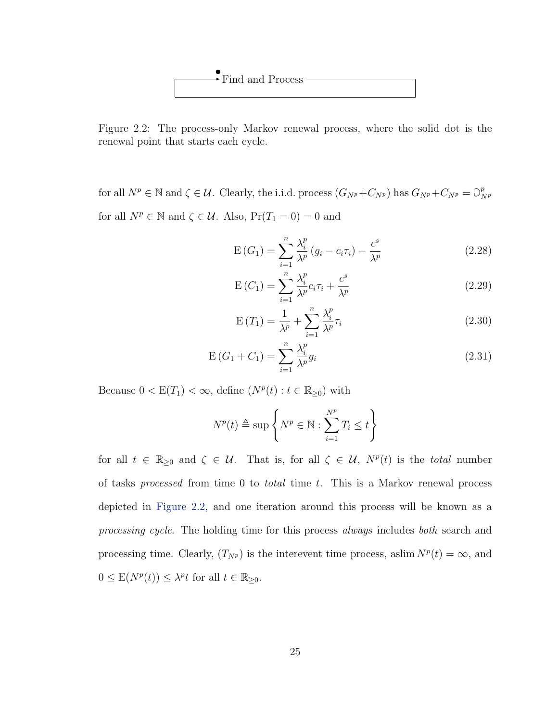<span id="page-36-0"></span>

Figure 2.2: The process-only Markov renewal process, where the solid dot is the renewal point that starts each cycle.

for all  $N^p \in \mathbb{N}$  and  $\zeta \in \mathcal{U}$ . Clearly, the i.i.d. process  $(G_{N^p} + C_{N^p})$  has  $G_{N^p} + C_{N^p} = \partial_{N^p}^p$ N<sup>p</sup> for all  $N^p \in \mathbb{N}$  and  $\zeta \in \mathcal{U}$ . Also,  $Pr(T_1 = 0) = 0$  and

$$
E(G_1) = \sum_{i=1}^{n} \frac{\lambda_i^p}{\lambda^p} (g_i - c_i \tau_i) - \frac{c^s}{\lambda^p}
$$
 (2.28)

$$
E(C_1) = \sum_{i=1}^{n} \frac{\lambda_i^p}{\lambda^p} c_i \tau_i + \frac{c^s}{\lambda^p}
$$
 (2.29)

$$
E(T_1) = \frac{1}{\lambda^p} + \sum_{i=1}^n \frac{\lambda_i^p}{\lambda^p} \tau_i
$$
\n(2.30)

$$
E(G_1 + C_1) = \sum_{i=1}^{n} \frac{\lambda_i^p}{\lambda^p} g_i
$$
\n(2.31)

Because  $0 < E(T_1) < \infty$ , define  $(N^p(t) : t \in \mathbb{R}_{\geq 0})$  with

$$
N^{p}(t) \triangleq \sup \left\{ N^{p} \in \mathbb{N} : \sum_{i=1}^{N^{p}} T_{i} \leq t \right\}
$$

for all  $t \in \mathbb{R}_{\geq 0}$  and  $\zeta \in \mathcal{U}$ . That is, for all  $\zeta \in \mathcal{U}$ ,  $N^p(t)$  is the *total* number of tasks processed from time 0 to total time t. This is a Markov renewal process depicted in [Figure 2.2,](#page-36-0) and one iteration around this process will be known as a processing cycle. The holding time for this process always includes both search and processing time. Clearly,  $(T_{N^p})$  is the interevent time process, aslim  $N^p(t) = \infty$ , and  $0 \leq \mathbb{E}(N^p(t)) \leq \lambda^p t$  for all  $t \in \mathbb{R}_{\geq 0}$ .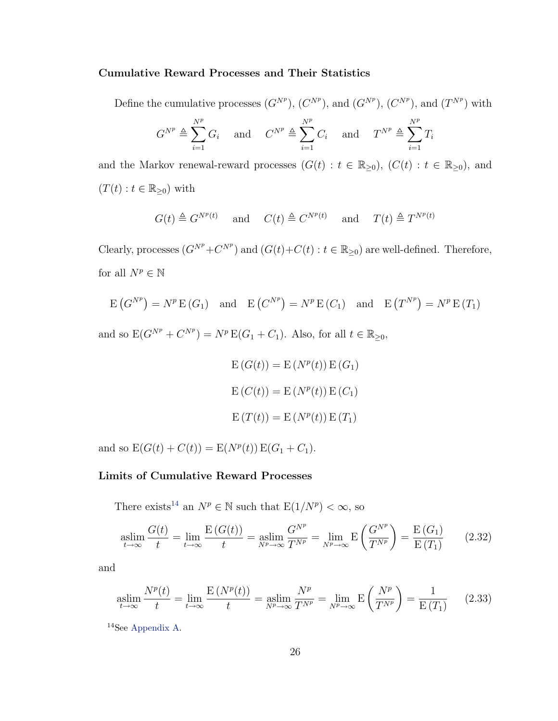#### Cumulative Reward Processes and Their Statistics

Define the cumulative processes  $(G^{N^p})$ ,  $(C^{N^p})$ , and  $(G^{N^p})$ ,  $(C^{N^p})$ , and  $(T^{N^p})$  with

$$
G^{N^p} \triangleq \sum_{i=1}^{N^p} G_i \quad \text{ and } \quad C^{N^p} \triangleq \sum_{i=1}^{N^p} C_i \quad \text{ and } \quad T^{N^p} \triangleq \sum_{i=1}^{N^p} T_i
$$

and the Markov renewal-reward processes  $(G(t) : t \in \mathbb{R}_{\geq 0})$ ,  $(C(t) : t \in \mathbb{R}_{\geq 0})$ , and  $(T(t): t \in \mathbb{R}_{\geq 0})$  with

$$
G(t) \triangleq G^{N^p(t)}
$$
 and  $C(t) \triangleq C^{N^p(t)}$  and  $T(t) \triangleq T^{N^p(t)}$ 

Clearly, processes  $(G^{N^p} + C^{N^p})$  and  $(G(t) + C(t) : t \in \mathbb{R}_{\geq 0})$  are well-defined. Therefore, for all  $N^p\in\mathbb{N}$ 

$$
E(G^{N^p}) = N^p E(G_1)
$$
 and  $E(C^{N^p}) = N^p E(G_1)$  and  $E(T^{N^p}) = N^p E(T_1)$ 

and so  $E(G^{N^p} + C^{N^p}) = N^p E(G_1 + C_1)$ . Also, for all  $t \in \mathbb{R}_{\geq 0}$ ,

$$
E(G(t)) = E(Np(t)) E(G1)
$$

$$
E(C(t)) = E(Np(t)) E(C1)
$$

$$
E(T(t)) = E(Np(t)) E(T1)
$$

and so  $E(G(t) + C(t)) = E(N<sup>p</sup>(t)) E(G_1 + C_1)$ .

#### Limits of Cumulative Reward Processes

There exists<sup>[14](#page-37-0)</sup> an  $N^p \in \mathbb{N}$  such that  $E(1/N^p) < \infty$ , so

$$
\operatorname*{aslim}_{t \to \infty} \frac{G(t)}{t} = \lim_{t \to \infty} \frac{E\left(G(t)\right)}{t} = \operatorname*{aslim}_{N^p \to \infty} \frac{G^{N^p}}{T^{N^p}} = \lim_{N^p \to \infty} E\left(\frac{G^{N^p}}{T^{N^p}}\right) = \frac{E\left(G_1\right)}{E\left(T_1\right)}\tag{2.32}
$$

and

<span id="page-37-1"></span>
$$
\operatorname*{aslim}_{t \to \infty} \frac{N^p(t)}{t} = \lim_{t \to \infty} \frac{E\left(N^p(t)\right)}{t} = \operatorname*{aslim}_{N^p \to \infty} \frac{N^p}{T^{N^p}} = \lim_{N^p \to \infty} E\left(\frac{N^p}{T^{N^p}}\right) = \frac{1}{E\left(T_1\right)}\tag{2.33}
$$

<span id="page-37-0"></span><sup>14</sup>See [Appendix A.](#page-109-0)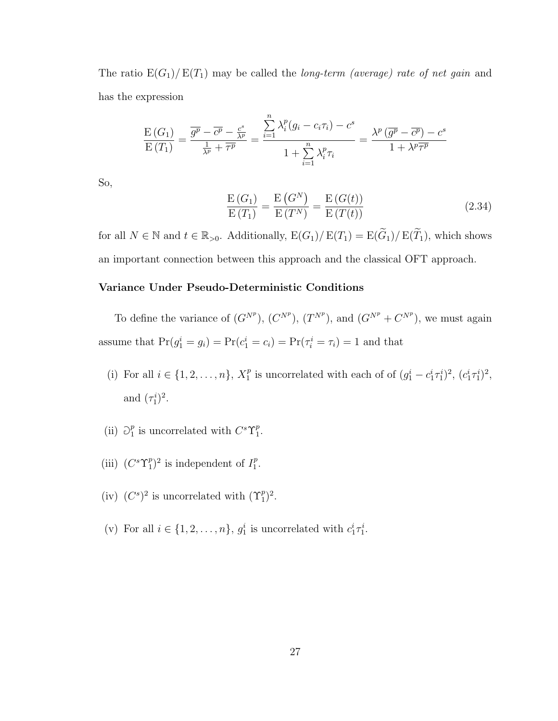The ratio  $E(G_1)/E(T_1)$  may be called the *long-term (average) rate of net gain* and has the expression

$$
\frac{\mathrm{E}(G_1)}{\mathrm{E}(T_1)} = \frac{\overline{g^p} - \overline{c^p} - \frac{c^s}{\lambda^p}}{\frac{1}{\lambda^p} + \overline{\tau^p}} = \frac{\sum_{i=1}^n \lambda_i^p (g_i - c_i \tau_i) - c^s}{1 + \sum_{i=1}^n \lambda_i^p \tau_i} = \frac{\lambda^p (\overline{g^p} - \overline{c^p}) - c^s}{1 + \lambda^p \overline{\tau^p}}
$$

So,

$$
\frac{\mathcal{E}(G_1)}{\mathcal{E}(T_1)} = \frac{\mathcal{E}(G^N)}{\mathcal{E}(T^N)} = \frac{\mathcal{E}(G(t))}{\mathcal{E}(T(t))}
$$
\n(2.34)

for all  $N \in \mathbb{N}$  and  $t \in \mathbb{R}_{>0}$ . Additionally,  $E(G_1)/E(T_1) = E(\widetilde{G}_1)/E(\widetilde{T}_1)$ , which shows an important connection between this approach and the classical OFT approach.

### Variance Under Pseudo-Deterministic Conditions

To define the variance of  $(G^{N^p})$ ,  $(C^{N^p})$ ,  $(T^{N^p})$ , and  $(G^{N^p} + C^{N^p})$ , we must again assume that  $Pr(g_1^i = g_i) = Pr(c_1^i = c_i) = Pr(\tau_i^i = \tau_i) = 1$  and that

- (i) For all  $i \in \{1, 2, ..., n\}, X_1^p$ <sup>*p*</sup> is uncorrelated with each of of  $(g_1^i - c_1^i \tau_1^i)^2$ ,  $(c_1^i \tau_1^i)^2$ , and  $(\tau_1^i)^2$ .
- $(ii)$   $\supseteq_l^p$  $_{1}^{p}$  is uncorrelated with  $C^{s}\Upsilon_{1}^{p}$  $\frac{p}{1}$ .
- (iii)  $(C^s\Upsilon_1^p)$  $\binom{p}{1}^2$  is independent of  $I_1^p$  $\frac{p}{1}$ .
- (iv)  $(C^s)^2$  is uncorrelated with  $(\Upsilon_1^p)^2$ .
- (v) For all  $i \in \{1, 2, ..., n\}$ ,  $g_1^i$  is uncorrelated with  $c_1^i \tau_1^i$ .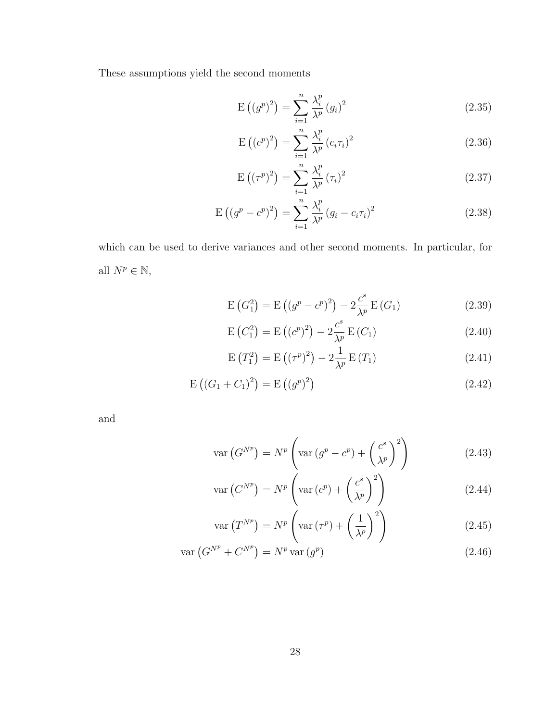These assumptions yield the second moments

<span id="page-39-0"></span>
$$
E((g^{p})^{2}) = \sum_{i=1}^{n} \frac{\lambda_{i}^{p}}{\lambda^{p}} (g_{i})^{2}
$$
\n(2.35)

$$
E((c^{p})^{2}) = \sum_{i=1}^{n} \frac{\lambda_{i}^{p}}{\lambda^{p}} (c_{i} \tau_{i})^{2}
$$
 (2.36)

<span id="page-39-1"></span>
$$
E\left(\left(\tau^p\right)^2\right) = \sum_{i=1}^n \frac{\lambda_i^p}{\lambda^p} \left(\tau_i\right)^2 \tag{2.37}
$$

$$
E((g^{p} - c^{p})^{2}) = \sum_{i=1}^{n} \frac{\lambda_{i}^{p}}{\lambda^{p}} (g_{i} - c_{i}\tau_{i})^{2}
$$
\n(2.38)

which can be used to derive variances and other second moments. In particular, for all  $N^p\in\mathbb{N},$ 

$$
E(G_1^2) = E((g^p - c^p)^2) - 2\frac{c^s}{\lambda^p} E(G_1)
$$
\n(2.39)

$$
E(C_1^2) = E((c^p)^2) - 2\frac{c^s}{\lambda^p} E(C_1)
$$
\n(2.40)

$$
E(T_1^2) = E((\tau^p)^2) - 2\frac{1}{\lambda^p} E(T_1)
$$
\n(2.41)

$$
E((G_1 + C_1)^2) = E((g^p)^2)
$$
\n(2.42)

and

$$
\operatorname{var}\left(G^{N^{p}}\right) = N^{p} \left(\operatorname{var}\left(g^{p} - c^{p}\right) + \left(\frac{c^{s}}{\lambda^{p}}\right)^{2}\right) \tag{2.43}
$$

$$
\operatorname{var}\left(C^{N^{p}}\right) = N^{p}\left(\operatorname{var}\left(c^{p}\right) + \left(\frac{c^{s}}{\lambda^{p}}\right)^{2}\right) \tag{2.44}
$$

$$
\operatorname{var}\left(T^{N^{p}}\right) = N^{p}\left(\operatorname{var}\left(\tau^{p}\right) + \left(\frac{1}{\lambda^{p}}\right)^{2}\right) \tag{2.45}
$$

$$
\operatorname{var}\left(G^{N^{p}} + C^{N^{p}}\right) = N^{p} \operatorname{var}\left(g^{p}\right) \tag{2.46}
$$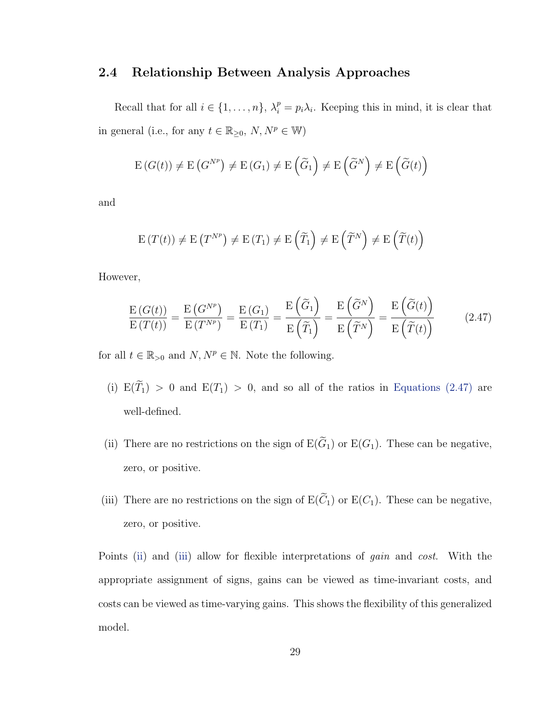# 2.4 Relationship Between Analysis Approaches

Recall that for all  $i \in \{1, ..., n\}$ ,  $\lambda_i^p = p_i \lambda_i$ . Keeping this in mind, it is clear that in general (i.e., for any  $t\in\mathbb{R}_{\geq 0},\,N,N^p\in\mathbb{W})$ 

$$
E(G(t)) \neq E(G^{N^{p}}) \neq E(G_{1}) \neq E(\widetilde{G}_{1}) \neq E(\widetilde{G}^{N}) \neq E(\widetilde{G}(t))
$$

and

<span id="page-40-0"></span>
$$
\mathrm{E}\left(T(t)\right) \neq \mathrm{E}\left(T^{N^{p}}\right) \neq \mathrm{E}\left(T_{1}\right) \neq \mathrm{E}\left(\widetilde{T}_{1}\right) \neq \mathrm{E}\left(\widetilde{T}^{N}\right) \neq \mathrm{E}\left(\widetilde{T}(t)\right)
$$

However,

$$
\frac{\mathrm{E}(G(t))}{\mathrm{E}(T(t))} = \frac{\mathrm{E}(G^{N^{p}})}{\mathrm{E}(T^{N^{p}})} = \frac{\mathrm{E}(G_{1})}{\mathrm{E}(T_{1})} = \frac{\mathrm{E}(\widetilde{G}_{1})}{\mathrm{E}(\widetilde{T}_{1})} = \frac{\mathrm{E}(\widetilde{G}^{N})}{\mathrm{E}(\widetilde{T}^{N})} = \frac{\mathrm{E}(\widetilde{G}(t))}{\mathrm{E}(\widetilde{T}(t))}
$$
(2.47)

for all  $t \in \mathbb{R}_{>0}$  and  $N, N^p \in \mathbb{N}$ . Note the following.

- (i)  $E(\widetilde{T}_1) > 0$  and  $E(T_1) > 0$ , and so all of the ratios in [Equations \(2.47\)](#page-40-0) are well-defined.
- <span id="page-40-1"></span>(ii) There are no restrictions on the sign of  $E(\widetilde{G}_1)$  or  $E(G_1)$ . These can be negative, zero, or positive.
- <span id="page-40-2"></span>(iii) There are no restrictions on the sign of  $E(\widetilde{C}_1)$  or  $E(C_1)$ . These can be negative, zero, or positive.

Points [\(ii\)](#page-40-1) and [\(iii\)](#page-40-2) allow for flexible interpretations of *gain* and *cost*. With the appropriate assignment of signs, gains can be viewed as time-invariant costs, and costs can be viewed as time-varying gains. This shows the flexibility of this generalized model.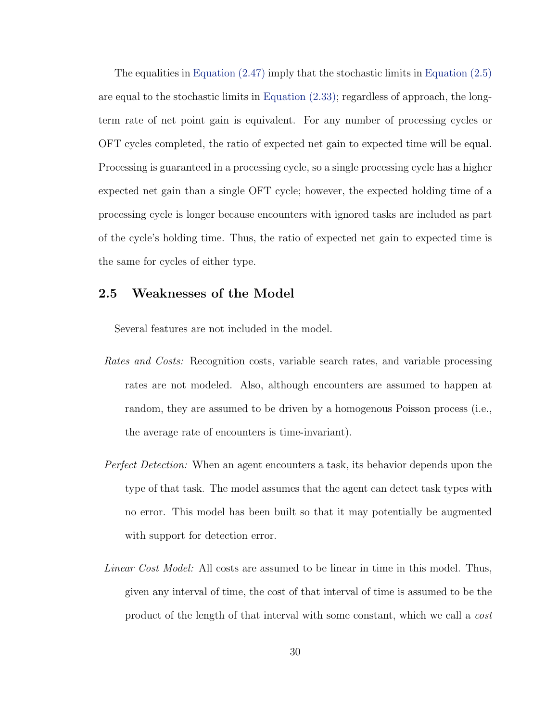The equalities in [Equation \(2.47\)](#page-40-0) imply that the stochastic limits in [Equation \(2.5\)](#page-28-0) are equal to the stochastic limits in [Equation \(2.33\);](#page-37-1) regardless of approach, the longterm rate of net point gain is equivalent. For any number of processing cycles or OFT cycles completed, the ratio of expected net gain to expected time will be equal. Processing is guaranteed in a processing cycle, so a single processing cycle has a higher expected net gain than a single OFT cycle; however, the expected holding time of a processing cycle is longer because encounters with ignored tasks are included as part of the cycle's holding time. Thus, the ratio of expected net gain to expected time is the same for cycles of either type.

### 2.5 Weaknesses of the Model

Several features are not included in the model.

- Rates and Costs: Recognition costs, variable search rates, and variable processing rates are not modeled. Also, although encounters are assumed to happen at random, they are assumed to be driven by a homogenous Poisson process (i.e., the average rate of encounters is time-invariant).
- Perfect Detection: When an agent encounters a task, its behavior depends upon the type of that task. The model assumes that the agent can detect task types with no error. This model has been built so that it may potentially be augmented with support for detection error.
- Linear Cost Model: All costs are assumed to be linear in time in this model. Thus, given any interval of time, the cost of that interval of time is assumed to be the product of the length of that interval with some constant, which we call a cost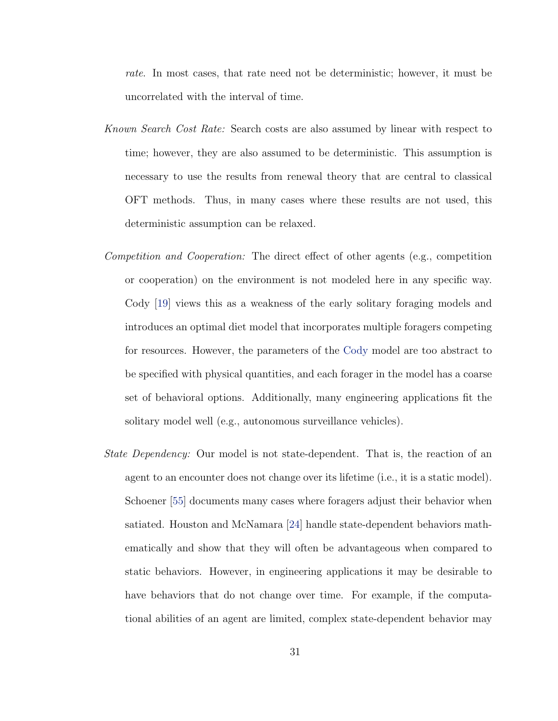rate. In most cases, that rate need not be deterministic; however, it must be uncorrelated with the interval of time.

- Known Search Cost Rate: Search costs are also assumed by linear with respect to time; however, they are also assumed to be deterministic. This assumption is necessary to use the results from renewal theory that are central to classical OFT methods. Thus, in many cases where these results are not used, this deterministic assumption can be relaxed.
- Competition and Cooperation: The direct effect of other agents (e.g., competition or cooperation) on the environment is not modeled here in any specific way. Cody [\[19\]](#page-112-0) views this as a weakness of the early solitary foraging models and introduces an optimal diet model that incorporates multiple foragers competing for resources. However, the parameters of the [Cody](#page-112-0) model are too abstract to be specified with physical quantities, and each forager in the model has a coarse set of behavioral options. Additionally, many engineering applications fit the solitary model well (e.g., autonomous surveillance vehicles).
- State Dependency: Our model is not state-dependent. That is, the reaction of an agent to an encounter does not change over its lifetime (i.e., it is a static model). Schoener [\[55\]](#page-115-0) documents many cases where foragers adjust their behavior when satiated. Houston and McNamara [\[24\]](#page-112-1) handle state-dependent behaviors mathematically and show that they will often be advantageous when compared to static behaviors. However, in engineering applications it may be desirable to have behaviors that do not change over time. For example, if the computational abilities of an agent are limited, complex state-dependent behavior may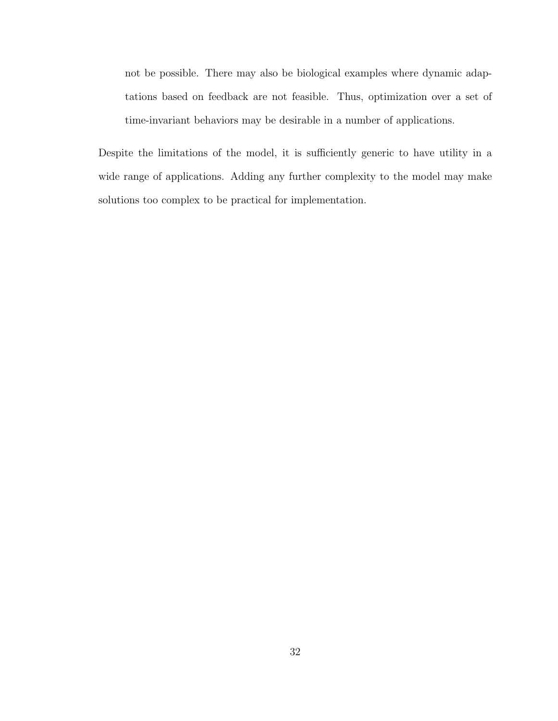not be possible. There may also be biological examples where dynamic adaptations based on feedback are not feasible. Thus, optimization over a set of time-invariant behaviors may be desirable in a number of applications.

Despite the limitations of the model, it is sufficiently generic to have utility in a wide range of applications. Adding any further complexity to the model may make solutions too complex to be practical for implementation.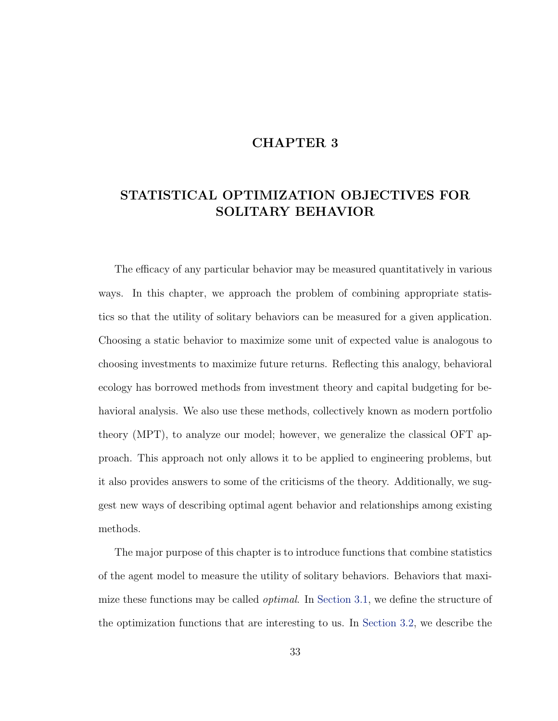# CHAPTER 3

# STATISTICAL OPTIMIZATION OBJECTIVES FOR SOLITARY BEHAVIOR

The efficacy of any particular behavior may be measured quantitatively in various ways. In this chapter, we approach the problem of combining appropriate statistics so that the utility of solitary behaviors can be measured for a given application. Choosing a static behavior to maximize some unit of expected value is analogous to choosing investments to maximize future returns. Reflecting this analogy, behavioral ecology has borrowed methods from investment theory and capital budgeting for behavioral analysis. We also use these methods, collectively known as modern portfolio theory (MPT), to analyze our model; however, we generalize the classical OFT approach. This approach not only allows it to be applied to engineering problems, but it also provides answers to some of the criticisms of the theory. Additionally, we suggest new ways of describing optimal agent behavior and relationships among existing methods.

The major purpose of this chapter is to introduce functions that combine statistics of the agent model to measure the utility of solitary behaviors. Behaviors that maximize these functions may be called *optimal*. In [Section 3.1,](#page-45-0) we define the structure of the optimization functions that are interesting to us. In [Section 3.2,](#page-50-0) we describe the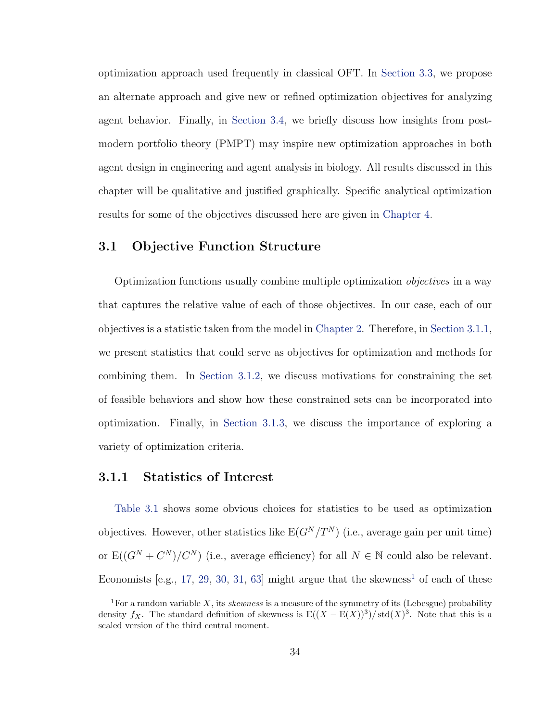optimization approach used frequently in classical OFT. In [Section 3.3,](#page-60-0) we propose an alternate approach and give new or refined optimization objectives for analyzing agent behavior. Finally, in [Section 3.4,](#page-81-0) we briefly discuss how insights from postmodern portfolio theory (PMPT) may inspire new optimization approaches in both agent design in engineering and agent analysis in biology. All results discussed in this chapter will be qualitative and justified graphically. Specific analytical optimization results for some of the objectives discussed here are given in [Chapter 4.](#page-85-0)

# <span id="page-45-0"></span>3.1 Objective Function Structure

Optimization functions usually combine multiple optimization objectives in a way that captures the relative value of each of those objectives. In our case, each of our objectives is a statistic taken from the model in [Chapter 2.](#page-14-0) Therefore, in [Section 3.1.1,](#page-45-1) we present statistics that could serve as objectives for optimization and methods for combining them. In [Section 3.1.2,](#page-47-0) we discuss motivations for constraining the set of feasible behaviors and show how these constrained sets can be incorporated into optimization. Finally, in [Section 3.1.3,](#page-49-0) we discuss the importance of exploring a variety of optimization criteria.

# <span id="page-45-1"></span>3.1.1 Statistics of Interest

[Table 3.1](#page-46-0) shows some obvious choices for statistics to be used as optimization objectives. However, other statistics like  $E(G^N/T^N)$  (i.e., average gain per unit time) or  $E((G^N + C^N)/C^N)$  (i.e., average efficiency) for all  $N \in \mathbb{N}$  could also be relevant. Economists [e.g., [17,](#page-112-2) [29,](#page-113-0) [30,](#page-113-1) [31,](#page-113-2) [63\]](#page-115-1) might argue that the skewness<sup>[1](#page-45-2)</sup> of each of these

<span id="page-45-2"></span><sup>&</sup>lt;sup>1</sup>For a random variable X, its *skewness* is a measure of the symmetry of its (Lebesgue) probability density fx. The standard definition of skewness is  $E((X – E(X))^3)/ std(X)^3$ . Note that this is a scaled version of the third central moment.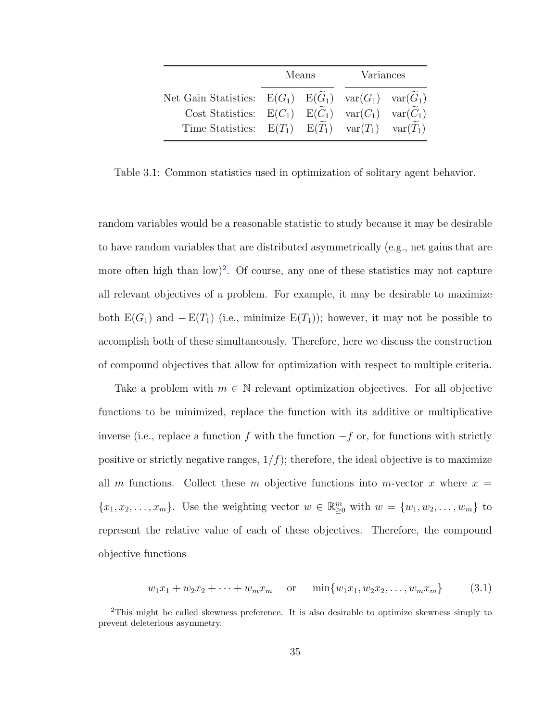|                                                                                                                                                                                                                                                              | Means |  | Variances |  |
|--------------------------------------------------------------------------------------------------------------------------------------------------------------------------------------------------------------------------------------------------------------|-------|--|-----------|--|
| Net Gain Statistics: $E(G_1)$ $E(\widetilde{G}_1)$ $var(G_1)$ $var(\widetilde{G}_1)$<br>Cost Statistics: $E(C_1)$ $E(\widetilde{C}_1)$ $var(C_1)$ $var(\widetilde{C}_1)$<br>Time Statistics: $E(T_1)$ $E(\widetilde{T}_1)$ $var(T_1)$ $var(\widetilde{T}_1)$ |       |  |           |  |

<span id="page-46-0"></span>Table 3.1: Common statistics used in optimization of solitary agent behavior.

random variables would be a reasonable statistic to study because it may be desirable to have random variables that are distributed asymmetrically (e.g., net gains that are more often high than  $\text{low}$ <sup>[2](#page-46-1)</sup>. Of course, any one of these statistics may not capture all relevant objectives of a problem. For example, it may be desirable to maximize both  $E(G_1)$  and  $-E(T_1)$  (i.e., minimize  $E(T_1)$ ); however, it may not be possible to accomplish both of these simultaneously. Therefore, here we discuss the construction of compound objectives that allow for optimization with respect to multiple criteria.

Take a problem with  $m \in \mathbb{N}$  relevant optimization objectives. For all objective functions to be minimized, replace the function with its additive or multiplicative inverse (i.e., replace a function f with the function  $-f$  or, for functions with strictly positive or strictly negative ranges,  $1/f$ ; therefore, the ideal objective is to maximize all m functions. Collect these m objective functions into m-vector x where  $x =$  $\{x_1, x_2, \ldots, x_m\}$ . Use the weighting vector  $w \in \mathbb{R}_{\geq 0}^m$  with  $w = \{w_1, w_2, \ldots, w_m\}$  to represent the relative value of each of these objectives. Therefore, the compound objective functions

<span id="page-46-2"></span>
$$
w_1x_1 + w_2x_2 + \dots + w_mx_m \quad \text{or} \quad \min\{w_1x_1, w_2x_2, \dots, w_mx_m\} \tag{3.1}
$$

<span id="page-46-1"></span><sup>2</sup>This might be called skewness preference. It is also desirable to optimize skewness simply to prevent deleterious asymmetry.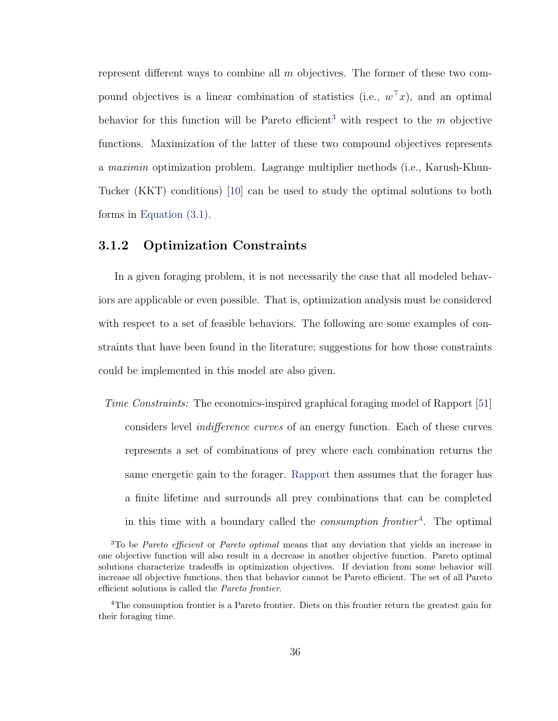represent different ways to combine all  $m$  objectives. The former of these two compound objectives is a linear combination of statistics (i.e.,  $w^{\top}x$ ), and an optimal behavior for this function will be Pareto efficient<sup>[3](#page-47-1)</sup> with respect to the  $m$  objective functions. Maximization of the latter of these two compound objectives represents a maximin optimization problem. Lagrange multiplier methods (i.e., Karush-Khun-Tucker (KKT) conditions) [\[10\]](#page-111-0) can be used to study the optimal solutions to both forms in [Equation \(3.1\).](#page-46-2)

# <span id="page-47-0"></span>3.1.2 Optimization Constraints

In a given foraging problem, it is not necessarily the case that all modeled behaviors are applicable or even possible. That is, optimization analysis must be considered with respect to a set of feasible behaviors. The following are some examples of constraints that have been found in the literature; suggestions for how those constraints could be implemented in this model are also given.

Time Constraints: The economics-inspired graphical foraging model of Rapport [\[51\]](#page-114-0) considers level indifference curves of an energy function. Each of these curves represents a set of combinations of prey where each combination returns the same energetic gain to the forager. [Rapport](#page-114-0) then assumes that the forager has a finite lifetime and surrounds all prey combinations that can be completed in this time with a boundary called the *consumption frontier*<sup>[4](#page-47-2)</sup>. The optimal

<span id="page-47-1"></span> $3$ To be *Pareto efficient* or *Pareto optimal* means that any deviation that yields an increase in one objective function will also result in a decrease in another objective function. Pareto optimal solutions characterize tradeoffs in optimization objectives. If deviation from some behavior will increase all objective functions, then that behavior cannot be Pareto efficient. The set of all Pareto efficient solutions is called the Pareto frontier.

<span id="page-47-2"></span><sup>&</sup>lt;sup>4</sup>The consumption frontier is a Pareto frontier. Diets on this frontier return the greatest gain for their foraging time.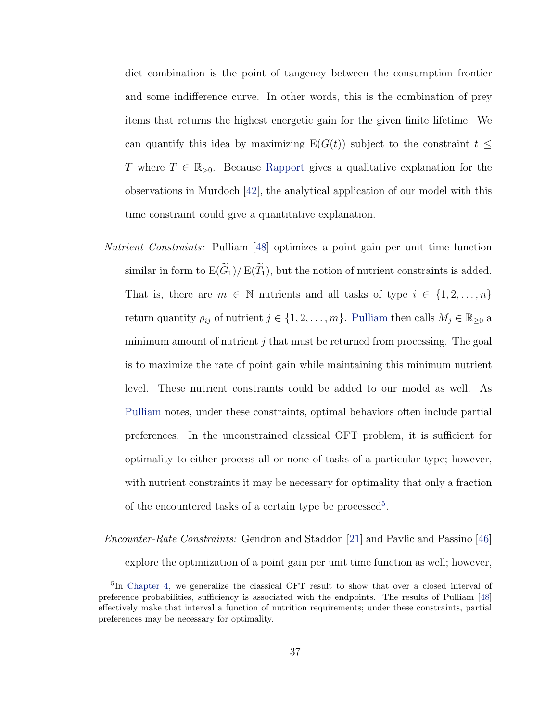diet combination is the point of tangency between the consumption frontier and some indifference curve. In other words, this is the combination of prey items that returns the highest energetic gain for the given finite lifetime. We can quantify this idea by maximizing  $E(G(t))$  subject to the constraint  $t \leq$  $\overline{T}$  where  $\overline{T} \in \mathbb{R}_{>0}$ . Because [Rapport](#page-114-0) gives a qualitative explanation for the observations in Murdoch [\[42\]](#page-114-1), the analytical application of our model with this time constraint could give a quantitative explanation.

Nutrient Constraints: Pulliam [\[48\]](#page-114-2) optimizes a point gain per unit time function similar in form to  $E(\widetilde{G}_1)/E(\widetilde{T}_1)$ , but the notion of nutrient constraints is added. That is, there are  $m \in \mathbb{N}$  nutrients and all tasks of type  $i \in \{1, 2, ..., n\}$ return quantity  $\rho_{ij}$  of nutrient  $j \in \{1, 2, ..., m\}$ . [Pulliam](#page-114-2) then calls  $M_j \in \mathbb{R}_{\geq 0}$  a minimum amount of nutrient  $j$  that must be returned from processing. The goal is to maximize the rate of point gain while maintaining this minimum nutrient level. These nutrient constraints could be added to our model as well. As [Pulliam](#page-114-2) notes, under these constraints, optimal behaviors often include partial preferences. In the unconstrained classical OFT problem, it is sufficient for optimality to either process all or none of tasks of a particular type; however, with nutrient constraints it may be necessary for optimality that only a fraction of the encountered tasks of a certain type be processed<sup>[5](#page-48-0)</sup>.

Encounter-Rate Constraints: Gendron and Staddon [\[21\]](#page-112-3) and Pavlic and Passino [\[46\]](#page-114-3) explore the optimization of a point gain per unit time function as well; however,

<span id="page-48-0"></span><sup>&</sup>lt;sup>5</sup>In [Chapter 4,](#page-85-0) we generalize the classical OFT result to show that over a closed interval of preference probabilities, sufficiency is associated with the endpoints. The results of Pulliam [\[48\]](#page-114-2) effectively make that interval a function of nutrition requirements; under these constraints, partial preferences may be necessary for optimality.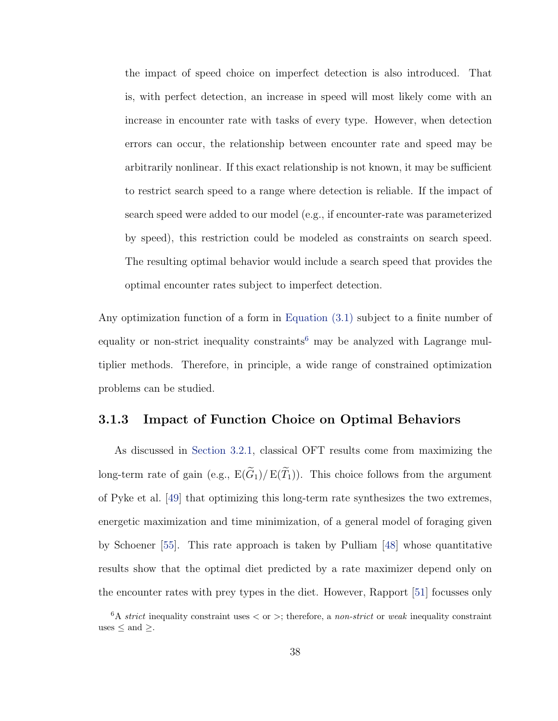the impact of speed choice on imperfect detection is also introduced. That is, with perfect detection, an increase in speed will most likely come with an increase in encounter rate with tasks of every type. However, when detection errors can occur, the relationship between encounter rate and speed may be arbitrarily nonlinear. If this exact relationship is not known, it may be sufficient to restrict search speed to a range where detection is reliable. If the impact of search speed were added to our model (e.g., if encounter-rate was parameterized by speed), this restriction could be modeled as constraints on search speed. The resulting optimal behavior would include a search speed that provides the optimal encounter rates subject to imperfect detection.

Any optimization function of a form in [Equation \(3.1\)](#page-46-2) subject to a finite number of equality or non-strict inequality constraints<sup>[6](#page-49-1)</sup> may be analyzed with Lagrange multiplier methods. Therefore, in principle, a wide range of constrained optimization problems can be studied.

### <span id="page-49-0"></span>3.1.3 Impact of Function Choice on Optimal Behaviors

As discussed in [Section 3.2.1,](#page-50-1) classical OFT results come from maximizing the long-term rate of gain (e.g.,  $E(\widetilde{G}_1)/E(\widetilde{T}_1)$ ). This choice follows from the argument of Pyke et al. [\[49\]](#page-114-4) that optimizing this long-term rate synthesizes the two extremes, energetic maximization and time minimization, of a general model of foraging given by Schoener [\[55\]](#page-115-0). This rate approach is taken by Pulliam [\[48\]](#page-114-2) whose quantitative results show that the optimal diet predicted by a rate maximizer depend only on the encounter rates with prey types in the diet. However, Rapport [\[51\]](#page-114-0) focusses only

<span id="page-49-1"></span> $6A$  strict inequality constraint uses  $\langle$  or  $\rangle$ ; therefore, a non-strict or weak inequality constraint uses  $\leq$  and  $\geq$ .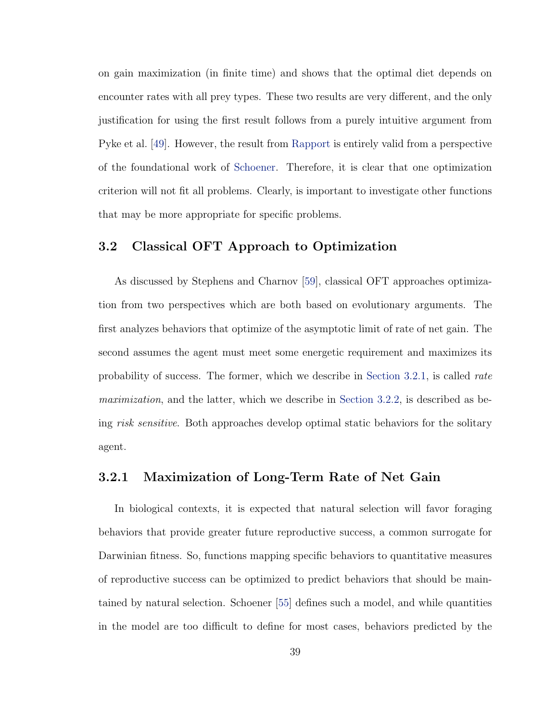on gain maximization (in finite time) and shows that the optimal diet depends on encounter rates with all prey types. These two results are very different, and the only justification for using the first result follows from a purely intuitive argument from Pyke et al. [\[49\]](#page-114-4). However, the result from [Rapport](#page-114-0) is entirely valid from a perspective of the foundational work of [Schoener.](#page-115-0) Therefore, it is clear that one optimization criterion will not fit all problems. Clearly, is important to investigate other functions that may be more appropriate for specific problems.

# <span id="page-50-0"></span>3.2 Classical OFT Approach to Optimization

As discussed by Stephens and Charnov [\[59\]](#page-115-2), classical OFT approaches optimization from two perspectives which are both based on evolutionary arguments. The first analyzes behaviors that optimize of the asymptotic limit of rate of net gain. The second assumes the agent must meet some energetic requirement and maximizes its probability of success. The former, which we describe in [Section 3.2.1,](#page-50-1) is called rate maximization, and the latter, which we describe in [Section 3.2.2,](#page-55-0) is described as being risk sensitive. Both approaches develop optimal static behaviors for the solitary agent.

### <span id="page-50-1"></span>3.2.1 Maximization of Long-Term Rate of Net Gain

In biological contexts, it is expected that natural selection will favor foraging behaviors that provide greater future reproductive success, a common surrogate for Darwinian fitness. So, functions mapping specific behaviors to quantitative measures of reproductive success can be optimized to predict behaviors that should be maintained by natural selection. Schoener [\[55\]](#page-115-0) defines such a model, and while quantities in the model are too difficult to define for most cases, behaviors predicted by the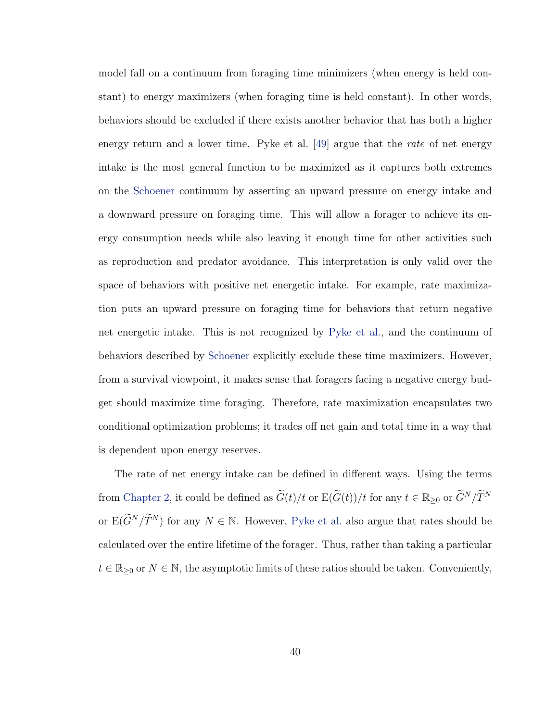model fall on a continuum from foraging time minimizers (when energy is held constant) to energy maximizers (when foraging time is held constant). In other words, behaviors should be excluded if there exists another behavior that has both a higher energy return and a lower time. Pyke et al. [\[49\]](#page-114-4) argue that the *rate* of net energy intake is the most general function to be maximized as it captures both extremes on the [Schoener](#page-115-0) continuum by asserting an upward pressure on energy intake and a downward pressure on foraging time. This will allow a forager to achieve its energy consumption needs while also leaving it enough time for other activities such as reproduction and predator avoidance. This interpretation is only valid over the space of behaviors with positive net energetic intake. For example, rate maximization puts an upward pressure on foraging time for behaviors that return negative net energetic intake. This is not recognized by [Pyke et al.,](#page-114-4) and the continuum of behaviors described by [Schoener](#page-115-0) explicitly exclude these time maximizers. However, from a survival viewpoint, it makes sense that foragers facing a negative energy budget should maximize time foraging. Therefore, rate maximization encapsulates two conditional optimization problems; it trades off net gain and total time in a way that is dependent upon energy reserves.

The rate of net energy intake can be defined in different ways. Using the terms from [Chapter 2,](#page-14-0) it could be defined as  $\widetilde{G}(t)/t$  or  $E(\widetilde{G}(t))/t$  for any  $t \in \mathbb{R}_{\geq 0}$  or  $\widetilde{G}^N/\widetilde{T}^N$ or  $E(\widetilde{G}^N/\widetilde{T}^N)$  for any  $N \in \mathbb{N}$ . However, [Pyke et al.](#page-114-4) also argue that rates should be calculated over the entire lifetime of the forager. Thus, rather than taking a particular  $t\in\mathbb{R}_{\geq 0}$  or  $N\in\mathbb{N},$  the asymptotic limits of these ratios should be taken. Conveniently,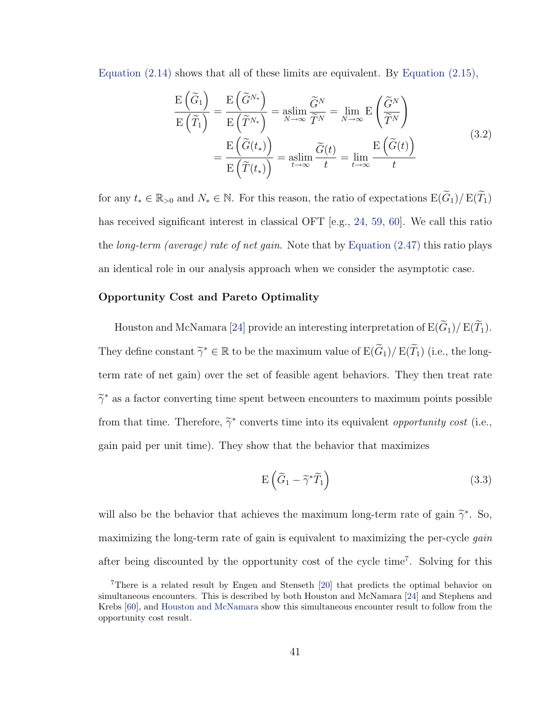[Equation \(2.14\)](#page-30-0) shows that all of these limits are equivalent. By [Equation \(2.15\),](#page-30-1)

$$
\frac{\mathrm{E}\left(\widetilde{G}_{1}\right)}{\mathrm{E}\left(\widetilde{T}_{1}\right)} = \frac{\mathrm{E}\left(\widetilde{G}^{N_{*}}\right)}{\mathrm{E}\left(\widetilde{T}^{N_{*}}\right)} = \underset{N \to \infty}{\mathrm{aslim}} \frac{\widetilde{G}^{N}}{\widetilde{T}^{N}} = \underset{N \to \infty}{\mathrm{lim}} \mathrm{E}\left(\frac{\widetilde{G}^{N}}{\widetilde{T}^{N}}\right)
$$
\n
$$
= \frac{\mathrm{E}\left(\widetilde{G}(t_{*})\right)}{\mathrm{E}\left(\widetilde{T}(t_{*})\right)} = \underset{t \to \infty}{\mathrm{aslim}} \frac{\widetilde{G}(t)}{t} = \underset{t \to \infty}{\mathrm{lim}} \frac{\mathrm{E}\left(\widetilde{G}(t)\right)}{t}
$$
\n(3.2)

for any  $t_* \in \mathbb{R}_{>0}$  and  $N_* \in \mathbb{N}$ . For this reason, the ratio of expectations  $E(\widetilde{G}_1)/E(\widetilde{T}_1)$ has received significant interest in classical OFT [e.g., [24,](#page-112-1) [59,](#page-115-2) [60\]](#page-115-3). We call this ratio the *long-term (average) rate of net gain*. Note that by Equation  $(2.47)$  this ratio plays an identical role in our analysis approach when we consider the asymptotic case.

#### Opportunity Cost and Pareto Optimality

Houston and McNamara [\[24\]](#page-112-1) provide an interesting interpretation of  $E(\widetilde{G}_1)/E(\widetilde{T}_1)$ . They define constant  $\tilde{\gamma}^* \in \mathbb{R}$  to be the maximum value of  $E(\tilde{G}_1)/E(\tilde{T}_1)$  (i.e., the longterm rate of net gain) over the set of feasible agent behaviors. They then treat rate  $\widetilde{\gamma}^*$  as a factor converting time spent between encounters to maximum points possible from that time. Therefore,  $\tilde{\gamma}^*$  converts time into its equivalent *opportunity cost* (i.e., gain paid per unit time). They show that the behavior that maximizes

$$
E\left(\widetilde{G}_1 - \widetilde{\gamma}^*\widetilde{T}_1\right) \tag{3.3}
$$

will also be the behavior that achieves the maximum long-term rate of gain  $\tilde{\gamma}^*$ . So, maximizing the long-term rate of gain is equivalent to maximizing the per-cycle gain after being discounted by the opportunity cost of the cycle time[7](#page-52-0) . Solving for this

<span id="page-52-0"></span><sup>7</sup>There is a related result by Engen and Stenseth [\[20\]](#page-112-4) that predicts the optimal behavior on simultaneous encounters. This is described by both Houston and McNamara [\[24\]](#page-112-1) and Stephens and Krebs [\[60\]](#page-115-3), and [Houston and McNamara](#page-112-1) show this simultaneous encounter result to follow from the opportunity cost result.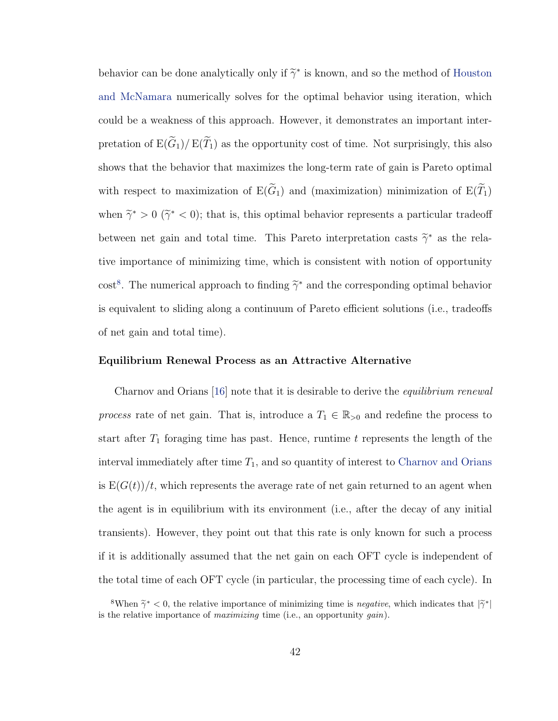behavior can be done analytically only if  $\widetilde{\gamma}^*$  is known, and so the method of [Houston](#page-112-1) [and McNamara](#page-112-1) numerically solves for the optimal behavior using iteration, which could be a weakness of this approach. However, it demonstrates an important interpretation of  $E(\widetilde{G}_1)/E(\widetilde{T}_1)$  as the opportunity cost of time. Not surprisingly, this also shows that the behavior that maximizes the long-term rate of gain is Pareto optimal with respect to maximization of  $E(\widetilde{G}_1)$  and (maximization) minimization of  $E(\widetilde{T}_1)$ when  $\tilde{\gamma}^* > 0$  ( $\tilde{\gamma}^* < 0$ ); that is, this optimal behavior represents a particular tradeoff between net gain and total time. This Pareto interpretation casts  $\tilde{\gamma}^*$  as the relative importance of minimizing time, which is consistent with notion of opportunity cost<sup>[8](#page-53-0)</sup>. The numerical approach to finding  $\tilde{\gamma}^*$  and the corresponding optimal behavior is equivalent to sliding along a continuum of Pareto efficient solutions (i.e., tradeoffs of net gain and total time).

#### Equilibrium Renewal Process as an Attractive Alternative

Charnov and Orians [\[16\]](#page-112-5) note that it is desirable to derive the *equilibrium renewal* process rate of net gain. That is, introduce a  $T_1 \in \mathbb{R}_{>0}$  and redefine the process to start after  $T_1$  foraging time has past. Hence, runtime t represents the length of the interval immediately after time  $T_1$ , and so quantity of interest to [Charnov and Orians](#page-112-5) is  $E(G(t))/t$ , which represents the average rate of net gain returned to an agent when the agent is in equilibrium with its environment (i.e., after the decay of any initial transients). However, they point out that this rate is only known for such a process if it is additionally assumed that the net gain on each OFT cycle is independent of the total time of each OFT cycle (in particular, the processing time of each cycle). In

<span id="page-53-0"></span><sup>&</sup>lt;sup>8</sup>When  $\tilde{\gamma}^* < 0$ , the relative importance of minimizing time is *negative*, which indicates that  $|\tilde{\gamma}^*|$ is the relative importance of *maximizing* time (i.e., an opportunity *gain*).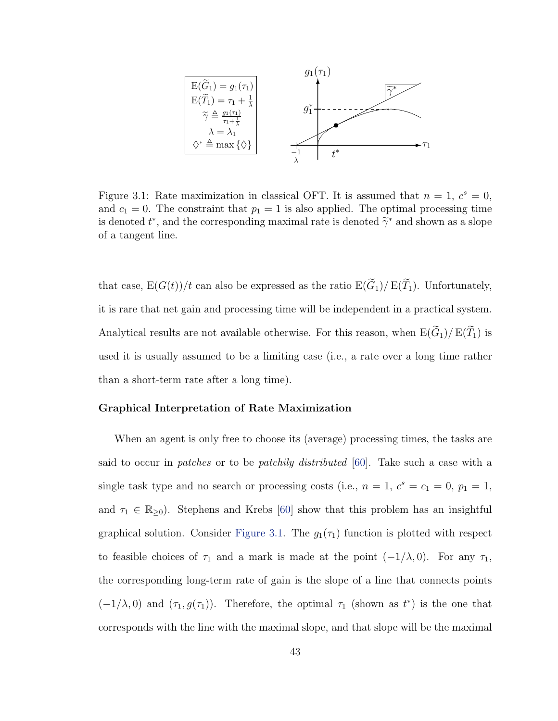

<span id="page-54-0"></span>Figure 3.1: Rate maximization in classical OFT. It is assumed that  $n = 1, c<sup>s</sup> = 0$ , and  $c_1 = 0$ . The constraint that  $p_1 = 1$  is also applied. The optimal processing time is denoted  $t^*$ , and the corresponding maximal rate is denoted  $\tilde{\gamma}^*$  and shown as a slope of a tangent line.

that case,  $E(G(t))/t$  can also be expressed as the ratio  $E(\widetilde{G}_1)/E(\widetilde{T}_1)$ . Unfortunately, it is rare that net gain and processing time will be independent in a practical system. Analytical results are not available otherwise. For this reason, when  $E(\widetilde{G}_1)/E(\widetilde{T}_1)$  is used it is usually assumed to be a limiting case (i.e., a rate over a long time rather than a short-term rate after a long time).

#### Graphical Interpretation of Rate Maximization

When an agent is only free to choose its (average) processing times, the tasks are said to occur in patches or to be patchily distributed [\[60\]](#page-115-3). Take such a case with a single task type and no search or processing costs (i.e.,  $n = 1, c<sup>s</sup> = c<sub>1</sub> = 0, p<sub>1</sub> = 1,$ and  $\tau_1 \in \mathbb{R}_{\geq 0}$ . Stephens and Krebs [\[60\]](#page-115-3) show that this problem has an insightful graphical solution. Consider [Figure 3.1.](#page-54-0) The  $g_1(\tau_1)$  function is plotted with respect to feasible choices of  $\tau_1$  and a mark is made at the point  $(-1/\lambda, 0)$ . For any  $\tau_1$ , the corresponding long-term rate of gain is the slope of a line that connects points  $(-1/\lambda, 0)$  and  $(\tau_1, g(\tau_1))$ . Therefore, the optimal  $\tau_1$  (shown as  $t^*$ ) is the one that corresponds with the line with the maximal slope, and that slope will be the maximal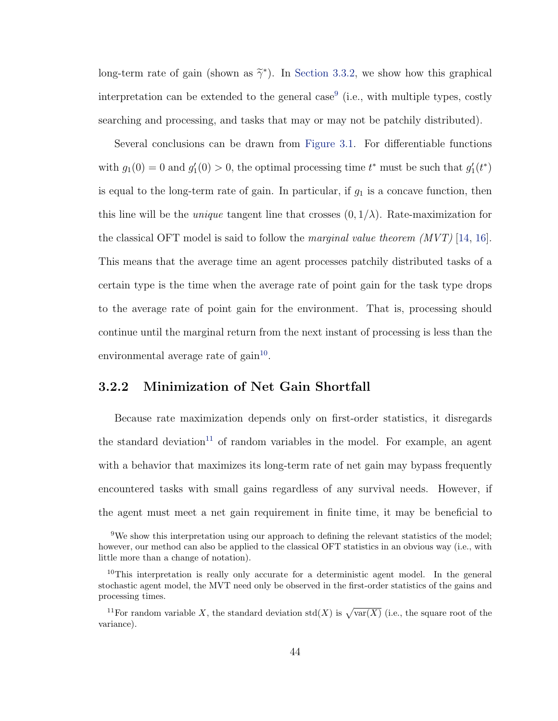long-term rate of gain (shown as  $\tilde{\gamma}^*$ ). In [Section 3.3.2,](#page-62-0) we show how this graphical interpretation can be extended to the general case<sup>[9](#page-55-1)</sup> (i.e., with multiple types, costly searching and processing, and tasks that may or may not be patchily distributed).

Several conclusions can be drawn from [Figure 3.1.](#page-54-0) For differentiable functions with  $g_1(0) = 0$  and  $g'_1(0) > 0$ , the optimal processing time  $t^*$  must be such that  $g'_1(t^*)$ is equal to the long-term rate of gain. In particular, if  $g_1$  is a concave function, then this line will be the *unique* tangent line that crosses  $(0, 1/\lambda)$ . Rate-maximization for the classical OFT model is said to follow the *marginal value theorem*  $(MVT)$  [\[14,](#page-112-6) [16\]](#page-112-5). This means that the average time an agent processes patchily distributed tasks of a certain type is the time when the average rate of point gain for the task type drops to the average rate of point gain for the environment. That is, processing should continue until the marginal return from the next instant of processing is less than the environmental average rate of  $gain^{10}$  $gain^{10}$  $gain^{10}$ .

# <span id="page-55-0"></span>3.2.2 Minimization of Net Gain Shortfall

Because rate maximization depends only on first-order statistics, it disregards the standard deviation<sup>[11](#page-55-3)</sup> of random variables in the model. For example, an agent with a behavior that maximizes its long-term rate of net gain may bypass frequently encountered tasks with small gains regardless of any survival needs. However, if the agent must meet a net gain requirement in finite time, it may be beneficial to

<span id="page-55-1"></span><sup>9</sup>We show this interpretation using our approach to defining the relevant statistics of the model; however, our method can also be applied to the classical OFT statistics in an obvious way (i.e., with little more than a change of notation).

<span id="page-55-2"></span> $10$ This interpretation is really only accurate for a deterministic agent model. In the general stochastic agent model, the MVT need only be observed in the first-order statistics of the gains and processing times.

<span id="page-55-3"></span><sup>&</sup>lt;sup>11</sup>For random variable X, the standard deviation std(X) is  $\sqrt{\text{var}(X)}$  (i.e., the square root of the variance).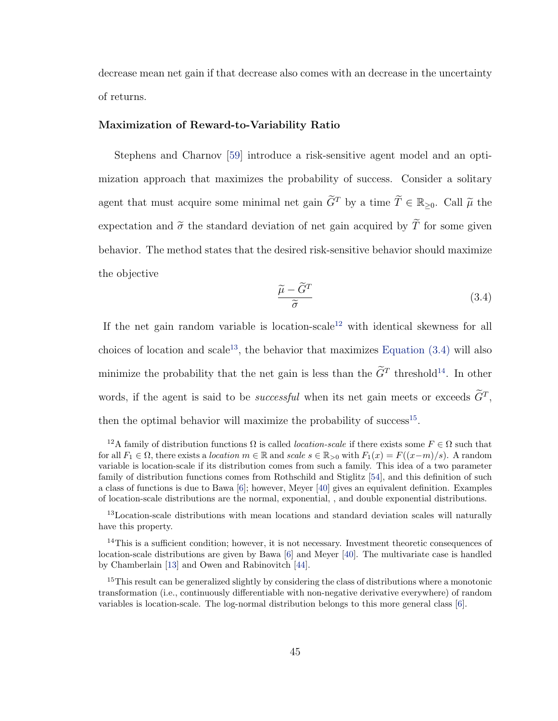decrease mean net gain if that decrease also comes with an decrease in the uncertainty of returns.

### Maximization of Reward-to-Variability Ratio

Stephens and Charnov [\[59\]](#page-115-2) introduce a risk-sensitive agent model and an optimization approach that maximizes the probability of success. Consider a solitary agent that must acquire some minimal net gain  $\tilde{G}^T$  by a time  $\tilde{T} \in \mathbb{R}_{\geq 0}$ . Call  $\tilde{\mu}$  the expectation and  $\tilde{\sigma}$  the standard deviation of net gain acquired by  $\tilde{T}$  for some given behavior. The method states that the desired risk-sensitive behavior should maximize the objective

<span id="page-56-2"></span>
$$
\frac{\widetilde{\mu} - \widetilde{G}^T}{\widetilde{\sigma}} \tag{3.4}
$$

If the net gain random variable is location-scale<sup>[12](#page-56-0)</sup> with identical skewness for all choices of location and scale<sup>[13](#page-56-1)</sup>, the behavior that maximizes Equation  $(3.4)$  will also minimize the probability that the net gain is less than the  $\tilde{G}^T$  threshold<sup>[14](#page-56-3)</sup>. In other words, if the agent is said to be *successful* when its net gain meets or exceeds  $\tilde{G}^T$ , then the optimal behavior will maximize the probability of success<sup>[15](#page-56-4)</sup>.

<span id="page-56-0"></span><sup>&</sup>lt;sup>12</sup>A family of distribution functions  $\Omega$  is called *location-scale* if there exists some  $F \in \Omega$  such that for all  $F_1 \in \Omega$ , there exists a location  $m \in \mathbb{R}$  and scale  $s \in \mathbb{R}_{>0}$  with  $F_1(x) = F((x-m)/s)$ . A random variable is location-scale if its distribution comes from such a family. This idea of a two parameter family of distribution functions comes from Rothschild and Stiglitz [\[54\]](#page-115-4), and this definition of such a class of functions is due to Bawa [\[6\]](#page-111-1); however, Meyer [\[40\]](#page-114-5) gives an equivalent definition. Examples of location-scale distributions are the normal, exponential, , and double exponential distributions.

<span id="page-56-1"></span><sup>&</sup>lt;sup>13</sup>Location-scale distributions with mean locations and standard deviation scales will naturally have this property.

<span id="page-56-3"></span><sup>&</sup>lt;sup>14</sup>This is a sufficient condition; however, it is not necessary. Investment theoretic consequences of location-scale distributions are given by Bawa [\[6\]](#page-111-1) and Meyer [\[40\]](#page-114-5). The multivariate case is handled by Chamberlain [\[13\]](#page-112-7) and Owen and Rabinovitch [\[44\]](#page-114-6).

<span id="page-56-4"></span><sup>&</sup>lt;sup>15</sup>This result can be generalized slightly by considering the class of distributions where a monotonic transformation (i.e., continuously differentiable with non-negative derivative everywhere) of random variables is location-scale. The log-normal distribution belongs to this more general class [\[6\]](#page-111-1).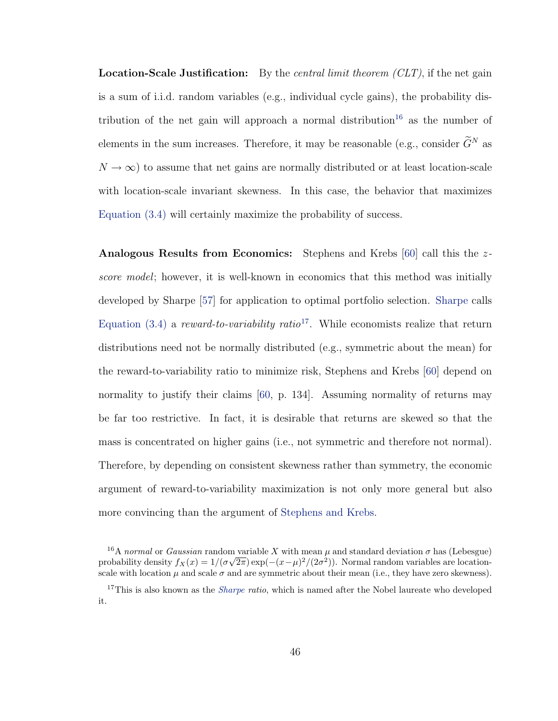**Location-Scale Justification:** By the *central limit theorem (CLT)*, if the net gain is a sum of i.i.d. random variables (e.g., individual cycle gains), the probability dis-tribution of the net gain will approach a normal distribution<sup>[16](#page-57-0)</sup> as the number of elements in the sum increases. Therefore, it may be reasonable (e.g., consider  $\widetilde{G}^N$  as  $N \to \infty$ ) to assume that net gains are normally distributed or at least location-scale with location-scale invariant skewness. In this case, the behavior that maximizes [Equation \(3.4\)](#page-56-2) will certainly maximize the probability of success.

Analogous Results from Economics: Stephens and Krebs [\[60\]](#page-115-3) call this the zscore model; however, it is well-known in economics that this method was initially developed by Sharpe [\[57\]](#page-115-5) for application to optimal portfolio selection. [Sharpe](#page-115-5) calls Equation  $(3.4)$  a reward-to-variability ratio<sup>[17](#page-57-1)</sup>. While economists realize that return distributions need not be normally distributed (e.g., symmetric about the mean) for the reward-to-variability ratio to minimize risk, Stephens and Krebs [\[60\]](#page-115-3) depend on normality to justify their claims [\[60,](#page-115-3) p. 134]. Assuming normality of returns may be far too restrictive. In fact, it is desirable that returns are skewed so that the mass is concentrated on higher gains (i.e., not symmetric and therefore not normal). Therefore, by depending on consistent skewness rather than symmetry, the economic argument of reward-to-variability maximization is not only more general but also more convincing than the argument of [Stephens and Krebs.](#page-115-3)

<span id="page-57-0"></span><sup>&</sup>lt;sup>16</sup>A normal or Gaussian random variable X with mean  $\mu$  and standard deviation  $\sigma$  has (Lebesgue) probability density  $f_X(x) = 1/(\sigma\sqrt{2\pi}) \exp(-(x-\mu)^2/(2\sigma^2))$ . Normal random variables are locationscale with location  $\mu$  and scale  $\sigma$  and are symmetric about their mean (i.e., they have zero skewness).

<span id="page-57-1"></span><sup>&</sup>lt;sup>17</sup>This is also known as the *[Sharpe](#page-115-5) ratio*, which is named after the Nobel laureate who developed it.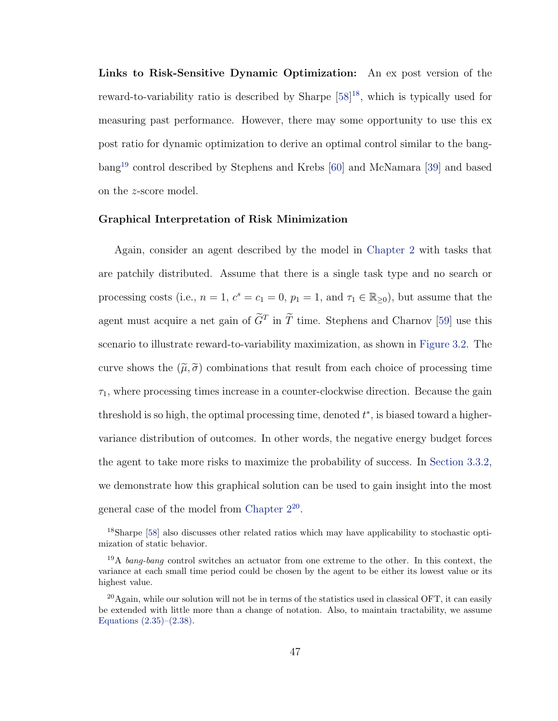Links to Risk-Sensitive Dynamic Optimization: An ex post version of the reward-to-variability ratio is described by Sharpe [\[58\]](#page-115-6)<sup>[18](#page-58-0)</sup>, which is typically used for measuring past performance. However, there may some opportunity to use this ex post ratio for dynamic optimization to derive an optimal control similar to the bangbang[19](#page-58-1) control described by Stephens and Krebs [\[60\]](#page-115-3) and McNamara [\[39\]](#page-114-7) and based on the z-score model.

#### Graphical Interpretation of Risk Minimization

Again, consider an agent described by the model in [Chapter 2](#page-14-0) with tasks that are patchily distributed. Assume that there is a single task type and no search or processing costs (i.e.,  $n = 1$ ,  $c^s = c_1 = 0$ ,  $p_1 = 1$ , and  $\tau_1 \in \mathbb{R}_{\geq 0}$ ), but assume that the agent must acquire a net gain of  $\tilde{G}^T$  in  $\tilde{T}$  time. Stephens and Charnov [\[59\]](#page-115-2) use this scenario to illustrate reward-to-variability maximization, as shown in [Figure 3.2.](#page-59-0) The curve shows the  $(\tilde{\mu}, \tilde{\sigma})$  combinations that result from each choice of processing time  $\tau_1$ , where processing times increase in a counter-clockwise direction. Because the gain threshold is so high, the optimal processing time, denoted  $t^*$ , is biased toward a highervariance distribution of outcomes. In other words, the negative energy budget forces the agent to take more risks to maximize the probability of success. In [Section 3.3.2,](#page-62-0) we demonstrate how this graphical solution can be used to gain insight into the most general case of the model from Chapter  $2^{20}$  $2^{20}$  $2^{20}$ .

<span id="page-58-0"></span><sup>18</sup>Sharpe [\[58\]](#page-115-6) also discusses other related ratios which may have applicability to stochastic optimization of static behavior.

<span id="page-58-1"></span><sup>&</sup>lt;sup>19</sup>A *bang-bang* control switches an actuator from one extreme to the other. In this context, the variance at each small time period could be chosen by the agent to be either its lowest value or its highest value.

<span id="page-58-2"></span> $^{20}$ Again, while our solution will not be in terms of the statistics used in classical OFT, it can easily be extended with little more than a change of notation. Also, to maintain tractability, we assume Equations  $(2.35)$ – $(2.38)$ .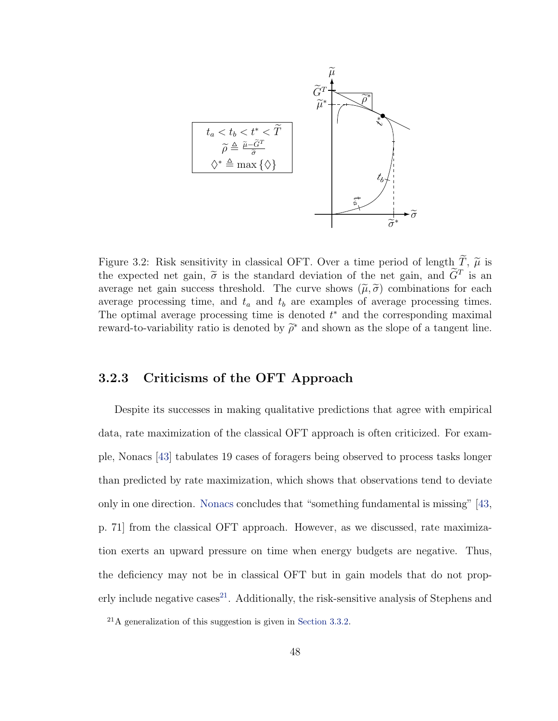

<span id="page-59-0"></span>Figure 3.2: Risk sensitivity in classical OFT. Over a time period of length  $\widetilde{T}$ ,  $\widetilde{\mu}$  is the expected net gain,  $\tilde{\sigma}$  is the standard deviation of the net gain, and  $\tilde{G}^T$  is an average net gain success threshold. The curve shows  $(\tilde{u}, \tilde{\sigma})$  combinations for each average net gain success threshold. The curve shows  $(\tilde{\mu}, \tilde{\sigma})$  combinations for each average processing time, and  $t_a$  and  $t_b$  are examples of average processing times. The optimal average processing time is denoted  $t^*$  and the corresponding maximal reward-to-variability ratio is denoted by  $\widetilde{\rho}^*$  and shown as the slope of a tangent line.

### 3.2.3 Criticisms of the OFT Approach

Despite its successes in making qualitative predictions that agree with empirical data, rate maximization of the classical OFT approach is often criticized. For example, Nonacs [\[43\]](#page-114-8) tabulates 19 cases of foragers being observed to process tasks longer than predicted by rate maximization, which shows that observations tend to deviate only in one direction. [Nonacs](#page-114-8) concludes that "something fundamental is missing" [\[43,](#page-114-8) p. 71] from the classical OFT approach. However, as we discussed, rate maximization exerts an upward pressure on time when energy budgets are negative. Thus, the deficiency may not be in classical OFT but in gain models that do not prop-erly include negative cases<sup>[21](#page-59-1)</sup>. Additionally, the risk-sensitive analysis of Stephens and

<span id="page-59-1"></span><sup>21</sup>A generalization of this suggestion is given in [Section 3.3.2.](#page-62-0)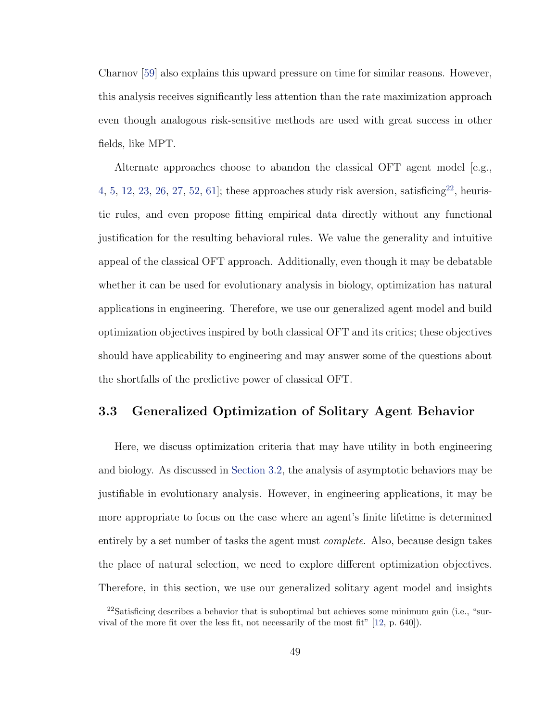Charnov [\[59\]](#page-115-2) also explains this upward pressure on time for similar reasons. However, this analysis receives significantly less attention than the rate maximization approach even though analogous risk-sensitive methods are used with great success in other fields, like MPT.

Alternate approaches choose to abandon the classical OFT agent model [e.g., [4,](#page-111-2) [5,](#page-111-3) [12,](#page-112-8) [23,](#page-112-9) [26,](#page-113-3) [27,](#page-113-4) [52,](#page-115-7) 61; these approaches study risk aversion, satisficing  $2^2$ , heuristic rules, and even propose fitting empirical data directly without any functional justification for the resulting behavioral rules. We value the generality and intuitive appeal of the classical OFT approach. Additionally, even though it may be debatable whether it can be used for evolutionary analysis in biology, optimization has natural applications in engineering. Therefore, we use our generalized agent model and build optimization objectives inspired by both classical OFT and its critics; these objectives should have applicability to engineering and may answer some of the questions about the shortfalls of the predictive power of classical OFT.

# <span id="page-60-0"></span>3.3 Generalized Optimization of Solitary Agent Behavior

Here, we discuss optimization criteria that may have utility in both engineering and biology. As discussed in [Section 3.2,](#page-50-0) the analysis of asymptotic behaviors may be justifiable in evolutionary analysis. However, in engineering applications, it may be more appropriate to focus on the case where an agent's finite lifetime is determined entirely by a set number of tasks the agent must complete. Also, because design takes the place of natural selection, we need to explore different optimization objectives. Therefore, in this section, we use our generalized solitary agent model and insights

<span id="page-60-1"></span><sup>&</sup>lt;sup>22</sup>Satisficing describes a behavior that is suboptimal but achieves some minimum gain (i.e., "survival of the more fit over the less fit, not necessarily of the most fit" [\[12,](#page-112-8) p. 640]).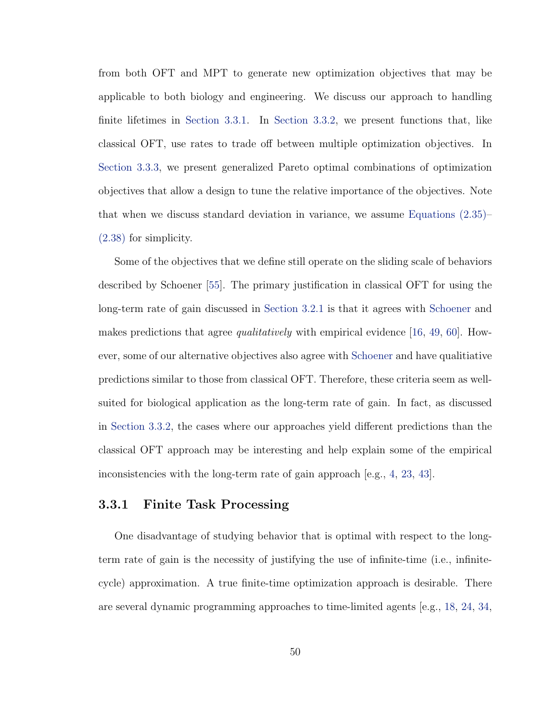from both OFT and MPT to generate new optimization objectives that may be applicable to both biology and engineering. We discuss our approach to handling finite lifetimes in [Section 3.3.1.](#page-61-0) In [Section 3.3.2,](#page-62-0) we present functions that, like classical OFT, use rates to trade off between multiple optimization objectives. In [Section 3.3.3,](#page-74-0) we present generalized Pareto optimal combinations of optimization objectives that allow a design to tune the relative importance of the objectives. Note that when we discuss standard deviation in variance, we assume [Equations \(2.35\)–](#page-39-0) [\(2.38\)](#page-39-1) for simplicity.

Some of the objectives that we define still operate on the sliding scale of behaviors described by Schoener [\[55\]](#page-115-0). The primary justification in classical OFT for using the long-term rate of gain discussed in [Section 3.2.1](#page-50-1) is that it agrees with [Schoener](#page-115-0) and makes predictions that agree *qualitatively* with empirical evidence [\[16,](#page-112-5) [49,](#page-114-4) [60\]](#page-115-3). However, some of our alternative objectives also agree with [Schoener](#page-115-0) and have qualitiative predictions similar to those from classical OFT. Therefore, these criteria seem as wellsuited for biological application as the long-term rate of gain. In fact, as discussed in [Section 3.3.2,](#page-62-0) the cases where our approaches yield different predictions than the classical OFT approach may be interesting and help explain some of the empirical inconsistencies with the long-term rate of gain approach [e.g., [4,](#page-111-2) [23,](#page-112-9) [43\]](#page-114-8).

#### <span id="page-61-0"></span>3.3.1 Finite Task Processing

One disadvantage of studying behavior that is optimal with respect to the longterm rate of gain is the necessity of justifying the use of infinite-time (i.e., infinitecycle) approximation. A true finite-time optimization approach is desirable. There are several dynamic programming approaches to time-limited agents [e.g., [18,](#page-112-10) [24,](#page-112-1) [34,](#page-113-5)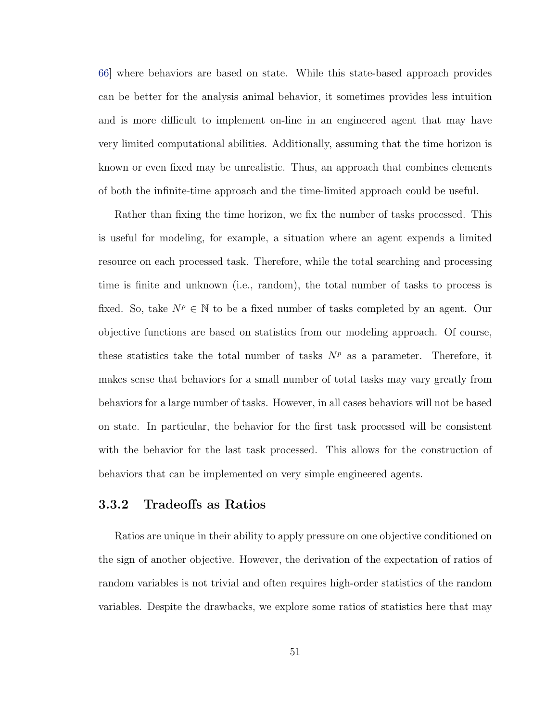[66\]](#page-116-0) where behaviors are based on state. While this state-based approach provides can be better for the analysis animal behavior, it sometimes provides less intuition and is more difficult to implement on-line in an engineered agent that may have very limited computational abilities. Additionally, assuming that the time horizon is known or even fixed may be unrealistic. Thus, an approach that combines elements of both the infinite-time approach and the time-limited approach could be useful.

Rather than fixing the time horizon, we fix the number of tasks processed. This is useful for modeling, for example, a situation where an agent expends a limited resource on each processed task. Therefore, while the total searching and processing time is finite and unknown (i.e., random), the total number of tasks to process is fixed. So, take  $N^p \in \mathbb{N}$  to be a fixed number of tasks completed by an agent. Our objective functions are based on statistics from our modeling approach. Of course, these statistics take the total number of tasks  $N<sup>p</sup>$  as a parameter. Therefore, it makes sense that behaviors for a small number of total tasks may vary greatly from behaviors for a large number of tasks. However, in all cases behaviors will not be based on state. In particular, the behavior for the first task processed will be consistent with the behavior for the last task processed. This allows for the construction of behaviors that can be implemented on very simple engineered agents.

### <span id="page-62-0"></span>3.3.2 Tradeoffs as Ratios

Ratios are unique in their ability to apply pressure on one objective conditioned on the sign of another objective. However, the derivation of the expectation of ratios of random variables is not trivial and often requires high-order statistics of the random variables. Despite the drawbacks, we explore some ratios of statistics here that may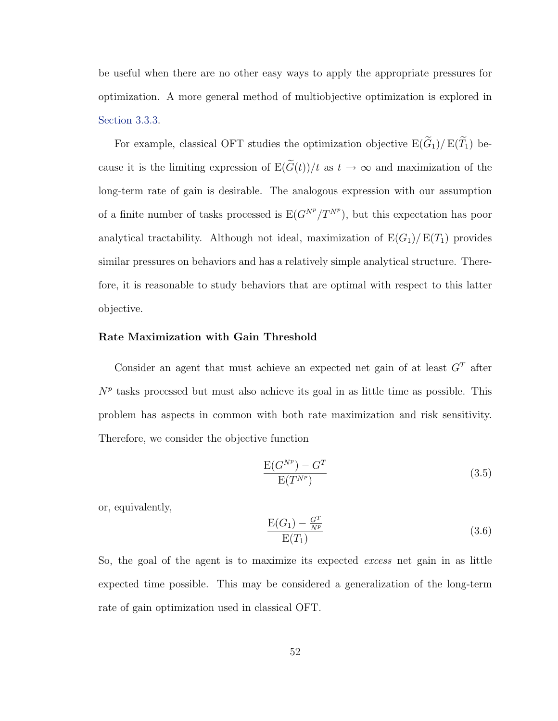be useful when there are no other easy ways to apply the appropriate pressures for optimization. A more general method of multiobjective optimization is explored in [Section 3.3.3.](#page-74-0)

For example, classical OFT studies the optimization objective  $E(\widetilde{G}_1)/E(\widetilde{T}_1)$  because it is the limiting expression of  $E(\widetilde{G}(t))/t$  as  $t \to \infty$  and maximization of the long-term rate of gain is desirable. The analogous expression with our assumption of a finite number of tasks processed is  $E(G^{N^p}/T^{N^p})$ , but this expectation has poor analytical tractability. Although not ideal, maximization of  $E(G_1)/E(T_1)$  provides similar pressures on behaviors and has a relatively simple analytical structure. Therefore, it is reasonable to study behaviors that are optimal with respect to this latter objective.

#### Rate Maximization with Gain Threshold

Consider an agent that must achieve an expected net gain of at least  $G<sup>T</sup>$  after  $N<sup>p</sup>$  tasks processed but must also achieve its goal in as little time as possible. This problem has aspects in common with both rate maximization and risk sensitivity. Therefore, we consider the objective function

$$
\frac{\mathcal{E}(G^{N^p}) - G^T}{\mathcal{E}(T^{N^p})}
$$
\n
$$
(3.5)
$$

or, equivalently,

$$
\frac{\mathcal{E}(G_1) - \frac{G^T}{N^p}}{\mathcal{E}(T_1)}\tag{3.6}
$$

So, the goal of the agent is to maximize its expected excess net gain in as little expected time possible. This may be considered a generalization of the long-term rate of gain optimization used in classical OFT.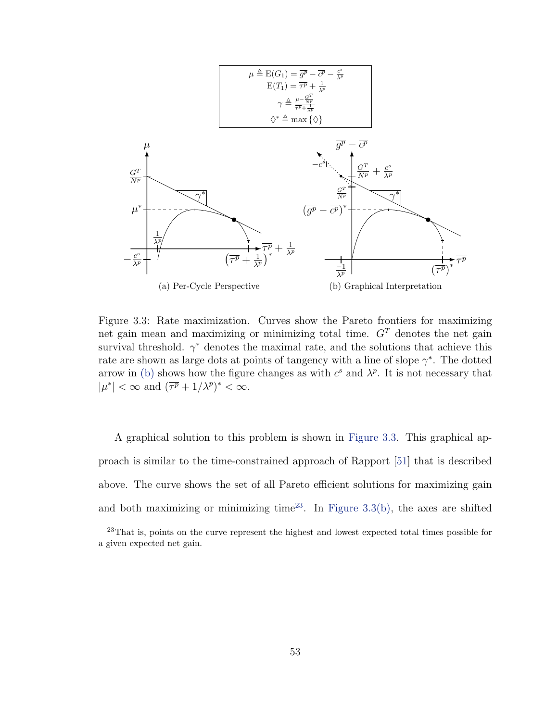

<span id="page-64-1"></span><span id="page-64-0"></span>Figure 3.3: Rate maximization. Curves show the Pareto frontiers for maximizing net gain mean and maximizing or minimizing total time.  $G<sup>T</sup>$  denotes the net gain survival threshold.  $\gamma^*$  denotes the maximal rate, and the solutions that achieve this rate are shown as large dots at points of tangency with a line of slope  $\gamma^*$ . The dotted arrow in [\(b\)](#page-64-0) shows how the figure changes as with  $c^s$  and  $\lambda^p$ . It is not necessary that  $|\mu^*| < \infty$  and  $(\overline{\tau^p} + 1/\lambda^p)^* < \infty$ .

A graphical solution to this problem is shown in [Figure 3.3.](#page-64-1) This graphical approach is similar to the time-constrained approach of Rapport [\[51\]](#page-114-0) that is described above. The curve shows the set of all Pareto efficient solutions for maximizing gain and both maximizing or minimizing time<sup>[23](#page-64-2)</sup>. In [Figure 3.3\(b\),](#page-64-0) the axes are shifted

<span id="page-64-2"></span><sup>23</sup>That is, points on the curve represent the highest and lowest expected total times possible for a given expected net gain.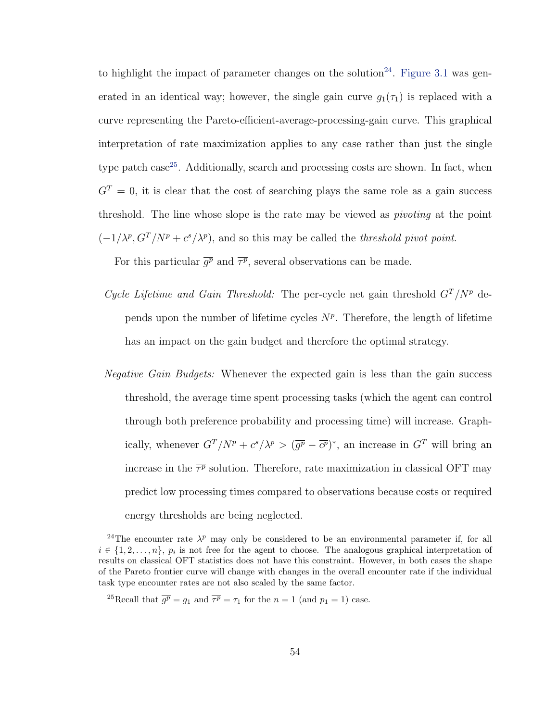to highlight the impact of parameter changes on the solution<sup>[24](#page-65-0)</sup>. [Figure 3.1](#page-54-0) was generated in an identical way; however, the single gain curve  $g_1(\tau_1)$  is replaced with a curve representing the Pareto-efficient-average-processing-gain curve. This graphical interpretation of rate maximization applies to any case rather than just the single type patch case<sup>[25](#page-65-1)</sup>. Additionally, search and processing costs are shown. In fact, when  $G<sup>T</sup> = 0$ , it is clear that the cost of searching plays the same role as a gain success threshold. The line whose slope is the rate may be viewed as pivoting at the point  $(-1/\lambda^p, G^T/N^p + c^s/\lambda^p)$ , and so this may be called the *threshold pivot point*.

For this particular  $\overline{g^p}$  and  $\overline{\tau^p}$ , several observations can be made.

- Cycle Lifetime and Gain Threshold: The per-cycle net gain threshold  $G<sup>T</sup>/N<sup>p</sup>$  depends upon the number of lifetime cycles  $N^p$ . Therefore, the length of lifetime has an impact on the gain budget and therefore the optimal strategy.
- Negative Gain Budgets: Whenever the expected gain is less than the gain success threshold, the average time spent processing tasks (which the agent can control through both preference probability and processing time) will increase. Graphically, whenever  $G^T/N^p + c^s/\lambda^p > (\overline{g^p} - \overline{c^p})^*$ , an increase in  $G^T$  will bring an increase in the  $\overline{\tau^p}$  solution. Therefore, rate maximization in classical OFT may predict low processing times compared to observations because costs or required energy thresholds are being neglected.

<span id="page-65-0"></span><sup>&</sup>lt;sup>24</sup>The encounter rate  $\lambda^p$  may only be considered to be an environmental parameter if, for all  $i \in \{1, 2, \ldots, n\}, p_i$  is not free for the agent to choose. The analogous graphical interpretation of results on classical OFT statistics does not have this constraint. However, in both cases the shape of the Pareto frontier curve will change with changes in the overall encounter rate if the individual task type encounter rates are not also scaled by the same factor.

<span id="page-65-1"></span><sup>&</sup>lt;sup>25</sup>Recall that  $\overline{g^p} = g_1$  and  $\overline{\tau^p} = \tau_1$  for the  $n = 1$  (and  $p_1 = 1$ ) case.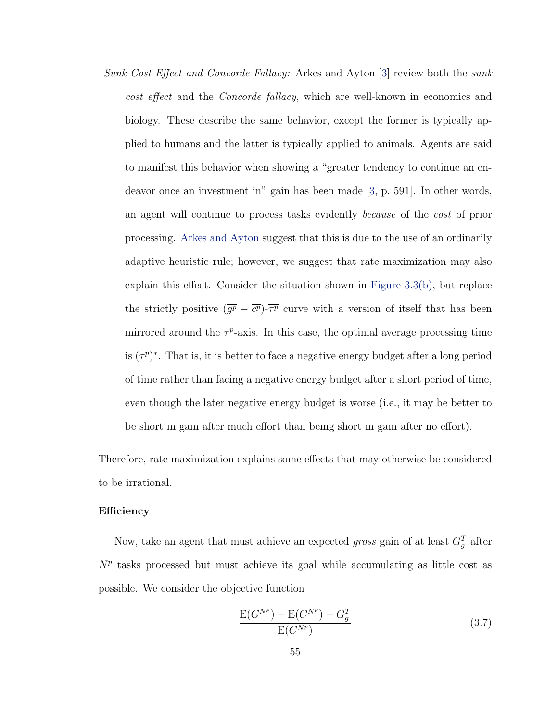Sunk Cost Effect and Concorde Fallacy: Arkes and Ayton [\[3\]](#page-111-4) review both the sunk cost effect and the Concorde fallacy, which are well-known in economics and biology. These describe the same behavior, except the former is typically applied to humans and the latter is typically applied to animals. Agents are said to manifest this behavior when showing a "greater tendency to continue an endeavor once an investment in" gain has been made [\[3,](#page-111-4) p. 591]. In other words, an agent will continue to process tasks evidently because of the cost of prior processing. [Arkes and Ayton](#page-111-4) suggest that this is due to the use of an ordinarily adaptive heuristic rule; however, we suggest that rate maximization may also explain this effect. Consider the situation shown in [Figure 3.3\(b\),](#page-64-0) but replace the strictly positive  $(\overline{g^p} - \overline{c^p})$ - $\overline{\tau^p}$  curve with a version of itself that has been mirrored around the  $\tau^p$ -axis. In this case, the optimal average processing time is  $(\tau^p)^*$ . That is, it is better to face a negative energy budget after a long period of time rather than facing a negative energy budget after a short period of time, even though the later negative energy budget is worse (i.e., it may be better to be short in gain after much effort than being short in gain after no effort).

Therefore, rate maximization explains some effects that may otherwise be considered to be irrational.

#### **Efficiency**

Now, take an agent that must achieve an expected *gross* gain of at least  $G_g^T$  after  $N<sup>p</sup>$  tasks processed but must achieve its goal while accumulating as little cost as possible. We consider the objective function

$$
\frac{E(G^{N^p}) + E(C^{N^p}) - G_g^T}{E(C^{N^p})}
$$
\n(3.7)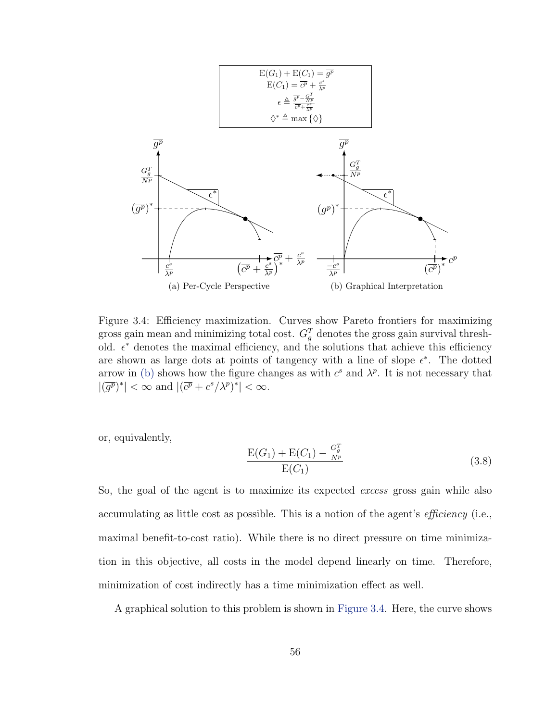

<span id="page-67-1"></span>Figure 3.4: Efficiency maximization. Curves show Pareto frontiers for maximizing gross gain mean and minimizing total cost.  $G_g^T$  denotes the gross gain survival threshold.  $\epsilon^*$  denotes the maximal efficiency, and the solutions that achieve this efficiency are shown as large dots at points of tangency with a line of slope  $\epsilon^*$ . The dotted arrow in [\(b\)](#page-67-0) shows how the figure changes as with  $c^s$  and  $\lambda^p$ . It is not necessary that  $|(\overline{g^p})^*| < \infty$  and  $|(\overline{c^p} + c^s/\lambda^p)^*| < \infty$ .

or, equivalently,

<span id="page-67-0"></span>
$$
\frac{E(G_1) + E(C_1) - \frac{G_g^T}{N^p}}{E(C_1)}
$$
\n(3.8)

So, the goal of the agent is to maximize its expected excess gross gain while also accumulating as little cost as possible. This is a notion of the agent's efficiency (i.e., maximal benefit-to-cost ratio). While there is no direct pressure on time minimization in this objective, all costs in the model depend linearly on time. Therefore, minimization of cost indirectly has a time minimization effect as well.

A graphical solution to this problem is shown in [Figure 3.4.](#page-67-1) Here, the curve shows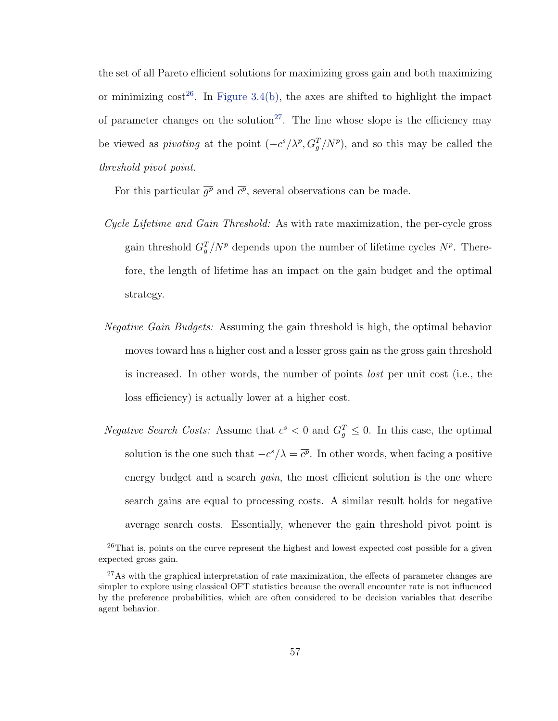the set of all Pareto efficient solutions for maximizing gross gain and both maximizing or minimizing  $cost^{26}$  $cost^{26}$  $cost^{26}$ . In [Figure 3.4\(b\),](#page-67-0) the axes are shifted to highlight the impact of parameter changes on the solution<sup>[27](#page-68-1)</sup>. The line whose slope is the efficiency may be viewed as *pivoting* at the point  $(-c^{s}/\lambda^{p}, G_{g}^{T}/N^{p})$ , and so this may be called the threshold pivot point.

For this particular  $\overline{g^p}$  and  $\overline{c^p}$ , several observations can be made.

- Cycle Lifetime and Gain Threshold: As with rate maximization, the per-cycle gross gain threshold  $G_g^T/N^p$  depends upon the number of lifetime cycles  $N^p$ . Therefore, the length of lifetime has an impact on the gain budget and the optimal strategy.
- Negative Gain Budgets: Assuming the gain threshold is high, the optimal behavior moves toward has a higher cost and a lesser gross gain as the gross gain threshold is increased. In other words, the number of points lost per unit cost (i.e., the loss efficiency) is actually lower at a higher cost.
- *Negative Search Costs:* Assume that  $c^s < 0$  and  $G_g^T \leq 0$ . In this case, the optimal solution is the one such that  $-c^{s}/\lambda = \overline{c^{p}}$ . In other words, when facing a positive energy budget and a search *gain*, the most efficient solution is the one where search gains are equal to processing costs. A similar result holds for negative average search costs. Essentially, whenever the gain threshold pivot point is

<span id="page-68-0"></span><sup>&</sup>lt;sup>26</sup>That is, points on the curve represent the highest and lowest expected cost possible for a given expected gross gain.

<span id="page-68-1"></span> $27\text{As}$  with the graphical interpretation of rate maximization, the effects of parameter changes are simpler to explore using classical OFT statistics because the overall encounter rate is not influenced by the preference probabilities, which are often considered to be decision variables that describe agent behavior.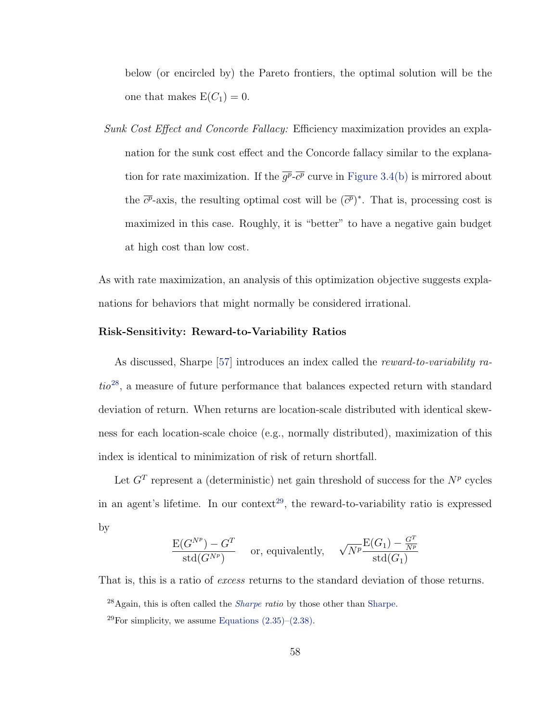below (or encircled by) the Pareto frontiers, the optimal solution will be the one that makes  $E(C_1) = 0$ .

Sunk Cost Effect and Concorde Fallacy: Efficiency maximization provides an explanation for the sunk cost effect and the Concorde fallacy similar to the explanation for rate maximization. If the  $\overline{g^p}\text{-}\overline{c^p}$  curve in [Figure 3.4\(b\)](#page-67-0) is mirrored about the  $\overline{c^p}$ -axis, the resulting optimal cost will be  $(\overline{c^p})^*$ . That is, processing cost is maximized in this case. Roughly, it is "better" to have a negative gain budget at high cost than low cost.

As with rate maximization, an analysis of this optimization objective suggests explanations for behaviors that might normally be considered irrational.

#### Risk-Sensitivity: Reward-to-Variability Ratios

As discussed, Sharpe [\[57\]](#page-115-5) introduces an index called the reward-to-variability ra- $tio^{28}$  $tio^{28}$  $tio^{28}$ , a measure of future performance that balances expected return with standard deviation of return. When returns are location-scale distributed with identical skewness for each location-scale choice (e.g., normally distributed), maximization of this index is identical to minimization of risk of return shortfall.

Let  $G<sup>T</sup>$  represent a (deterministic) net gain threshold of success for the  $N<sup>p</sup>$  cycles in an agent's lifetime. In our context<sup>[29](#page-69-1)</sup>, the reward-to-variability ratio is expressed by

$$
\frac{\mathrm{E}(G^{N^p}) - G^T}{\mathrm{std}(G^{N^p})} \quad \text{ or, equivalently,} \quad \sqrt{N^p} \frac{\mathrm{E}(G_1) - \frac{G^T}{N^p}}{\mathrm{std}(G_1)}
$$

That is, this is a ratio of *excess* returns to the standard deviation of those returns.

<span id="page-69-0"></span> $^{28}$ Again, this is often called the *[Sharpe](#page-115-5) ratio* by those other than [Sharpe.](#page-115-5)

<span id="page-69-1"></span><sup>&</sup>lt;sup>29</sup>For simplicity, we assume Equations  $(2.35)$ – $(2.38)$ .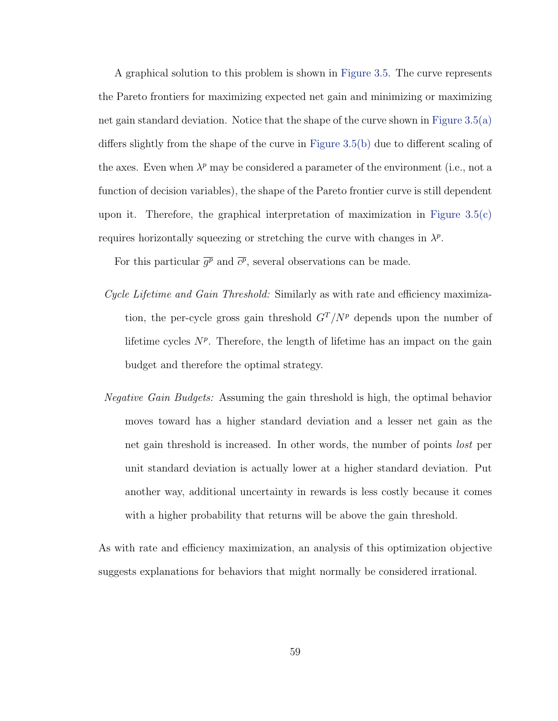A graphical solution to this problem is shown in [Figure 3.5.](#page-71-0) The curve represents the Pareto frontiers for maximizing expected net gain and minimizing or maximizing net gain standard deviation. Notice that the shape of the curve shown in [Figure 3.5\(a\)](#page-71-1) differs slightly from the shape of the curve in [Figure 3.5\(b\)](#page-71-2) due to different scaling of the axes. Even when  $\lambda^p$  may be considered a parameter of the environment (i.e., not a function of decision variables), the shape of the Pareto frontier curve is still dependent upon it. Therefore, the graphical interpretation of maximization in Figure  $3.5(c)$ requires horizontally squeezing or stretching the curve with changes in  $\lambda^p$ .

For this particular  $\overline{g^p}$  and  $\overline{c^p}$ , several observations can be made.

- Cycle Lifetime and Gain Threshold: Similarly as with rate and efficiency maximization, the per-cycle gross gain threshold  $G<sup>T</sup>/N<sup>p</sup>$  depends upon the number of lifetime cycles  $N^p$ . Therefore, the length of lifetime has an impact on the gain budget and therefore the optimal strategy.
- Negative Gain Budgets: Assuming the gain threshold is high, the optimal behavior moves toward has a higher standard deviation and a lesser net gain as the net gain threshold is increased. In other words, the number of points lost per unit standard deviation is actually lower at a higher standard deviation. Put another way, additional uncertainty in rewards is less costly because it comes with a higher probability that returns will be above the gain threshold.

As with rate and efficiency maximization, an analysis of this optimization objective suggests explanations for behaviors that might normally be considered irrational.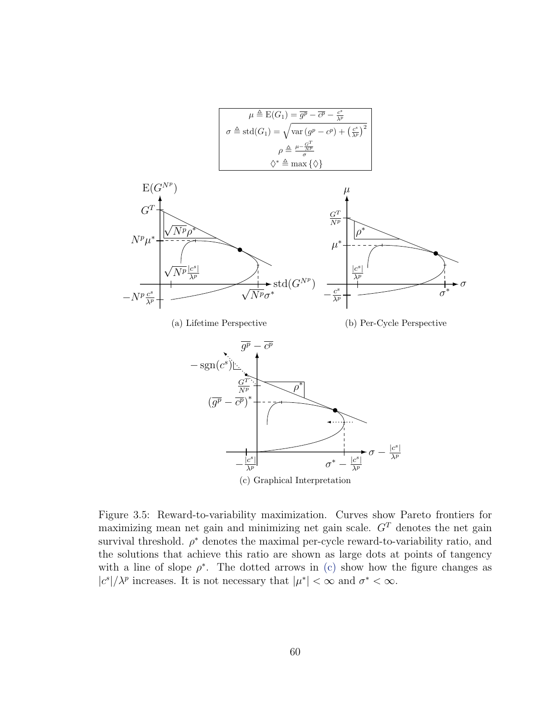<span id="page-71-1"></span>

<span id="page-71-2"></span>(c) Graphical Interpretation

<span id="page-71-3"></span><span id="page-71-0"></span>Figure 3.5: Reward-to-variability maximization. Curves show Pareto frontiers for maximizing mean net gain and minimizing net gain scale.  $G<sup>T</sup>$  denotes the net gain survival threshold.  $\rho^*$  denotes the maximal per-cycle reward-to-variability ratio, and the solutions that achieve this ratio are shown as large dots at points of tangency with a line of slope  $\rho^*$ . The dotted arrows in [\(c\)](#page-71-3) show how the figure changes as  $|c^{s}|/\lambda^{p}$  increases. It is not necessary that  $|\mu^{*}| < \infty$  and  $\sigma^{*} < \infty$ .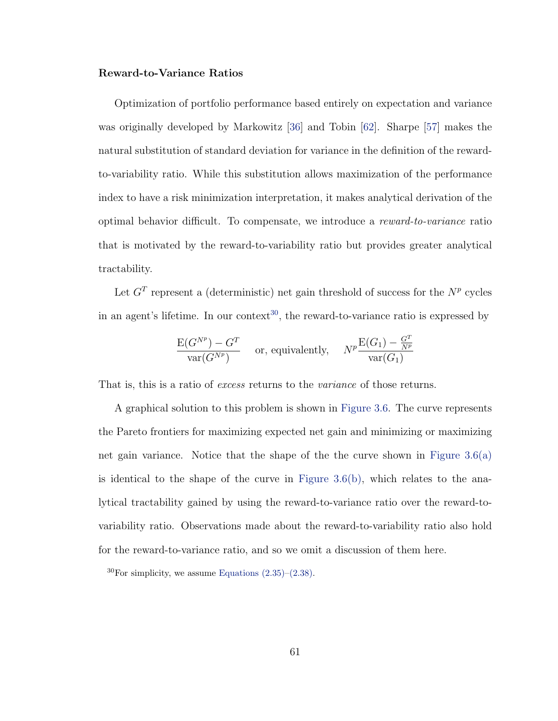#### Reward-to-Variance Ratios

Optimization of portfolio performance based entirely on expectation and variance was originally developed by Markowitz [\[36\]](#page-113-0) and Tobin [\[62\]](#page-115-0). Sharpe [\[57\]](#page-115-1) makes the natural substitution of standard deviation for variance in the definition of the rewardto-variability ratio. While this substitution allows maximization of the performance index to have a risk minimization interpretation, it makes analytical derivation of the optimal behavior difficult. To compensate, we introduce a reward-to-variance ratio that is motivated by the reward-to-variability ratio but provides greater analytical tractability.

Let  $G<sup>T</sup>$  represent a (deterministic) net gain threshold of success for the  $N<sup>p</sup>$  cycles in an agent's lifetime. In our context<sup>[30](#page-72-0)</sup>, the reward-to-variance ratio is expressed by

$$
\frac{\mathcal{E}(G^{N^p}) - G^T}{\text{var}(G^{N^p})}
$$
 or, equivalently, 
$$
N^p \frac{\mathcal{E}(G_1) - \frac{G^T}{N^p}}{\text{var}(G_1)}
$$

That is, this is a ratio of *excess* returns to the *variance* of those returns.

A graphical solution to this problem is shown in [Figure 3.6.](#page-73-0) The curve represents the Pareto frontiers for maximizing expected net gain and minimizing or maximizing net gain variance. Notice that the shape of the the curve shown in Figure  $3.6(a)$ is identical to the shape of the curve in Figure  $3.6(b)$ , which relates to the analytical tractability gained by using the reward-to-variance ratio over the reward-tovariability ratio. Observations made about the reward-to-variability ratio also hold for the reward-to-variance ratio, and so we omit a discussion of them here.

<span id="page-72-0"></span> ${}^{30}$ For simplicity, we assume Equations  $(2.35)$ – $(2.38)$ .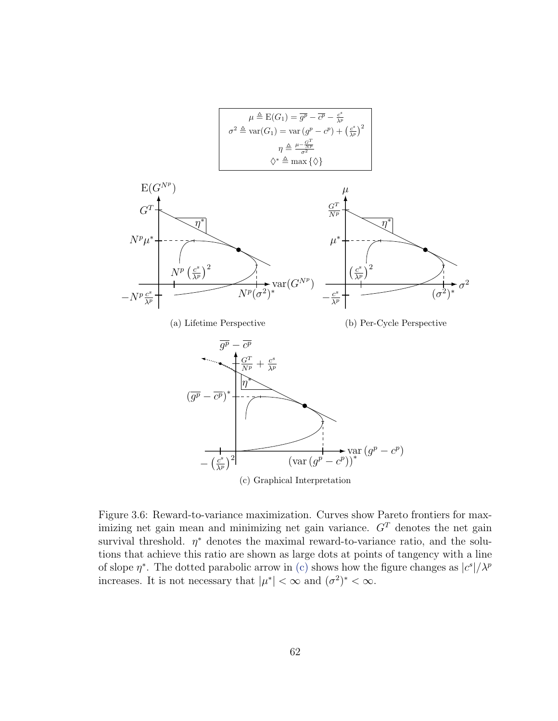<span id="page-73-2"></span><span id="page-73-1"></span>

<span id="page-73-3"></span><span id="page-73-0"></span>Figure 3.6: Reward-to-variance maximization. Curves show Pareto frontiers for maximizing net gain mean and minimizing net gain variance.  $G<sup>T</sup>$  denotes the net gain survival threshold.  $\eta^*$  denotes the maximal reward-to-variance ratio, and the solutions that achieve this ratio are shown as large dots at points of tangency with a line of slope  $\eta^*$ . The dotted parabolic arrow in [\(c\)](#page-73-3) shows how the figure changes as  $|c^s|/\lambda^p$ 

increases. It is not necessary that  $|\mu^*| < \infty$  and  $(\sigma^2)^* < \infty$ .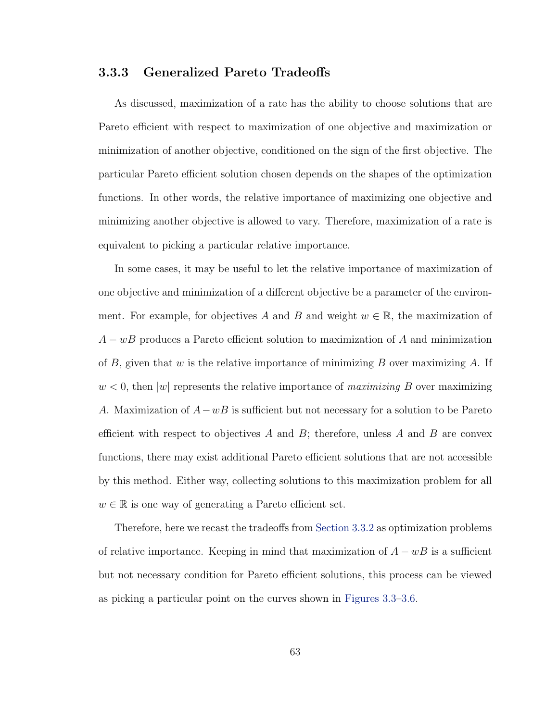## <span id="page-74-0"></span>3.3.3 Generalized Pareto Tradeoffs

As discussed, maximization of a rate has the ability to choose solutions that are Pareto efficient with respect to maximization of one objective and maximization or minimization of another objective, conditioned on the sign of the first objective. The particular Pareto efficient solution chosen depends on the shapes of the optimization functions. In other words, the relative importance of maximizing one objective and minimizing another objective is allowed to vary. Therefore, maximization of a rate is equivalent to picking a particular relative importance.

In some cases, it may be useful to let the relative importance of maximization of one objective and minimization of a different objective be a parameter of the environment. For example, for objectives A and B and weight  $w \in \mathbb{R}$ , the maximization of  $A - wB$  produces a Pareto efficient solution to maximization of A and minimization of  $B$ , given that w is the relative importance of minimizing  $B$  over maximizing  $A$ . If  $w < 0$ , then |w| represents the relative importance of maximizing B over maximizing A. Maximization of  $A-wB$  is sufficient but not necessary for a solution to be Pareto efficient with respect to objectives A and B; therefore, unless A and B are convex functions, there may exist additional Pareto efficient solutions that are not accessible by this method. Either way, collecting solutions to this maximization problem for all  $w \in \mathbb{R}$  is one way of generating a Pareto efficient set.

Therefore, here we recast the tradeoffs from [Section 3.3.2](#page-62-0) as optimization problems of relative importance. Keeping in mind that maximization of  $A - wB$  is a sufficient but not necessary condition for Pareto efficient solutions, this process can be viewed as picking a particular point on the curves shown in [Figures 3.3–](#page-64-0)[3.6.](#page-73-0)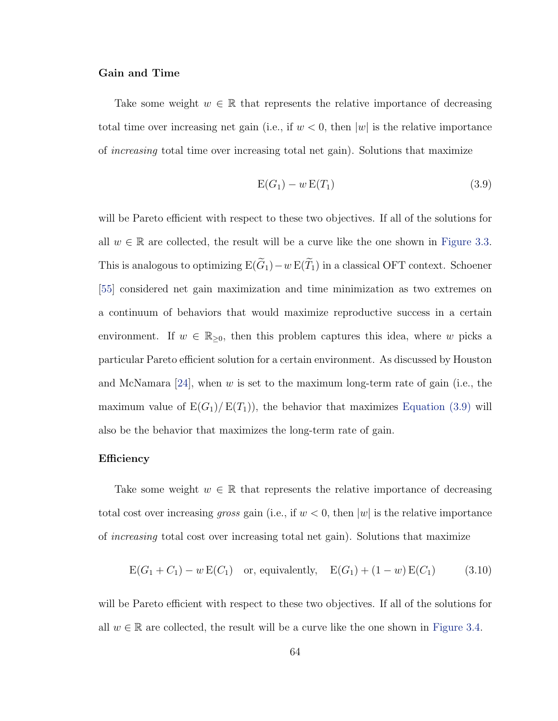#### Gain and Time

Take some weight  $w \in \mathbb{R}$  that represents the relative importance of decreasing total time over increasing net gain (i.e., if  $w < 0$ , then  $|w|$  is the relative importance of increasing total time over increasing total net gain). Solutions that maximize

<span id="page-75-0"></span>
$$
E(G_1) - w E(T_1) \tag{3.9}
$$

will be Pareto efficient with respect to these two objectives. If all of the solutions for all  $w \in \mathbb{R}$  are collected, the result will be a curve like the one shown in [Figure 3.3.](#page-64-0) This is analogous to optimizing  $E(\widetilde{G}_1)-w E(\widetilde{T}_1)$  in a classical OFT context. Schoener [\[55\]](#page-115-2) considered net gain maximization and time minimization as two extremes on a continuum of behaviors that would maximize reproductive success in a certain environment. If  $w \in \mathbb{R}_{\geq 0}$ , then this problem captures this idea, where w picks a particular Pareto efficient solution for a certain environment. As discussed by Houston and McNamara  $[24]$ , when w is set to the maximum long-term rate of gain (i.e., the maximum value of  $E(G_1)/E(T_1)$ , the behavior that maximizes [Equation \(3.9\)](#page-75-0) will also be the behavior that maximizes the long-term rate of gain.

#### Efficiency

Take some weight  $w \in \mathbb{R}$  that represents the relative importance of decreasing total cost over increasing gross gain (i.e., if  $w < 0$ , then  $|w|$  is the relative importance of increasing total cost over increasing total net gain). Solutions that maximize

$$
E(G_1 + C_1) - w E(C_1)
$$
 or, equivalently,  $E(G_1) + (1 - w) E(C_1)$  (3.10)

will be Pareto efficient with respect to these two objectives. If all of the solutions for all  $w \in \mathbb{R}$  are collected, the result will be a curve like the one shown in [Figure 3.4.](#page-67-0)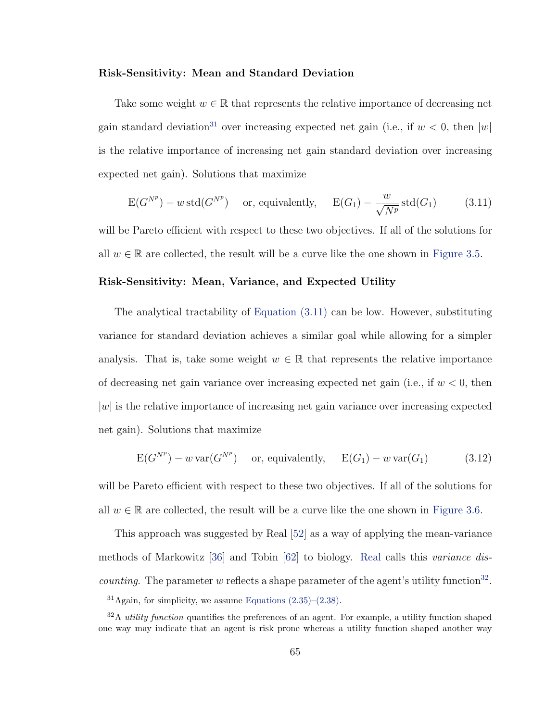#### Risk-Sensitivity: Mean and Standard Deviation

Take some weight  $w \in \mathbb{R}$  that represents the relative importance of decreasing net gain standard deviation<sup>[31](#page-76-0)</sup> over increasing expected net gain (i.e., if  $w < 0$ , then |w| is the relative importance of increasing net gain standard deviation over increasing expected net gain). Solutions that maximize

<span id="page-76-1"></span>
$$
E(G^{N^p}) - w \operatorname{std}(G^{N^p}) \quad \text{or, equivalently,} \quad E(G_1) - \frac{w}{\sqrt{N^p}} \operatorname{std}(G_1) \tag{3.11}
$$

will be Pareto efficient with respect to these two objectives. If all of the solutions for all  $w \in \mathbb{R}$  are collected, the result will be a curve like the one shown in [Figure 3.5.](#page-71-0)

#### Risk-Sensitivity: Mean, Variance, and Expected Utility

The analytical tractability of [Equation \(3.11\)](#page-76-1) can be low. However, substituting variance for standard deviation achieves a similar goal while allowing for a simpler analysis. That is, take some weight  $w \in \mathbb{R}$  that represents the relative importance of decreasing net gain variance over increasing expected net gain (i.e., if  $w < 0$ , then  $|w|$  is the relative importance of increasing net gain variance over increasing expected net gain). Solutions that maximize

<span id="page-76-3"></span>
$$
E(G^{N^p}) - w \operatorname{var}(G^{N^p}) \quad \text{or, equivalently,} \quad E(G_1) - w \operatorname{var}(G_1) \tag{3.12}
$$

will be Pareto efficient with respect to these two objectives. If all of the solutions for all  $w \in \mathbb{R}$  are collected, the result will be a curve like the one shown in [Figure 3.6.](#page-73-0)

This approach was suggested by Real [\[52\]](#page-115-3) as a way of applying the mean-variance methods of Markowitz [\[36\]](#page-113-0) and Tobin [\[62\]](#page-115-0) to biology. [Real](#page-115-3) calls this variance dis*counting*. The parameter w reflects a shape parameter of the agent's utility function<sup>[32](#page-76-2)</sup>.

<span id="page-76-2"></span><span id="page-76-0"></span> $31$ Again, for simplicity, we assume Equations  $(2.35)$ – $(2.38)$ .

 $32A$  utility function quantifies the preferences of an agent. For example, a utility function shaped one way may indicate that an agent is risk prone whereas a utility function shaped another way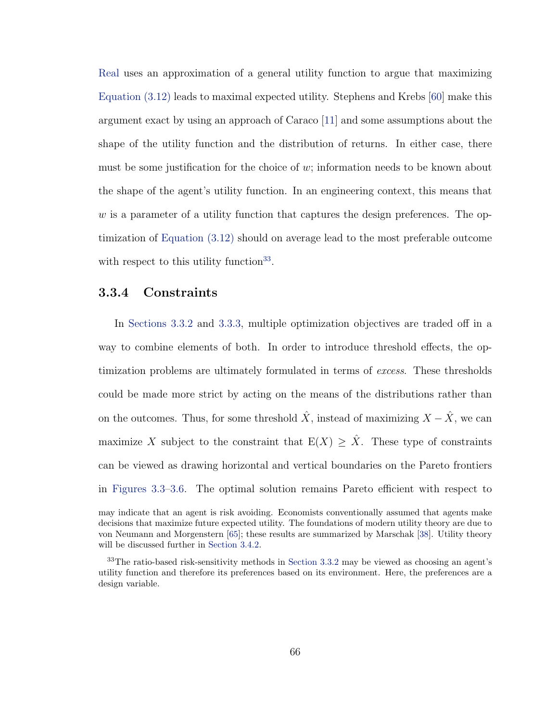[Real](#page-115-3) uses an approximation of a general utility function to argue that maximizing [Equation \(3.12\)](#page-76-3) leads to maximal expected utility. Stephens and Krebs [\[60\]](#page-115-4) make this argument exact by using an approach of Caraco [\[11\]](#page-112-1) and some assumptions about the shape of the utility function and the distribution of returns. In either case, there must be some justification for the choice of  $w$ ; information needs to be known about the shape of the agent's utility function. In an engineering context, this means that  $w$  is a parameter of a utility function that captures the design preferences. The optimization of [Equation \(3.12\)](#page-76-3) should on average lead to the most preferable outcome with respect to this utility function<sup>[33](#page-77-0)</sup>.

## 3.3.4 Constraints

In [Sections 3.3.2](#page-62-0) and [3.3.3,](#page-74-0) multiple optimization objectives are traded off in a way to combine elements of both. In order to introduce threshold effects, the optimization problems are ultimately formulated in terms of excess. These thresholds could be made more strict by acting on the means of the distributions rather than on the outcomes. Thus, for some threshold  $\hat{X}$ , instead of maximizing  $X - \hat{X}$ , we can maximize X subject to the constraint that  $E(X) \geq \hat{X}$ . These type of constraints can be viewed as drawing horizontal and vertical boundaries on the Pareto frontiers in [Figures 3.3](#page-64-0)[–3.6.](#page-73-0) The optimal solution remains Pareto efficient with respect to

may indicate that an agent is risk avoiding. Economists conventionally assumed that agents make decisions that maximize future expected utility. The foundations of modern utility theory are due to von Neumann and Morgenstern [\[65\]](#page-115-5); these results are summarized by Marschak [\[38\]](#page-114-0). Utility theory will be discussed further in [Section 3.4.2.](#page-83-0)

<span id="page-77-0"></span><sup>33</sup>The ratio-based risk-sensitivity methods in [Section 3.3.2](#page-62-0) may be viewed as choosing an agent's utility function and therefore its preferences based on its environment. Here, the preferences are a design variable.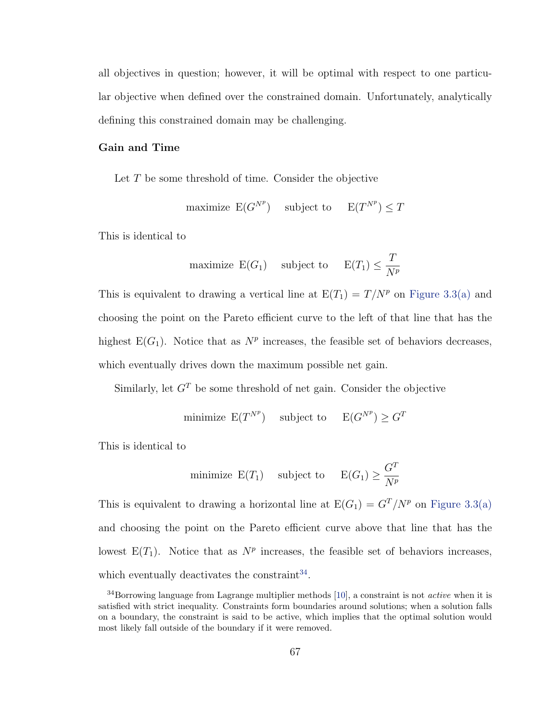all objectives in question; however, it will be optimal with respect to one particular objective when defined over the constrained domain. Unfortunately, analytically defining this constrained domain may be challenging.

### Gain and Time

Let T be some threshold of time. Consider the objective

maximize  $E(G^{N^p})$  subject to  $E(T^{N^p}) \leq T$ 

This is identical to

maximize 
$$
E(G_1)
$$
 subject to  $E(T_1) \leq \frac{T}{N^p}$ 

This is equivalent to drawing a vertical line at  $E(T_1) = T/N^p$  on [Figure 3.3\(a\)](#page-64-1) and choosing the point on the Pareto efficient curve to the left of that line that has the highest  $E(G_1)$ . Notice that as  $N^p$  increases, the feasible set of behaviors decreases, which eventually drives down the maximum possible net gain.

Similarly, let  $G<sup>T</sup>$  be some threshold of net gain. Consider the objective

minimize 
$$
E(T^{N^p})
$$
 subject to  $E(G^{N^p}) \geq G^T$ 

This is identical to

minimize 
$$
E(T_1)
$$
 subject to  $E(G_1) \ge \frac{G^T}{N^p}$ 

This is equivalent to drawing a horizontal line at  $E(G_1) = G^T/N^p$  on [Figure 3.3\(a\)](#page-64-1) and choosing the point on the Pareto efficient curve above that line that has the lowest  $E(T_1)$ . Notice that as  $N^p$  increases, the feasible set of behaviors increases, which eventually deactivates the constraint  $34$ .

<span id="page-78-0"></span><sup>&</sup>lt;sup>34</sup>Borrowing language from Lagrange multiplier methods [\[10\]](#page-111-0), a constraint is not *active* when it is satisfied with strict inequality. Constraints form boundaries around solutions; when a solution falls on a boundary, the constraint is said to be active, which implies that the optimal solution would most likely fall outside of the boundary if it were removed.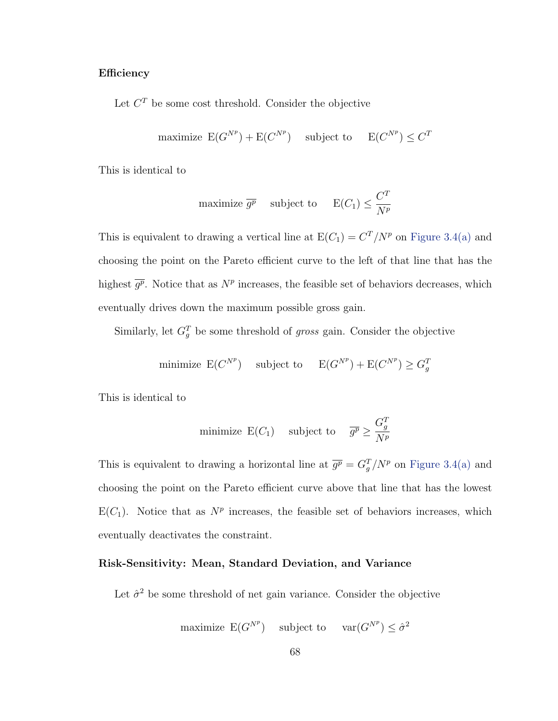#### **Efficiency**

Let  $C<sup>T</sup>$  be some cost threshold. Consider the objective

maximize 
$$
E(G^{N^p}) + E(C^{N^p})
$$
 subject to  $E(C^{N^p}) \le C^T$ 

This is identical to

maximize 
$$
\overline{g^p}
$$
 subject to  $E(C_1) \leq \frac{C^T}{N^p}$ 

This is equivalent to drawing a vertical line at  $E(C_1) = C^T/N^p$  on [Figure 3.4\(a\)](#page-67-1) and choosing the point on the Pareto efficient curve to the left of that line that has the highest  $\overline{g^p}$ . Notice that as  $N^p$  increases, the feasible set of behaviors decreases, which eventually drives down the maximum possible gross gain.

Similarly, let  $G_g^T$  be some threshold of gross gain. Consider the objective

minimize 
$$
E(C^{N^p})
$$
 subject to  $E(G^{N^p}) + E(C^{N^p}) \ge G_g^T$ 

This is identical to

minimize 
$$
E(C_1)
$$
 subject to  $\overline{g^p} \ge \frac{G_g^T}{N^p}$ 

This is equivalent to drawing a horizontal line at  $\overline{g^p} = G_g^T/N^p$  on [Figure 3.4\(a\)](#page-67-1) and choosing the point on the Pareto efficient curve above that line that has the lowest  $E(C_1)$ . Notice that as  $N^p$  increases, the feasible set of behaviors increases, which eventually deactivates the constraint.

#### Risk-Sensitivity: Mean, Standard Deviation, and Variance

Let  $\hat{\sigma}^2$  be some threshold of net gain variance. Consider the objective

maximize  $E(G^{N^p})$  subject to  $var(G^{N^p}) \leq \hat{\sigma}^2$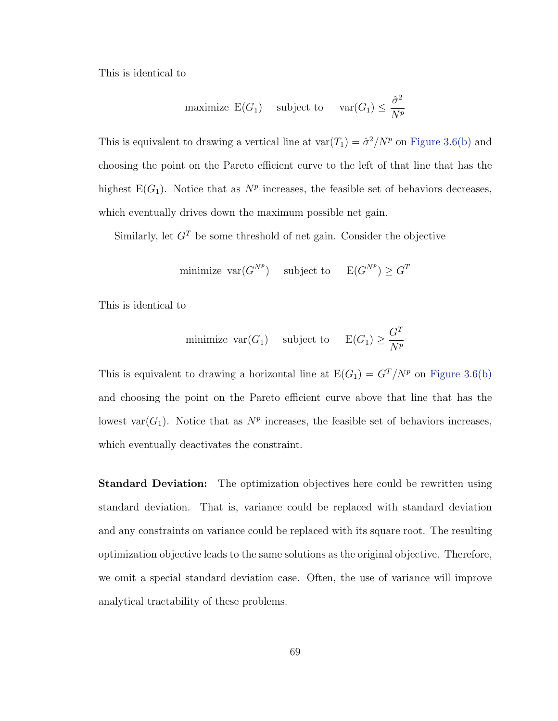This is identical to

maximize 
$$
E(G_1)
$$
 subject to  $var(G_1) \le \frac{\hat{\sigma}^2}{N^p}$ 

This is equivalent to drawing a vertical line at  $\text{var}(T_1) = \frac{\partial^2}{N^p}$  on [Figure 3.6\(b\)](#page-73-2) and choosing the point on the Pareto efficient curve to the left of that line that has the highest  $E(G_1)$ . Notice that as  $N^p$  increases, the feasible set of behaviors decreases, which eventually drives down the maximum possible net gain.

Similarly, let  $G<sup>T</sup>$  be some threshold of net gain. Consider the objective

minimize  $\text{var}(G^{N^p})$  subject to  $E(G^{N^p}) \geq G^T$ 

This is identical to

minimize 
$$
\text{var}(G_1)
$$
 subject to  $E(G_1) \ge \frac{G^T}{N^p}$ 

This is equivalent to drawing a horizontal line at  $E(G_1) = G^T/N^p$  on [Figure 3.6\(b\)](#page-73-2) and choosing the point on the Pareto efficient curve above that line that has the lowest var $(G_1)$ . Notice that as  $N^p$  increases, the feasible set of behaviors increases, which eventually deactivates the constraint.

**Standard Deviation:** The optimization objectives here could be rewritten using standard deviation. That is, variance could be replaced with standard deviation and any constraints on variance could be replaced with its square root. The resulting optimization objective leads to the same solutions as the original objective. Therefore, we omit a special standard deviation case. Often, the use of variance will improve analytical tractability of these problems.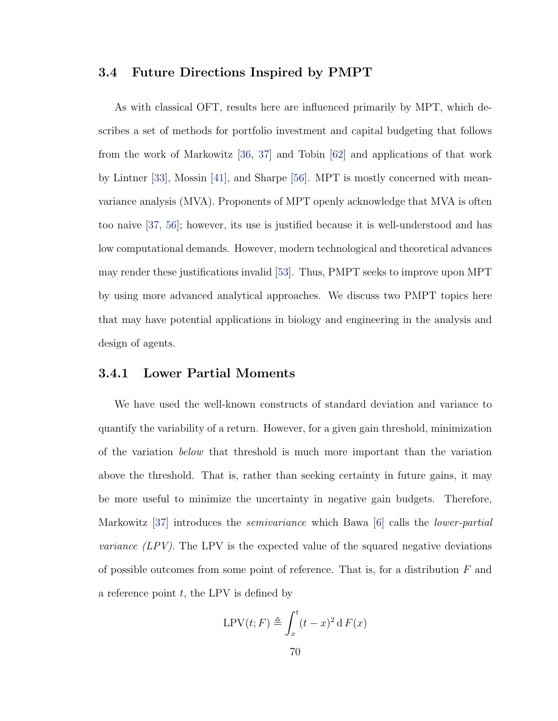### 3.4 Future Directions Inspired by PMPT

As with classical OFT, results here are influenced primarily by MPT, which describes a set of methods for portfolio investment and capital budgeting that follows from the work of Markowitz [\[36,](#page-113-0) [37\]](#page-113-1) and Tobin [\[62\]](#page-115-0) and applications of that work by Lintner [\[33\]](#page-113-2), Mossin [\[41\]](#page-114-1), and Sharpe [\[56\]](#page-115-6). MPT is mostly concerned with meanvariance analysis (MVA). Proponents of MPT openly acknowledge that MVA is often too naive [\[37,](#page-113-1) [56\]](#page-115-6); however, its use is justified because it is well-understood and has low computational demands. However, modern technological and theoretical advances may render these justifications invalid [\[53\]](#page-115-7). Thus, PMPT seeks to improve upon MPT by using more advanced analytical approaches. We discuss two PMPT topics here that may have potential applications in biology and engineering in the analysis and design of agents.

### 3.4.1 Lower Partial Moments

We have used the well-known constructs of standard deviation and variance to quantify the variability of a return. However, for a given gain threshold, minimization of the variation below that threshold is much more important than the variation above the threshold. That is, rather than seeking certainty in future gains, it may be more useful to minimize the uncertainty in negative gain budgets. Therefore, Markowitz [\[37\]](#page-113-1) introduces the *semivariance* which Bawa [\[6\]](#page-111-1) calls the *lower-partial variance*  $(LPV)$ *.* The LPV is the expected value of the squared negative deviations of possible outcomes from some point of reference. That is, for a distribution  $F$  and a reference point  $t$ , the LPV is defined by

$$
\text{LPV}(t; F) \triangleq \int_x^t (t - x)^2 \, \text{d} \, F(x)
$$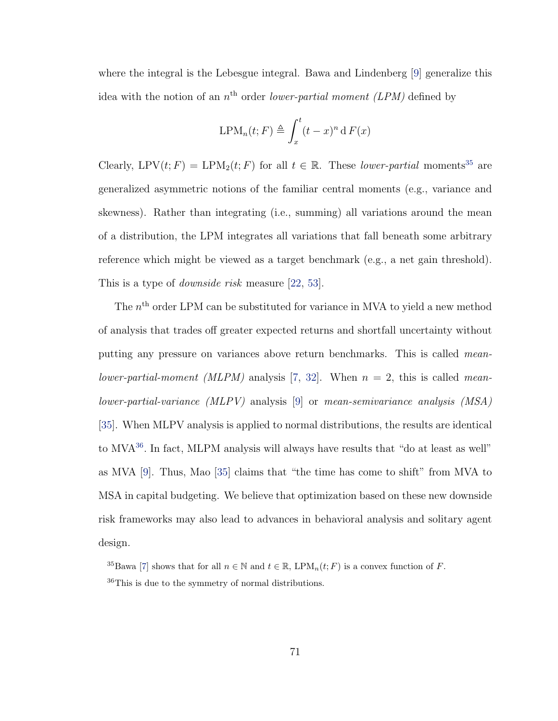where the integral is the Lebesgue integral. Bawa and Lindenberg [\[9\]](#page-111-2) generalize this idea with the notion of an  $n<sup>th</sup>$  order lower-partial moment (LPM) defined by

$$
\text{LPM}_n(t; F) \triangleq \int_x^t (t - x)^n \, \mathrm{d} \, F(x)
$$

Clearly, LPV(t; F) = LPM<sub>2</sub>(t; F) for all  $t \in \mathbb{R}$ . These *lower-partial* moments<sup>[35](#page-82-0)</sup> are generalized asymmetric notions of the familiar central moments (e.g., variance and skewness). Rather than integrating (i.e., summing) all variations around the mean of a distribution, the LPM integrates all variations that fall beneath some arbitrary reference which might be viewed as a target benchmark (e.g., a net gain threshold). This is a type of *downside risk* measure [\[22,](#page-112-2) [53\]](#page-115-7).

The  $n<sup>th</sup>$  order LPM can be substituted for variance in MVA to yield a new method of analysis that trades off greater expected returns and shortfall uncertainty without putting any pressure on variances above return benchmarks. This is called mean-lower-partial-moment (MLPM) analysis [\[7,](#page-111-3) [32\]](#page-113-3). When  $n = 2$ , this is called meanlower-partial-variance (MLPV) analysis [\[9\]](#page-111-2) or mean-semivariance analysis (MSA) [\[35\]](#page-113-4). When MLPV analysis is applied to normal distributions, the results are identical to MVA<sup>[36](#page-82-1)</sup>. In fact, MLPM analysis will always have results that "do at least as well" as MVA [\[9\]](#page-111-2). Thus, Mao [\[35\]](#page-113-4) claims that "the time has come to shift" from MVA to MSA in capital budgeting. We believe that optimization based on these new downside risk frameworks may also lead to advances in behavioral analysis and solitary agent design.

<span id="page-82-1"></span><span id="page-82-0"></span><sup>&</sup>lt;sup>35</sup>Bawa [\[7\]](#page-111-3) shows that for all  $n \in \mathbb{N}$  and  $t \in \mathbb{R}$ , LPM<sub>n</sub>(t; F) is a convex function of F. <sup>36</sup>This is due to the symmetry of normal distributions.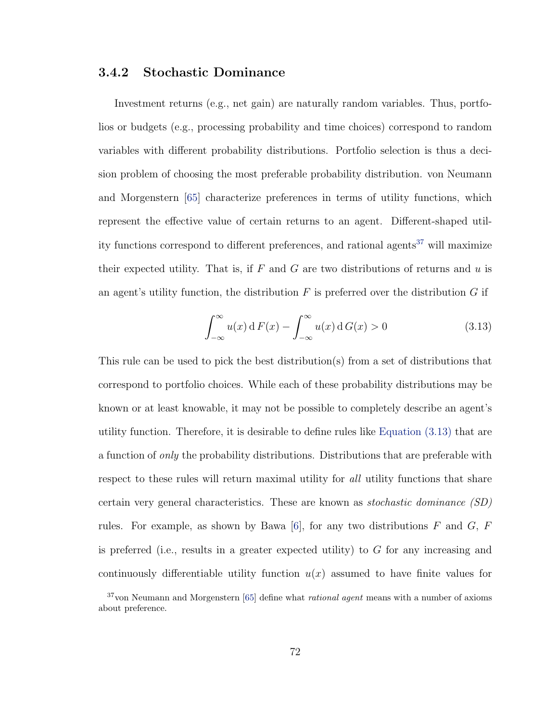### <span id="page-83-0"></span>3.4.2 Stochastic Dominance

Investment returns (e.g., net gain) are naturally random variables. Thus, portfolios or budgets (e.g., processing probability and time choices) correspond to random variables with different probability distributions. Portfolio selection is thus a decision problem of choosing the most preferable probability distribution. von Neumann and Morgenstern [\[65\]](#page-115-5) characterize preferences in terms of utility functions, which represent the effective value of certain returns to an agent. Different-shaped util-ity functions correspond to different preferences, and rational agents<sup>[37](#page-83-1)</sup> will maximize their expected utility. That is, if  $F$  and  $G$  are two distributions of returns and  $u$  is an agent's utility function, the distribution  $F$  is preferred over the distribution  $G$  if

<span id="page-83-2"></span>
$$
\int_{-\infty}^{\infty} u(x) dF(x) - \int_{-\infty}^{\infty} u(x) dG(x) > 0
$$
\n(3.13)

This rule can be used to pick the best distribution(s) from a set of distributions that correspond to portfolio choices. While each of these probability distributions may be known or at least knowable, it may not be possible to completely describe an agent's utility function. Therefore, it is desirable to define rules like [Equation \(3.13\)](#page-83-2) that are a function of only the probability distributions. Distributions that are preferable with respect to these rules will return maximal utility for all utility functions that share certain very general characteristics. These are known as stochastic dominance (SD) rules. For example, as shown by Bawa [\[6\]](#page-111-1), for any two distributions  $F$  and  $G$ ,  $F$ is preferred (i.e., results in a greater expected utility) to  $G$  for any increasing and continuously differentiable utility function  $u(x)$  assumed to have finite values for

<span id="page-83-1"></span> $37$ von Neumann and Morgenstern [\[65\]](#page-115-5) define what *rational agent* means with a number of axioms about preference.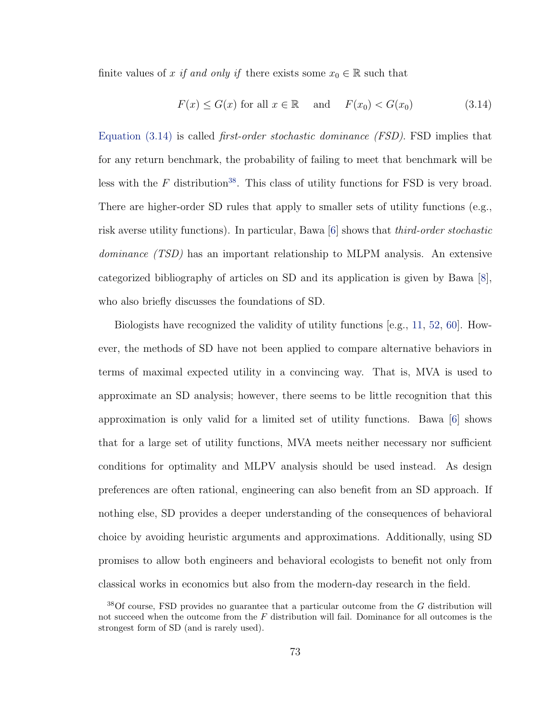finite values of x if and only if there exists some  $x_0 \in \mathbb{R}$  such that

<span id="page-84-0"></span>
$$
F(x) \le G(x) \text{ for all } x \in \mathbb{R} \quad \text{and} \quad F(x_0) < G(x_0) \tag{3.14}
$$

Equation  $(3.14)$  is called *first-order stochastic dominance (FSD)*. FSD implies that for any return benchmark, the probability of failing to meet that benchmark will be less with the  $F$  distribution<sup>[38](#page-84-1)</sup>. This class of utility functions for FSD is very broad. There are higher-order SD rules that apply to smaller sets of utility functions (e.g., risk averse utility functions). In particular, Bawa [\[6\]](#page-111-1) shows that third-order stochastic dominance (TSD) has an important relationship to MLPM analysis. An extensive categorized bibliography of articles on SD and its application is given by Bawa [\[8\]](#page-111-4), who also briefly discusses the foundations of SD.

Biologists have recognized the validity of utility functions [e.g., [11,](#page-112-1) [52,](#page-115-3) [60\]](#page-115-4). However, the methods of SD have not been applied to compare alternative behaviors in terms of maximal expected utility in a convincing way. That is, MVA is used to approximate an SD analysis; however, there seems to be little recognition that this approximation is only valid for a limited set of utility functions. Bawa [\[6\]](#page-111-1) shows that for a large set of utility functions, MVA meets neither necessary nor sufficient conditions for optimality and MLPV analysis should be used instead. As design preferences are often rational, engineering can also benefit from an SD approach. If nothing else, SD provides a deeper understanding of the consequences of behavioral choice by avoiding heuristic arguments and approximations. Additionally, using SD promises to allow both engineers and behavioral ecologists to benefit not only from classical works in economics but also from the modern-day research in the field.

<span id="page-84-1"></span> $38$ Of course, FSD provides no guarantee that a particular outcome from the G distribution will not succeed when the outcome from the  $F$  distribution will fail. Dominance for all outcomes is the strongest form of SD (and is rarely used).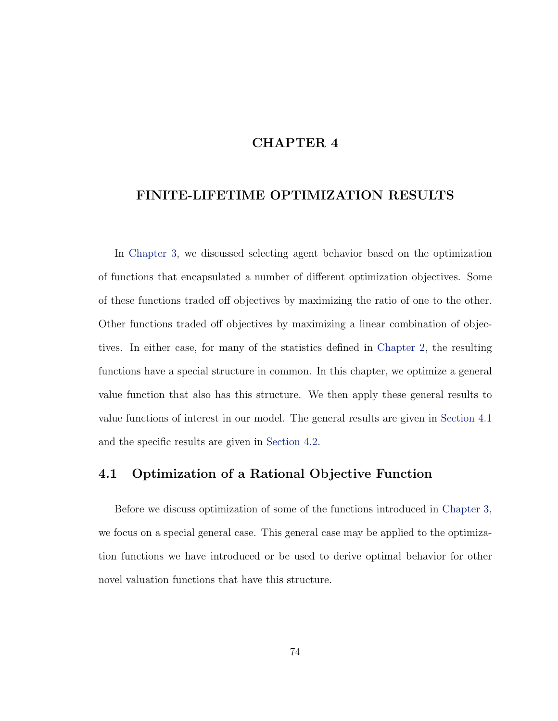## CHAPTER 4

## FINITE-LIFETIME OPTIMIZATION RESULTS

In [Chapter 3,](#page-44-0) we discussed selecting agent behavior based on the optimization of functions that encapsulated a number of different optimization objectives. Some of these functions traded off objectives by maximizing the ratio of one to the other. Other functions traded off objectives by maximizing a linear combination of objectives. In either case, for many of the statistics defined in [Chapter 2,](#page-14-0) the resulting functions have a special structure in common. In this chapter, we optimize a general value function that also has this structure. We then apply these general results to value functions of interest in our model. The general results are given in [Section 4.1](#page-85-0) and the specific results are given in [Section 4.2.](#page-101-0)

## <span id="page-85-0"></span>4.1 Optimization of a Rational Objective Function

Before we discuss optimization of some of the functions introduced in [Chapter 3,](#page-44-0) we focus on a special general case. This general case may be applied to the optimization functions we have introduced or be used to derive optimal behavior for other novel valuation functions that have this structure.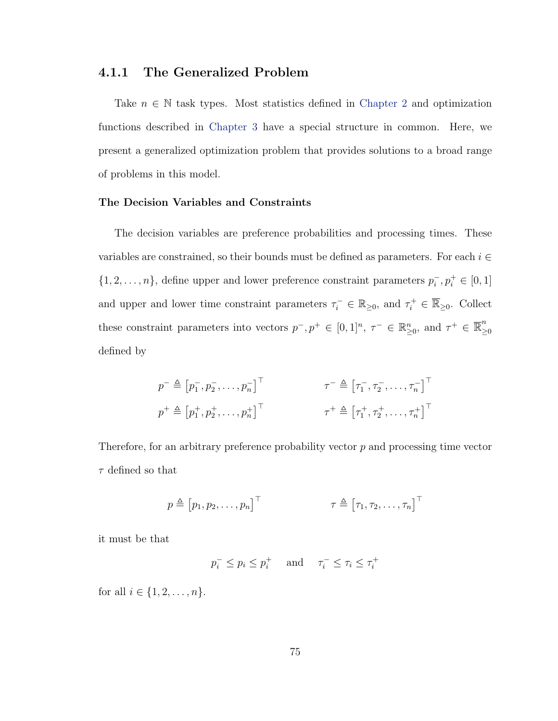## 4.1.1 The Generalized Problem

Take  $n \in \mathbb{N}$  task types. Most statistics defined in [Chapter 2](#page-14-0) and optimization functions described in [Chapter 3](#page-44-0) have a special structure in common. Here, we present a generalized optimization problem that provides solutions to a broad range of problems in this model.

#### The Decision Variables and Constraints

The decision variables are preference probabilities and processing times. These variables are constrained, so their bounds must be defined as parameters. For each  $i \in$  $\{1, 2, \ldots, n\}$ , define upper and lower preference constraint parameters  $p_i^ \bar{i}, p_i^+ \in [0, 1]$ and upper and lower time constraint parameters  $\tau_i^- \in \mathbb{R}_{\geq 0}$ , and  $\tau_i^+ \in \overline{\mathbb{R}}_{\geq 0}$ . Collect these constraint parameters into vectors  $p^-, p^+ \in [0, 1]^n$ ,  $\tau^- \in \mathbb{R}^n_{\geq 0}$ , and  $\tau^+ \in \overline{\mathbb{R}}^n_{\geq 0}$ ≥0 defined by

$$
p^{-} \triangleq \begin{bmatrix} p_1^-, p_2^-, \dots, p_n^- \end{bmatrix}^\top \qquad \qquad \tau^{-} \triangleq \begin{bmatrix} \tau_1^-, \tau_2^-, \dots, \tau_n^- \end{bmatrix}^\top
$$
  

$$
p^{+} \triangleq \begin{bmatrix} p_1^+, p_2^+, \dots, p_n^+ \end{bmatrix}^\top \qquad \qquad \tau^{+} \triangleq \begin{bmatrix} \tau_1^+, \tau_2^+, \dots, \tau_n^+ \end{bmatrix}^\top
$$

Therefore, for an arbitrary preference probability vector  $p$  and processing time vector  $\tau$  defined so that

$$
p \triangleq [p_1, p_2, \dots, p_n]^\top \qquad \qquad \tau \triangleq [\tau_1, \tau_2, \dots, \tau_n]^\top
$$

it must be that

$$
p_i^- \le p_i \le p_i^+ \quad \text{ and } \quad \tau_i^- \le \tau_i \le \tau_i^+
$$

for all  $i \in \{1, 2, ..., n\}$ .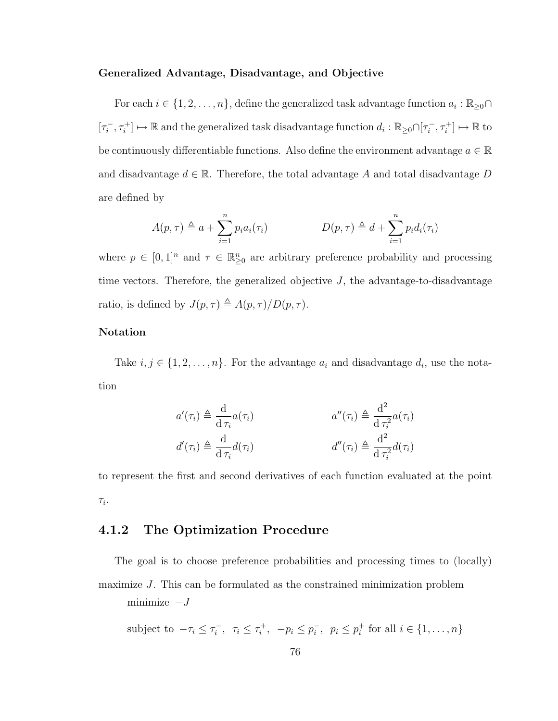#### Generalized Advantage, Disadvantage, and Objective

For each  $i \in \{1, 2, \ldots, n\}$ , define the generalized task advantage function  $a_i : \mathbb{R}_{\geq 0} \cap$  $\lceil \tau_i^- \rceil$  $i^-$ ,  $\tau_i^+$ ]  $\mapsto \mathbb{R}$  and the generalized task disadvantage function  $d_i : \mathbb{R}_{\geq 0} \cap [\tau_i^-]$  $[\tau_i^-, \tau_i^+] \mapsto \mathbb{R}$  to be continuously differentiable functions. Also define the environment advantage  $a \in \mathbb{R}$ and disadvantage  $d \in \mathbb{R}$ . Therefore, the total advantage A and total disadvantage D are defined by

$$
A(p,\tau) \triangleq a + \sum_{i=1}^{n} p_i a_i(\tau_i) \qquad D(p,\tau) \triangleq d + \sum_{i=1}^{n} p_i d_i(\tau_i)
$$

where  $p \in [0,1]^n$  and  $\tau \in \mathbb{R}^n_{\geq 0}$  are arbitrary preference probability and processing time vectors. Therefore, the generalized objective  $J$ , the advantage-to-disadvantage ratio, is defined by  $J(p, \tau) \triangleq A(p, \tau) / D(p, \tau)$ .

#### Notation

Take  $i, j \in \{1, 2, \ldots, n\}$ . For the advantage  $a_i$  and disadvantage  $d_i$ , use the notation

$$
a'(\tau_i) \triangleq \frac{d}{d \tau_i} a(\tau_i) \qquad a''(\tau_i) \triangleq \frac{d^2}{d \tau_i^2} a(\tau_i)
$$
  

$$
d'(\tau_i) \triangleq \frac{d}{d \tau_i} d(\tau_i) \qquad d''(\tau_i) \triangleq \frac{d^2}{d \tau_i^2} d(\tau_i)
$$

to represent the first and second derivatives of each function evaluated at the point  $\tau_i$ .

# <span id="page-87-0"></span>4.1.2 The Optimization Procedure

The goal is to choose preference probabilities and processing times to (locally) maximize J. This can be formulated as the constrained minimization problem minimize  $-J$ 

subject to 
$$
-\tau_i \leq \tau_i^-
$$
,  $\tau_i \leq \tau_i^+$ ,  $-p_i \leq p_i^-$ ,  $p_i \leq p_i^+$  for all  $i \in \{1, ..., n\}$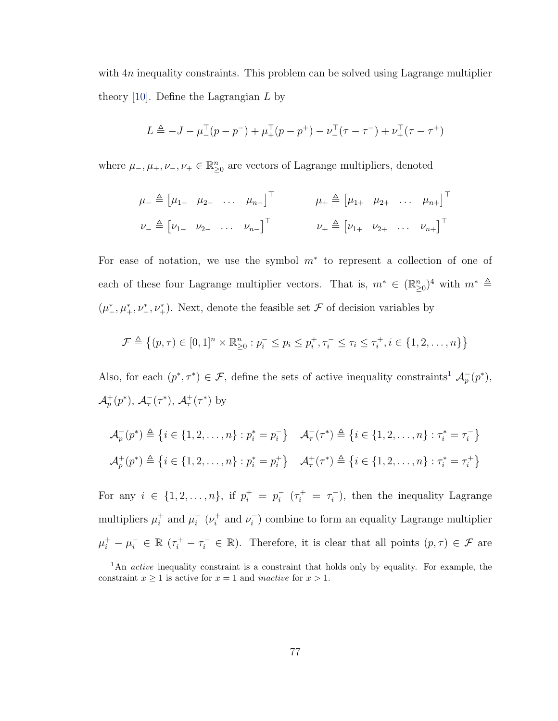with  $4n$  inequality constraints. This problem can be solved using Lagrange multiplier theory [\[10\]](#page-111-0). Define the Lagrangian  $L$  by

$$
L \triangleq -J - \mu_{-}^{T}(p - p^{-}) + \mu_{+}^{T}(p - p^{+}) - \nu_{-}^{T}(\tau - \tau^{-}) + \nu_{+}^{T}(\tau - \tau^{+})
$$

where  $\mu_-, \mu_+, \nu_-, \nu_+ \in \mathbb{R}_{\geq 0}^n$  are vectors of Lagrange multipliers, denoted

$$
\mu_{-} \triangleq [\mu_{1-} \quad \mu_{2-} \quad \dots \quad \mu_{n-}]^{\top} \qquad \mu_{+} \triangleq [\mu_{1+} \quad \mu_{2+} \quad \dots \quad \mu_{n+}]^{\top}
$$

$$
\nu_{-} \triangleq [\nu_{1-} \quad \nu_{2-} \quad \dots \quad \nu_{n-}]^{\top} \qquad \nu_{+} \triangleq [\nu_{1+} \quad \nu_{2+} \quad \dots \quad \nu_{n+}]^{\top}
$$

For ease of notation, we use the symbol  $m^*$  to represent a collection of one of each of these four Lagrange multiplier vectors. That is,  $m^* \in (\mathbb{R}_{\geq 0}^n)^4$  with  $m^* \triangleq$  $(\mu^*, \mu^*, \nu^*, \nu^*_+)$ . Next, denote the feasible set  $\mathcal F$  of decision variables by

$$
\mathcal{F} \triangleq \{(p,\tau) \in [0,1]^n \times \mathbb{R}_{\geq 0}^n : p_i^- \leq p_i \leq p_i^+, \tau_i^- \leq \tau_i \leq \tau_i^+, i \in \{1,2,\ldots,n\}\}
$$

Also, for each  $(p^*, \tau^*) \in \mathcal{F}$ , define the sets of active inequality constraints<sup>[1](#page-88-0)</sup>  $\mathcal{A}_p^-(p^*)$ ,  $\mathcal{A}_{p}^{+}(p^{*}), \mathcal{A}_{\tau}^{-}(\tau^{*}), \mathcal{A}_{\tau}^{+}(\tau^{*})$  by

$$
\mathcal{A}_p^-(p^*) \triangleq \left\{ i \in \{1, 2, \dots, n\} : p_i^* = p_i^- \right\} \quad \mathcal{A}_\tau^-(\tau^*) \triangleq \left\{ i \in \{1, 2, \dots, n\} : \tau_i^* = \tau_i^- \right\}
$$
\n
$$
\mathcal{A}_p^+(p^*) \triangleq \left\{ i \in \{1, 2, \dots, n\} : p_i^* = p_i^+ \right\} \quad \mathcal{A}_\tau^+(\tau^*) \triangleq \left\{ i \in \{1, 2, \dots, n\} : \tau_i^* = \tau_i^+ \right\}
$$

For any  $i \in \{1, 2, ..., n\}$ , if  $p_i^+ = p_i^ \bar{i}$   $(\tau_i^+ = \tau_i^ \bar{i}$ ), then the inequality Lagrange multipliers  $\mu_i^+$  $i^+$  and  $\mu_i^ \bar{i}^-(\nu_i^+)$  $\nu_i^+$  and  $\nu_i^ (i)$  combine to form an equality Lagrange multiplier  $\mu_i^+ - \mu_i^- \in \mathbb{R}$  ( $\tau_i^+ - \tau_i^- \in \mathbb{R}$ ). Therefore, it is clear that all points  $(p, \tau) \in \mathcal{F}$  are

<span id="page-88-0"></span><sup>&</sup>lt;sup>1</sup>An *active* inequality constraint is a constraint that holds only by equality. For example, the constraint  $x \ge 1$  is active for  $x = 1$  and *inactive* for  $x > 1$ .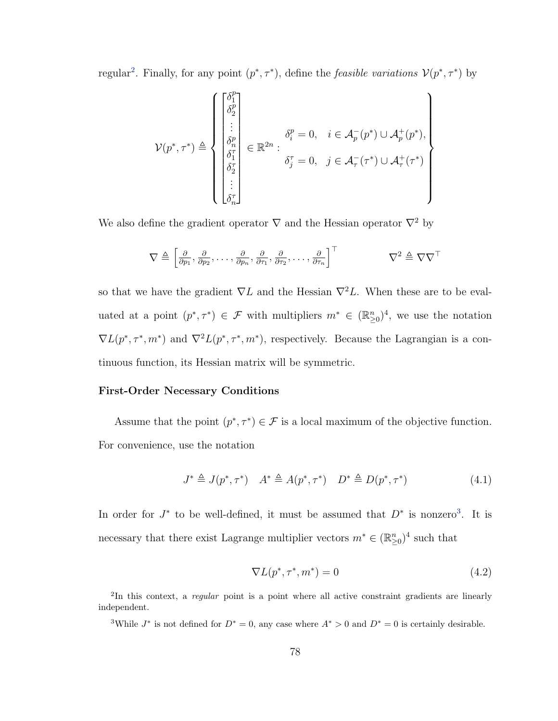regular<sup>[2](#page-89-0)</sup>. Finally, for any point  $(p^*, \tau^*)$ , define the *feasible variations*  $\mathcal{V}(p^*, \tau^*)$  by

$$
\mathcal{V}(p^*, \tau^*) \triangleq \left\{ \begin{bmatrix} \delta_1^p \\ \delta_2^p \\ \vdots \\ \delta_n^p \\ \delta_1^r \\ \vdots \\ \delta_n^r \end{bmatrix} \in \mathbb{R}^{2n} : \begin{aligned} \delta_i^p &= 0, \quad i \in \mathcal{A}_p^-(p^*) \cup \mathcal{A}_p^+(p^*), \\ \delta_j^r &= 0, \quad j \in \mathcal{A}_\tau^-(\tau^*) \cup \mathcal{A}_\tau^+(\tau^*) \\ \vdots \\ \delta_n^r &= 0, \quad j \in \mathcal{A}_\tau^-(\tau^*) \cup \mathcal{A}_\tau^+(\tau^*) \end{aligned} \right\}
$$

We also define the gradient operator  $\nabla$  and the Hessian operator  $\nabla^2$  by

$$
\nabla \triangleq \left[\frac{\partial}{\partial p_1}, \frac{\partial}{\partial p_2}, \dots, \frac{\partial}{\partial p_n}, \frac{\partial}{\partial \tau_1}, \frac{\partial}{\partial \tau_2}, \dots, \frac{\partial}{\partial \tau_n}\right]^\top \qquad \qquad \nabla^2 \triangleq \nabla \nabla^\top
$$

so that we have the gradient  $\nabla L$  and the Hessian  $\nabla^2 L$ . When these are to be evaluated at a point  $(p^*, \tau^*) \in \mathcal{F}$  with multipliers  $m^* \in (\mathbb{R}_{\geq 0}^n)^4$ , we use the notation  $\nabla L(p^*, \tau^*, m^*)$  and  $\nabla^2 L(p^*, \tau^*, m^*)$ , respectively. Because the Lagrangian is a continuous function, its Hessian matrix will be symmetric.

#### First-Order Necessary Conditions

Assume that the point  $(p^*, \tau^*) \in \mathcal{F}$  is a local maximum of the objective function. For convenience, use the notation

<span id="page-89-3"></span>
$$
J^* \triangleq J(p^*, \tau^*) \quad A^* \triangleq A(p^*, \tau^*) \quad D^* \triangleq D(p^*, \tau^*) \tag{4.1}
$$

In order for  $J^*$  to be well-defined, it must be assumed that  $D^*$  is nonzero<sup>[3](#page-89-1)</sup>. It is necessary that there exist Lagrange multiplier vectors  $m^* \in (\mathbb{R}^n_{\geq 0})^4$  such that

<span id="page-89-2"></span>
$$
\nabla L(p^*, \tau^*, m^*) = 0 \tag{4.2}
$$

<span id="page-89-0"></span><sup>&</sup>lt;sup>2</sup>In this context, a regular point is a point where all active constraint gradients are linearly independent.

<span id="page-89-1"></span><sup>&</sup>lt;sup>3</sup>While  $J^*$  is not defined for  $D^* = 0$ , any case where  $A^* > 0$  and  $D^* = 0$  is certainly desirable.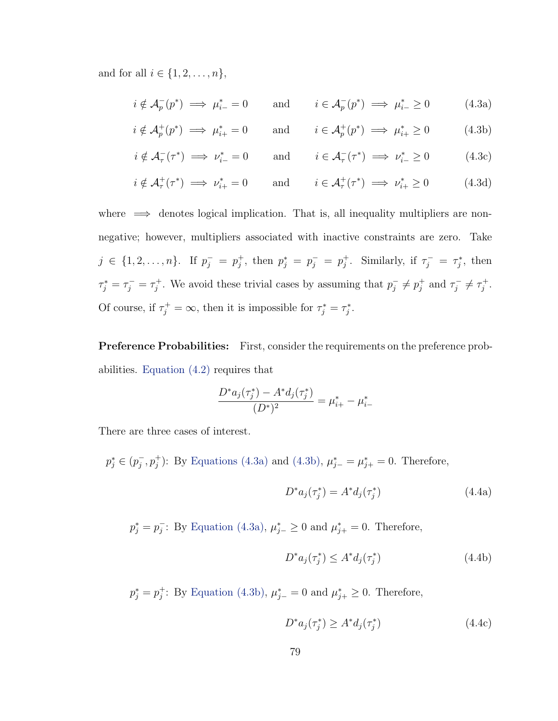and for all  $i \in \{1, 2, \ldots, n\},\$ 

<span id="page-90-0"></span>
$$
i \notin \mathcal{A}_p^-(p^*) \implies \mu_{i-}^* = 0
$$
 and  $i \in \mathcal{A}_p^-(p^*) \implies \mu_{i-}^* \ge 0$  (4.3a)

$$
i \notin \mathcal{A}_p^+(p^*) \implies \mu_{i+}^* = 0
$$
 and  $i \in \mathcal{A}_p^+(p^*) \implies \mu_{i+}^* \ge 0$  (4.3b)

<span id="page-90-2"></span><span id="page-90-1"></span>
$$
i \notin \mathcal{A}_{\tau}^-(\tau^*) \implies \nu_{i-}^* = 0
$$
 and  $i \in \mathcal{A}_{\tau}^-(\tau^*) \implies \nu_{i-}^* \ge 0$  (4.3c)

<span id="page-90-3"></span>
$$
i \notin \mathcal{A}_{\tau}^+(\tau^*) \implies \nu_{i+}^* = 0
$$
 and  $i \in \mathcal{A}_{\tau}^+(\tau^*) \implies \nu_{i+}^* \ge 0$  (4.3d)

where  $\implies$  denotes logical implication. That is, all inequality multipliers are nonnegative; however, multipliers associated with inactive constraints are zero. Take  $j \in \{1, 2, \ldots, n\}$ . If  $p_j^- = p_j^+$  $j^+$ , then  $p_j^* = p_j^- = p_j^+$ <sup>+</sup><sub>j</sub>. Similarly, if  $\tau_j^- = \tau_j^*$ , then  $\tau_j^* = \tau_j^- = \tau_j^+$ <sup>+</sup>. We avoid these trivial cases by assuming that  $p_j^ \bar{j} \neq p_j^+$  $j^+$  and  $\tau_j^$  $j^{-} \neq \tau_{j}^{+}$ j . Of course, if  $\tau_j^+ = \infty$ , then it is impossible for  $\tau_j^* = \tau_j^*$ .

**Preference Probabilities:** First, consider the requirements on the preference probabilities. [Equation \(4.2\)](#page-89-2) requires that

$$
\frac{D^* a_j(\tau_j^*) - A^* d_j(\tau_j^*)}{(D^*)^2} = \mu_{i+}^* - \mu_{i-}^*
$$

There are three cases of interest.

 $p_j^* \in (p_j^-)$  $j, p_j^+$ : By [Equations \(4.3a\)](#page-90-0) and [\(4.3b\),](#page-90-1)  $\mu_{j-}^* = \mu_{j+}^* = 0$ . Therefore,

<span id="page-90-4"></span>
$$
D^* a_j(\tau_j^*) = A^* d_j(\tau_j^*)
$$
\n(4.4a)

 $p_j^* = p_j^$  $j$ : By [Equation \(4.3a\),](#page-90-0)  $\mu_{j-}^* \geq 0$  and  $\mu_{j+}^* = 0$ . Therefore,

$$
D^*a_j(\tau_j^*) \le A^*d_j(\tau_j^*)\tag{4.4b}
$$

 $p_j^* = p_j^+$ <sup>+</sup>; By [Equation \(4.3b\),](#page-90-1)  $\mu_{j-}^* = 0$  and  $\mu_{j+}^* \geq 0$ . Therefore,

$$
D^* a_j(\tau_j^*) \ge A^* d_j(\tau_j^*) \tag{4.4c}
$$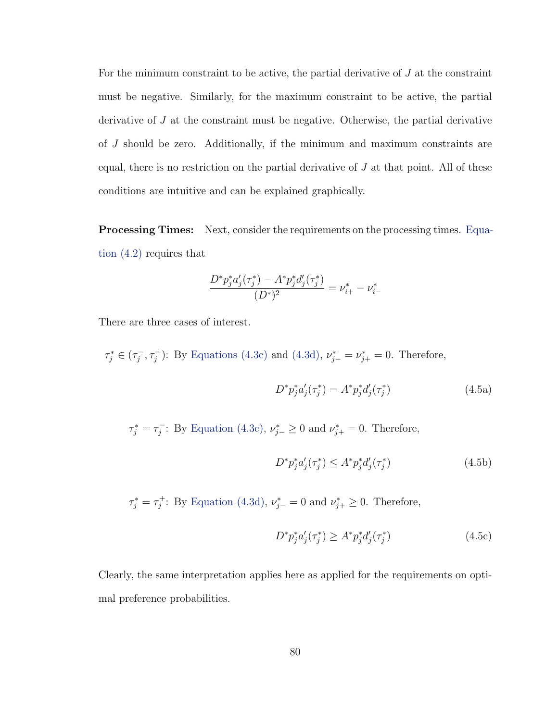For the minimum constraint to be active, the partial derivative of  $J$  at the constraint must be negative. Similarly, for the maximum constraint to be active, the partial derivative of J at the constraint must be negative. Otherwise, the partial derivative of J should be zero. Additionally, if the minimum and maximum constraints are equal, there is no restriction on the partial derivative of  $J$  at that point. All of these conditions are intuitive and can be explained graphically.

Processing Times: Next, consider the requirements on the processing times. [Equa](#page-89-2)[tion \(4.2\)](#page-89-2) requires that

$$
\frac{D^*p_j^*a_j'(\tau_j^*) - A^*p_j^*d_j'(\tau_j^*)}{(D^*)^2} = \nu_{i+}^* - \nu_{i-}^*
$$

There are three cases of interest.

 $\tau_j^* \in (\tau_j^$  $j^-, \tau_j^+$ : By [Equations \(4.3c\)](#page-90-2) and [\(4.3d\),](#page-90-3)  $\nu_{j-}^* = \nu_{j+}^* = 0$ . Therefore,

<span id="page-91-0"></span>
$$
D^* p_j^* a_j' (\tau_j^*) = A^* p_j^* d_j' (\tau_j^*)
$$
\n(4.5a)

 $\tau_j^* = \tau_j^ \mu_{j}^{\text{-}}$ : By [Equation \(4.3c\),](#page-90-2)  $\nu_{j-}^* \geq 0$  and  $\nu_{j+}^* = 0$ . Therefore,

<span id="page-91-1"></span>
$$
D^* p_j^* a_j' (\tau_j^*) \le A^* p_j^* d_j' (\tau_j^*) \tag{4.5b}
$$

 $\tau_j^* = \tau_j^+$ <sup>+</sup>: By [Equation \(4.3d\),](#page-90-3)  $\nu_{j-}^* = 0$  and  $\nu_{j+}^* \geq 0$ . Therefore,

<span id="page-91-2"></span>
$$
D^* p_j^* a_j' (\tau_j^*) \ge A^* p_j^* d_j' (\tau_j^*) \tag{4.5c}
$$

Clearly, the same interpretation applies here as applied for the requirements on optimal preference probabilities.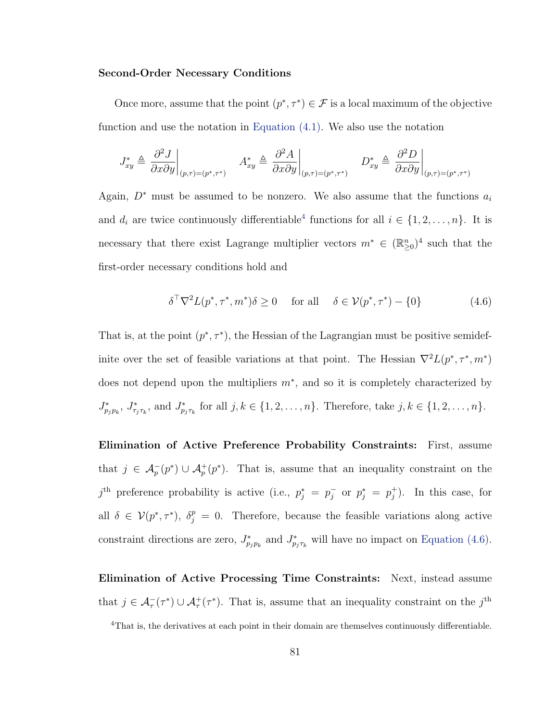#### Second-Order Necessary Conditions

Once more, assume that the point  $(p^*, \tau^*) \in \mathcal{F}$  is a local maximum of the objective function and use the notation in [Equation \(4.1\).](#page-89-3) We also use the notation

$$
J_{xy}^* \triangleq \left. \frac{\partial^2 J}{\partial x \partial y} \right|_{(p,\tau)=(p^*,\tau^*)} A_{xy}^* \triangleq \left. \frac{\partial^2 A}{\partial x \partial y} \right|_{(p,\tau)=(p^*,\tau^*)} D_{xy}^* \triangleq \left. \frac{\partial^2 D}{\partial x \partial y} \right|_{(p,\tau)=(p^*,\tau^*)}
$$

Again,  $D^*$  must be assumed to be nonzero. We also assume that the functions  $a_i$ and  $d_i$  are twice continuously differentiable<sup>[4](#page-92-0)</sup> functions for all  $i \in \{1, 2, ..., n\}$ . It is necessary that there exist Lagrange multiplier vectors  $m^* \in (\mathbb{R}_{\geq 0}^n)^4$  such that the first-order necessary conditions hold and

<span id="page-92-1"></span>
$$
\delta^{\top} \nabla^2 L(p^*, \tau^*, m^*) \delta \ge 0 \quad \text{for all} \quad \delta \in \mathcal{V}(p^*, \tau^*) - \{0\} \tag{4.6}
$$

That is, at the point  $(p^*, \tau^*)$ , the Hessian of the Lagrangian must be positive semidefinite over the set of feasible variations at that point. The Hessian  $\nabla^2 L(p^*, \tau^*, m^*)$ does not depend upon the multipliers  $m^*$ , and so it is completely characterized by  $J_{p_jp_k}^*$ ,  $J_{\tau_j\tau_k}^*$ , and  $J_{p_j\tau_k}^*$  for all  $j, k \in \{1, 2, ..., n\}$ . Therefore, take  $j, k \in \{1, 2, ..., n\}$ .

Elimination of Active Preference Probability Constraints: First, assume that  $j \in \mathcal{A}_p^-(p^*) \cup \mathcal{A}_p^+(p^*)$ . That is, assume that an inequality constraint on the  $j^{\text{th}}$  preference probability is active (i.e.,  $p_j^* = p_j^ \bar{j}$  or  $p_j^* = p_j^+$  $j^+$ ). In this case, for all  $\delta \in \mathcal{V}(p^*, \tau^*)$ ,  $\delta_j^p = 0$ . Therefore, because the feasible variations along active constraint directions are zero,  $J_{p_jp_k}^*$  and  $J_{p_j\tau_k}^*$  will have no impact on [Equation \(4.6\).](#page-92-1)

Elimination of Active Processing Time Constraints: Next, instead assume that  $j \in \mathcal{A}_{\tau}^{-}(\tau^*) \cup \mathcal{A}_{\tau}^{+}(\tau^*)$ . That is, assume that an inequality constraint on the  $j^{\text{th}}$ 

<span id="page-92-0"></span><sup>4</sup>That is, the derivatives at each point in their domain are themselves continuously differentiable.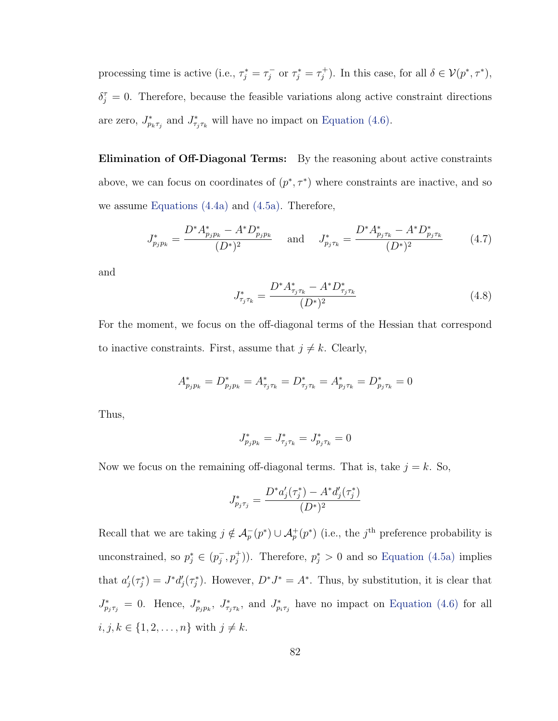processing time is active (i.e.,  $\tau_j^* = \tau_j^ \tau_j^-$  or  $\tau_j^* = \tau_j^+$  $j^{+}$ ). In this case, for all  $\delta \in \mathcal{V}(p^*, \tau^*)$ ,  $\delta_{j}^{\tau} = 0$ . Therefore, because the feasible variations along active constraint directions are zero,  $J_{p_k \tau_j}^*$  and  $J_{\tau_j \tau_k}^*$  will have no impact on [Equation \(4.6\).](#page-92-1)

Elimination of Off-Diagonal Terms: By the reasoning about active constraints above, we can focus on coordinates of  $(p^*, \tau^*)$  where constraints are inactive, and so we assume [Equations \(4.4a\)](#page-90-4) and [\(4.5a\).](#page-91-0) Therefore,

<span id="page-93-0"></span>
$$
J_{p_j p_k}^* = \frac{D^* A_{p_j p_k}^* - A^* D_{p_j p_k}^*}{(D^*)^2} \quad \text{and} \quad J_{p_j \tau_k}^* = \frac{D^* A_{p_j \tau_k}^* - A^* D_{p_j \tau_k}^*}{(D^*)^2} \tag{4.7}
$$

and

<span id="page-93-1"></span>
$$
J_{\tau_j \tau_k}^* = \frac{D^* A_{\tau_j \tau_k}^* - A^* D_{\tau_j \tau_k}^*}{(D^*)^2}
$$
\n(4.8)

For the moment, we focus on the off-diagonal terms of the Hessian that correspond to inactive constraints. First, assume that  $j \neq k$ . Clearly,

$$
A_{p_j p_k}^* = D_{p_j p_k}^* = A_{\tau_j \tau_k}^* = D_{\tau_j \tau_k}^* = A_{p_j \tau_k}^* = D_{p_j \tau_k}^* = 0
$$

Thus,

$$
J_{p_j p_k}^* = J_{\tau_j \tau_k}^* = J_{p_j \tau_k}^* = 0
$$

Now we focus on the remaining off-diagonal terms. That is, take  $j = k$ . So,

$$
J_{p_j \tau_j}^* = \frac{D^* a_j'(\tau_j^*) - A^* d_j'(\tau_j^*)}{(D^*)^2}
$$

Recall that we are taking  $j \notin \mathcal{A}_p^-(p^*) \cup \mathcal{A}_p^+(p^*)$  (i.e., the  $j^{\text{th}}$  preference probability is unconstrained, so  $p_j^* \in (p_j^-)$  $\bar{j}, p_j^{\dagger})$ ). Therefore,  $p_j^* > 0$  and so [Equation \(4.5a\)](#page-91-0) implies that  $a'_j(\tau_j^*) = J^*d'_j(\tau_j^*)$ . However,  $D^*J^* = A^*$ . Thus, by substitution, it is clear that  $J^*_{p_j\tau_j} = 0$ . Hence,  $J^*_{p_jp_k}$ ,  $J^*_{\tau_j\tau_k}$ , and  $J^*_{p_i\tau_j}$  have no impact on [Equation \(4.6\)](#page-92-1) for all  $i, j, k \in \{1, 2, ..., n\}$  with  $j \neq k$ .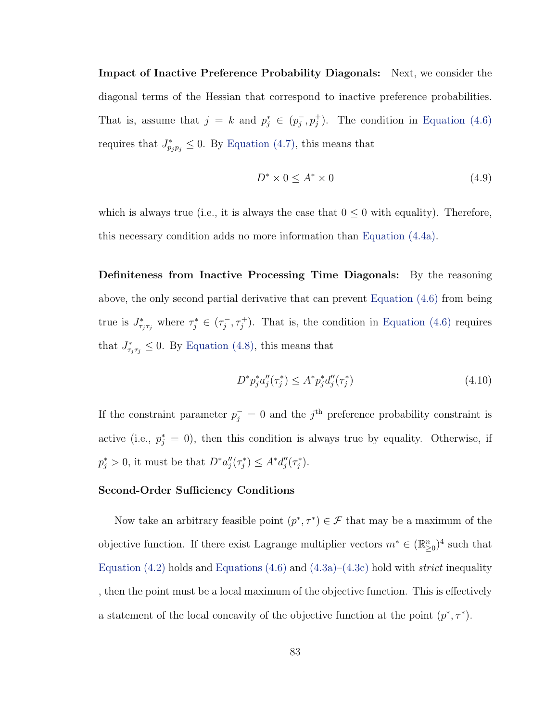Impact of Inactive Preference Probability Diagonals: Next, we consider the diagonal terms of the Hessian that correspond to inactive preference probabilities. That is, assume that  $j = k$  and  $p_j^* \in (p_j^-)$  $\bar{j}, p_j^+$ ). The condition in [Equation \(4.6\)](#page-92-1) requires that  $J^*_{p_j p_j} \leq 0$ . By [Equation \(4.7\),](#page-93-0) this means that

<span id="page-94-0"></span>
$$
D^* \times 0 \le A^* \times 0 \tag{4.9}
$$

which is always true (i.e., it is always the case that  $0 \leq 0$  with equality). Therefore, this necessary condition adds no more information than [Equation \(4.4a\).](#page-90-4)

Definiteness from Inactive Processing Time Diagonals: By the reasoning above, the only second partial derivative that can prevent [Equation \(4.6\)](#page-92-1) from being true is  $J^*_{\tau_j\tau_j}$  where  $\tau_j^* \in (\tau_j^-)$  $\{\tau_j^-, \tau_j^+\}$ . That is, the condition in [Equation \(4.6\)](#page-92-1) requires that  $J^*_{\tau_j \tau_j} \leq 0$ . By [Equation \(4.8\),](#page-93-1) this means that

<span id="page-94-1"></span>
$$
D^* p_j^* a_j''(\tau_j^*) \le A^* p_j^* d_j''(\tau_j^*) \tag{4.10}
$$

If the constraint parameter  $p_j^- = 0$  and the j<sup>th</sup> preference probability constraint is active (i.e.,  $p_j^* = 0$ ), then this condition is always true by equality. Otherwise, if  $p_j^* > 0$ , it must be that  $D^* a''_j(\tau_j^*) \leq A^* d''_j(\tau_j^*)$ .

#### Second-Order Sufficiency Conditions

Now take an arbitrary feasible point  $(p^*, \tau^*) \in \mathcal{F}$  that may be a maximum of the objective function. If there exist Lagrange multiplier vectors  $m^* \in (\mathbb{R}^n_{\geq 0})^4$  such that [Equation \(4.2\)](#page-89-2) holds and [Equations \(4.6\)](#page-92-1) and [\(4.3a\)–](#page-90-0)[\(4.3c\)](#page-90-2) hold with *strict* inequality , then the point must be a local maximum of the objective function. This is effectively a statement of the local concavity of the objective function at the point  $(p^*, \tau^*)$ .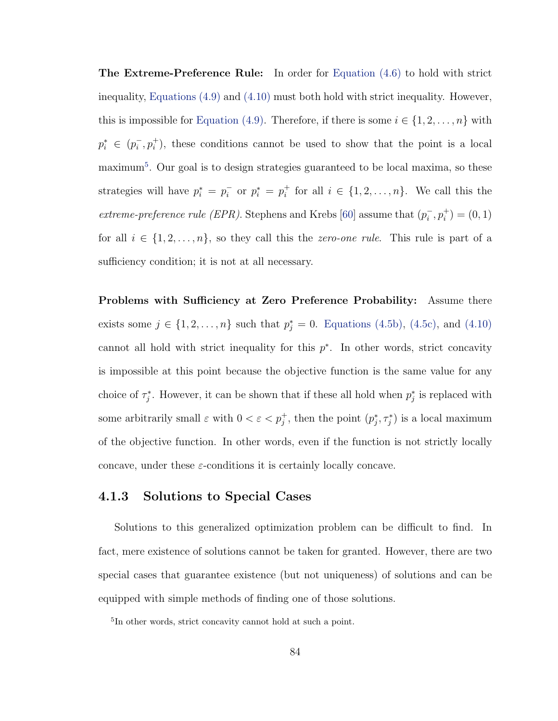The Extreme-Preference Rule: In order for [Equation \(4.6\)](#page-92-1) to hold with strict inequality, [Equations \(4.9\)](#page-94-0) and [\(4.10\)](#page-94-1) must both hold with strict inequality. However, this is impossible for [Equation \(4.9\).](#page-94-0) Therefore, if there is some  $i \in \{1, 2, \ldots, n\}$  with  $p_i^* \in (p_i^-)$  $\bar{i}, p_i^+$ ), these conditions cannot be used to show that the point is a local maximum[5](#page-95-0) . Our goal is to design strategies guaranteed to be local maxima, so these strategies will have  $p_i^* = p_i^ \bar{i}$  or  $p_i^* = p_i^+$ <sup>+</sup> for all  $i \in \{1, 2, ..., n\}$ . We call this the extreme-preference rule (EPR). Stephens and Krebs [\[60\]](#page-115-4) assume that  $(p_i^-)$  $\overline{i}^-, p_i^+) = (0, 1)$ for all  $i \in \{1, 2, ..., n\}$ , so they call this the *zero-one rule*. This rule is part of a sufficiency condition; it is not at all necessary.

Problems with Sufficiency at Zero Preference Probability: Assume there exists some  $j \in \{1, 2, ..., n\}$  such that  $p_j^* = 0$ . [Equations \(4.5b\),](#page-91-1) [\(4.5c\),](#page-91-2) and [\(4.10\)](#page-94-1) cannot all hold with strict inequality for this  $p^*$ . In other words, strict concavity is impossible at this point because the objective function is the same value for any choice of  $\tau_j^*$ . However, it can be shown that if these all hold when  $p_j^*$  is replaced with some arbitrarily small  $\varepsilon$  with  $0 < \varepsilon < p_j^+$ , then the point  $(p_j^*, \tau_j^*)$  is a local maximum of the objective function. In other words, even if the function is not strictly locally concave, under these  $\varepsilon$ -conditions it is certainly locally concave.

### 4.1.3 Solutions to Special Cases

Solutions to this generalized optimization problem can be difficult to find. In fact, mere existence of solutions cannot be taken for granted. However, there are two special cases that guarantee existence (but not uniqueness) of solutions and can be equipped with simple methods of finding one of those solutions.

<span id="page-95-0"></span><sup>5</sup> In other words, strict concavity cannot hold at such a point.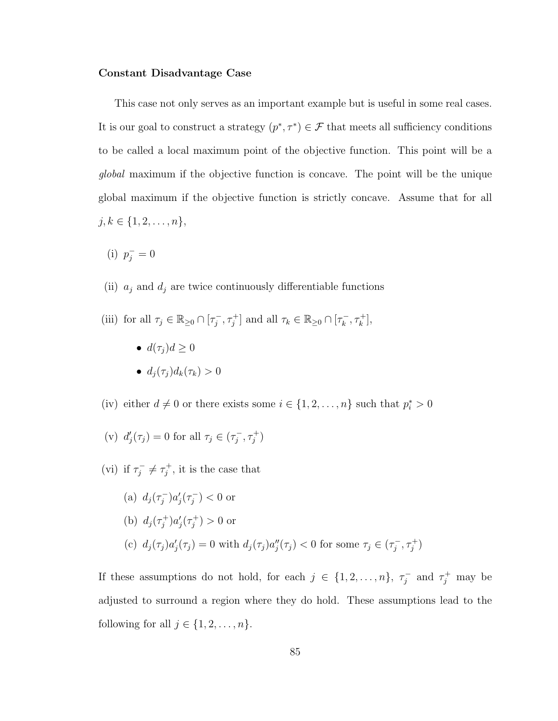#### Constant Disadvantage Case

This case not only serves as an important example but is useful in some real cases. It is our goal to construct a strategy  $(p^*, \tau^*) \in \mathcal{F}$  that meets all sufficiency conditions to be called a local maximum point of the objective function. This point will be a global maximum if the objective function is concave. The point will be the unique global maximum if the objective function is strictly concave. Assume that for all  $j, k \in \{1, 2, \ldots, n\},\$ 

- (i)  $p_j^- = 0$
- (ii)  $\,a_j$  and  $d_j$  are twice continuously differentiable functions
- <span id="page-96-0"></span>(iii) for all  $\tau_j \in \mathbb{R}_{\geq 0} \cap [\tau_j^-]$  $[\tau_j^-, \tau_j^+]$  and all  $\tau_k \in \mathbb{R}_{\geq 0} \cap [\tau_k^-]$  $\frac{1}{k}, \tau_k^+$ ,
	- $d(\tau_i) d \geq 0$
	- $d_i(\tau_i) d_k(\tau_k) > 0$
- <span id="page-96-3"></span><span id="page-96-1"></span>(iv) either  $d \neq 0$  or there exists some  $i \in \{1, 2, ..., n\}$  such that  $p_i^* > 0$

(v) 
$$
d'_j(\tau_j) = 0
$$
 for all  $\tau_j \in (\tau_j^-, \tau_j^+)$ 

(vi) if  $\tau_i^$  $j^{-} \neq \tau_{j}^{+}$  $j^{\dagger}$ , it is the case that

\n- (a) 
$$
d_j(\tau_j^-)a'_j(\tau_j^-) < 0
$$
 or
\n- (b)  $d_j(\tau_j^+)a'_j(\tau_j^+) > 0$  or
\n- (c)  $d_j(\tau_j)a'_j(\tau_j) = 0$  with  $d_j(\tau_j)a''_j(\tau_j) < 0$  for some  $\tau_j \in (\tau_j^-, \tau_j^+)$
\n

<span id="page-96-2"></span>If these assumptions do not hold, for each  $j \in \{1, 2, ..., n\}, \tau_j^ \tau_j^-$  and  $\tau_j^+$  may be adjusted to surround a region where they do hold. These assumptions lead to the following for all  $j \in \{1, 2, \ldots, n\}$ .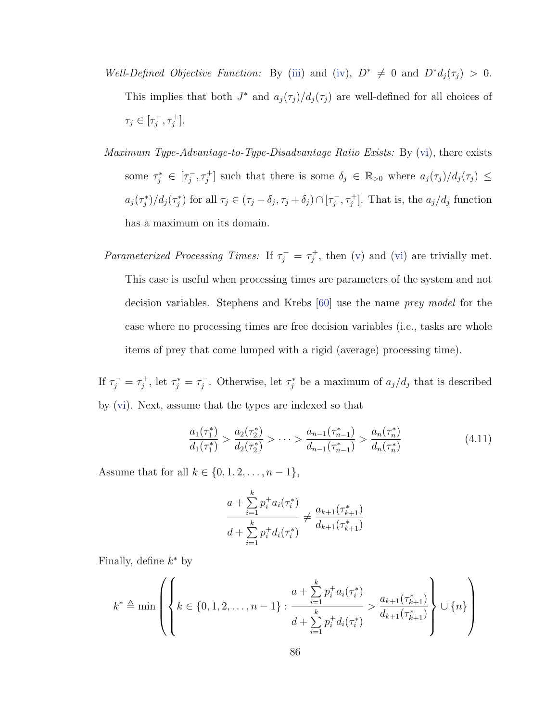- Well-Defined Objective Function: By [\(iii\)](#page-96-0) and [\(iv\)](#page-96-1),  $D^* \neq 0$  and  $D^*d_j(\tau_j) > 0$ . This implies that both  $J^*$  and  $a_j(\tau_j)/d_j(\tau_j)$  are well-defined for all choices of  $\tau_j \in [\tau_j^-]$  $\frac{1}{j}, \tau_j^+$ .
- Maximum Type-Advantage-to-Type-Disadvantage Ratio Exists: By [\(vi\)](#page-96-2), there exists some  $\tau_j^* \in [\tau_j^-]$  $j^-, \tau_j^+$  such that there is some  $\delta_j \in \mathbb{R}_{>0}$  where  $a_j(\tau_j)/d_j(\tau_j) \leq$  $a_j(\tau_j^*)/d_j(\tau_j^*)$  for all  $\tau_j \in (\tau_j - \delta_j, \tau_j + \delta_j) \cap [\tau_j^-]$  $[\sigma_j^-, \tau_j^+]$ . That is, the  $a_j/d_j$  function has a maximum on its domain.

Parameterized Processing Times: If  $\tau_j^- = \tau_j^+$  $j^{\dagger}$ , then [\(v\)](#page-96-3) and [\(vi\)](#page-96-2) are trivially met. This case is useful when processing times are parameters of the system and not decision variables. Stephens and Krebs [\[60\]](#page-115-4) use the name prey model for the case where no processing times are free decision variables (i.e., tasks are whole items of prey that come lumped with a rigid (average) processing time).

If  $\tau_j^- = \tau_j^+$  $\tau_j^+$ , let  $\tau_j^* = \tau_j^$  $j^{\text{-}}$ . Otherwise, let  $\tau_j^*$  be a maximum of  $a_j/d_j$  that is described by [\(vi\)](#page-96-2). Next, assume that the types are indexed so that

$$
\frac{a_1(\tau_1^*)}{d_1(\tau_1^*)} > \frac{a_2(\tau_2^*)}{d_2(\tau_2^*)} > \dots > \frac{a_{n-1}(\tau_{n-1}^*)}{d_{n-1}(\tau_{n-1}^*)} > \frac{a_n(\tau_n^*)}{d_n(\tau_n^*)}
$$
(4.11)

Assume that for all  $k \in \{0, 1, 2, ..., n - 1\}$ ,

$$
\frac{a + \sum_{i=1}^{k} p_i^+ a_i(\tau_i^*)}{d + \sum_{i=1}^{k} p_i^+ d_i(\tau_i^*)} \neq \frac{a_{k+1}(\tau_{k+1}^*)}{d_{k+1}(\tau_{k+1}^*)}
$$

Finally, define  $k^*$  by

$$
k^* \triangleq \min \left( \left\{ k \in \{0, 1, 2, \dots, n-1\} : \frac{a + \sum_{i=1}^k p_i^+ a_i(\tau_i^*)}{d + \sum_{i=1}^k p_i^+ d_i(\tau_i^*)} > \frac{a_{k+1}(\tau_{k+1}^*)}{d_{k+1}(\tau_{k+1}^*)} \right\} \cup \{n\} \right)
$$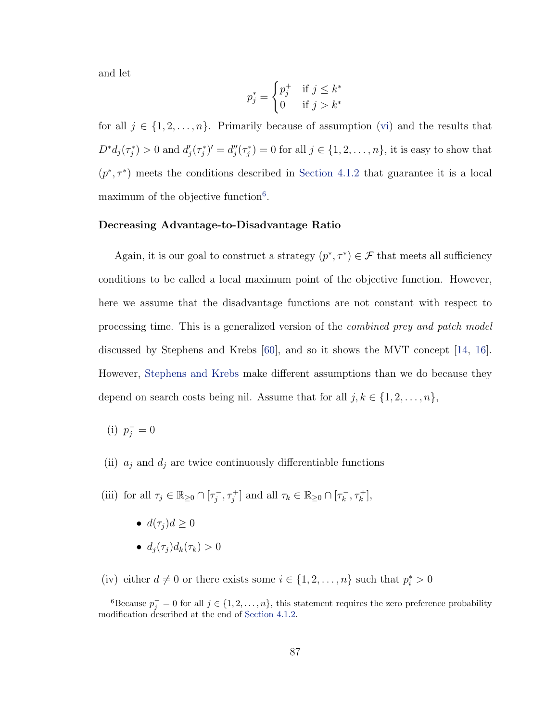and let

$$
p_j^* = \begin{cases} p_j^+ & \text{if } j \le k^* \\ 0 & \text{if } j > k^* \end{cases}
$$

for all  $j \in \{1, 2, ..., n\}$ . Primarily because of assumption [\(vi\)](#page-96-2) and the results that  $D^*d_j(\tau_j^*) > 0$  and  $d'_j(\tau_j^*)' = d''_j(\tau_j^*) = 0$  for all  $j \in \{1, 2, \ldots, n\}$ , it is easy to show that  $(p^*, \tau^*)$  meets the conditions described in [Section 4.1.2](#page-87-0) that guarantee it is a local maximum of the objective function $6$ .

#### Decreasing Advantage-to-Disadvantage Ratio

Again, it is our goal to construct a strategy  $(p^*, \tau^*) \in \mathcal{F}$  that meets all sufficiency conditions to be called a local maximum point of the objective function. However, here we assume that the disadvantage functions are not constant with respect to processing time. This is a generalized version of the combined prey and patch model discussed by Stephens and Krebs [\[60\]](#page-115-4), and so it shows the MVT concept [\[14,](#page-112-3) [16\]](#page-112-4). However, [Stephens and Krebs](#page-115-4) make different assumptions than we do because they depend on search costs being nil. Assume that for all  $j, k \in \{1, 2, ..., n\}$ ,

(i)  $p_j^- = 0$ 

- (ii)  $a_j$  and  $d_j$  are twice continuously differentiable functions
- <span id="page-98-1"></span>(iii) for all  $\tau_j \in \mathbb{R}_{\geq 0} \cap [\tau_j^-]$  $[\tau_j^-, \tau_j^+]$  and all  $\tau_k \in \mathbb{R}_{\geq 0} \cap [\tau_k^-]$  $\frac{1}{k}, \tau_k^+$ ,
	- $d(\tau_i) d \geq 0$ •  $d_i(\tau_i) d_k(\tau_k) > 0$
- <span id="page-98-2"></span>(iv) either  $d \neq 0$  or there exists some  $i \in \{1, 2, ..., n\}$  such that  $p_i^* > 0$

<span id="page-98-0"></span><sup>&</sup>lt;sup>6</sup>Because  $p_j^- = 0$  for all  $j \in \{1, 2, ..., n\}$ , this statement requires the zero preference probability modification described at the end of [Section 4.1.2.](#page-87-0)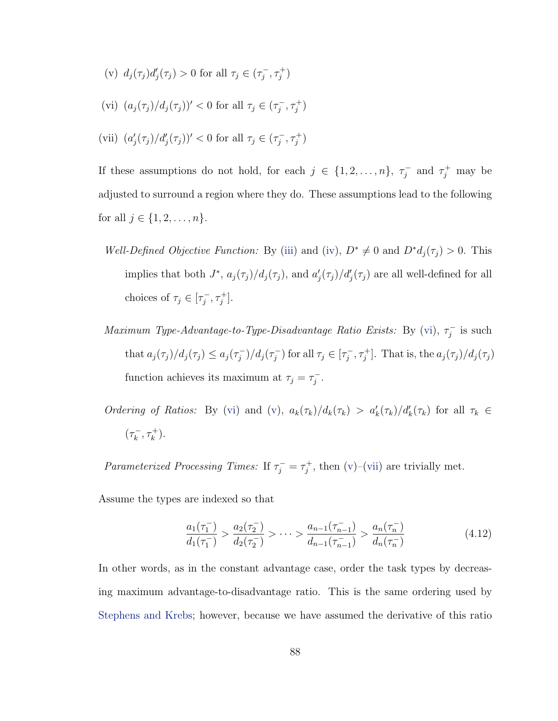- <span id="page-99-1"></span>(v)  $d_j(\tau_j)d'_j(\tau_j) > 0$  for all  $\tau_j \in (\tau_j^-)$  $(\frac{-}{j}, \tau_j^+)$
- <span id="page-99-0"></span>(vi)  $(a_j(\tau_j)/d_j(\tau_j))' < 0$  for all  $\tau_j \in (\tau_j^-)$  $\frac{1}{j}, \tau_j^+)$
- <span id="page-99-2"></span>(vii)  $(a'_j(\tau_j)/d'_j(\tau_j))' < 0$  for all  $\tau_j \in (\tau_j^-)$  $(\frac{-}{j}, \tau_j^+)$

If these assumptions do not hold, for each  $j \in \{1, 2, ..., n\}, \tau_i^ \tau_j^-$  and  $\tau_j^+$  may be adjusted to surround a region where they do. These assumptions lead to the following for all  $j \in \{1, 2, ..., n\}$ .

- Well-Defined Objective Function: By [\(iii\)](#page-98-1) and [\(iv\)](#page-98-2),  $D^* \neq 0$  and  $D^*d_j(\tau_j) > 0$ . This implies that both  $J^*$ ,  $a_j(\tau_j)/d_j(\tau_j)$ , and  $a'_j(\tau_j)/d'_j(\tau_j)$  are all well-defined for all choices of  $\tau_j \in [\tau_j^-]$  $\frac{1}{j}, \tau_j^+$ .
- Maximum Type-Advantage-to-Type-Disadvantage Ratio Exists: By [\(vi\)](#page-99-0),  $\tau_i^$  $j$ <sup>-</sup> is such that  $a_j(\tau_j)/d_j(\tau_j) \leq a_j(\tau_j^{-})$  $j^{-})/d_{j}(\tau_{j}^{-})$  $(\tau_j^-)$  for all  $\tau_j \in [\tau_j^-]$  $[\tau_j^-, \tau_j^+]$ . That is, the  $a_j(\tau_j)/d_j(\tau_j)$ function achieves its maximum at  $\tau_j = \tau_j^ \frac{1}{j}$ .

Ordering of Ratios: By [\(vi\)](#page-99-0) and [\(v\)](#page-99-1),  $a_k(\tau_k)/d_k(\tau_k) > a'_k(\tau_k)/d'_k(\tau_k)$  for all  $\tau_k \in$  $(\tau_k^ (\frac{-}{k}, \tau_k^+)$ .

Parameterized Processing Times: If  $\tau_j^- = \tau_j^+$  $j^+$ , then [\(v\)](#page-99-1)–[\(vii\)](#page-99-2) are trivially met.

Assume the types are indexed so that

$$
\frac{a_1(\tau_1^-)}{d_1(\tau_1^-)} > \frac{a_2(\tau_2^-)}{d_2(\tau_2^-)} > \dots > \frac{a_{n-1}(\tau_{n-1}^-)}{d_{n-1}(\tau_{n-1}^-)} > \frac{a_n(\tau_n^-)}{d_n(\tau_n^-)}
$$
(4.12)

In other words, as in the constant advantage case, order the task types by decreasing maximum advantage-to-disadvantage ratio. This is the same ordering used by [Stephens and Krebs;](#page-115-4) however, because we have assumed the derivative of this ratio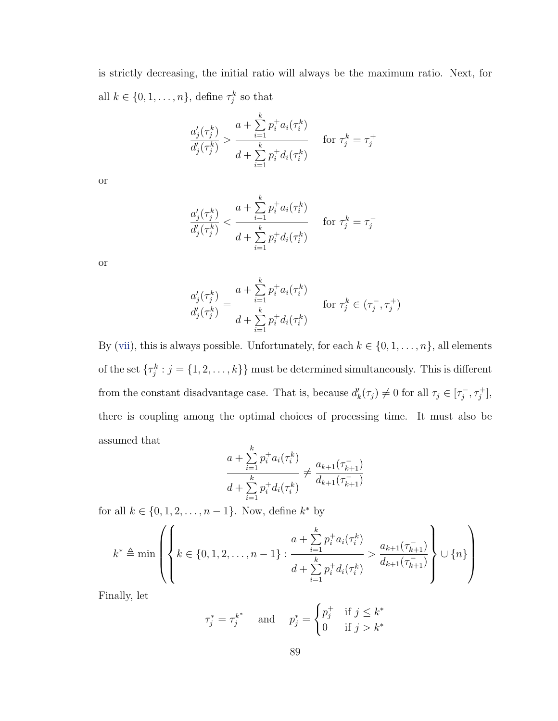is strictly decreasing, the initial ratio will always be the maximum ratio. Next, for all  $k \in \{0, 1, \ldots, n\}$ , define  $\tau_j^k$  so that

$$
\frac{a'_{j}(\tau_{j}^{k})}{d'_{j}(\tau_{j}^{k})} > \frac{a + \sum_{i=1}^{k} p_{i}^{+} a_{i}(\tau_{i}^{k})}{d + \sum_{i=1}^{k} p_{i}^{+} d_{i}(\tau_{i}^{k})} \quad \text{for } \tau_{j}^{k} = \tau_{j}^{+}
$$

or

$$
\frac{a'_{j}(\tau_{j}^{k})}{d'_{j}(\tau_{j}^{k})} < \frac{a + \sum_{i=1}^{k} p_{i}^{+} a_{i}(\tau_{i}^{k})}{d + \sum_{i=1}^{k} p_{i}^{+} d_{i}(\tau_{i}^{k})} \quad \text{for } \tau_{j}^{k} = \tau_{j}^{-}
$$

or

$$
\frac{a_j'(\tau_j^k)}{d_j'(\tau_j^k)} = \frac{a + \sum_{i=1}^k p_i^+ a_i(\tau_i^k)}{d + \sum_{i=1}^k p_i^+ d_i(\tau_i^k)} \quad \text{for } \tau_j^k \in (\tau_j^-, \tau_j^+)
$$

By [\(vii\)](#page-99-2), this is always possible. Unfortunately, for each  $k \in \{0, 1, \ldots, n\}$ , all elements of the set  $\{\tau_j^k : j = \{1, 2, \ldots, k\}\}\$  must be determined simultaneously. This is different from the constant disadvantage case. That is, because  $d'_k(\tau_j) \neq 0$  for all  $\tau_j \in [\tau_j^-]$  $\frac{1}{j}, \tau_j^+$ , there is coupling among the optimal choices of processing time. It must also be assumed that

$$
\frac{a + \sum_{i=1}^{k} p_i^+ a_i(\tau_i^k)}{d + \sum_{i=1}^{k} p_i^+ d_i(\tau_i^k)} \neq \frac{a_{k+1}(\tau_{k+1}^-)}{d_{k+1}(\tau_{k+1}^-)}
$$

for all  $k \in \{0, 1, 2, ..., n-1\}$ . Now, define  $k^*$  by

$$
k^* \triangleq \min \left( \left\{ k \in \{0, 1, 2, \dots, n-1\} : \frac{a + \sum_{i=1}^k p_i^+ a_i(\tau_i^k)}{d + \sum_{i=1}^k p_i^+ d_i(\tau_i^k)} > \frac{a_{k+1}(\tau_{k+1}^-)}{d_{k+1}(\tau_{k+1}^-)} \right\} \cup \{n\} \right)
$$

Finally, let

$$
\tau_j^* = \tau_j^{k^*} \quad \text{and} \quad p_j^* = \begin{cases} p_j^+ & \text{if } j \le k^* \\ 0 & \text{if } j > k^* \end{cases}
$$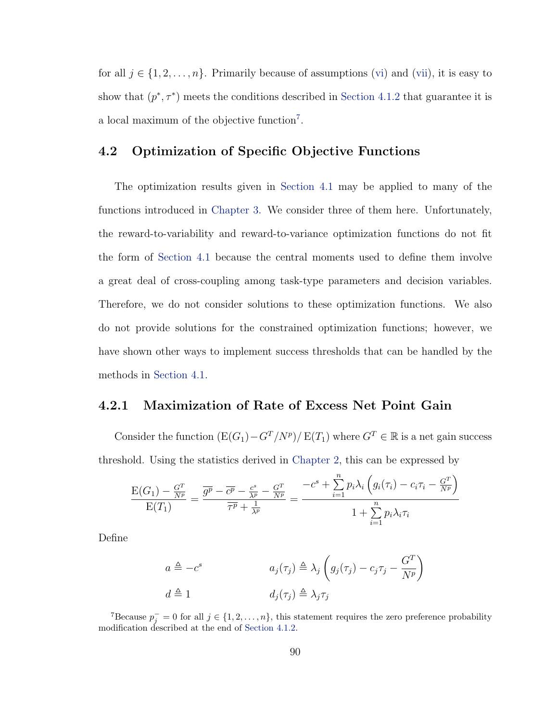for all  $j \in \{1, 2, \ldots, n\}$ . Primarily because of assumptions [\(vi\)](#page-99-0) and [\(vii\)](#page-99-2), it is easy to show that  $(p^*, \tau^*)$  meets the conditions described in [Section 4.1.2](#page-87-0) that guarantee it is a local maximum of the objective function<sup>[7](#page-101-1)</sup>.

# <span id="page-101-0"></span>4.2 Optimization of Specific Objective Functions

The optimization results given in [Section 4.1](#page-85-0) may be applied to many of the functions introduced in [Chapter 3.](#page-44-0) We consider three of them here. Unfortunately, the reward-to-variability and reward-to-variance optimization functions do not fit the form of [Section 4.1](#page-85-0) because the central moments used to define them involve a great deal of cross-coupling among task-type parameters and decision variables. Therefore, we do not consider solutions to these optimization functions. We also do not provide solutions for the constrained optimization functions; however, we have shown other ways to implement success thresholds that can be handled by the methods in [Section 4.1.](#page-85-0)

### <span id="page-101-2"></span>4.2.1 Maximization of Rate of Excess Net Point Gain

Consider the function  $(E(G_1) - G^T / N^p) / E(T_1)$  where  $G^T \in \mathbb{R}$  is a net gain success threshold. Using the statistics derived in [Chapter 2,](#page-14-0) this can be expressed by

$$
\frac{\mathrm{E}(G_1) - \frac{G^T}{N^p}}{\mathrm{E}(T_1)} = \frac{\overline{g^p} - \overline{c^p} - \frac{c^s}{\lambda^p} - \frac{G^T}{N^p}}{\overline{\tau^p} + \frac{1}{\lambda^p}} = \frac{-c^s + \sum_{i=1}^n p_i \lambda_i \left( g_i(\tau_i) - c_i \tau_i - \frac{G^T}{N^p} \right)}{1 + \sum_{i=1}^n p_i \lambda_i \tau_i}
$$

Define

$$
a \triangleq -c^s \qquad a_j(\tau_j) \triangleq \lambda_j \left( g_j(\tau_j) - c_j \tau_j - \frac{G^T}{N^p} \right)
$$
  

$$
d \triangleq 1 \qquad d_j(\tau_j) \triangleq \lambda_j \tau_j
$$

<span id="page-101-1"></span><sup>7</sup>Because  $p_j^- = 0$  for all  $j \in \{1, 2, ..., n\}$ , this statement requires the zero preference probability modification described at the end of [Section 4.1.2.](#page-87-0)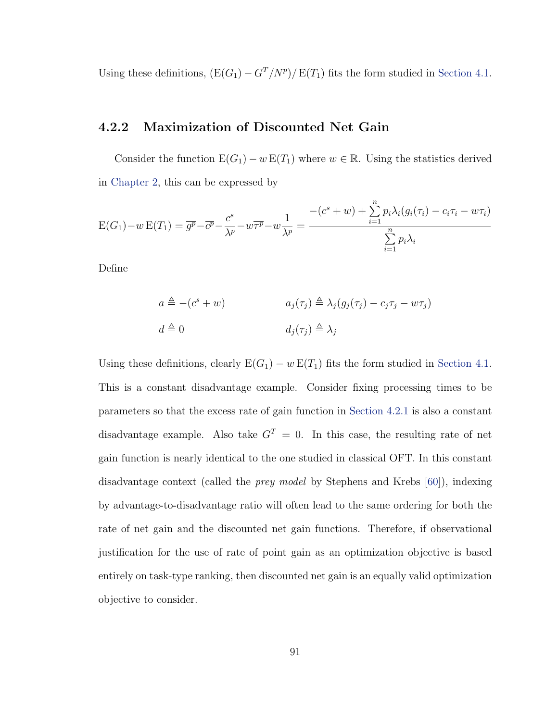Using these definitions,  $(E(G_1) - G^T/N^p)/E(T_1)$  fits the form studied in [Section 4.1.](#page-85-0)

## 4.2.2 Maximization of Discounted Net Gain

Consider the function  $E(G_1) - w E(T_1)$  where  $w \in \mathbb{R}$ . Using the statistics derived in [Chapter 2,](#page-14-0) this can be expressed by

$$
E(G_1) - w E(T_1) = \overline{g^p} - \overline{c^p} - \frac{c^s}{\lambda^p} - w\overline{\tau^p} - w\frac{1}{\lambda^p} = \frac{-(c^s + w) + \sum_{i=1}^n p_i \lambda_i (g_i(\tau_i) - c_i \tau_i - w \tau_i)}{\sum_{i=1}^n p_i \lambda_i}
$$

Define

$$
a \triangleq -(c^s + w) \qquad a_j(\tau_j) \triangleq \lambda_j (g_j(\tau_j) - c_j \tau_j - w \tau_j)
$$
  

$$
d \triangleq 0 \qquad d_j(\tau_j) \triangleq \lambda_j
$$

Using these definitions, clearly  $E(G_1) - w E(T_1)$  fits the form studied in [Section 4.1.](#page-85-0) This is a constant disadvantage example. Consider fixing processing times to be parameters so that the excess rate of gain function in [Section 4.2.1](#page-101-2) is also a constant disadvantage example. Also take  $G<sup>T</sup> = 0$ . In this case, the resulting rate of net gain function is nearly identical to the one studied in classical OFT. In this constant disadvantage context (called the prey model by Stephens and Krebs [\[60\]](#page-115-4)), indexing by advantage-to-disadvantage ratio will often lead to the same ordering for both the rate of net gain and the discounted net gain functions. Therefore, if observational justification for the use of rate of point gain as an optimization objective is based entirely on task-type ranking, then discounted net gain is an equally valid optimization objective to consider.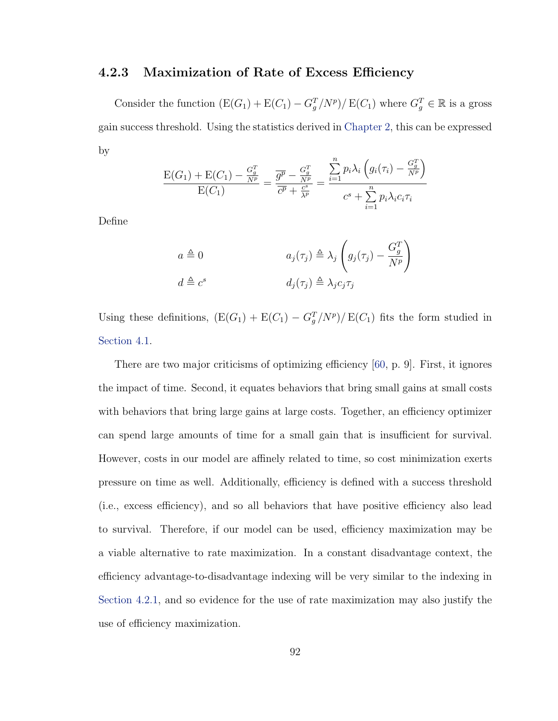### 4.2.3 Maximization of Rate of Excess Efficiency

Consider the function  $(E(G_1) + E(C_1) - G_g^T/N^p)/E(C_1)$  where  $G_g^T \in \mathbb{R}$  is a gross gain success threshold. Using the statistics derived in [Chapter 2,](#page-14-0) this can be expressed by  $\overline{n}$  $\overline{ }$  $\sim T$ 

$$
\frac{\mathrm{E}(G_1)+\mathrm{E}(C_1)-\frac{G_g^T}{N^p}}{\mathrm{E}(C_1)}=\frac{\overline{g^p}-\frac{G_g^T}{N^p}}{\overline{c^p}+\frac{c^s}{\lambda^p}}=\frac{\sum\limits_{i=1}^n p_i\lambda_i\left(g_i(\tau_i)-\frac{G_g^T}{N^p}\right)}{c^s+\sum\limits_{i=1}^n p_i\lambda_i c_i\tau_i}
$$

Define

$$
a \triangleq 0 \qquad a_j(\tau_j) \triangleq \lambda_j \left( g_j(\tau_j) - \frac{G_g^T}{N^p} \right)
$$

$$
d \triangleq c^s \qquad d_j(\tau_j) \triangleq \lambda_j c_j \tau_j
$$

Using these definitions,  $(E(G_1) + E(C_1) - G_g^T/N^p)/E(C_1)$  fits the form studied in [Section 4.1.](#page-85-0)

There are two major criticisms of optimizing efficiency [\[60,](#page-115-4) p. 9]. First, it ignores the impact of time. Second, it equates behaviors that bring small gains at small costs with behaviors that bring large gains at large costs. Together, an efficiency optimizer can spend large amounts of time for a small gain that is insufficient for survival. However, costs in our model are affinely related to time, so cost minimization exerts pressure on time as well. Additionally, efficiency is defined with a success threshold (i.e., excess efficiency), and so all behaviors that have positive efficiency also lead to survival. Therefore, if our model can be used, efficiency maximization may be a viable alternative to rate maximization. In a constant disadvantage context, the efficiency advantage-to-disadvantage indexing will be very similar to the indexing in [Section 4.2.1,](#page-101-2) and so evidence for the use of rate maximization may also justify the use of efficiency maximization.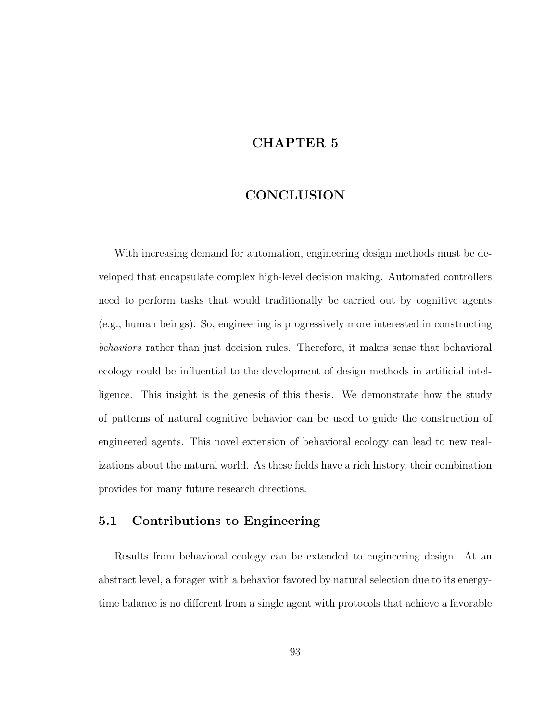# CHAPTER 5

## **CONCLUSION**

With increasing demand for automation, engineering design methods must be developed that encapsulate complex high-level decision making. Automated controllers need to perform tasks that would traditionally be carried out by cognitive agents (e.g., human beings). So, engineering is progressively more interested in constructing behaviors rather than just decision rules. Therefore, it makes sense that behavioral ecology could be influential to the development of design methods in artificial intelligence. This insight is the genesis of this thesis. We demonstrate how the study of patterns of natural cognitive behavior can be used to guide the construction of engineered agents. This novel extension of behavioral ecology can lead to new realizations about the natural world. As these fields have a rich history, their combination provides for many future research directions.

### 5.1 Contributions to Engineering

Results from behavioral ecology can be extended to engineering design. At an abstract level, a forager with a behavior favored by natural selection due to its energytime balance is no different from a single agent with protocols that achieve a favorable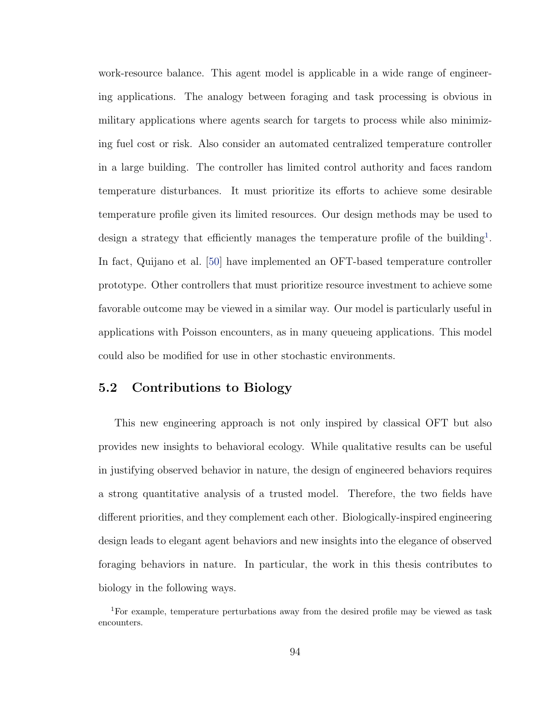work-resource balance. This agent model is applicable in a wide range of engineering applications. The analogy between foraging and task processing is obvious in military applications where agents search for targets to process while also minimizing fuel cost or risk. Also consider an automated centralized temperature controller in a large building. The controller has limited control authority and faces random temperature disturbances. It must prioritize its efforts to achieve some desirable temperature profile given its limited resources. Our design methods may be used to design a strategy that efficiently manages the temperature profile of the building<sup>[1](#page-105-0)</sup>. In fact, Quijano et al. [\[50\]](#page-114-2) have implemented an OFT-based temperature controller prototype. Other controllers that must prioritize resource investment to achieve some favorable outcome may be viewed in a similar way. Our model is particularly useful in applications with Poisson encounters, as in many queueing applications. This model could also be modified for use in other stochastic environments.

## 5.2 Contributions to Biology

This new engineering approach is not only inspired by classical OFT but also provides new insights to behavioral ecology. While qualitative results can be useful in justifying observed behavior in nature, the design of engineered behaviors requires a strong quantitative analysis of a trusted model. Therefore, the two fields have different priorities, and they complement each other. Biologically-inspired engineering design leads to elegant agent behaviors and new insights into the elegance of observed foraging behaviors in nature. In particular, the work in this thesis contributes to biology in the following ways.

<span id="page-105-0"></span><sup>1</sup>For example, temperature perturbations away from the desired profile may be viewed as task encounters.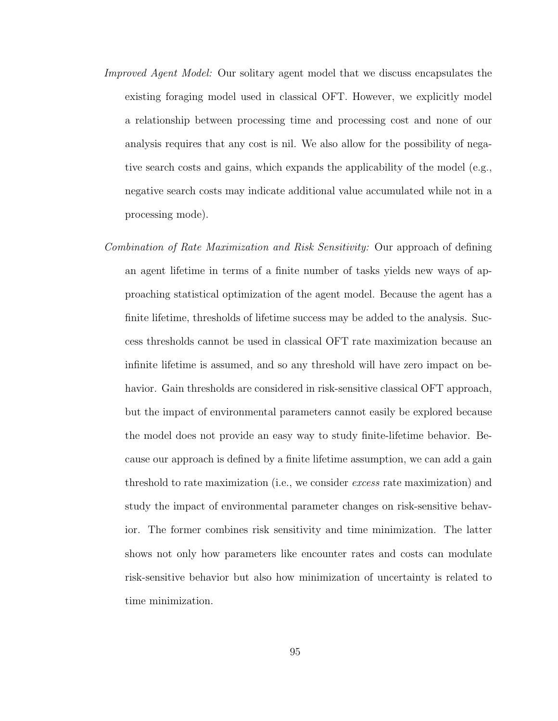- Improved Agent Model: Our solitary agent model that we discuss encapsulates the existing foraging model used in classical OFT. However, we explicitly model a relationship between processing time and processing cost and none of our analysis requires that any cost is nil. We also allow for the possibility of negative search costs and gains, which expands the applicability of the model (e.g., negative search costs may indicate additional value accumulated while not in a processing mode).
- Combination of Rate Maximization and Risk Sensitivity: Our approach of defining an agent lifetime in terms of a finite number of tasks yields new ways of approaching statistical optimization of the agent model. Because the agent has a finite lifetime, thresholds of lifetime success may be added to the analysis. Success thresholds cannot be used in classical OFT rate maximization because an infinite lifetime is assumed, and so any threshold will have zero impact on behavior. Gain thresholds are considered in risk-sensitive classical OFT approach, but the impact of environmental parameters cannot easily be explored because the model does not provide an easy way to study finite-lifetime behavior. Because our approach is defined by a finite lifetime assumption, we can add a gain threshold to rate maximization (i.e., we consider excess rate maximization) and study the impact of environmental parameter changes on risk-sensitive behavior. The former combines risk sensitivity and time minimization. The latter shows not only how parameters like encounter rates and costs can modulate risk-sensitive behavior but also how minimization of uncertainty is related to time minimization.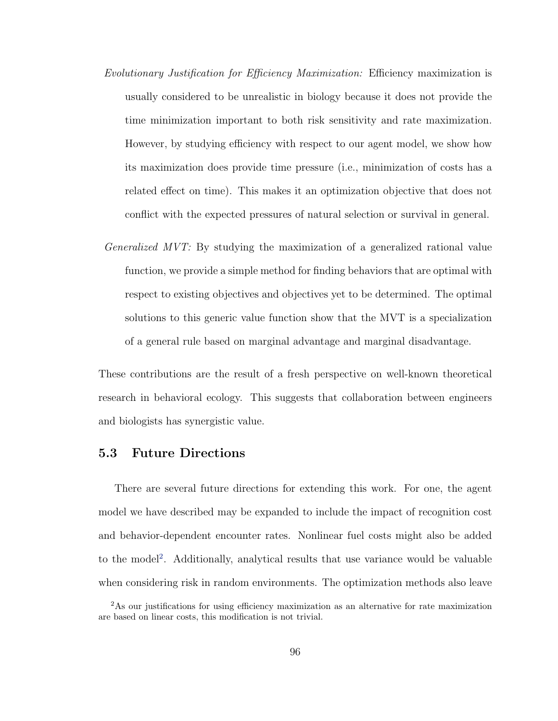- Evolutionary Justification for Efficiency Maximization: Efficiency maximization is usually considered to be unrealistic in biology because it does not provide the time minimization important to both risk sensitivity and rate maximization. However, by studying efficiency with respect to our agent model, we show how its maximization does provide time pressure (i.e., minimization of costs has a related effect on time). This makes it an optimization objective that does not conflict with the expected pressures of natural selection or survival in general.
- Generalized MVT: By studying the maximization of a generalized rational value function, we provide a simple method for finding behaviors that are optimal with respect to existing objectives and objectives yet to be determined. The optimal solutions to this generic value function show that the MVT is a specialization of a general rule based on marginal advantage and marginal disadvantage.

These contributions are the result of a fresh perspective on well-known theoretical research in behavioral ecology. This suggests that collaboration between engineers and biologists has synergistic value.

### 5.3 Future Directions

There are several future directions for extending this work. For one, the agent model we have described may be expanded to include the impact of recognition cost and behavior-dependent encounter rates. Nonlinear fuel costs might also be added to the model<sup>[2](#page-107-0)</sup>. Additionally, analytical results that use variance would be valuable when considering risk in random environments. The optimization methods also leave

<span id="page-107-0"></span><sup>2</sup>As our justifications for using efficiency maximization as an alternative for rate maximization are based on linear costs, this modification is not trivial.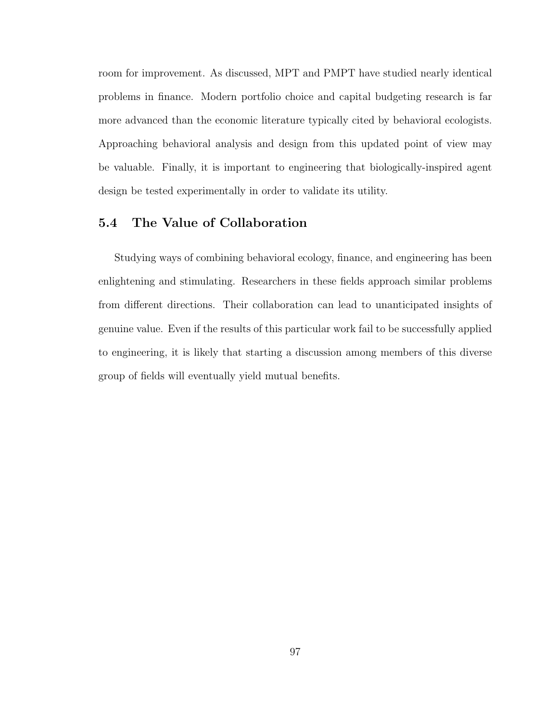<span id="page-108-0"></span>room for improvement. As discussed, MPT and PMPT have studied nearly identical problems in finance. Modern portfolio choice and capital budgeting research is far more advanced than the economic literature typically cited by behavioral ecologists. Approaching behavioral analysis and design from this updated point of view may be valuable. Finally, it is important to engineering that biologically-inspired agent design be tested experimentally in order to validate its utility.

## 5.4 The Value of Collaboration

Studying ways of combining behavioral ecology, finance, and engineering has been enlightening and stimulating. Researchers in these fields approach similar problems from different directions. Their collaboration can lead to unanticipated insights of genuine value. Even if the results of this particular work fail to be successfully applied to engineering, it is likely that starting a discussion among members of this diverse group of fields will eventually yield mutual benefits.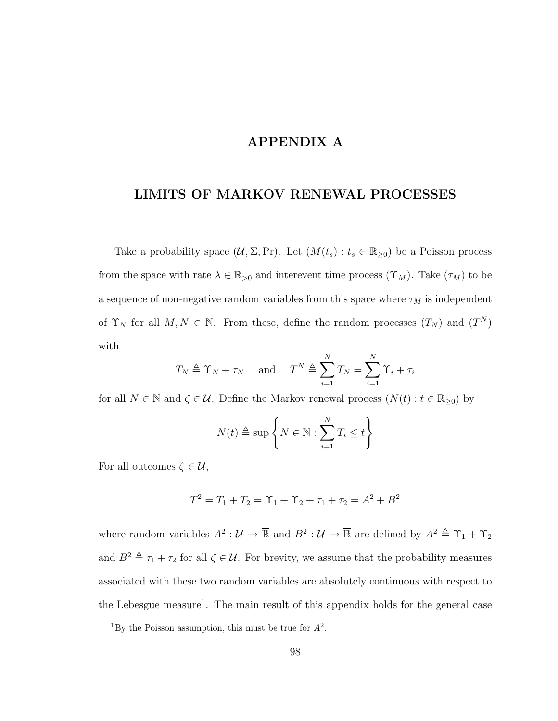## APPENDIX A

## <span id="page-109-1"></span>LIMITS OF MARKOV RENEWAL PROCESSES

Take a probability space  $(U, \Sigma, Pr)$ . Let  $(M(t_s) : t_s \in \mathbb{R}_{\geq 0})$  be a Poisson process from the space with rate  $\lambda \in \mathbb{R}_{>0}$  and interevent time process  $(\Upsilon_M)$ . Take  $(\tau_M)$  to be a sequence of non-negative random variables from this space where  $\tau_M$  is independent of  $\Upsilon_N$  for all  $M, N \in \mathbb{N}$ . From these, define the random processes  $(T_N)$  and  $(T^N)$ with

$$
T_N \triangleq \Upsilon_N + \tau_N
$$
 and  $T^N \triangleq \sum_{i=1}^N T_N = \sum_{i=1}^N \Upsilon_i + \tau_i$ 

for all  $N \in \mathbb{N}$  and  $\zeta \in \mathcal{U}$ . Define the Markov renewal process  $(N(t): t \in \mathbb{R}_{\geq 0})$  by

$$
N(t) \triangleq \sup \left\{ N \in \mathbb{N} : \sum_{i=1}^{N} T_i \leq t \right\}
$$

For all outcomes  $\zeta \in \mathcal{U}$ ,

$$
T^2 = T_1 + T_2 = \Upsilon_1 + \Upsilon_2 + \tau_1 + \tau_2 = A^2 + B^2
$$

where random variables  $A^2: \mathcal{U} \mapsto \overline{\mathbb{R}}$  and  $B^2: \mathcal{U} \mapsto \overline{\mathbb{R}}$  are defined by  $A^2 \triangleq \Upsilon_1 + \Upsilon_2$ and  $B^2 \triangleq \tau_1 + \tau_2$  for all  $\zeta \in \mathcal{U}$ . For brevity, we assume that the probability measures associated with these two random variables are absolutely continuous with respect to the Lebesgue measure<sup>[1](#page-109-0)</sup>. The main result of this appendix holds for the general case

<span id="page-109-0"></span><sup>&</sup>lt;sup>1</sup>By the Poisson assumption, this must be true for  $A^2$ .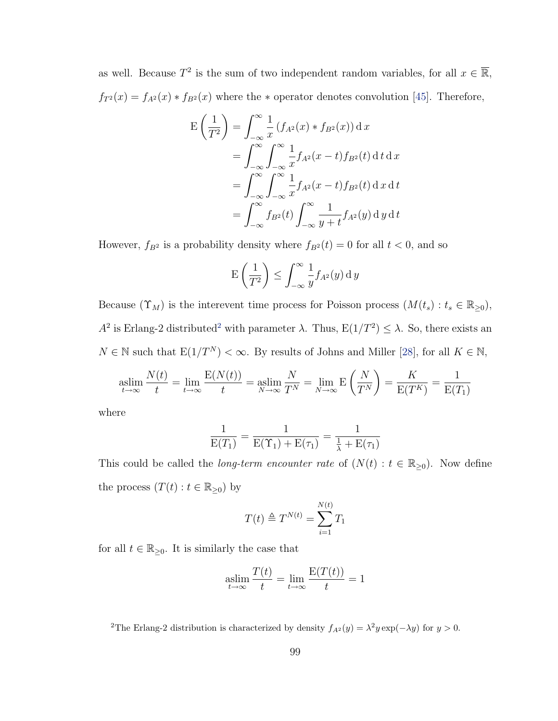<span id="page-110-1"></span>as well. Because  $T^2$  is the sum of two independent random variables, for all  $x \in \overline{\mathbb{R}}$ ,  $f_{T^2}(x) = f_{A^2}(x) * f_{B^2}(x)$  where the  $*$  operator denotes convolution [\[45\]](#page-114-0). Therefore,

$$
E\left(\frac{1}{T^2}\right) = \int_{-\infty}^{\infty} \frac{1}{x} \left(f_{A^2}(x) * f_{B^2}(x)\right) dx
$$
  
= 
$$
\int_{-\infty}^{\infty} \int_{-\infty}^{\infty} \frac{1}{x} f_{A^2}(x - t) f_{B^2}(t) dt dx
$$
  
= 
$$
\int_{-\infty}^{\infty} \int_{-\infty}^{\infty} \frac{1}{x} f_{A^2}(x - t) f_{B^2}(t) dx dt
$$
  
= 
$$
\int_{-\infty}^{\infty} f_{B^2}(t) \int_{-\infty}^{\infty} \frac{1}{y + t} f_{A^2}(y) dy dt
$$

However,  $f_{B^2}$  is a probability density where  $f_{B^2}(t) = 0$  for all  $t < 0$ , and so

$$
E\left(\frac{1}{T^2}\right) \le \int_{-\infty}^{\infty} \frac{1}{y} f_{A^2}(y) \, dy
$$

Because  $(\Upsilon_M)$  is the interevent time process for Poisson process  $(M(t_s): t_s \in \mathbb{R}_{\geq 0}),$  $A^2$  $A^2$  is Erlang-2 distributed<sup>2</sup> with parameter  $\lambda$ . Thus,  $E(1/T^2) \leq \lambda$ . So, there exists an  $N \in \mathbb{N}$  such that  $E(1/T^N) < \infty$ . By results of Johns and Miller [\[28\]](#page-113-0), for all  $K \in \mathbb{N}$ ,

$$
\operatorname*{aslim}_{t \to \infty} \frac{N(t)}{t} = \lim_{t \to \infty} \frac{E(N(t))}{t} = \operatorname*{aslim}_{N \to \infty} \frac{N}{T^N} = \lim_{N \to \infty} E\left(\frac{N}{T^N}\right) = \frac{K}{E(T^K)} = \frac{1}{E(T_1)}
$$

where

$$
\frac{1}{E(T_1)} = \frac{1}{E(\Upsilon_1) + E(\tau_1)} = \frac{1}{\frac{1}{\lambda} + E(\tau_1)}
$$

This could be called the *long-term encounter rate* of  $(N(t) : t \in \mathbb{R}_{\geq 0})$ . Now define the process  $(T(t): t \in \mathbb{R}_{\geq 0})$  by

$$
T(t) \triangleq T^{N(t)} = \sum_{i=1}^{N(t)} T_1
$$

for all  $t \in \mathbb{R}_{\geq 0}$ . It is similarly the case that

$$
\operatorname*{aslim}_{t \to \infty} \frac{T(t)}{t} = \lim_{t \to \infty} \frac{E(T(t))}{t} = 1
$$

<span id="page-110-0"></span><sup>2</sup>The Erlang-2 distribution is characterized by density  $f_{A^2}(y) = \lambda^2 y \exp(-\lambda y)$  for  $y > 0$ .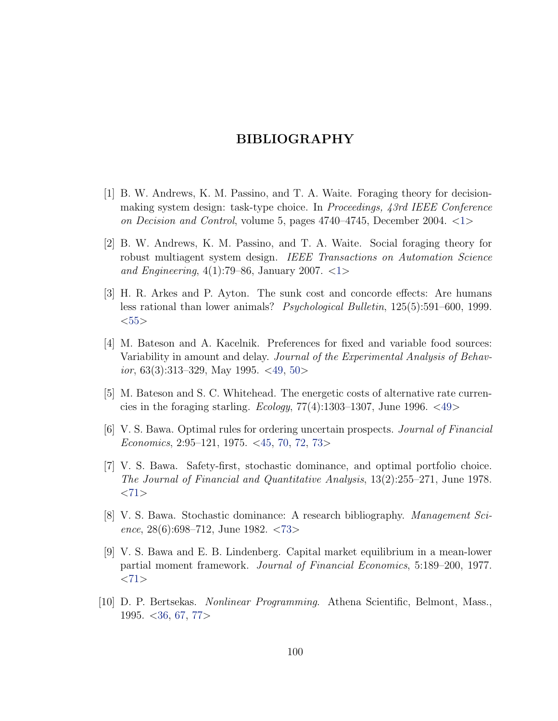#### BIBLIOGRAPHY

- <span id="page-111-0"></span>[1] B. W. Andrews, K. M. Passino, and T. A. Waite. Foraging theory for decisionmaking system design: task-type choice. In Proceedings, 43rd IEEE Conference on Decision and Control, volume 5, pages  $4740-4745$ , December 2004.  $\langle 1 \rangle$  $\langle 1 \rangle$  $\langle 1 \rangle$
- [2] B. W. Andrews, K. M. Passino, and T. A. Waite. Social foraging theory for robust multiagent system design. IEEE Transactions on Automation Science and Engineering,  $4(1)$  $4(1)$  $4(1)$ :79–86, January 2007. <1>
- [3] H. R. Arkes and P. Ayton. The sunk cost and concorde effects: Are humans less rational than lower animals? Psychological Bulletin, 125(5):591–600, 1999.  $<$ [55](#page-66-0) $>$
- [4] M. Bateson and A. Kacelnik. Preferences for fixed and variable food sources: Variability in amount and delay. Journal of the Experimental Analysis of Behavior, 63(3):313–329, May 1995.  $\langle 49, 50 \rangle$  $\langle 49, 50 \rangle$  $\langle 49, 50 \rangle$  $\langle 49, 50 \rangle$  $\langle 49, 50 \rangle$
- [5] M. Bateson and S. C. Whitehead. The energetic costs of alternative rate currencies in the foraging starling. *Ecology*,  $77(4)$ :1303–1307, June 1996. <[49](#page-60-0)>
- [6] V. S. Bawa. Optimal rules for ordering uncertain prospects. Journal of Financial Economics, 2:95–121, 1975. <[45,](#page-56-0) [70,](#page-81-0) [72,](#page-83-0) [73](#page-84-0)>
- [7] V. S. Bawa. Safety-first, stochastic dominance, and optimal portfolio choice. The Journal of Financial and Quantitative Analysis, 13(2):255–271, June 1978.  $<71>$  $<71>$  $<71>$
- [8] V. S. Bawa. Stochastic dominance: A research bibliography. Management Science, 28(6):698–712, June 1982. <[73](#page-84-0)>
- [9] V. S. Bawa and E. B. Lindenberg. Capital market equilibrium in a mean-lower partial moment framework. Journal of Financial Economics, 5:189–200, 1977.  $<$ [71](#page-82-0) $>$
- [10] D. P. Bertsekas. Nonlinear Programming. Athena Scientific, Belmont, Mass., 1995. <[36,](#page-47-0) [67,](#page-78-0) [77](#page-88-0)>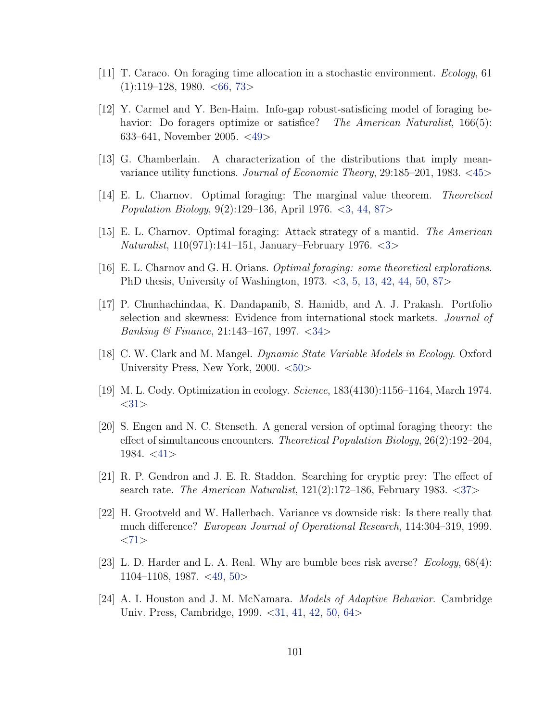- <span id="page-112-0"></span>[11] T. Caraco. On foraging time allocation in a stochastic environment. Ecology, 61  $(1):119-128$ , 1980. <[66,](#page-77-0) [73](#page-84-0)>
- [12] Y. Carmel and Y. Ben-Haim. Info-gap robust-satisficing model of foraging behavior: Do foragers optimize or satisfice? The American Naturalist, 166(5): 633–641, November 2005. <[49](#page-60-0)>
- [13] G. Chamberlain. A characterization of the distributions that imply meanvariance utility functions. Journal of Economic Theory, 29:185–201, 1983. <[45](#page-56-0)>
- [14] E. L. Charnov. Optimal foraging: The marginal value theorem. Theoretical Population Biology, 9(2):129–136, April 1976. <[3,](#page-14-0) [44,](#page-55-0) [87](#page-98-0)>
- [15] E. L. Charnov. Optimal foraging: Attack strategy of a mantid. The American Naturalist, 110(971):141–151, January–February 1976. <[3](#page-14-0)>
- [16] E. L. Charnov and G. H. Orians. Optimal foraging: some theoretical explorations. PhD thesis, University of Washington, 1973. <[3,](#page-14-0) [5,](#page-16-0) [13,](#page-24-0) [42,](#page-53-0) [44,](#page-55-0) [50,](#page-61-0) [87](#page-98-0)>
- [17] P. Chunhachindaa, K. Dandapanib, S. Hamidb, and A. J. Prakash. Portfolio selection and skewness: Evidence from international stock markets. Journal of Banking & Finance, 21:143–167, 1997. <[34](#page-45-0)>
- [18] C. W. Clark and M. Mangel. Dynamic State Variable Models in Ecology. Oxford University Press, New York, 2000. <[50](#page-61-0)>
- [19] M. L. Cody. Optimization in ecology. Science, 183(4130):1156–1164, March 1974.  $<$ [31](#page-42-0) $>$
- [20] S. Engen and N. C. Stenseth. A general version of optimal foraging theory: the effect of simultaneous encounters. Theoretical Population Biology, 26(2):192–204,  $1984. < 41$  $1984. < 41$
- [21] R. P. Gendron and J. E. R. Staddon. Searching for cryptic prey: The effect of search rate. The American Naturalist,  $121(2):172-186$ , February 1983.  $\langle 37 \rangle$  $\langle 37 \rangle$  $\langle 37 \rangle$
- [22] H. Grootveld and W. Hallerbach. Variance vs downside risk: Is there really that much difference? European Journal of Operational Research, 114:304–319, 1999.  $<71>$  $<71>$  $<71>$
- [23] L. D. Harder and L. A. Real. Why are bumble bees risk averse?  $Ecology$ , 68(4): 1104–1108, 1987. <[49,](#page-60-0) [50](#page-61-0)>
- [24] A. I. Houston and J. M. McNamara. Models of Adaptive Behavior. Cambridge Univ. Press, Cambridge, 1999. < [31,](#page-42-0) [41,](#page-52-0) [42,](#page-53-0) [50,](#page-61-0) [64](#page-75-0)>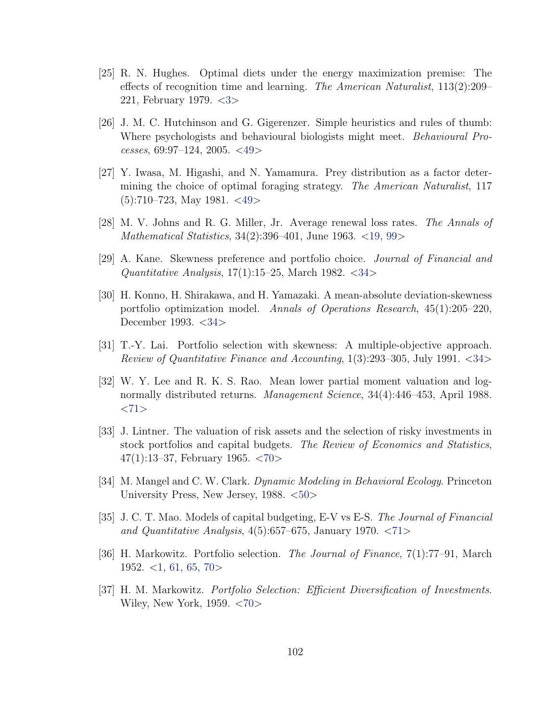- <span id="page-113-1"></span>[25] R. N. Hughes. Optimal diets under the energy maximization premise: The effects of recognition time and learning. The American Naturalist, 113(2):209– 221, February 1979. <[3](#page-14-0)>
- [26] J. M. C. Hutchinson and G. Gigerenzer. Simple heuristics and rules of thumb: Where psychologists and behavioural biologists might meet. *Behavioural Pro*cesses, 69:97–124, 2005. <[49](#page-60-0)>
- [27] Y. Iwasa, M. Higashi, and N. Yamamura. Prey distribution as a factor determining the choice of optimal foraging strategy. The American Naturalist, 117  $(5):710-723$ , May 1981. <[49](#page-60-0)>
- <span id="page-113-0"></span>[28] M. V. Johns and R. G. Miller, Jr. Average renewal loss rates. The Annals of Mathematical Statistics, 34(2):396–401, June 1963. <[19,](#page-30-0) [99](#page-110-1)>
- [29] A. Kane. Skewness preference and portfolio choice. Journal of Financial and Quantitative Analysis,  $17(1)$ :15–25, March 1982. <[34](#page-45-0)>
- [30] H. Konno, H. Shirakawa, and H. Yamazaki. A mean-absolute deviation-skewness portfolio optimization model. Annals of Operations Research, 45(1):205–220, December 1993. < [34](#page-45-0)
- [31] T.-Y. Lai. Portfolio selection with skewness: A multiple-objective approach. Review of Quantitative Finance and Accounting, 1(3):293–305, July 1991. <[34](#page-45-0)>
- [32] W. Y. Lee and R. K. S. Rao. Mean lower partial moment valuation and lognormally distributed returns. Management Science, 34(4):446–453, April 1988.  $<$ [71](#page-82-0) $>$
- [33] J. Lintner. The valuation of risk assets and the selection of risky investments in stock portfolios and capital budgets. The Review of Economics and Statistics, 47(1):13–37, February 1965. <[70](#page-81-0)>
- [34] M. Mangel and C. W. Clark. Dynamic Modeling in Behavioral Ecology. Princeton University Press, New Jersey, 1988. <[50](#page-61-0)>
- [35] J. C. T. Mao. Models of capital budgeting, E-V vs E-S. The Journal of Financial and Quantitative Analysis,  $4(5):657-675$ , January 1970.  $\langle 71 \rangle$  $\langle 71 \rangle$  $\langle 71 \rangle$
- [36] H. Markowitz. Portfolio selection. The Journal of Finance, 7(1):77–91, March 1952.  $\langle 1, 61, 65, 70 \rangle$  $\langle 1, 61, 65, 70 \rangle$  $\langle 1, 61, 65, 70 \rangle$  $\langle 1, 61, 65, 70 \rangle$  $\langle 1, 61, 65, 70 \rangle$  $\langle 1, 61, 65, 70 \rangle$  $\langle 1, 61, 65, 70 \rangle$  $\langle 1, 61, 65, 70 \rangle$  $\langle 1, 61, 65, 70 \rangle$
- [37] H. M. Markowitz. Portfolio Selection: Efficient Diversification of Investments. Wiley, New York, 1959. <[70](#page-81-0)>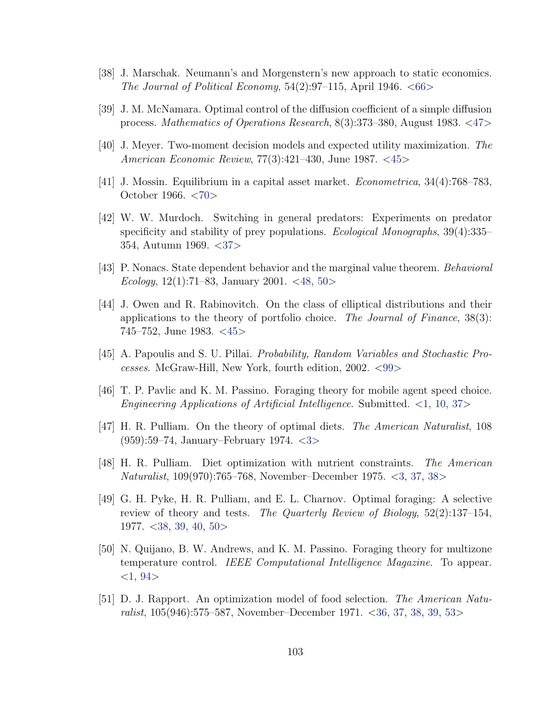- <span id="page-114-1"></span>[38] J. Marschak. Neumann's and Morgenstern's new approach to static economics. The Journal of Political Economy,  $54(2):97-115$ , April 1946.  $\lt 66>$  $\lt 66>$  $\lt 66>$
- [39] J. M. McNamara. Optimal control of the diffusion coefficient of a simple diffusion process. Mathematics of Operations Research, 8(3):373–380, August 1983. <[47](#page-58-0)>
- [40] J. Meyer. Two-moment decision models and expected utility maximization. The American Economic Review, 77(3):421–430, June 1987. <[45](#page-56-0)>
- [41] J. Mossin. Equilibrium in a capital asset market. Econometrica, 34(4):768–783, October 1966. <[70](#page-81-0)>
- [42] W. W. Murdoch. Switching in general predators: Experiments on predator specificity and stability of prey populations. *Ecological Monographs*, 39(4):335– 354, Autumn 1969. <[37](#page-48-0)>
- [43] P. Nonacs. State dependent behavior and the marginal value theorem. Behavioral Ecology, 12(1):71–83, January 2001. <[48,](#page-59-0) [50](#page-61-0)>
- [44] J. Owen and R. Rabinovitch. On the class of elliptical distributions and their applications to the theory of portfolio choice. The Journal of Finance, 38(3): 745–752, June 1983. <[45](#page-56-0)>
- <span id="page-114-0"></span>[45] A. Papoulis and S. U. Pillai. Probability, Random Variables and Stochastic Processes. McGraw-Hill, New York, fourth edition, 2002. <[99](#page-110-1)>
- [46] T. P. Pavlic and K. M. Passino. Foraging theory for mobile agent speed choice. Engineering Applications of Artificial Intelligence. Submitted.  $\langle 1, 10, 37 \rangle$  $\langle 1, 10, 37 \rangle$  $\langle 1, 10, 37 \rangle$  $\langle 1, 10, 37 \rangle$  $\langle 1, 10, 37 \rangle$  $\langle 1, 10, 37 \rangle$  $\langle 1, 10, 37 \rangle$
- [47] H. R. Pulliam. On the theory of optimal diets. The American Naturalist, 108 (959):59–74, January–February 1974. <[3](#page-14-0)>
- [48] H. R. Pulliam. Diet optimization with nutrient constraints. The American Naturalist, 109(970):765–768, November–December 1975. <[3,](#page-14-0) [37,](#page-48-0) [38](#page-49-0)>
- [49] G. H. Pyke, H. R. Pulliam, and E. L. Charnov. Optimal foraging: A selective review of theory and tests. The Quarterly Review of Biology, 52(2):137–154, 1977. <[38,](#page-49-0) [39,](#page-50-0) [40,](#page-51-0) [50](#page-61-0)>
- [50] N. Quijano, B. W. Andrews, and K. M. Passino. Foraging theory for multizone temperature control. IEEE Computational Intelligence Magazine. To appear.  $<$ [1,](#page-12-0) [94](#page-105-0) $>$
- [51] D. J. Rapport. An optimization model of food selection. The American Naturalist, 105(946):575–587, November–December 1971. <[36,](#page-47-0) [37,](#page-48-0) [38,](#page-49-0) [39,](#page-50-0) [53](#page-64-0)>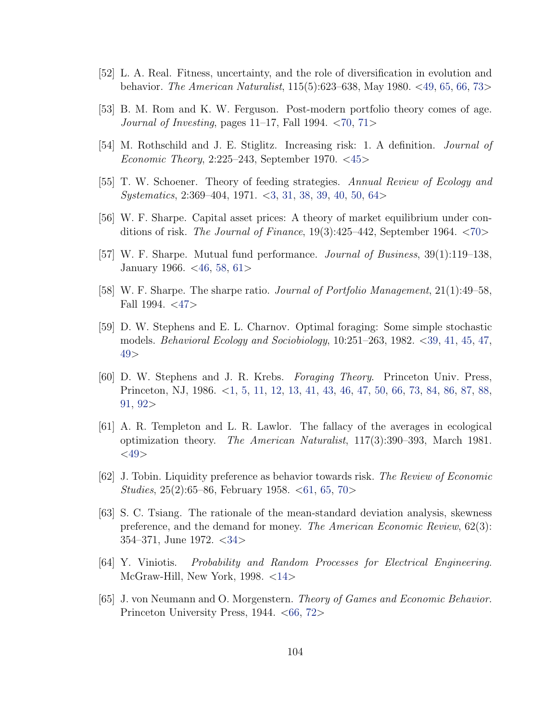- <span id="page-115-0"></span>[52] L. A. Real. Fitness, uncertainty, and the role of diversification in evolution and behavior. The American Naturalist, 115(5):623–638, May 1980. <[49,](#page-60-0) [65,](#page-76-0) [66,](#page-77-0) [73](#page-84-0)>
- [53] B. M. Rom and K. W. Ferguson. Post-modern portfolio theory comes of age. Journal of Investing, pages 11–17, Fall 1994.  $\langle 70, 71 \rangle$  $\langle 70, 71 \rangle$  $\langle 70, 71 \rangle$  $\langle 70, 71 \rangle$  $\langle 70, 71 \rangle$
- [54] M. Rothschild and J. E. Stiglitz. Increasing risk: 1. A definition. Journal of Economic Theory, 2:225–243, September 1970. <[45](#page-56-0)>
- [55] T. W. Schoener. Theory of feeding strategies. Annual Review of Ecology and Systematics, 2:369–404, 1971. <[3,](#page-14-0) [31,](#page-42-0) [38,](#page-49-0) [39,](#page-50-0) [40,](#page-51-0) [50,](#page-61-0) [64](#page-75-0)>
- [56] W. F. Sharpe. Capital asset prices: A theory of market equilibrium under conditions of risk. The Journal of Finance,  $19(3):425-442$ , September 1964.  $\langle 70 \rangle$  $\langle 70 \rangle$  $\langle 70 \rangle$
- [57] W. F. Sharpe. Mutual fund performance. Journal of Business, 39(1):119–138, January 1966. <[46,](#page-57-0) [58,](#page-69-0) [61](#page-72-0)>
- [58] W. F. Sharpe. The sharpe ratio. Journal of Portfolio Management, 21(1):49–58, Fall 1994.  $\langle 47 \rangle$  $\langle 47 \rangle$  $\langle 47 \rangle$
- [59] D. W. Stephens and E. L. Charnov. Optimal foraging: Some simple stochastic models. Behavioral Ecology and Sociobiology, 10:251–263, 1982. <[39,](#page-50-0) [41,](#page-52-0) [45,](#page-56-0) [47,](#page-58-0) [49](#page-60-0)>
- [60] D. W. Stephens and J. R. Krebs. Foraging Theory. Princeton Univ. Press, Princeton, NJ, 1986. <[1,](#page-12-0) [5,](#page-16-0) [11,](#page-22-0) [12,](#page-23-0) [13,](#page-24-0) [41,](#page-52-0) [43,](#page-54-0) [46,](#page-57-0) [47,](#page-58-0) [50,](#page-61-0) [66,](#page-77-0) [73,](#page-84-0) [84,](#page-95-0) [86,](#page-97-0) [87,](#page-98-0) [88,](#page-99-0) [91,](#page-102-0) [92](#page-103-0)>
- [61] A. R. Templeton and L. R. Lawlor. The fallacy of the averages in ecological optimization theory. The American Naturalist, 117(3):390–393, March 1981.  $<$ [49](#page-60-0) $>$
- [62] J. Tobin. Liquidity preference as behavior towards risk. The Review of Economic *Studies*, 25(2):65–86, February 1958.  $\langle 61, 65, 70 \rangle$  $\langle 61, 65, 70 \rangle$  $\langle 61, 65, 70 \rangle$  $\langle 61, 65, 70 \rangle$  $\langle 61, 65, 70 \rangle$  $\langle 61, 65, 70 \rangle$  $\langle 61, 65, 70 \rangle$
- [63] S. C. Tsiang. The rationale of the mean-standard deviation analysis, skewness preference, and the demand for money. The American Economic Review, 62(3): 354–371, June 1972. <[34](#page-45-0)>
- [64] Y. Viniotis. Probability and Random Processes for Electrical Engineering. McGraw-Hill, New York, 1998. <[14](#page-25-0)>
- [65] J. von Neumann and O. Morgenstern. Theory of Games and Economic Behavior. Princeton University Press,  $1944. < 66, 72>$  $1944. < 66, 72>$  $1944. < 66, 72>$  $1944. < 66, 72>$  $1944. < 66, 72>$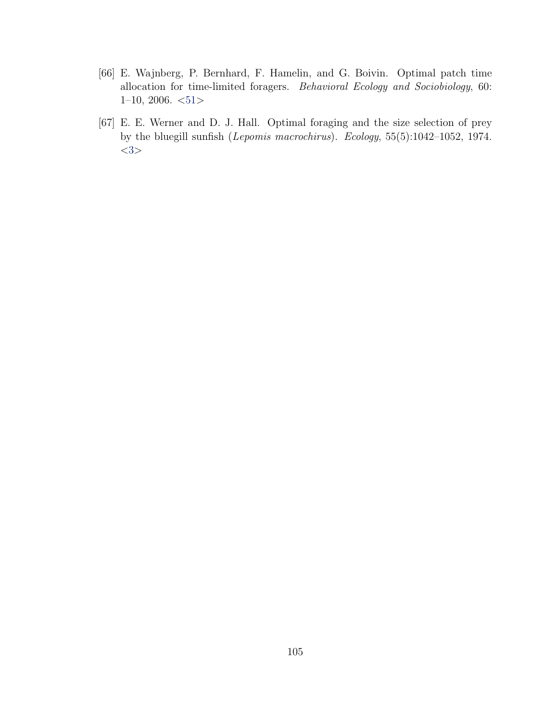- <span id="page-116-0"></span>[66] E. Wajnberg, P. Bernhard, F. Hamelin, and G. Boivin. Optimal patch time allocation for time-limited foragers. Behavioral Ecology and Sociobiology, 60:  $1-10$ , 2006.  $\lt51>$  $\lt51>$  $\lt51>$
- [67] E. E. Werner and D. J. Hall. Optimal foraging and the size selection of prey by the bluegill sunfish (Lepomis macrochirus). Ecology, 55(5):1042–1052, 1974.  $<3>$  $<3>$  $<3>$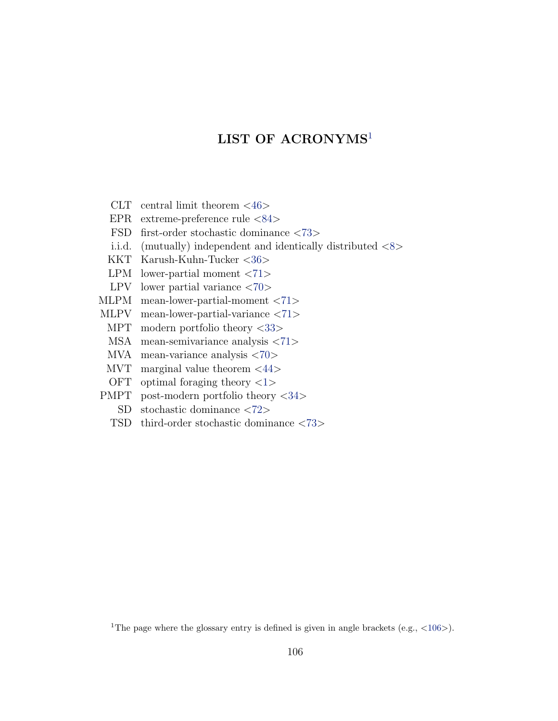<span id="page-117-2"></span>CLT central limit theorem  $\langle 46 \rangle$  $\langle 46 \rangle$  $\langle 46 \rangle$ 

EPR extreme-preference rule <[84](#page-95-1)>

FSD first-order stochastic dominance <[73](#page-84-1)>

i.i.d. (mutually) independent and identically distributed  $\langle 8 \rangle$  $\langle 8 \rangle$  $\langle 8 \rangle$ 

KKT Karush-Kuhn-Tucker <[36](#page-47-1)>

LPM lower-partial moment <[71](#page-82-1)>

LPV lower partial variance <[70](#page-81-1)>

MLPM mean-lower-partial-moment <[71](#page-82-2)>

MLPV mean-lower-partial-variance <[71](#page-82-3)>

MPT modern portfolio theory <[33](#page-44-0)>

MSA mean-semivariance analysis <[71](#page-82-4)>

MVA mean-variance analysis <[70](#page-81-2)>

MVT marginal value theorem  $\langle 44 \rangle$  $\langle 44 \rangle$  $\langle 44 \rangle$ 

OFT optimal foraging theory  $\langle 1 \rangle$  $\langle 1 \rangle$  $\langle 1 \rangle$ 

PMPT post-modern portfolio theory <[34](#page-45-1)>

SD stochastic dominance <[72](#page-83-1)>

TSD third-order stochastic dominance <[73](#page-84-2)>

<span id="page-117-1"></span><span id="page-117-0"></span><sup>1</sup>The page where the glossary entry is defined is given in angle brackets (e.g.,  $\langle 106 \rangle$  $\langle 106 \rangle$  $\langle 106 \rangle$ ).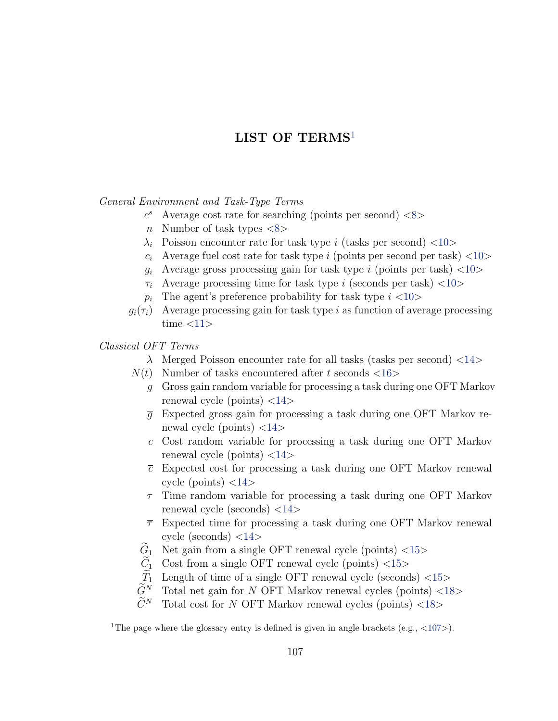<span id="page-118-2"></span>General Environment and Task-Type Terms

- $c<sup>s</sup>$  Average cost rate for searching (points per second)  $\langle 8 \rangle$  $\langle 8 \rangle$  $\langle 8 \rangle$
- n Number of task types  $\langle 8 \rangle$  $\langle 8 \rangle$  $\langle 8 \rangle$
- $\lambda_i$  Poisson encounter rate for task type i (tasks per second) <[10](#page-21-0)>
- $c_i$  Average fuel cost rate for task type i (points per second per task)  $\langle 10 \rangle$  $\langle 10 \rangle$  $\langle 10 \rangle$
- $g_i$  Average gross processing gain for task type i (points per task)  $\langle 10 \rangle$  $\langle 10 \rangle$  $\langle 10 \rangle$
- $\tau_i$  Average processing time for task type i (seconds per task) <[10](#page-21-3)>
- $p_i$  The agent's preference probability for task type  $i$  <[10](#page-21-4)>
- $g_i(\tau_i)$  Average processing gain for task type i as function of average processing time  $\langle 11 \rangle$  $\langle 11 \rangle$  $\langle 11 \rangle$

Classical OFT Terms

- $\lambda$  Merged Poisson encounter rate for all tasks (tasks per second) <[14](#page-25-1)>
- $N(t)$  Number of tasks encountered after t seconds  $\langle 16 \rangle$  $\langle 16 \rangle$  $\langle 16 \rangle$ 
	- g Gross gain random variable for processing a task during one OFT Markov renewal cycle (points)  $\langle 14 \rangle$  $\langle 14 \rangle$  $\langle 14 \rangle$
	- $\overline{q}$  Expected gross gain for processing a task during one OFT Markov renewal cycle (points)  $\langle 14 \rangle$  $\langle 14 \rangle$  $\langle 14 \rangle$
	- c Cost random variable for processing a task during one OFT Markov renewal cycle (points)  $\langle 14 \rangle$  $\langle 14 \rangle$  $\langle 14 \rangle$
	- $\bar{c}$  Expected cost for processing a task during one OFT Markov renewal cycle (points)  $\langle 14 \rangle$  $\langle 14 \rangle$  $\langle 14 \rangle$
	- $\tau$  Time random variable for processing a task during one OFT Markov renewal cycle (seconds) <[14](#page-25-6)>
	- $\bar{\tau}$  Expected time for processing a task during one OFT Markov renewal cycle (seconds)  $\langle 14 \rangle$  $\langle 14 \rangle$  $\langle 14 \rangle$
	- $G_1$  Net gain from a single OFT renewal cycle (points) <[15](#page-26-0)> $\widetilde{C}_1$  Cost from a single OFT renewal cycle (points) <15>
	- $\tilde{C}_1$  Cost from a single OFT renewal cycle (points) <[15](#page-26-1)> $\tilde{T}_1$  Length of time of a single OFT renewal cycle (second
	- $\widetilde{T}_1$  Length of time of a single OFT renewal cycle (seconds) <[15](#page-26-2)> $\widetilde{G}^N$  Total net gain for N OFT Markov renewal cycles (points) <18
	- $G^N$  Total net gain for N OFT Markov renewal cycles (points) <[18](#page-29-0)> $\widetilde{C}^N$  Total cost for N OFT Markov renewal cycles (points) <18
	- Total cost for  $N$  OFT Markov renewal cycles (points)  $\langle 18 \rangle$  $\langle 18 \rangle$  $\langle 18 \rangle$

<span id="page-118-1"></span><span id="page-118-0"></span><sup>1</sup>The page where the glossary entry is defined is given in angle brackets (e.g.,  $\langle 107 \rangle$  $\langle 107 \rangle$  $\langle 107 \rangle$ ).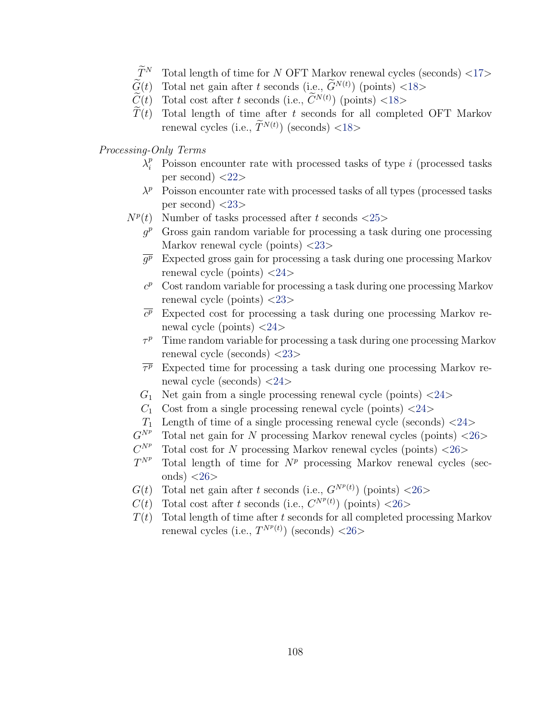- $\widetilde{T}^N$  Total length of time for N OFT Markov renewal cycles (seconds) <[17](#page-28-0)>
- <span id="page-119-0"></span> $\widetilde{G}(t)$  Total net gain after t seconds (i.e.,  $\widetilde{G}^{N(t)}$ ) (points) <[18](#page-29-2)>
- $\widetilde{C}(t)$  Total cost after t seconds (i.e.,  $\widetilde{C}^{N(t)}$ ) (points) <[18](#page-29-3)>
- $T(t)$  Total length of time after t seconds for all completed OFT Markov renewal cycles (i.e.,  $T^{N(t)}$ ) (seconds) <[18](#page-29-4)>
- Processing-Only Terms
	- $\lambda_i^p$  Poisson encounter rate with processed tasks of type *i* (processed tasks per second)  $\langle 22 \rangle$  $\langle 22 \rangle$  $\langle 22 \rangle$
	- $\lambda^p$  Poisson encounter rate with processed tasks of all types (processed tasks per second)  $\langle 23 \rangle$  $\langle 23 \rangle$  $\langle 23 \rangle$
	- $N^p(t)$  Number of tasks processed after t seconds  $\langle 25 \rangle$  $\langle 25 \rangle$  $\langle 25 \rangle$ 
		- $g<sup>p</sup>$  Gross gain random variable for processing a task during one processing Markov renewal cycle (points) <[23](#page-34-1)>
		- $\overline{g^p}$  Expected gross gain for processing a task during one processing Markov renewal cycle (points)  $\langle 24 \rangle$  $\langle 24 \rangle$  $\langle 24 \rangle$
		- $c<sup>p</sup>$  Cost random variable for processing a task during one processing Markov renewal cycle (points) <[23](#page-34-2)>
		- $\overline{c^p}$  Expected cost for processing a task during one processing Markov renewal cycle (points)  $\langle 24 \rangle$  $\langle 24 \rangle$  $\langle 24 \rangle$
		- $\tau^p$  Time random variable for processing a task during one processing Markov renewal cycle (seconds) <[23](#page-34-3)>
		- $\overline{\tau^p}$ <sup>p</sup> Expected time for processing a task during one processing Markov renewal cycle (seconds) <[24](#page-35-2)>
		- $G_1$  Net gain from a single processing renewal cycle (points)  $\langle 24 \rangle$  $\langle 24 \rangle$  $\langle 24 \rangle$
		- $C_1$  Cost from a single processing renewal cycle (points)  $\langle 24 \rangle$  $\langle 24 \rangle$  $\langle 24 \rangle$
		- $T_1$  Length of time of a single processing renewal cycle (seconds)  $\langle 24 \rangle$  $\langle 24 \rangle$  $\langle 24 \rangle$
	- $G^{N^p}$ Total net gain for N processing Markov renewal cycles (points)  $\langle 26 \rangle$  $\langle 26 \rangle$  $\langle 26 \rangle$
	- $C^{N^p}$ Total cost for N processing Markov renewal cycles (points)  $\langle 26 \rangle$  $\langle 26 \rangle$  $\langle 26 \rangle$
	- $T^{N^p}$ Total length of time for  $N^p$  processing Markov renewal cycles (seconds)  $\langle 26 \rangle$  $\langle 26 \rangle$  $\langle 26 \rangle$
	- $G(t)$  Total net gain after t seconds (i.e.,  $G^{N^p(t)}$ ) (points) <[26](#page-37-3)>
	- $C(t)$  Total cost after t seconds (i.e.,  $C^{N^p(t)}$ ) (points) <[26](#page-37-4)>
	- $T(t)$  Total length of time after t seconds for all completed processing Markov renewal cycles (i.e.,  $T^{N^p(t)}$ ) (seconds) <[26](#page-37-5)>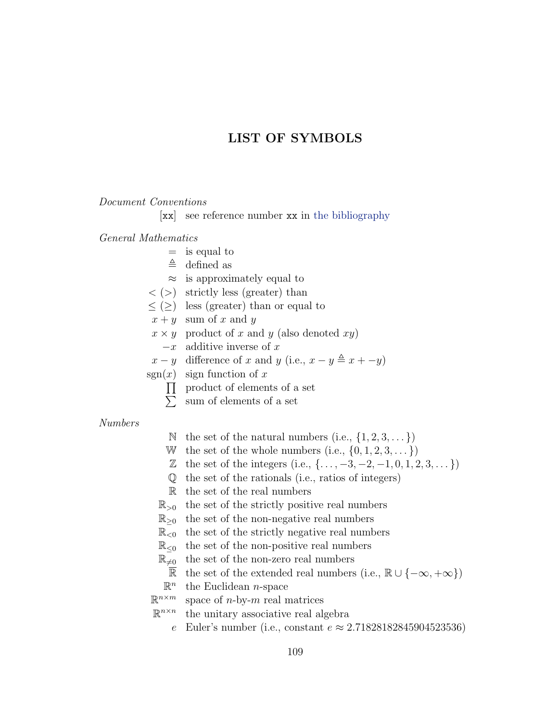### LIST OF SYMBOLS

#### <span id="page-120-0"></span>Document Conventions

[xx] see reference number xx in [the bibliography](#page-111-0)

#### General Mathematics

- $=$  is equal to
- $\triangleq$  defined as
- $\approx$  is approximately equal to
- $\langle \rangle$  strictly less (greater) than
- $\leq$  ( $\geq$ ) less (greater) than or equal to
- $x + y$  sum of x and y
- $x \times y$  product of x and y (also denoted xy)
- $-x$  additive inverse of x
- $x y$  difference of x and y (i.e.,  $x y \triangleq x + -y$ )
- sgn $(x)$  sign function of x
	- $\Pi$  product of elements of a set
	- $\sum$ sum of elements of a set

#### Numbers

- N the set of the natural numbers (i.e.,  $\{1, 2, 3, \dots\}$ )
- W the set of the whole numbers (i.e.,  $\{0, 1, 2, 3, \dots\}$ )
- $\mathbb{Z}$  the set of the integers (i.e.,  $\{\ldots, -3, -2, -1, 0, 1, 2, 3, \ldots\}$ )
- Q the set of the rationals (i.e., ratios of integers)
- R the set of the real numbers
- $\mathbb{R}_{>0}$  the set of the strictly positive real numbers
- $\mathbb{R}_{\geq 0}$  the set of the non-negative real numbers
- $\mathbb{R}_{\leq 0}$  the set of the strictly negative real numbers
- $\mathbb{R}_{\leq 0}$  the set of the non-positive real numbers
- $\mathbb{R}_{\neq 0}$  the set of the non-zero real numbers
	- $\overline{\mathbb{R}}$  the set of the extended real numbers (i.e.,  $\mathbb{R} \cup \{-\infty, +\infty\}$ )
- $\mathbb{R}^n$ the Euclidean  $n$ -space
- $\mathbb{R}^{n \times m}$ space of  $n$ -by- $m$  real matrices
- $\mathbb{R}^{n \times n}$ the unitary associative real algebra
	- e Euler's number (i.e., constant  $e ≈ 2.71828182845904523536$ )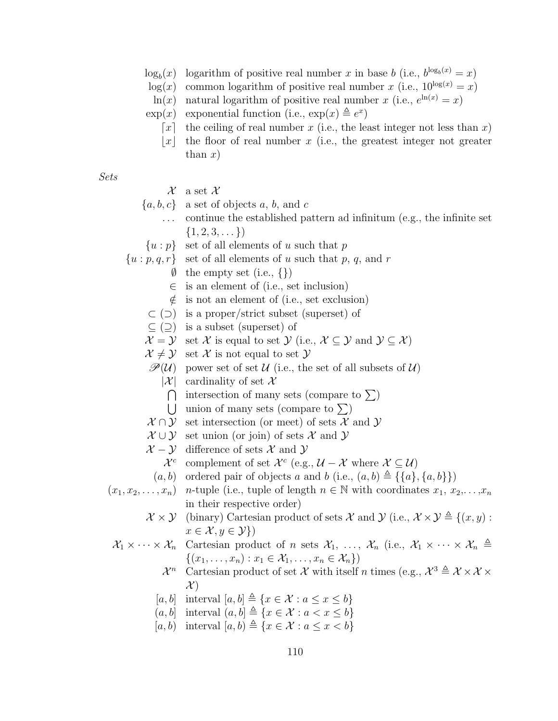- <span id="page-121-0"></span> $\log_b(x)$ (x) logarithm of positive real number x in base b (i.e.,  $b^{\log_b(x)} = x$ )
- $log(x)$  common logarithm of positive real number x (i.e.,  $10^{\log(x)} = x$ )
- $\ln(x)$  natural logarithm of positive real number x (i.e.,  $e^{\ln(x)} = x$ )
- $\exp(x)$  exponential function (i.e.,  $\exp(x) \triangleq e^x$ )
	- $\lceil x \rceil$  the ceiling of real number x (i.e., the least integer not less than x)
	- |x| the floor of real number x (i.e., the greatest integer not greater than  $x)$

Sets

 $\mathcal X$  a set  $\mathcal X$ 

- ${a, b, c}$  a set of objects a, b, and c
	- . continue the established pattern ad infinitum (e.g., the infinite set  $\{1, 2, 3, \dots\}$
- $\{u : p\}$  set of all elements of u such that p
- $\{u : p, q, r\}$  set of all elements of u such that p, q, and r
	- $\emptyset$  the empty set (i.e., {})
	- $\in$  is an element of (i.e., set inclusion)
	- $\notin$  is not an element of (i.e., set exclusion)
	- ⊂ (⊃) is a proper/strict subset (superset) of
	- $\subseteq$  ( $\supseteq$ ) is a subset (superset) of
	- $\mathcal{X} = \mathcal{Y}$  set X is equal to set  $\mathcal{Y}$  (i.e.,  $\mathcal{X} \subseteq \mathcal{Y}$  and  $\mathcal{Y} \subseteq \mathcal{X}$ )
	- $\mathcal{X} \neq \mathcal{Y}$  set X is not equal to set Y
	- $\mathscr{P}(\mathcal{U})$  power set of set  $\mathcal{U}$  (i.e., the set of all subsets of  $\mathcal{U}$ )
		- $|\mathcal{X}|$  cardinality of set X
			- $\bigcap$  intersection of many sets (compare to  $\Sigma$ )
			- U union of many sets (compare to  $\Sigma$ )
	- $\mathcal{X} \cap \mathcal{Y}$  set intersection (or meet) of sets X and Y
	- $\mathcal{X} \cup \mathcal{Y}$  set union (or join) of sets X and Y
	- $\mathcal{X} \mathcal{Y}$  difference of sets X and Y
		- $\mathcal{X}^c$  complement of set  $\mathcal{X}^c$  (e.g.,  $\mathcal{U} \mathcal{X}$  where  $\mathcal{X} \subseteq \mathcal{U}$ )
	- $(a, b)$  ordered pair of objects a and b (i.e.,  $(a, b) \triangleq {\mathcal{A}, \{a, b\}}$ )
- $(x_1, x_2, \ldots, x_n)$  n-tuple (i.e., tuple of length  $n \in \mathbb{N}$  with coordinates  $x_1, x_2, \ldots, x_n$ in their respective order)
	- $\mathcal{X} \times \mathcal{Y}$  (binary) Cartesian product of sets X and Y (i.e.,  $\mathcal{X} \times \mathcal{Y} \triangleq \{(x, y) :$  $x \in \mathcal{X}, y \in \mathcal{Y}$
	- $\mathcal{X}_1 \times \cdots \times \mathcal{X}_n$  Cartesian product of n sets  $\mathcal{X}_1, \ldots, \mathcal{X}_n$  (i.e.,  $\mathcal{X}_1 \times \cdots \times \mathcal{X}_n \triangleq$  $\{(x_1, ..., x_n) : x_1 \in \mathcal{X}_1, ..., x_n \in \mathcal{X}_n\})$ 
		- $\mathcal{X}^n$ <sup>n</sup> Cartesian product of set X with itself n times (e.g.,  $\mathcal{X}^3 \triangleq \mathcal{X} \times \mathcal{X} \times$  $\mathcal{X}$
		- [a, b] interval  $[a, b] \triangleq \{x \in \mathcal{X} : a \leq x \leq b\}$
		- $(a, b]$  interval  $(a, b] \triangleq \{x \in \mathcal{X} : a < x \leq b\}$
		- [a, b) interval  $[a, b) \triangleq \{x \in \mathcal{X} : a \leq x < b\}$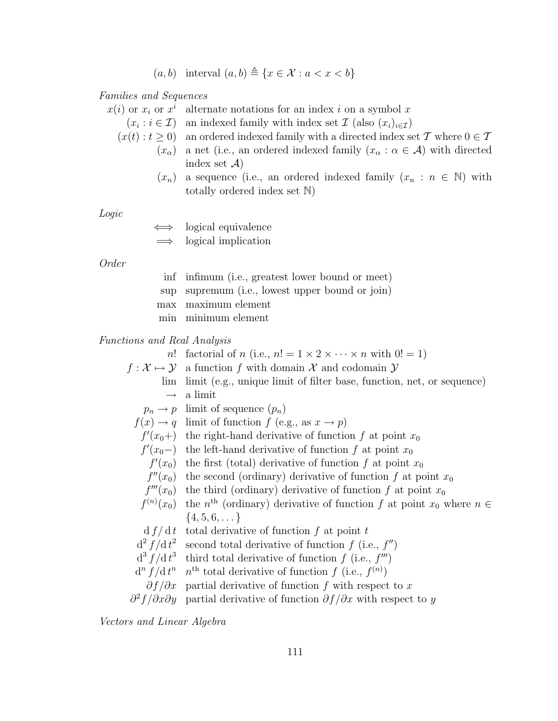$(a, b)$  interval  $(a, b) \triangleq \{x \in \mathcal{X} : a < x < b\}$ 

<span id="page-122-0"></span>Families and Sequences

 $x(i)$  or  $x_i$  or  $x^i$ alternate notations for an index  $i$  on a symbol  $x$ 

 $(x_i : i \in \mathcal{I})$ an indexed family with index set  $\mathcal{I}$  (also  $(x_i)_{i\in\mathcal{I}}$ )

- $(x(t): t \geq 0)$  an ordered indexed family with a directed index set T where  $0 \in T$ 
	- $(x_{\alpha})$  a net (i.e., an ordered indexed family  $(x_{\alpha} : \alpha \in \mathcal{A})$  with directed index set  $\mathcal{A}$ )
	- $(x_n)$  a sequence (i.e., an ordered indexed family  $(x_n : n \in \mathbb{N})$  with totally ordered index set N)

Logic

logical equivalence

logical implication

Order

| inf infimum (i.e., greatest lower bound or meet) |
|--------------------------------------------------|
| sup supremum (i.e., lowest upper bound or join)  |
| max maximum element                              |
| min minimum element                              |

Functions and Real Analysis

n! factorial of n (i.e.,  $n! = 1 \times 2 \times \cdots \times n$  with  $0! = 1$ )  $f: \mathcal{X} \mapsto \mathcal{Y}$  a function f with domain X and codomain Y lim limit (e.g., unique limit of filter base, function, net, or sequence)  $\rightarrow$  a limit  $p_n \to p$  limit of sequence  $(p_n)$  $f(x) \rightarrow q$  limit of function f (e.g., as  $x \rightarrow p$ )  $f'(x_0+)$  the right-hand derivative of function f at point  $x_0$  $f'(x_0-)$  the left-hand derivative of function f at point  $x_0$  $f'(x_0)$  the first (total) derivative of function f at point  $x_0$  $f''(x_0)$  the second (ordinary) derivative of function f at point  $x_0$  $f'''(x_0)$ the third (ordinary) derivative of function f at point  $x_0$  $f^{(n)}$  $(x_0)$  the n<sup>th</sup> (ordinary) derivative of function f at point  $x_0$  where  $n \in$  $\{4, 5, 6, \dots\}$  $d f/d t$  total derivative of function f at point t  $d^2 f/d t^2$ second total derivative of function  $f$  (i.e.,  $f''$ )  $d^3 f/dt^3$ third total derivative of function  $f$  (i.e.,  $f'''$ )  $d^n f/dt$ <sup>n</sup> n<sup>th</sup> total derivative of function f (i.e.,  $f^{(n)}$ )  $\partial f/\partial x$  partial derivative of function f with respect to x

 $\partial^2$ partial derivative of function  $\partial f/\partial x$  with respect to y

Vectors and Linear Algebra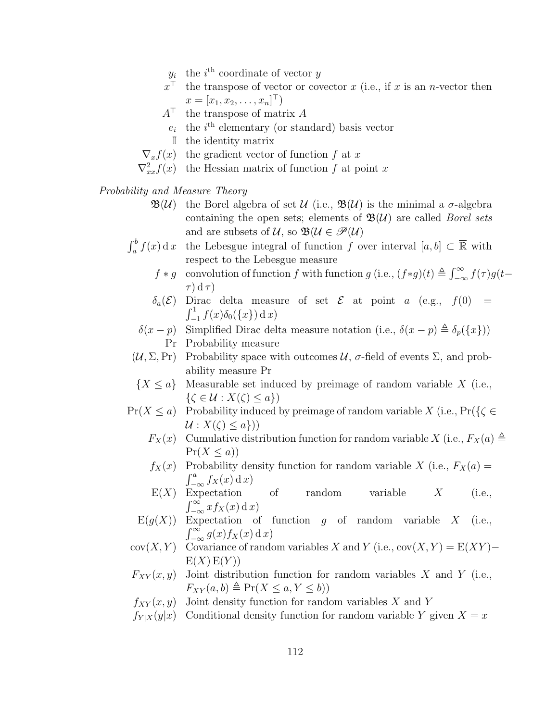- $y_i$  the i<sup>th</sup> coordinate of vector y
- <span id="page-123-0"></span> $x^{\top}$ the transpose of vector or covector  $x$  (i.e., if  $x$  is an n-vector then  $x = [x_1, x_2, \dots, x_n]^\top$
- $A^{\top}$  the transpose of matrix A
	- $e_i$  the i<sup>th</sup> elementary (or standard) basis vector
	- I the identity matrix
- $\nabla_x f(x)$  the gradient vector of function f at x
- $\nabla_{xx}^2 f(x)$  the Hessian matrix of function f at point x

Probability and Measure Theory

- $\mathfrak{B}(\mathcal{U})$  the Borel algebra of set  $\mathcal{U}$  (i.e.,  $\mathfrak{B}(\mathcal{U})$  is the minimal a  $\sigma$ -algebra containing the open sets; elements of  $\mathfrak{B}(\mathcal{U})$  are called *Borel sets* and are subsets of  $U$ , so  $\mathfrak{B}(U \in \mathscr{P}(U))$
- $\int_a^b f(x) dx$  the Lebesgue integral of function f over interval  $[a, b] \subset \overline{\mathbb{R}}$  with respect to the Lebesgue measure
	- $f * g$  convolution of function f with function g (i.e.,  $(f * g)(t) \triangleq \int_{-\infty}^{\infty} f(\tau)g(t-t)$  $\tau$ ) d  $\tau$ )
	- $\delta_a(\mathcal{E})$  Dirac delta measure of set  $\mathcal{E}$  at point a (e.g.,  $f(0)$  =  $\int_{-1}^{1} f(x)\delta_0(\{x\})\,\mathrm{d}\,x$
	- δ(x − p) Simplified Dirac delta measure notation (i.e.,  $\delta(x p) \triangleq \delta_p({x})$ ) Pr Probability measure
- $(\mathcal{U}, \Sigma, \Pr)$  Probability space with outcomes  $\mathcal{U}, \sigma$ -field of events  $\Sigma$ , and probability measure Pr
- ${X \le a}$  Measurable set induced by preimage of random variable X (i.e.,  $\{\zeta \in \mathcal{U} : X(\zeta) \leq a\}\)$
- $Pr(X \le a)$  Probability induced by preimage of random variable X (i.e.,  $Pr({\{\zeta \in A\}})$  $\mathcal{U}: X(\zeta) \leq a \})$ 
	- $F_X(x)$  Cumulative distribution function for random variable X (i.e.,  $F_X(a) \triangleq$  $Pr(X \leq a)$
	- $f_X(x)$  Probability density function for random variable X (i.e.,  $F_X(a) =$  $\int_{-\infty}^{a} f_X(x) \, \mathrm{d}x$
	- $E(X)$  Expectation of random variable  $X$  (i.e.,  $\int_{-\infty}^{\infty} x f_X(x) \, \mathrm{d}x$
	- $E(g(X))$  Expectation of function g of random variable X (i.e.,  $\int_{-\infty}^{\infty} g(x) f_X(x) \, \mathrm{d} x$
- cov $(X, Y)$  Covariance of random variables X and Y (i.e., cov $(X, Y) = E(XY)$   $E(X) E(Y)$
- $F_{XY}(x, y)$  Joint distribution function for random variables X and Y (i.e.,  $F_{XY}(a, b) \triangleq \Pr(X \le a, Y \le b)$
- $f_{XY}(x, y)$  Joint density function for random variables X and Y
- $f_{Y|X}(y|x)$  Conditional density function for random variable Y given  $X = x$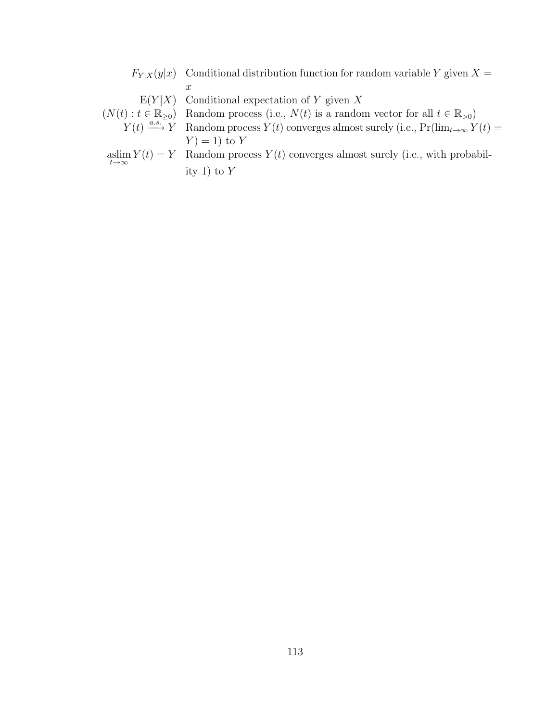<span id="page-124-0"></span> $F_{Y|X}(y|x)$  Conditional distribution function for random variable Y given  $X =$  $\boldsymbol{x}$ 

- $E(Y|X)$  Conditional expectation of Y given X
- $(N(t): t \in \mathbb{R}_{\geq 0})$  Random process (i.e.,  $N(t)$  is a random vector for all  $t \in \mathbb{R}_{>0}$ )
- $Y(t) \stackrel{a.s.-\to y}{\longrightarrow} Y$  Random process  $Y(t)$  converges almost surely (i.e.,  $Pr(\lim_{t\to\infty} Y(t))$  $Y$  = 1) to Y
- aslim  $Y(t) = Y$  Random process  $Y(t)$  converges almost surely (i.e., with probability 1) to  $Y$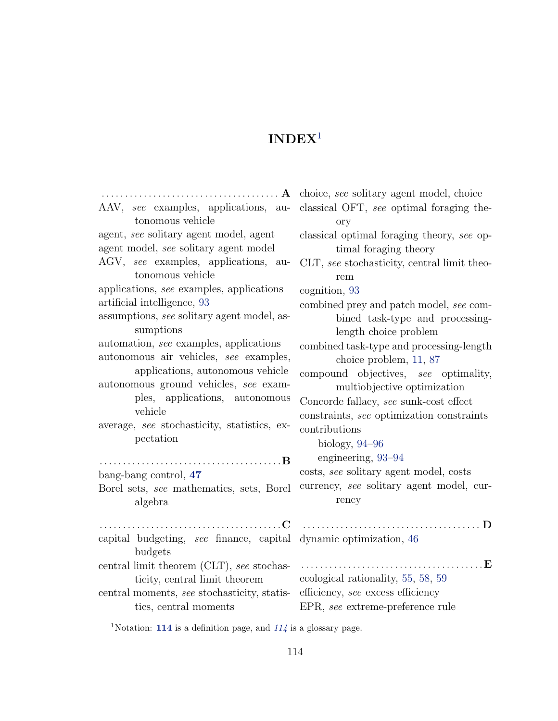<span id="page-125-1"></span>

| AAV, see examples, applications, au-                             | classical OFT, see optimal foraging the-    |
|------------------------------------------------------------------|---------------------------------------------|
| tonomous vehicle                                                 | ory                                         |
| agent, see solitary agent model, agent                           | classical optimal foraging theory, see op-  |
| agent model, see solitary agent model                            | timal foraging theory                       |
| AGV, see examples, applications, au-                             | CLT, see stochasticity, central limit theo- |
| tonomous vehicle                                                 | rem                                         |
| applications, see examples, applications                         | cognition, 93                               |
| artificial intelligence, 93                                      | combined prey and patch model, see com-     |
| assumptions, see solitary agent model, as-                       | bined task-type and processing-             |
| sumptions                                                        | length choice problem                       |
| automation, see examples, applications                           | combined task-type and processing-length    |
| autonomous air vehicles, see examples,                           | choice problem, 11, 87                      |
| applications, autonomous vehicle                                 | compound objectives, see optimality,        |
| autonomous ground vehicles, see exam-                            | multiobjective optimization                 |
| ples, applications, autonomous                                   | Concorde fallacy, see sunk-cost effect      |
| vehicle                                                          | constraints, see optimization constraints   |
| average, see stochasticity, statistics, ex-                      | contributions                               |
| pectation                                                        | biology, $94-96$                            |
|                                                                  | engineering, 93-94                          |
| bang-bang control, 47                                            | costs, see solitary agent model, costs      |
| Borel sets, see mathematics, sets, Borel                         | currency, see solitary agent model, cur-    |
| algebra                                                          | rency                                       |
| C                                                                | . D<br>.                                    |
| capital budgeting, see finance, capital dynamic optimization, 46 |                                             |
| budgets                                                          |                                             |
| central limit theorem (CLT), see stochas-                        | . <b>E</b>                                  |
| ticity, central limit theorem                                    | ecological rationality, 55, 58, 59          |
| central moments, see stochasticity, statis-                      | efficiency, see excess efficiency           |
| tics, central moments                                            | EPR, see extreme-preference rule            |

<span id="page-125-0"></span> $^1\rm{Notation:}$   $\,114$  $\,114$  is a definition page, and  $\,114$  is a glossary page.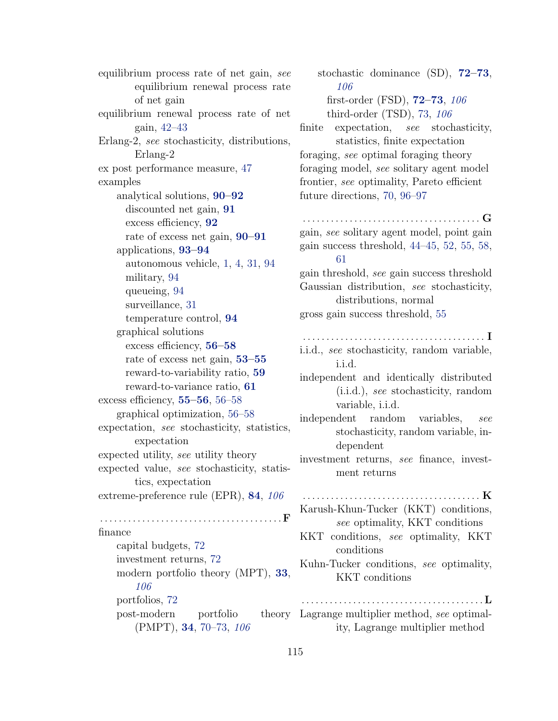equilibrium process rate of net gain, see equilibrium renewal process rate of net gain equilibrium renewal process rate of net gain, [42](#page-53-0)[–43](#page-54-0) Erlang-2, see stochasticity, distributions, Erlang-2 ex post performance measure, [47](#page-58-0) examples analytical solutions, [90](#page-101-0)[–92](#page-103-0) discounted net gain, [91](#page-102-0) excess efficiency, [92](#page-103-0) rate of excess net gain, [90](#page-101-0)[–91](#page-102-0) applications, [93](#page-104-0)[–94](#page-105-0) autonomous vehicle, [1,](#page-12-0) [4,](#page-15-0) [31,](#page-42-0) [94](#page-105-0) military, [94](#page-105-0) queueing, [94](#page-105-0) surveillance, [31](#page-42-0) temperature control, [94](#page-105-0) graphical solutions excess efficiency, [56–](#page-67-0)[58](#page-69-0) rate of excess net gain, [53](#page-64-0)[–55](#page-66-0) reward-to-variability ratio, [59](#page-70-0) reward-to-variance ratio, [61](#page-72-0) excess efficiency, [55–](#page-66-0)[56](#page-67-0), [56–](#page-67-0)[58](#page-69-0) graphical optimization, [56–](#page-67-0)[58](#page-69-0) expectation, see stochasticity, statistics, expectation expected utility, see utility theory expected value, see stochasticity, statistics, expectation extreme-preference rule (EPR), [84](#page-95-0), [106](#page-117-2) . . . . . . . . . . . . . . . . . . . . . . . . . . . . . . . . . . . . . . . F finance capital budgets, [72](#page-83-0) investment returns, [72](#page-83-0) modern portfolio theory (MPT), [33](#page-44-1), [106](#page-117-2) portfolios, [72](#page-83-0) post-modern portfolio (PMPT), [34](#page-45-0), [70–](#page-81-0)[73,](#page-84-0) [106](#page-117-2)

stochastic dominance (SD), [72–](#page-83-0)[73](#page-84-0), [106](#page-117-2) first-order (FSD), [72](#page-83-0)[–73](#page-84-0), [106](#page-117-2) third-order (TSD), [73,](#page-84-0) [106](#page-117-2) finite expectation, see stochasticity, statistics, finite expectation foraging, see optimal foraging theory foraging model, see solitary agent model frontier, see optimality, Pareto efficient future directions, [70,](#page-81-0) [96–](#page-107-0)[97](#page-108-0) . . . . . . . . . . . . . . . . . . . . . . . . . . . . . . . . . . . . . . G gain, see solitary agent model, point gain gain success threshold, [44–](#page-55-0)[45,](#page-56-0) [52,](#page-63-0) [55,](#page-66-0) [58,](#page-69-0) [61](#page-72-0) gain threshold, see gain success threshold Gaussian distribution, see stochasticity, distributions, normal gross gain success threshold, [55](#page-66-0) . . . . . . . . . . . . . . . . . . . . . . . . . . . . . . . . . . . . . . . I i.i.d., see stochasticity, random variable, i.i.d. independent and identically distributed (i.i.d.), see stochasticity, random variable, i.i.d. independent random variables, see stochasticity, random variable, independent investment returns, see finance, investment returns . . . . . . . . . . . . . . . . . . . . . . . . . . . . . . . . . . . . . . K Karush-Khun-Tucker (KKT) conditions, see optimality, KKT conditions KKT conditions, see optimality, KKT conditions Kuhn-Tucker conditions, see optimality, KKT conditions . . . . . . . . . . . . . . . . . . . . . . . . . . . . . . . . . . . . . . .L Lagrange multiplier method, see optimal-

ity, Lagrange multiplier method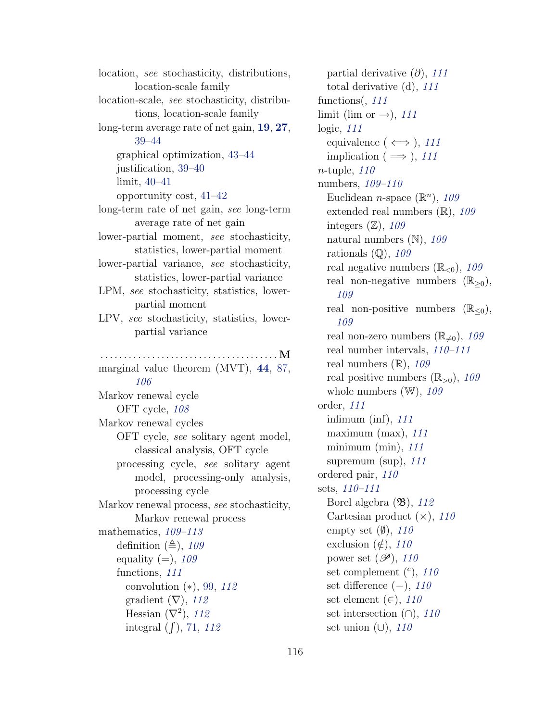location, see stochasticity, distributions, location-scale family location-scale, see stochasticity, distributions, location-scale family long-term average rate of net gain, [19](#page-30-0), [27](#page-38-0), [39–](#page-50-0)[44](#page-55-0) graphical optimization, [43–](#page-54-0)[44](#page-55-0) justification, [39–](#page-50-0)[40](#page-51-0) limit, [40–](#page-51-0)[41](#page-52-0) opportunity cost, [41–](#page-52-0)[42](#page-53-0) long-term rate of net gain, see long-term average rate of net gain lower-partial moment, see stochasticity, statistics, lower-partial moment lower-partial variance, see stochasticity, statistics, lower-partial variance LPM, see stochasticity, statistics, lowerpartial moment LPV, see stochasticity, statistics, lowerpartial variance . . . . . . . . . . . . . . . . . . . . . . . . . . . . . . . . . . . . . . M marginal value theorem (MVT), [44](#page-55-0), [87,](#page-98-0) [106](#page-117-2) Markov renewal cycle OFT cycle, [108](#page-119-0) Markov renewal cycles OFT cycle, see solitary agent model, classical analysis, OFT cycle processing cycle, see solitary agent model, processing-only analysis, processing cycle Markov renewal process, see stochasticity, Markov renewal process mathematics, [109](#page-120-0)[–113](#page-124-0) definition  $(\triangleq)$ , [109](#page-120-0) equality  $(=), 109$  $(=), 109$ functions, [111](#page-122-0) convolution  $(*), 99, 112$  $(*), 99, 112$  $(*), 99, 112$  $(*), 99, 112$ gradient  $(\nabla)$ , [112](#page-123-0) Hessian  $(\nabla^2)$ , [112](#page-123-0) integral  $(f)$ , [71,](#page-82-0) [112](#page-123-0)

partial derivative  $(\partial)$ , [111](#page-122-0) total derivative (d), [111](#page-122-0) functions(, [111](#page-122-0) limit (lim or  $\rightarrow$ ), [111](#page-122-0) logic, [111](#page-122-0) equivalence ( $\iff$ ), [111](#page-122-0) implication ( $\implies$ ), [111](#page-122-0) n-tuple, [110](#page-121-0) numbers, [109](#page-120-0)[–110](#page-121-0) Euclidean *n*-space  $(\mathbb{R}^n)$ , [109](#page-120-0) extended real numbers  $(\overline{\mathbb{R}})$ , [109](#page-120-0) integers  $(\mathbb{Z})$ , [109](#page-120-0) natural numbers  $(N)$ , [109](#page-120-0) rationals  $(Q)$ , [109](#page-120-0) real negative numbers  $(\mathbb{R}_{\leq 0})$ , [109](#page-120-0) real non-negative numbers  $(\mathbb{R}_{\geq 0}),$ [109](#page-120-0) real non-positive numbers  $(\mathbb{R}_{\leq 0}),$ [109](#page-120-0) real non-zero numbers  $(\mathbb{R}_{\neq 0})$ , [109](#page-120-0) real number intervals, [110](#page-121-0)[–111](#page-122-0) real numbers  $(\mathbb{R})$ , [109](#page-120-0) real positive numbers  $(\mathbb{R}_{>0})$ , [109](#page-120-0) whole numbers  $(W)$ , [109](#page-120-0) order, [111](#page-122-0) infimum (inf),  $111$ maximum (max),  $111$ minimum (min),  $111$ supremum (sup),  $111$ ordered pair, [110](#page-121-0) sets, [110–](#page-121-0)[111](#page-122-0) Borel algebra  $(\mathfrak{B})$ , [112](#page-123-0) Cartesian product  $(\times)$ , [110](#page-121-0) empty set  $(\emptyset)$ , [110](#page-121-0) exclusion  $(\notin)$ , [110](#page-121-0) power set  $(\mathscr{P})$ , [110](#page-121-0) set complement  $(c)$ , [110](#page-121-0) set difference  $(-), 110$  $(-), 110$ set element  $(\in)$ , [110](#page-121-0) set intersection  $(∩)$ , [110](#page-121-0) set union  $(\cup)$ , [110](#page-121-0)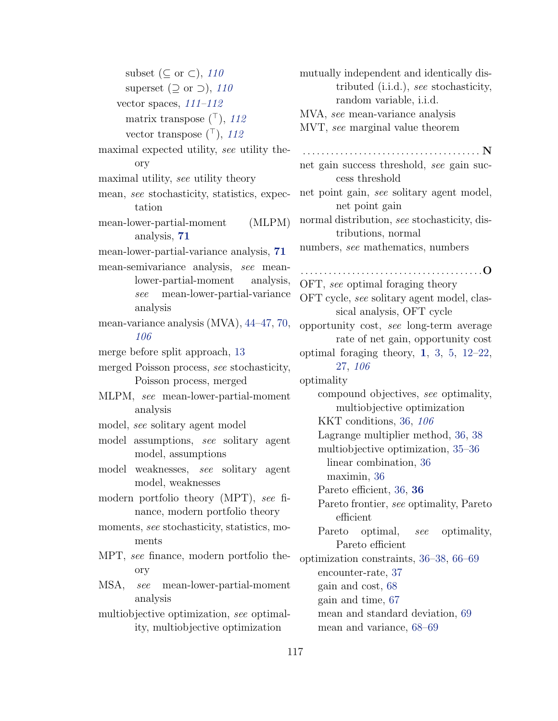subset ( $\subseteq$  or  $\subset$ ), [110](#page-121-0) superset ( $\supset$  or  $\supset$ ), [110](#page-121-0) vector spaces,  $111-112$  $111-112$ matrix transpose  $(\top)$ , [112](#page-123-0) vector transpose  $(\top)$ , [112](#page-123-0) maximal expected utility, see utility theory maximal utility, see utility theory mean, see stochasticity, statistics, expectation mean-lower-partial-moment (MLPM) analysis, [71](#page-82-0) mean-lower-partial-variance analysis, [71](#page-82-0) mean-semivariance analysis, see meanlower-partial-moment analysis, see mean-lower-partial-variance analysis mean-variance analysis (MVA), [44](#page-55-0)[–47,](#page-58-0) [70,](#page-81-0) [106](#page-117-2) merge before split approach, [13](#page-24-0) merged Poisson process, see stochasticity, Poisson process, merged MLPM, see mean-lower-partial-moment analysis model, see solitary agent model model assumptions, see solitary agent model, assumptions model weaknesses, see solitary agent model, weaknesses modern portfolio theory (MPT), see finance, modern portfolio theory moments, see stochasticity, statistics, moments MPT, see finance, modern portfolio theory MSA, see mean-lower-partial-moment analysis multiobjective optimization, see optimality, multiobjective optimization

mutually independent and identically distributed (i.i.d.), see stochasticity, random variable, i.i.d. MVA, see mean-variance analysis MVT, see marginal value theorem . . . . . . . . . . . . . . . . . . . . . . . . . . . . . . . . . . . . . . N net gain success threshold, see gain success threshold net point gain, see solitary agent model, net point gain normal distribution, see stochasticity, distributions, normal numbers, see mathematics, numbers . . . . . . . . . . . . . . . . . . . . . . . . . . . . . . . . . . . . . . .O OFT, see optimal foraging theory OFT cycle, see solitary agent model, classical analysis, OFT cycle opportunity cost, see long-term average rate of net gain, opportunity cost optimal foraging theory, [1](#page-12-0), [3,](#page-14-0) [5,](#page-16-0) [12](#page-23-0)[–22,](#page-33-1) [27,](#page-38-0) [106](#page-117-2) optimality compound objectives, see optimality, multiobjective optimization KKT conditions, [36,](#page-47-0) [106](#page-117-2) Lagrange multiplier method, [36,](#page-47-0) [38](#page-49-0) multiobjective optimization, [35–](#page-46-0)[36](#page-47-0) linear combination, [36](#page-47-0) maximin, [36](#page-47-0) Pareto efficient, [36,](#page-47-0) [36](#page-47-0) Pareto frontier, see optimality, Pareto efficient Pareto optimal, see optimality, Pareto efficient optimization constraints, [36–](#page-47-0)[38,](#page-49-0) [66](#page-77-0)[–69](#page-80-0) encounter-rate, [37](#page-48-0) gain and cost, [68](#page-79-0) gain and time, [67](#page-78-0) mean and standard deviation, [69](#page-80-0) mean and variance, [68–](#page-79-0)[69](#page-80-0)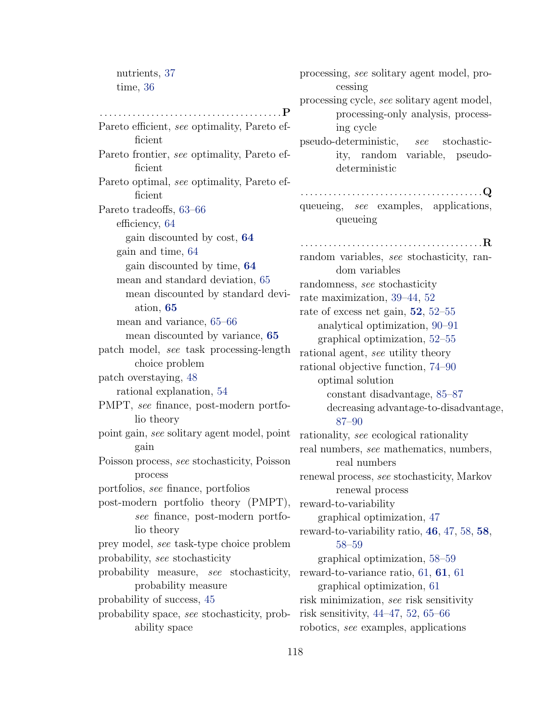nutrients, [37](#page-48-0) time, [36](#page-47-0)

. . . . . . . . . . . . . . . . . . . . . . . . . . . . . . . . . . . . . . .P Pareto efficient, see optimality, Pareto efficient Pareto frontier, see optimality, Pareto efficient Pareto optimal, see optimality, Pareto efficient Pareto tradeoffs, [63](#page-74-0)[–66](#page-77-0) efficiency, [64](#page-75-0) gain discounted by cost, [64](#page-75-0) gain and time, [64](#page-75-0) gain discounted by time, [64](#page-75-0) mean and standard deviation, [65](#page-76-0) mean discounted by standard deviation, [65](#page-76-0) mean and variance, [65–](#page-76-0)[66](#page-77-0) mean discounted by variance, [65](#page-76-0) patch model, see task processing-length choice problem patch overstaying, [48](#page-59-0) rational explanation, [54](#page-65-0) PMPT, see finance, post-modern portfolio theory point gain, see solitary agent model, point gain Poisson process, see stochasticity, Poisson process portfolios, see finance, portfolios post-modern portfolio theory (PMPT), see finance, post-modern portfolio theory prey model, see task-type choice problem probability, see stochasticity probability measure, see stochasticity, reward-to-variance ratio, [61,](#page-72-0) [61](#page-72-0), 61 probability measure probability of success, [45](#page-56-0) probability space, see stochasticity, prob-risk sensitivity, [44](#page-55-0)[–47,](#page-58-0) [52,](#page-63-0) [65](#page-76-0)[–66](#page-77-0) ability space

processing, see solitary agent model, processing processing cycle, see solitary agent model, processing-only analysis, processing cycle pseudo-deterministic, see stochasticity, random variable, pseudodeterministic . . . . . . . . . . . . . . . . . . . . . . . . . . . . . . . . . . . . . . .Q queueing, see examples, applications, queueing . . . . . . . . . . . . . . . . . . . . . . . . . . . . . . . . . . . . . . .R random variables, see stochasticity, random variables randomness, see stochasticity rate maximization, [39–](#page-50-0)[44,](#page-55-0) [52](#page-63-0) rate of excess net gain, [52](#page-63-0), [52](#page-63-0)[–55](#page-66-0) analytical optimization, [90–](#page-101-0)[91](#page-102-0) graphical optimization, [52–](#page-63-0)[55](#page-66-0) rational agent, see utility theory rational objective function, [74–](#page-85-0)[90](#page-101-0) optimal solution constant disadvantage, [85–](#page-96-0)[87](#page-98-0) decreasing advantage-to-disadvantage, [87–](#page-98-0)[90](#page-101-0) rationality, see ecological rationality real numbers, see mathematics, numbers, real numbers renewal process, see stochasticity, Markov renewal process reward-to-variability graphical optimization, [47](#page-58-0) reward-to-variability ratio, [46](#page-57-0), [47,](#page-58-0) [58,](#page-69-0) [58](#page-69-0), [58–](#page-69-0)[59](#page-70-0) graphical optimization, [58–](#page-69-0)[59](#page-70-0) graphical optimization, [61](#page-72-0) risk minimization, see risk sensitivity robotics, see examples, applications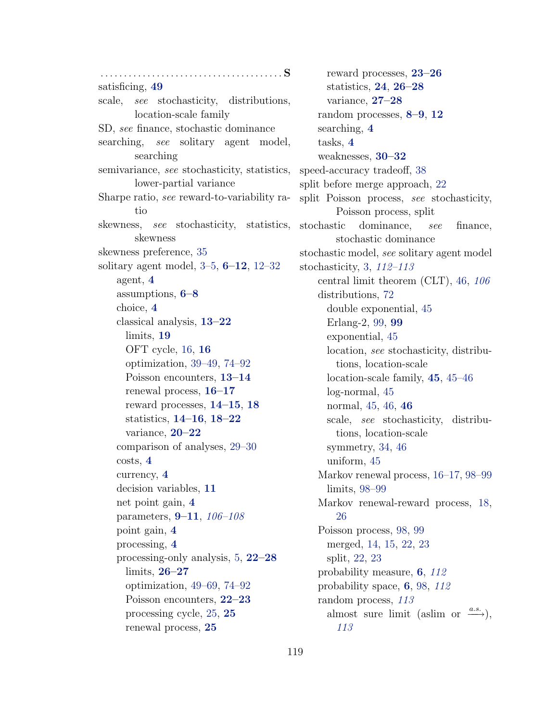. . . . . . . . . . . . . . . . . . . . . . . . . . . . . . . . . . . . . . . S satisficing, [49](#page-60-0) scale, see stochasticity, distributions, location-scale family SD, see finance, stochastic dominance searching, see solitary agent model, searching semivariance, see stochasticity, statistics, lower-partial variance Sharpe ratio, see reward-to-variability ratio skewness, see stochasticity, statistics, skewness skewness preference, [35](#page-46-0) solitary agent model,  $3-5$  $3-5$ ,  $6-12$  $6-12$ ,  $12-32$  $12-32$ agent, [4](#page-15-0) assumptions, [6](#page-17-0)[–8](#page-19-3) choice, [4](#page-15-0) classical analysis, [13](#page-24-0)[–22](#page-33-1) limits, [19](#page-30-0) OFT cycle, [16,](#page-27-1) [16](#page-27-1) optimization, [39–](#page-50-0)[49,](#page-60-0) [74–](#page-85-0)[92](#page-103-0) Poisson encounters, [13–](#page-24-0)[14](#page-25-0) renewal process, [16–](#page-27-1)[17](#page-28-1) reward processes, [14–](#page-25-0)[15](#page-26-3), [18](#page-29-5) statistics, [14–](#page-25-0)[16](#page-27-1), [18](#page-29-5)[–22](#page-33-1) variance, [20](#page-31-0)[–22](#page-33-1) comparison of analyses, [29–](#page-40-0)[30](#page-41-0) costs, [4](#page-15-0) currency, [4](#page-15-0) decision variables, [11](#page-22-0) net point gain, [4](#page-15-0) parameters, [9](#page-20-0)[–11](#page-22-0), [106–](#page-117-2)[108](#page-119-0) point gain, [4](#page-15-0) processing, [4](#page-15-0) processing-only analysis, [5,](#page-16-0) [22](#page-33-1)[–28](#page-39-0) limits, [26](#page-37-6)[–27](#page-38-0) optimization, [49–](#page-60-0)[69,](#page-80-0) [74–](#page-85-0)[92](#page-103-0) Poisson encounters, [22–](#page-33-1)[23](#page-34-4) processing cycle, [25,](#page-36-1) [25](#page-36-1) renewal process, [25](#page-36-1)

reward processes, [23–](#page-34-4)[26](#page-37-6) statistics, [24](#page-35-6), [26–](#page-37-6)[28](#page-39-0) variance, [27](#page-38-0)[–28](#page-39-0) random processes, [8](#page-19-3)[–9](#page-20-0), [12](#page-23-0) searching, [4](#page-15-0) tasks, [4](#page-15-0) weaknesses, [30–](#page-41-0)[32](#page-43-0) speed-accuracy tradeoff, [38](#page-49-0) split before merge approach, [22](#page-33-1) split Poisson process, see stochasticity, Poisson process, split stochastic dominance, see finance, stochastic dominance stochastic model, see solitary agent model stochasticity, [3,](#page-14-0) [112–](#page-123-0)[113](#page-124-0) central limit theorem (CLT), [46,](#page-57-0) [106](#page-117-2) distributions, [72](#page-83-0) double exponential, [45](#page-56-0) Erlang-2, [99,](#page-110-1) [99](#page-110-1) exponential, [45](#page-56-0) location, see stochasticity, distributions, location-scale location-scale family, [45](#page-56-0), [45–](#page-56-0)[46](#page-57-0) log-normal, [45](#page-56-0) normal, [45,](#page-56-0) [46,](#page-57-0) [46](#page-57-0) scale, see stochasticity, distributions, location-scale symmetry, [34,](#page-45-0) [46](#page-57-0) uniform, [45](#page-56-0) Markov renewal process, [16–](#page-27-1)[17,](#page-28-1) [98](#page-109-1)[–99](#page-110-1) limits, [98](#page-109-1)[–99](#page-110-1) Markov renewal-reward process, [18,](#page-29-5) [26](#page-37-6) Poisson process, [98,](#page-109-1) [99](#page-110-1) merged, [14,](#page-25-0) [15,](#page-26-3) [22,](#page-33-1) [23](#page-34-4) split, [22,](#page-33-1) [23](#page-34-4) probability measure, [6](#page-17-0), [112](#page-123-0) probability space, [6](#page-17-0), [98,](#page-109-1) [112](#page-123-0) random process, [113](#page-124-0) almost sure limit (aslim or  $\xrightarrow{a.s.}$ ), [113](#page-124-0)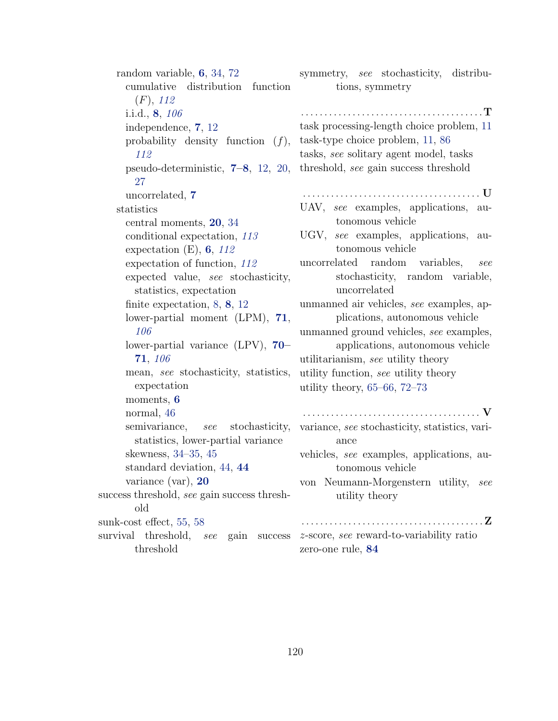random variable, [6](#page-17-0), [34,](#page-45-0) [72](#page-83-0) cumulative distribution function  $(F)$ , [112](#page-123-0) i.i.d., [8](#page-19-3), [106](#page-117-2) independence, [7](#page-18-0), [12](#page-23-0) probability density function  $(f)$ , [112](#page-123-0) pseudo-deterministic, [7](#page-18-0)[–8](#page-19-3), [12,](#page-23-0) [20,](#page-31-0) [27](#page-38-0) uncorrelated, [7](#page-18-0) statistics central moments, [20](#page-31-0), [34](#page-45-0) conditional expectation, [113](#page-124-0) expectation  $(E)$ , [6](#page-17-0), [112](#page-123-0) expectation of function, [112](#page-123-0) expected value, see stochasticity, statistics, expectation finite expectation, [8,](#page-19-3) [8](#page-19-3), [12](#page-23-0) lower-partial moment (LPM), [71](#page-82-0), [106](#page-117-2) lower-partial variance (LPV), [70–](#page-81-0)  $\bf{71},\text{ }106$  $\bf{71},\text{ }106$  $\bf{71},\text{ }106$  $\bf{71},\text{ }106$ mean, see stochasticity, statistics, expectation moments, [6](#page-17-0) normal, [46](#page-57-0) semivariance, see stochasticity, statistics, lower-partial variance skewness, [34–](#page-45-0)[35,](#page-46-0) [45](#page-56-0) standard deviation, [44,](#page-55-0) [44](#page-55-0) variance (var), [20](#page-31-0) success threshold, see gain success threshold sunk-cost effect, [55,](#page-66-0) [58](#page-69-0) survival threshold, see gain success threshold symmetry, see stochasticity, distributions, symmetry . . . . . . . . . . . . . . . . . . . . . . . . . . . . . . . . . . . . . . .T task processing-length choice problem, [11](#page-22-0) task-type choice problem, [11,](#page-22-0) [86](#page-97-0) tasks, see solitary agent model, tasks threshold, see gain success threshold . . . . . . . . . . . . . . . . . . . . . . . . . . . . . . . . . . . . . . U UAV, see examples, applications, autonomous vehicle UGV, see examples, applications, autonomous vehicle uncorrelated random variables, see stochasticity, random variable, uncorrelated unmanned air vehicles, see examples, applications, autonomous vehicle unmanned ground vehicles, see examples, applications, autonomous vehicle utilitarianism, see utility theory utility function, see utility theory utility theory, [65–](#page-76-0)[66,](#page-77-0) [72](#page-83-0)[–73](#page-84-0) . . . . . . . . . . . . . . . . . . . . . . . . . . . . . . . . . . . . . . V variance, see stochasticity, statistics, variance vehicles, see examples, applications, autonomous vehicle von Neumann-Morgenstern utility, see utility theory . . . . . . . . . . . . . . . . . . . . . . . . . . . . . . . . . . . . . . .Z z-score, see reward-to-variability ratio zero-one rule, [84](#page-95-0)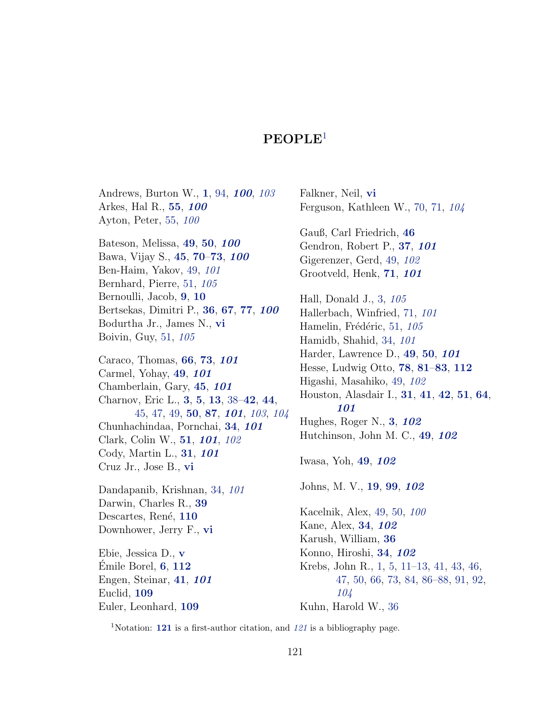<span id="page-132-1"></span>Andrews, Burton W., [1](#page-12-0), [94,](#page-105-0) [100](#page-111-0), [103](#page-114-1) Arkes, Hal R., [55](#page-66-0), [100](#page-111-0) Ayton, Peter, [55,](#page-66-0) [100](#page-111-0) Bateson, Melissa, [49](#page-60-0), [50](#page-61-0), [100](#page-111-0) Bawa, Vijay S., [45](#page-56-0), [70](#page-81-0)–[73](#page-84-0), [100](#page-111-0) Ben-Haim, Yakov, [49,](#page-60-0) [101](#page-112-0) Bernhard, Pierre, [51,](#page-62-0) [105](#page-116-0) Bernoulli, Jacob, [9](#page-20-0), [10](#page-21-0) Bertsekas, Dimitri P., [36](#page-47-0), [67](#page-78-0), [77](#page-88-0), [100](#page-111-0) Bodurtha Jr., James N., [vi](#page-5-0) Boivin, Guy, [51,](#page-62-0) [105](#page-116-0) Caraco, Thomas, [66](#page-77-0), [73](#page-84-0), [101](#page-112-0) Carmel, Yohay, [49](#page-60-0), [101](#page-112-0)

Chamberlain, Gary, [45](#page-56-0), [101](#page-112-0) Charnov, Eric L., [3](#page-14-0), [5](#page-16-0), [13](#page-24-0), [38–](#page-49-0)[42](#page-53-0), [44](#page-55-0), [45,](#page-56-0) [47,](#page-58-0) [49,](#page-60-0) [50](#page-61-0), [87](#page-98-0), [101](#page-112-0), [103](#page-114-1), [104](#page-115-0) Chunhachindaa, Pornchai, [34](#page-45-0), [101](#page-112-0) Clark, Colin W., [51](#page-62-0), [101](#page-112-0), [102](#page-113-1) Cody, Martin L., [31](#page-42-0), [101](#page-112-0) Cruz Jr., Jose B., [vi](#page-5-0)

Dandapanib, Krishnan, [34,](#page-45-0) [101](#page-112-0) Darwin, Charles R., [39](#page-50-0) Descartes, René, [110](#page-121-0) Downhower, Jerry F., [vi](#page-5-0)

Ebie, Jessica D., [v](#page-4-0)  $Emile Borel, 6, 112$  $Emile Borel, 6, 112$  $Emile Borel, 6, 112$  $Emile Borel, 6, 112$ Engen, Steinar, [41](#page-52-0), [101](#page-112-0) Euclid, [109](#page-120-0) Euler, Leonhard, [109](#page-120-0)

Falkner, Neil, [vi](#page-5-0) Ferguson, Kathleen W., [70,](#page-81-0) [71,](#page-82-0) [104](#page-115-0) Gauß, Carl Friedrich, [46](#page-57-0) Gendron, Robert P., [37](#page-48-0), [101](#page-112-0) Gigerenzer, Gerd, [49,](#page-60-0) [102](#page-113-1) Grootveld, Henk, [71](#page-82-0), [101](#page-112-0) Hall, Donald J., [3,](#page-14-0) [105](#page-116-0) Hallerbach, Winfried, [71,](#page-82-0) [101](#page-112-0) Hamelin, Frédéric, [51,](#page-62-0) [105](#page-116-0) Hamidb, Shahid, [34,](#page-45-0) [101](#page-112-0) Harder, Lawrence D., [49](#page-60-0), [50](#page-61-0), [101](#page-112-0) Hesse, Ludwig Otto, [78](#page-89-0), [81](#page-92-0)–[83](#page-94-0), [112](#page-123-0) Higashi, Masahiko, [49,](#page-60-0) [102](#page-113-1) Houston, Alasdair I., [31](#page-42-0), [41](#page-52-0), [42](#page-53-0), [51](#page-62-0), [64](#page-75-0), [101](#page-112-0) Hughes, Roger N., [3](#page-14-0), [102](#page-113-1) Hutchinson, John M. C., [49](#page-60-0), [102](#page-113-1) Iwasa, Yoh, [49](#page-60-0), [102](#page-113-1) Johns, M. V., [19](#page-30-0), [99](#page-110-1), [102](#page-113-1) Kacelnik, Alex, [49,](#page-60-0) [50,](#page-61-0) [100](#page-111-0) Kane, Alex, [34](#page-45-0), [102](#page-113-1) Karush, William, [36](#page-47-0) Konno, Hiroshi, [34](#page-45-0), [102](#page-113-1) Krebs, John R., [1,](#page-12-0) [5,](#page-16-0) [11–](#page-22-0)[13,](#page-24-0) [41,](#page-52-0) [43,](#page-54-0) [46,](#page-57-0) [47,](#page-58-0) [50,](#page-61-0) [66,](#page-77-0) [73,](#page-84-0) [84,](#page-95-0) [86–](#page-97-0)[88,](#page-99-0) [91,](#page-102-0) [92,](#page-103-0) [104](#page-115-0) Kuhn, Harold W., [36](#page-47-0)

<span id="page-132-0"></span><sup>1</sup>Notation: **[121](#page-132-1)** is a first-author citation, and  $121$  is a bibliography page.